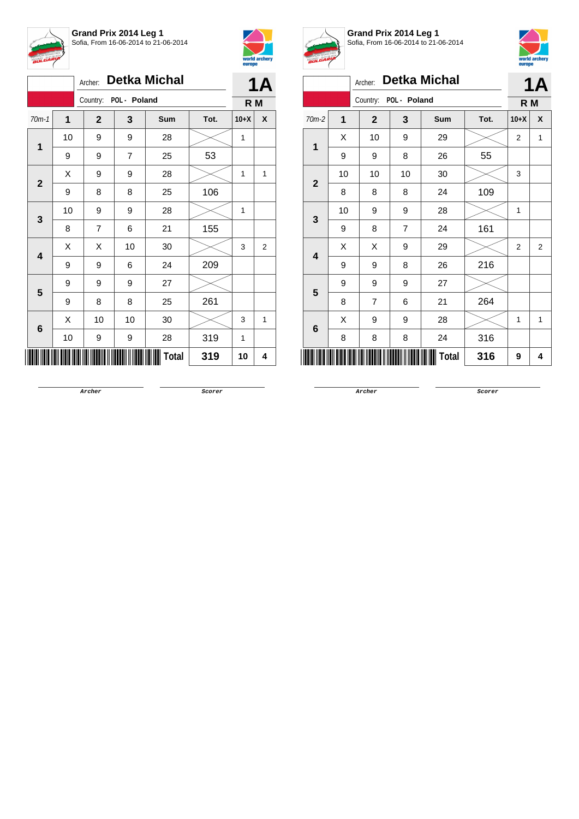



|                |    | Archer:        | <b>Detka Michal</b>   |       |      |        |                |  |
|----------------|----|----------------|-----------------------|-------|------|--------|----------------|--|
|                |    |                | Country: POL - Poland |       |      | R M    |                |  |
| $70m-1$        | 1  | $\mathbf{2}$   | 3                     | Sum   | Tot. | $10+X$ | X              |  |
| $\mathbf 1$    | 10 | 9              | 9                     | 28    |      | 1      |                |  |
|                | 9  | 9              | 7                     | 25    | 53   |        |                |  |
|                | Χ  | 9              | 9                     | 28    |      | 1      | 1              |  |
| $\mathbf{2}$   | 9  | 8              | 8                     | 25    | 106  |        |                |  |
| 3              | 10 | 9              | 9                     | 28    |      | 1      |                |  |
|                | 8  | $\overline{7}$ | 6                     | 21    | 155  |        |                |  |
|                | Χ  | X              | 10                    | 30    |      | 3      | $\overline{2}$ |  |
| 4              | 9  | 9              | 6                     | 24    | 209  |        |                |  |
| 5              | 9  | 9              | 9                     | 27    |      |        |                |  |
|                | 9  | 8              | 8                     | 25    | 261  |        |                |  |
| $6\phantom{1}$ | X  | 10             | 10                    | 30    |      | 3      | 1              |  |
|                | 10 | 9              | 9                     | 28    | 319  | 1      |                |  |
|                |    |                |                       | Total | 319  | 10     | 4              |  |



**Grand Prix 2014 Leg 1** Sofia, From 16-06-2014 to 21-06-2014



|                         | <i>p</i> ., |                |              |                     |      |                |                |  |  |
|-------------------------|-------------|----------------|--------------|---------------------|------|----------------|----------------|--|--|
|                         |             | Archer:        |              | <b>Detka Michal</b> |      | <b>1A</b>      |                |  |  |
|                         |             | Country:       | POL - Poland |                     |      | R M            |                |  |  |
| 70m-2                   | 1           | $\mathbf{2}$   | 3            | Sum                 | Tot. | $10+X$         | X              |  |  |
| 1                       | X           | 10             | 9            | 29                  |      | $\overline{2}$ | 1              |  |  |
|                         | 9           | 9              | 8            | 26                  | 55   |                |                |  |  |
| $\overline{2}$          | 10          | 10             | 10           | 30                  |      | 3              |                |  |  |
|                         | 8           | 8              | 8            | 24                  | 109  |                |                |  |  |
| 3                       | 10          | 9              | 9            | 28                  |      | 1              |                |  |  |
|                         | 9           | 8              | 7            | 24                  | 161  |                |                |  |  |
| $\overline{\mathbf{4}}$ | X           | X              | 9            | 29                  |      | $\overline{2}$ | $\overline{2}$ |  |  |
|                         | 9           | 9              | 8            | 26                  | 216  |                |                |  |  |
| 5                       | 9           | 9              | 9            | 27                  |      |                |                |  |  |
|                         | 8           | $\overline{7}$ | 6            | 21                  | 264  |                |                |  |  |
|                         | X           | 9              | 9            | 28                  |      | 1              | 1              |  |  |
| 6                       | 8           | 8              | 8            | 24                  | 316  |                |                |  |  |
|                         |             |                |              | Total               | 316  | 9              | 4              |  |  |

**Archer Scorer**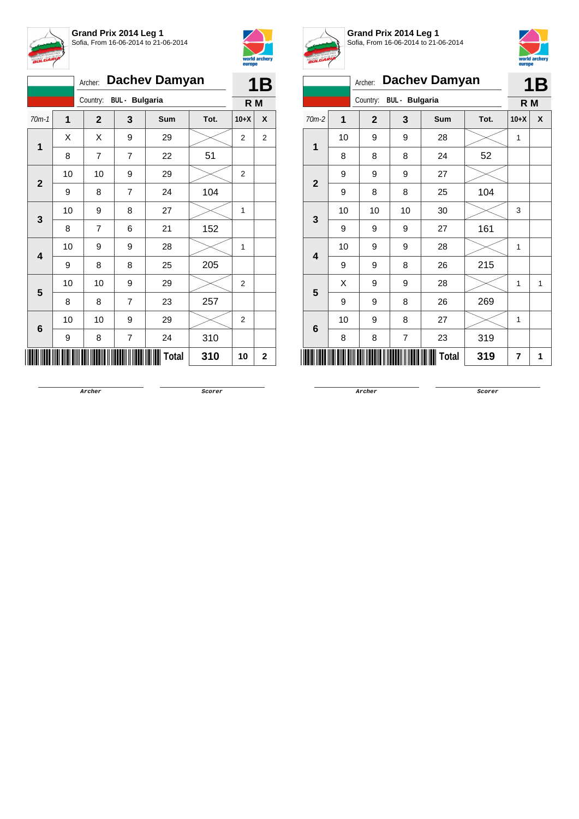

**Grand Prix 2014 Leg 1** Sofia, From 16-06-2014 to 21-06-2014



|                         |    | Archer: Dachev Damyan   |                  | <b>1B</b>    |      |                         |                |  |
|-------------------------|----|-------------------------|------------------|--------------|------|-------------------------|----------------|--|
|                         |    | Country: BUL - Bulgaria |                  |              |      |                         |                |  |
| $70m-1$                 | 1  | $\overline{2}$          | 3                | Sum          | Tot. | $10+X$                  | X              |  |
| 1                       | X  | Χ                       | 9                | 29           |      | $\overline{\mathbf{c}}$ | $\overline{2}$ |  |
|                         | 8  | $\overline{7}$          | $\overline{7}$   | 22           | 51   |                         |                |  |
| $\mathbf{2}$            | 10 | 10                      | 9                | 29           |      | 2                       |                |  |
|                         | 9  | 8                       | $\overline{7}$   | 24           | 104  |                         |                |  |
| 3                       | 10 | 9                       | 8                | 27           |      | 1                       |                |  |
|                         | 8  | $\overline{7}$          | 6                | 21           | 152  |                         |                |  |
| $\overline{\mathbf{4}}$ | 10 | 9                       | 9                | 28           |      | 1                       |                |  |
|                         | 9  | 8                       | 8                | 25           | 205  |                         |                |  |
| 5                       | 10 | 10                      | 9                | 29           |      | 2                       |                |  |
|                         | 8  | 8                       | $\overline{7}$   | 23           | 257  |                         |                |  |
| 6                       | 10 | 10                      | 9                | 29           |      | 2                       |                |  |
|                         | 9  | 8                       | $\boldsymbol{7}$ | 24           | 310  |                         |                |  |
|                         |    |                         |                  | <b>Total</b> | 310  | 10                      | 2              |  |



**Grand Prix 2014 Leg 1** Sofia, From 16-06-2014 to 21-06-2014



|                | <b>Dachev Damyan</b><br>Archer: |                |                       |     |      |        | 1Β |
|----------------|---------------------------------|----------------|-----------------------|-----|------|--------|----|
|                |                                 | Country:       | <b>BUL</b> - Bulgaria |     |      | R M    |    |
| $70m-2$        | 1                               | $\overline{2}$ | 3                     | Sum | Tot. | $10+X$ | X  |
| 1              | 10                              | 9              | 9                     | 28  |      | 1      |    |
|                | 8                               | 8              | 8                     | 24  | 52   |        |    |
| $\overline{2}$ | 9                               | 9              | 9                     | 27  |      |        |    |
|                | 9                               | 8              | 8                     | 25  | 104  |        |    |
| $\mathbf{3}$   | 10                              | 10             | 10                    | 30  |      | 3      |    |
|                | 9                               | 9              | 9                     | 27  | 161  |        |    |
| 4              | 10                              | 9              | 9                     | 28  |      | 1      |    |
|                | 9                               | 9              | 8                     | 26  | 215  |        |    |
| 5              | X                               | 9              | 9                     | 28  |      | 1      | 1  |
|                | 9                               | 9              | 8                     | 26  | 269  |        |    |
|                | 10                              | 9              | 8                     | 27  |      | 1      |    |
| 6              | 8                               | 8              | $\overline{7}$        | 23  | 319  |        |    |
|                | 7                               | 1              |                       |     |      |        |    |

**Archer Scorer**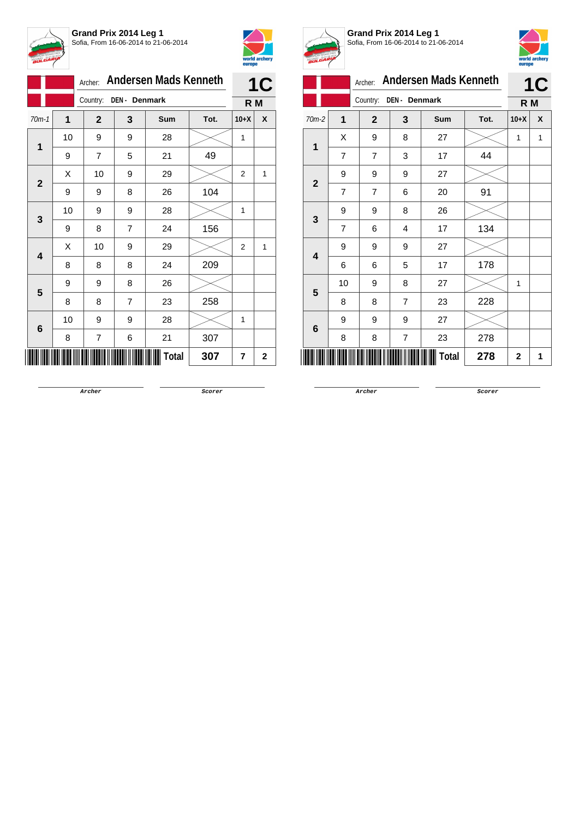



|                |    | <b>Andersen Mads Kenneth</b><br>Archer: |               | <b>1C</b>  |      |                |             |
|----------------|----|-----------------------------------------|---------------|------------|------|----------------|-------------|
|                |    | Country:                                | DEN - Denmark |            |      | R M            |             |
| $70m-1$        | 1  | $\mathbf{2}$                            | 3             | <b>Sum</b> | Tot. | $10+X$         | X           |
| 1              | 10 | 9                                       | 9             | 28         |      | 1              |             |
|                | 9  | $\overline{7}$                          | 5             | 21         | 49   |                |             |
| $\overline{2}$ | Χ  | 10                                      | 9             | 29         |      | 2              | 1           |
|                | 9  | 9                                       | 8             | 26         | 104  |                |             |
| 3              | 10 | 9                                       | 9             | 28         |      | 1              |             |
|                | 9  | 8                                       | 7             | 24         | 156  |                |             |
| 4              | Χ  | 10                                      | 9             | 29         |      | $\overline{2}$ | 1           |
|                | 8  | 8                                       | 8             | 24         | 209  |                |             |
| 5              | 9  | 9                                       | 8             | 26         |      |                |             |
|                | 8  | 8                                       | 7             | 23         | 258  |                |             |
|                | 10 | 9                                       | 9             | 28         |      | 1              |             |
| 6              | 8  | 7                                       | 6             | 21         | 307  |                |             |
|                |    |                                         |               | Total      | 307  | 7              | $\mathbf 2$ |



**Grand Prix 2014 Leg 1** Sofia, From 16-06-2014 to 21-06-2014



|                         |                |                |                |                              |      | <u></u>      |           |  |
|-------------------------|----------------|----------------|----------------|------------------------------|------|--------------|-----------|--|
|                         |                | Archer:        |                | <b>Andersen Mads Kenneth</b> |      |              | <b>1C</b> |  |
|                         |                | Country:       | DEN - Denmark  |                              |      | R M          |           |  |
| 70m-2                   | $\overline{1}$ | $\overline{2}$ | 3              | Sum                          | Tot. | $10+X$       | X         |  |
| 1                       | X              | 9              | 8              | 27                           |      | 1            | 1         |  |
|                         | 7              | 7              | 3              | 17                           | 44   |              |           |  |
| $\overline{\mathbf{2}}$ | 9              | 9              | 9              | 27                           |      |              |           |  |
|                         | $\overline{7}$ | 7              | 6              | 20                           | 91   |              |           |  |
| 3                       | 9              | 9              | 8              | 26                           |      |              |           |  |
|                         | $\overline{7}$ | 6              | $\overline{4}$ | 17                           | 134  |              |           |  |
| $\overline{\mathbf{4}}$ | 9              | 9              | 9              | 27                           |      |              |           |  |
|                         | 6              | 6              | 5              | 17                           | 178  |              |           |  |
| 5                       | 10             | 9              | 8              | 27                           |      | 1            |           |  |
|                         | 8              | 8              | $\overline{7}$ | 23                           | 228  |              |           |  |
| 6                       | 9              | 9              | 9              | 27                           |      |              |           |  |
|                         | 8              | 8              | 7              | 23                           | 278  |              |           |  |
|                         |                |                |                | Total                        | 278  | $\mathbf{2}$ | 1         |  |

**Archer Scorer**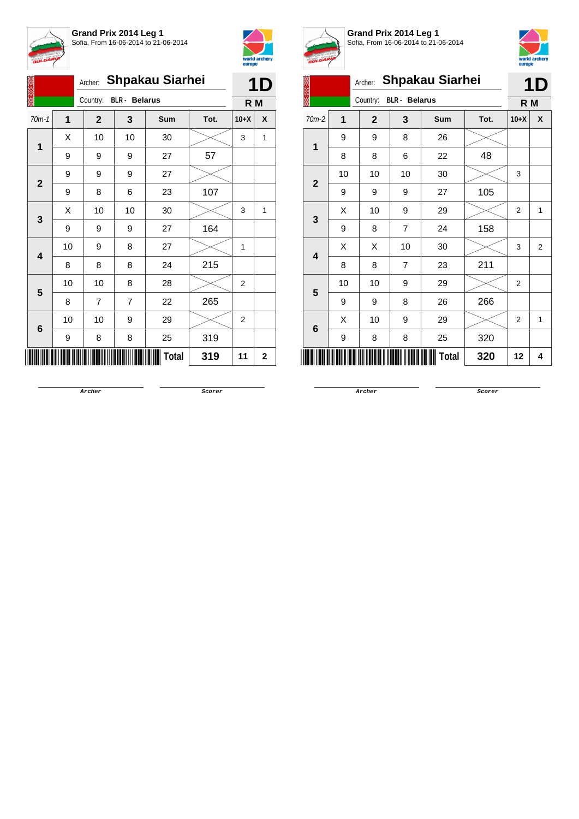



|                         |    | Archer:                          | <b>Shpakau Siarhei</b> |       |      |                |             |  |  |
|-------------------------|----|----------------------------------|------------------------|-------|------|----------------|-------------|--|--|
|                         |    | <b>BLR</b> - Belarus<br>Country: |                        | R M   |      |                |             |  |  |
| $70m-1$                 | 1  | $\mathbf{2}$                     | 3                      | Sum   | Tot. | $10+X$         | X           |  |  |
| $\overline{1}$          | X  | 10                               | 10                     | 30    |      | 3              | 1           |  |  |
|                         | 9  | 9                                | 9                      | 27    | 57   |                |             |  |  |
| $\mathbf{2}$            | 9  | 9                                | 9                      | 27    |      |                |             |  |  |
|                         | 9  | 8                                | 6                      | 23    | 107  |                |             |  |  |
|                         | X  | 10                               | 10                     | 30    |      | 3              | 1           |  |  |
| 3                       | 9  | 9                                | 9                      | 27    | 164  |                |             |  |  |
| $\overline{\mathbf{4}}$ | 10 | 9                                | 8                      | 27    |      | 1              |             |  |  |
|                         | 8  | 8                                | 8                      | 24    | 215  |                |             |  |  |
| 5                       | 10 | 10                               | 8                      | 28    |      | 2              |             |  |  |
|                         | 8  | $\overline{7}$                   | $\overline{7}$         | 22    | 265  |                |             |  |  |
|                         | 10 | 10                               | 9                      | 29    |      | $\overline{2}$ |             |  |  |
| 6                       | 9  | 8                                | 8                      | 25    | 319  |                |             |  |  |
|                         |    |                                  |                        | Total | 319  | 11             | $\mathbf 2$ |  |  |



**Grand Prix 2014 Leg 1** Sofia, From 16-06-2014 to 21-06-2014



|                         | <u>umaha</u> |              |                      |                        |      |                |                |  |
|-------------------------|--------------|--------------|----------------------|------------------------|------|----------------|----------------|--|
|                         |              | Archer:      |                      | <b>Shpakau Siarhei</b> |      |                | <b>1D</b>      |  |
|                         |              | Country:     | <b>BLR</b> - Belarus |                        |      | R M            |                |  |
| $70m-2$                 | 1            | $\mathbf{2}$ | 3                    | Sum                    | Tot. | $10+X$         | X              |  |
| 1                       | 9            | 9            | 8                    | 26                     |      |                |                |  |
|                         | 8            | 8            | 6                    | 22                     | 48   |                |                |  |
| $\overline{\mathbf{2}}$ | 10           | 10           | 10                   | 30                     |      | 3              |                |  |
|                         | 9            | 9            | 9                    | 27                     | 105  |                |                |  |
| 3                       | Χ            | 10           | 9                    | 29                     |      | 2              | 1              |  |
|                         | 9            | 8            | $\overline{7}$       | 24                     | 158  |                |                |  |
| 4                       | Χ            | X            | 10                   | 30                     |      | 3              | $\overline{2}$ |  |
|                         | 8            | 8            | $\overline{7}$       | 23                     | 211  |                |                |  |
| 5                       | 10           | 10           | 9                    | 29                     |      | $\overline{2}$ |                |  |
|                         | 9            | 9            | 8                    | 26                     | 266  |                |                |  |
| 6                       | X            | 10           | 9                    | 29                     |      | $\overline{2}$ | 1              |  |
|                         | 9            | 8            | 8                    | 25                     | 320  |                |                |  |
| Total<br>320<br>12      |              |              |                      |                        |      |                |                |  |

**Archer Scorer**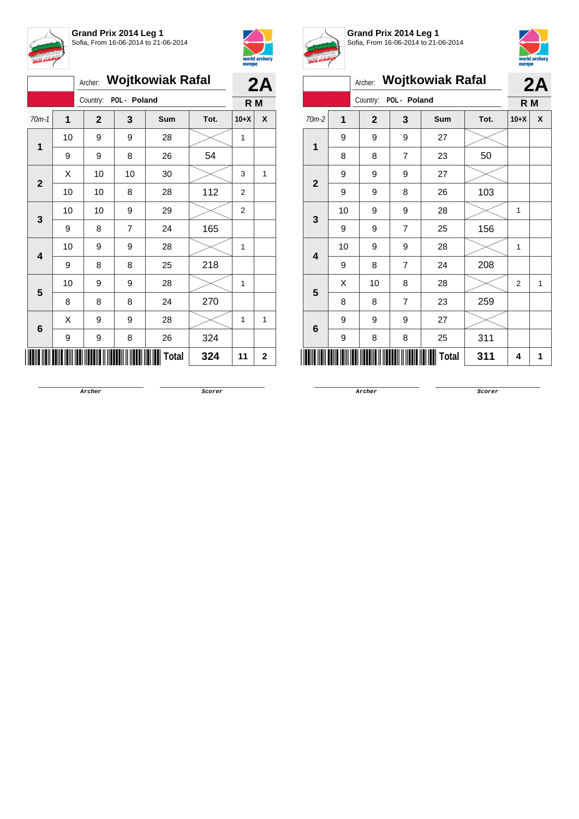



|                         |    | Archer: Wojtkowiak Rafal |              |              |      |                |             |
|-------------------------|----|--------------------------|--------------|--------------|------|----------------|-------------|
|                         |    | Country:                 | POL - Poland |              |      | R M            | 2A          |
| $70m-1$                 | 1  | $\overline{2}$           | 3            | <b>Sum</b>   | Tot. | $10+X$         | X           |
| 1                       | 10 | 9                        | 9            | 28           |      | $\mathbf{1}$   |             |
|                         | 9  | 9                        | 8            | 26           | 54   |                |             |
| $\overline{2}$          | Χ  | 10                       | $10$         | 30           |      | 3              | 1           |
|                         | 10 | 10                       | 8            | 28           | 112  | $\overline{2}$ |             |
| 3                       | 10 | 10                       | 9            | 29           |      | $\overline{2}$ |             |
|                         | 9  | 8                        | 7            | 24           | 165  |                |             |
| $\overline{\mathbf{4}}$ | 10 | 9                        | 9            | 28           |      | $\mathbf{1}$   |             |
|                         | 9  | 8                        | 8            | 25           | 218  |                |             |
| 5                       | 10 | 9                        | 9            | 28           |      | 1              |             |
|                         | 8  | 8                        | 8            | 24           | 270  |                |             |
| 6                       | Χ  | 9                        | 9            | 28           |      | 1              | 1           |
|                         | 9  | 9                        | 8            | 26           | 324  |                |             |
|                         |    |                          |              | <b>Total</b> | 324  | 11             | $\mathbf 2$ |



**Grand Prix 2014 Leg 1** Sofia, From 16-06-2014 to 21-06-2014



|                | <b>Wojtkowiak Rafal</b><br>Archer: |              |                |              |      |                | 2A |  |
|----------------|------------------------------------|--------------|----------------|--------------|------|----------------|----|--|
|                |                                    | Country:     | POL - Poland   |              |      | R M            |    |  |
| $70m-2$        | 1                                  | $\mathbf{2}$ | 3              | Sum          | Tot. | $10+X$         | X  |  |
| $\overline{1}$ | 9                                  | 9            | 9              | 27           |      |                |    |  |
|                | 8                                  | 8            | $\overline{7}$ | 23           | 50   |                |    |  |
| $\overline{2}$ | 9                                  | 9            | 9              | 27           |      |                |    |  |
|                | 9                                  | 9            | 8              | 26           | 103  |                |    |  |
| 3              | 10                                 | 9            | 9              | 28           |      | 1              |    |  |
|                | 9                                  | 9            | $\overline{7}$ | 25           | 156  |                |    |  |
| 4              | 10                                 | 9            | 9              | 28           |      | 1              |    |  |
|                | 9                                  | 8            | $\overline{7}$ | 24           | 208  |                |    |  |
| 5              | X                                  | 10           | 8              | 28           |      | $\overline{2}$ | 1  |  |
|                | 8                                  | 8            | $\overline{7}$ | 23           | 259  |                |    |  |
|                | 9                                  | 9            | 9              | 27           |      |                |    |  |
| 6              | 9                                  | 8            | 8              | 25           | 311  |                |    |  |
|                |                                    |              |                | <b>Total</b> | 311  | 4              | 1  |  |

**Archer Scorer**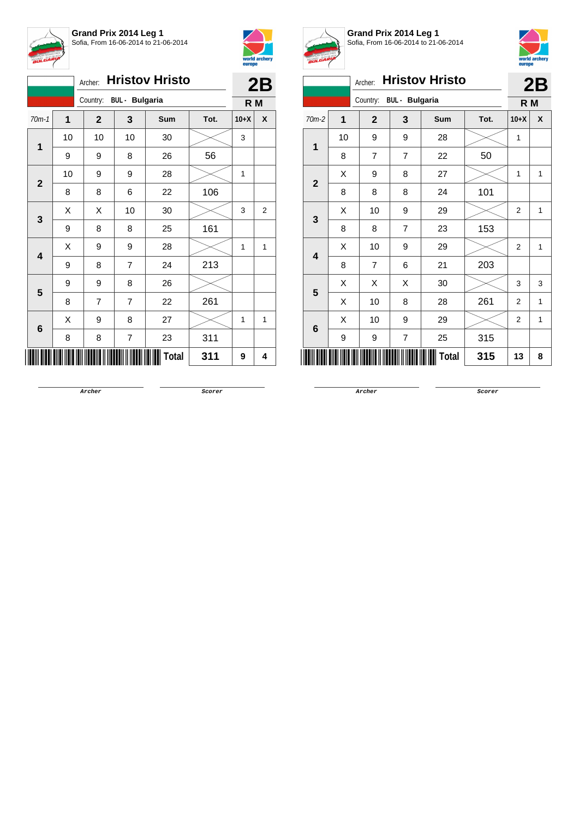



|                         |    | <b>Hristov Hristo</b><br>Archer: |                         | 2B           |      |                |                |
|-------------------------|----|----------------------------------|-------------------------|--------------|------|----------------|----------------|
|                         |    | Country: BUL - Bulgaria          |                         |              |      | R <sub>M</sub> |                |
| $70m-1$                 | 1  | $\mathbf{2}$                     | 3                       | Sum          | Tot. | $10+X$         | X              |
| 1                       | 10 | 10                               | 10                      | 30           |      | 3              |                |
|                         | 9  | 9                                | 8                       | 26           | 56   |                |                |
| $\mathbf{2}$            | 10 | 9                                | 9                       | 28           |      | 1              |                |
|                         | 8  | 8                                | 6                       | 22           | 106  |                |                |
| 3                       | X  | Χ                                | 10                      | 30           |      | 3              | $\overline{2}$ |
|                         | 9  | 8                                | 8                       | 25           | 161  |                |                |
| $\overline{\mathbf{4}}$ | X  | 9                                | 9                       | 28           |      | 1              | 1              |
|                         | 9  | 8                                | 7                       | 24           | 213  |                |                |
| 5                       | 9  | 9                                | 8                       | 26           |      |                |                |
|                         | 8  | 7                                | $\overline{7}$          | 22           | 261  |                |                |
| 6                       | Χ  | 9                                | 8                       | 27           |      | 1              | $\mathbf{1}$   |
|                         | 8  | 8                                | $\overline{\mathbf{7}}$ | 23           | 311  |                |                |
|                         |    |                                  |                         | <b>Total</b> | 311  | 9              | 4              |



**Grand Prix 2014 Leg 1** Sofia, From 16-06-2014 to 21-06-2014



|                |    |                |                       |                       |      | europe         |              |
|----------------|----|----------------|-----------------------|-----------------------|------|----------------|--------------|
|                |    | Archer:        |                       | <b>Hristov Hristo</b> |      |                | 2B           |
|                |    | Country:       | <b>BUL</b> - Bulgaria |                       |      | R <sub>M</sub> |              |
| $70m-2$        | 1  | $\mathbf{2}$   | 3                     | <b>Sum</b>            | Tot. | $10+X$         | X            |
|                | 10 | 9              | 9                     | 28                    |      | 1              |              |
| 1              | 8  | $\overline{7}$ | $\overline{7}$        | 22                    | 50   |                |              |
| $\overline{2}$ | X  | 9              | 8                     | 27                    |      | 1              | 1            |
|                | 8  | 8              | 8                     | 24                    | 101  |                |              |
| 3              | X  | 10             | 9                     | 29                    |      | $\overline{2}$ | 1            |
|                | 8  | 8              | $\overline{7}$        | 23                    | 153  |                |              |
| 4              | X  | 10             | 9                     | 29                    |      | $\overline{2}$ | 1            |
|                | 8  | 7              | 6                     | 21                    | 203  |                |              |
| 5              | Χ  | X              | X                     | 30                    |      | 3              | 3            |
|                | X  | 10             | 8                     | 28                    | 261  | $\overline{2}$ | $\mathbf{1}$ |
| 6              | X  | 10             | 9                     | 29                    |      | $\overline{2}$ | $\mathbf{1}$ |
|                | 9  | 9              | $\overline{7}$        | 25                    | 315  |                |              |
|                |    |                |                       | Total                 | 315  | 13             | 8            |

**Archer Scorer**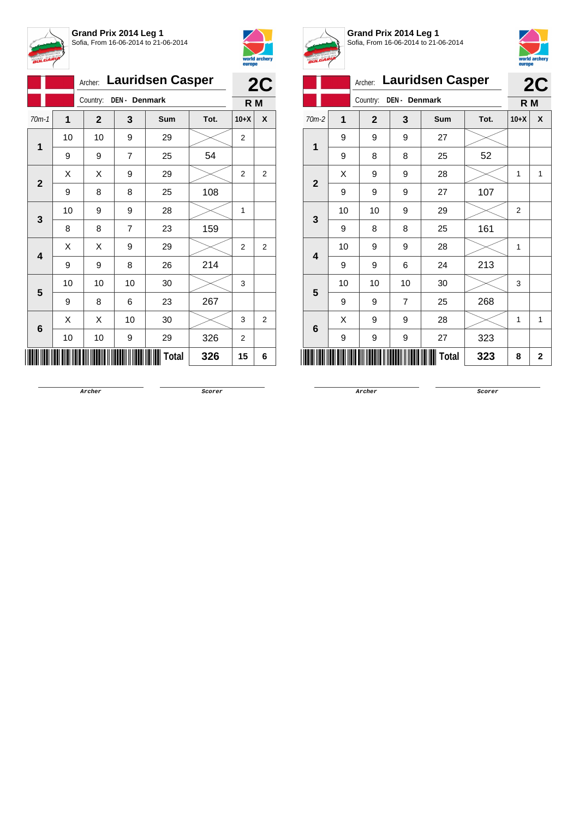



|                 |    |                           |                | Archer: Lauridsen Casper |      | 2C             |                |
|-----------------|----|---------------------------|----------------|--------------------------|------|----------------|----------------|
|                 |    | Country:<br>DEN - Denmark |                |                          |      |                | R M            |
| $70m-1$         | 1  | $\mathbf{2}$              | 3              | Sum                      | Tot. | $10+X$         | X              |
| 1               | 10 | 10                        | 9              | 29                       |      | $\overline{c}$ |                |
|                 | 9  | 9                         | $\overline{7}$ | 25                       | 54   |                |                |
| $\mathbf{2}$    | Χ  | Χ                         | 9              | 29                       |      | 2              | 2              |
|                 | 9  | 8                         | 8              | 25                       | 108  |                |                |
|                 | 10 | 9                         | 9              | 28                       |      | 1              |                |
| 3               | 8  | 8                         | 7              | 23                       | 159  |                |                |
| 4               | X  | Χ                         | 9              | 29                       |      | $\overline{2}$ | $\overline{2}$ |
|                 | 9  | 9                         | 8              | 26                       | 214  |                |                |
| 5               | 10 | 10                        | 10             | 30                       |      | 3              |                |
|                 | 9  | 8                         | 6              | 23                       | 267  |                |                |
| $6\phantom{1}6$ | X  | Χ                         | 10             | 30                       |      | 3              | $\overline{2}$ |
|                 | 10 | 10                        | 9              | 29                       | 326  | 2              |                |
|                 |    |                           |                | Total                    | 326  | 15             | 6              |



**Grand Prix 2014 Leg 1** Sofia, From 16-06-2014 to 21-06-2014



|                         |    |              |                | Archer: Lauridsen Casper |      |                | 2C               |  |
|-------------------------|----|--------------|----------------|--------------------------|------|----------------|------------------|--|
|                         |    | Country:     | DEN - Denmark  |                          |      |                |                  |  |
| 70m-2                   | 1  | $\mathbf{2}$ | 3              | Sum                      | Tot. | $10+X$         | $\boldsymbol{x}$ |  |
| 1                       | 9  | 9            | 9              | 27                       |      |                |                  |  |
|                         | 9  | 8            | 8              | 25                       | 52   |                |                  |  |
| $\overline{2}$          | X  | 9            | 9              | 28                       |      | 1              | 1                |  |
|                         | 9  | 9            | 9              | 27                       | 107  |                |                  |  |
| 3                       | 10 | 10           | 9              | 29                       |      | $\overline{2}$ |                  |  |
|                         | 9  | 8            | 8              | 25                       | 161  |                |                  |  |
| $\overline{\mathbf{4}}$ | 10 | 9            | 9              | 28                       |      | 1              |                  |  |
|                         | 9  | 9            | 6              | 24                       | 213  |                |                  |  |
| 5                       | 10 | 10           | 10             | 30                       |      | 3              |                  |  |
|                         | 9  | 9            | $\overline{7}$ | 25                       | 268  |                |                  |  |
| $6\phantom{1}6$         | X  | 9            | 9              | 28                       |      | 1              | 1                |  |
|                         | 9  | 9            | 9              | 27                       | 323  |                |                  |  |
|                         |    |              |                | <b>Total</b>             | 323  | 8              | $\mathbf 2$      |  |

**Archer Scorer**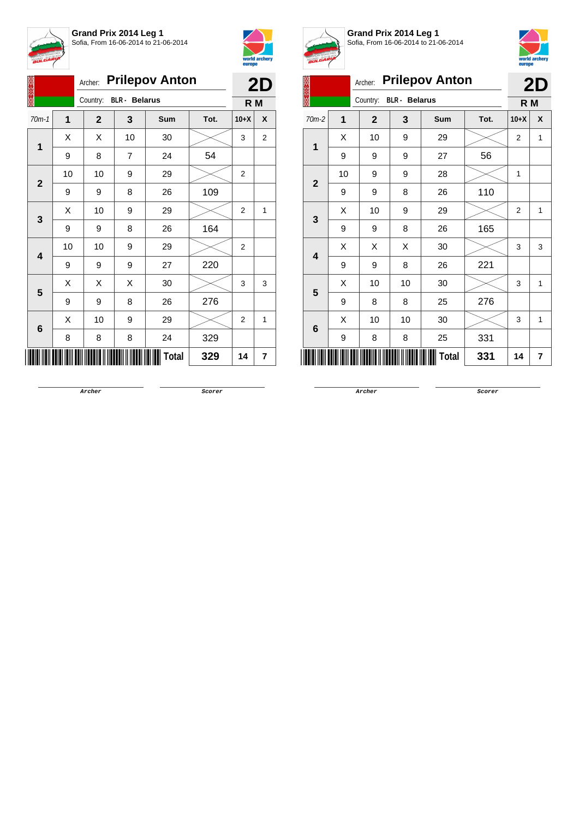



|  |              |    | Archer:      |                      | <b>Prilepov Anton</b> |      |                | 2D |
|--|--------------|----|--------------|----------------------|-----------------------|------|----------------|----|
|  |              |    | Country:     | <b>BLR</b> - Belarus |                       |      | R M            |    |
|  | $70m-1$      | 1  | $\mathbf{2}$ | 3                    | <b>Sum</b>            | Tot. | $10+X$         | X  |
|  | 1            | X  | X            | 10                   | 30                    |      | 3              | 2  |
|  |              | 9  | 8            | 7                    | 24                    | 54   |                |    |
|  | $\mathbf{2}$ | 10 | 10           | 9                    | 29                    |      | 2              |    |
|  |              | 9  | 9            | 8                    | 26                    | 109  |                |    |
|  | 3            | X  | 10           | 9                    | 29                    |      | 2              | 1  |
|  |              | 9  | 9            | 8                    | 26                    | 164  |                |    |
|  |              | 10 | 10           | 9                    | 29                    |      | $\overline{2}$ |    |
|  | 4            | 9  | 9            | 9                    | 27                    | 220  |                |    |
|  | 5            | Χ  | X            | Χ                    | 30                    |      | 3              | 3  |
|  |              | 9  | 9            | 8                    | 26                    | 276  |                |    |
|  |              | X  | 10           | 9                    | 29                    |      | 2              | 1  |
|  | 6            | 8  | 8            | 8                    | 24                    | 329  |                |    |
|  |              |    |              |                      | Total                 | 329  | 14             | 7  |



**Grand Prix 2014 Leg 1** Sofia, From 16-06-2014 to 21-06-2014



|                | A. |                         |                      |                       |      |                |    |
|----------------|----|-------------------------|----------------------|-----------------------|------|----------------|----|
|                |    | Archer:                 |                      | <b>Prilepov Anton</b> |      |                | 2D |
|                |    | Country:                | <b>BLR</b> - Belarus |                       |      | R M            |    |
| $70m-2$        | 1  | $\overline{\mathbf{2}}$ | 3                    | Sum                   | Tot. | $10+X$         | X  |
| 1              | Χ  | 10                      | 9                    | 29                    |      | $\overline{2}$ | 1  |
|                | 9  | 9                       | 9                    | 27                    | 56   |                |    |
| $\overline{2}$ | 10 | 9                       | 9                    | 28                    |      | 1              |    |
|                | 9  | 9                       | 8                    | 26                    | 110  |                |    |
| 3              | Χ  | 10                      | 9                    | 29                    |      | $\overline{2}$ | 1  |
|                | 9  | 9                       | 8                    | 26                    | 165  |                |    |
| 4              | X  | X                       | X                    | 30                    |      | 3              | 3  |
|                | 9  | 9                       | 8                    | 26                    | 221  |                |    |
| 5              | Χ  | 10                      | 10                   | 30                    |      | 3              | 1  |
|                | 9  | 8                       | 8                    | 25                    | 276  |                |    |
|                | Χ  | 10                      | 10                   | 30                    |      | 3              | 1  |
| 6              | 9  | 8                       | 8                    | 25                    | 331  |                |    |
|                |    |                         |                      | Total                 | 331  | 14             | 7  |

**Archer Scorer**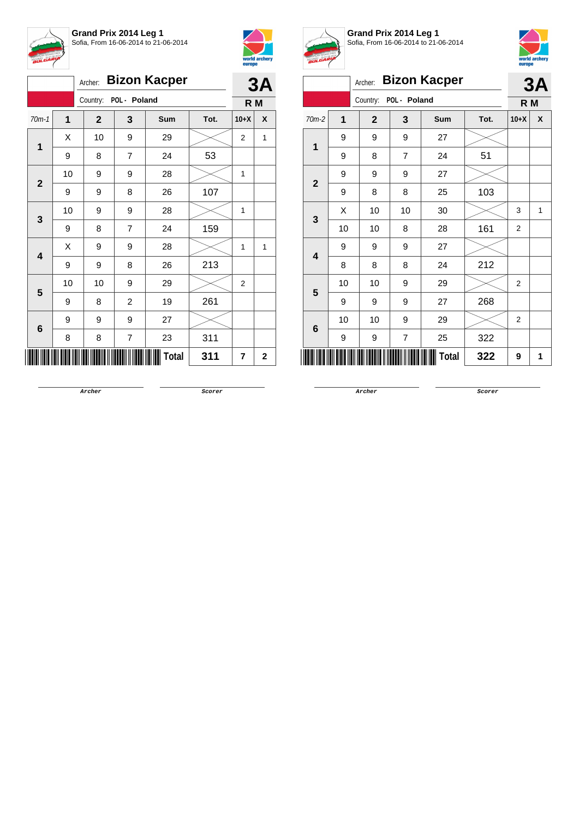



|                                                                                     |    | Archer:      |                         | <b>Bizon Kacper</b> |      |        | 3A           |
|-------------------------------------------------------------------------------------|----|--------------|-------------------------|---------------------|------|--------|--------------|
|                                                                                     |    | Country:     | POL - Poland            |                     |      | R M    |              |
| $70m-1$<br>$\overline{1}$<br>$\mathbf{2}$<br>3<br>$\overline{\mathbf{4}}$<br>5<br>6 | 1  | $\mathbf{2}$ | 3                       | Sum                 | Tot. | $10+X$ | X            |
|                                                                                     | X  | 10           | 9                       | 29                  |      | 2      | 1            |
|                                                                                     | 9  | 8            | 7                       | 24                  | 53   |        |              |
|                                                                                     | 10 | 9            | 9                       | 28                  |      | 1      |              |
|                                                                                     | 9  | 9            | 8                       | 26                  | 107  |        |              |
|                                                                                     | 10 | 9            | 9                       | 28                  |      | 1      |              |
|                                                                                     | 9  | 8            | 7                       | 24                  | 159  |        |              |
|                                                                                     | Χ  | 9            | 9                       | 28                  |      | 1      | $\mathbf{1}$ |
|                                                                                     | 9  | 9            | 8                       | 26                  | 213  |        |              |
|                                                                                     | 10 | 10           | 9                       | 29                  |      | 2      |              |
|                                                                                     | 9  | 8            | $\overline{\mathbf{c}}$ | 19                  | 261  |        |              |
|                                                                                     | 9  | 9            | 9                       | 27                  |      |        |              |
|                                                                                     | 8  | 8            | 7                       | 23                  | 311  |        |              |
|                                                                                     |    |              |                         | Total               | 311  | 7      | $\mathbf 2$  |



**Grand Prix 2014 Leg 1** Sofia, From 16-06-2014 to 21-06-2014



| $\boldsymbol{\mu}$      |    |                |                |                     |      | europe         |              |
|-------------------------|----|----------------|----------------|---------------------|------|----------------|--------------|
|                         |    | Archer:        |                | <b>Bizon Kacper</b> |      |                | 3A           |
|                         |    | Country:       | POL - Poland   |                     |      | R M            |              |
| $70m-2$                 | 1  | $\overline{2}$ | 3              | Sum                 | Tot. | $10+X$         | X            |
| 1                       | 9  | 9              | 9              | 27                  |      |                |              |
|                         | 9  | 8              | $\overline{7}$ | 24                  | 51   |                |              |
| $\overline{2}$          | 9  | 9              | 9              | 27                  |      |                |              |
|                         | 9  | 8              | 8              | 25                  | 103  |                |              |
| 3                       | X  | 10             | 10             | 30                  |      | 3              | $\mathbf{1}$ |
|                         | 10 | 10             | 8              | 28                  | 161  | $\overline{2}$ |              |
| $\overline{\mathbf{4}}$ | 9  | 9              | 9              | 27                  |      |                |              |
|                         | 8  | 8              | 8              | 24                  | 212  |                |              |
| 5                       | 10 | 10             | 9              | 29                  |      | $\overline{2}$ |              |
|                         | 9  | 9              | 9              | 27                  | 268  |                |              |
| 6                       | 10 | 10             | 9              | 29                  |      | $\overline{2}$ |              |
|                         | 9  | 9              | $\overline{7}$ | 25                  | 322  |                |              |
|                         |    |                |                | <b>Total</b>        | 322  | 9              | 1            |

**Archer Scorer**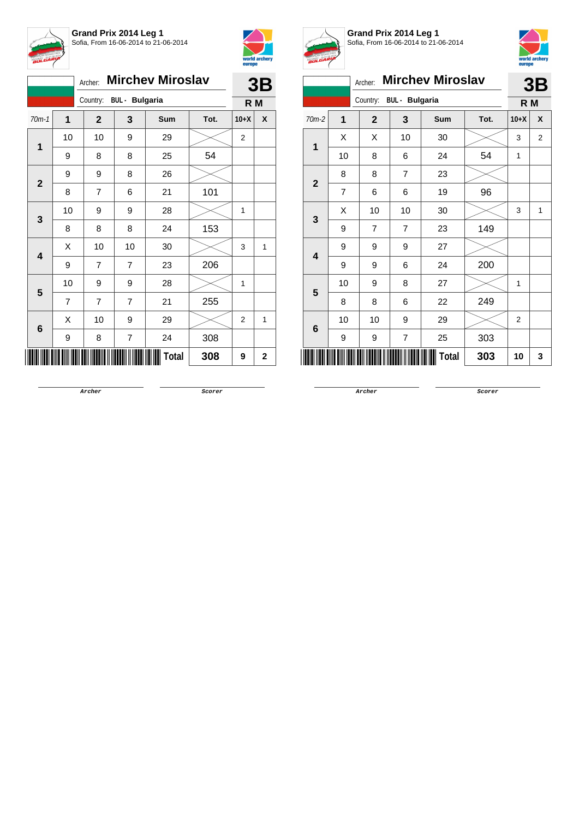



|                        |         |                | Archer:                 |                         | <b>Mirchev Miroslav</b> |      |                | 3B  |
|------------------------|---------|----------------|-------------------------|-------------------------|-------------------------|------|----------------|-----|
|                        |         |                | Country: BUL - Bulgaria |                         |                         |      |                | R M |
|                        | $70m-1$ | $\mathbf{1}$   | $\mathbf{2}$            | 3                       | Sum                     | Tot. | $10+X$         | X   |
|                        | 1       | 10             | 10                      | 9                       | 29                      |      | $\overline{c}$ |     |
|                        |         | 9              | 8                       | 8                       | 25                      | 54   |                |     |
|                        |         | 9              | 9                       | 8                       | 26                      |      |                |     |
|                        |         | 8              | $\overline{7}$          | 6                       | 21                      | 101  |                |     |
|                        |         | 10             | 9                       | 9                       | 28                      |      | 1              |     |
| $\mathbf{2}$<br>3<br>4 | 8       | 8              | 8                       | 24                      | 153                     |      |                |     |
|                        |         | Χ              | 10                      | 10                      | 30                      |      | 3              | 1   |
|                        |         | 9              | 7                       | $\overline{7}$          | 23                      | 206  |                |     |
|                        | 5       | 10             | 9                       | 9                       | 28                      |      | 1              |     |
|                        |         | $\overline{7}$ | $\overline{7}$          | $\overline{7}$          | 21                      | 255  |                |     |
|                        | 6       | X              | 10                      | 9                       | 29                      |      | 2              | 1   |
|                        |         | 9              | 8                       | $\overline{\mathbf{7}}$ | 24                      | 308  |                |     |
|                        |         |                |                         |                         | <b>Total</b>            | 308  | 9              | 2   |



**Grand Prix 2014 Leg 1** Sofia, From 16-06-2014 to 21-06-2014



|                         |    | Archer:        |                       | <b>Mirchev Miroslav</b> |      |        | 3B             |
|-------------------------|----|----------------|-----------------------|-------------------------|------|--------|----------------|
|                         |    | Country:       | <b>BUL</b> - Bulgaria |                         |      | R M    |                |
| $70m-2$                 | 1  | $\mathbf{2}$   | 3                     | <b>Sum</b>              | Tot. | $10+X$ | X              |
| 1                       | X  | X              | 10                    | 30                      |      | 3      | $\overline{2}$ |
|                         | 10 | 8              | 6                     | 24                      | 54   | 1      |                |
| $\overline{\mathbf{2}}$ | 8  | 8              | $\overline{7}$        | 23                      |      |        |                |
|                         | 7  | 6              | 6                     | 19                      | 96   |        |                |
| 3                       | Χ  | 10             | 10                    | 30                      |      | 3      | 1              |
|                         | 9  | $\overline{7}$ | $\overline{7}$        | 23                      | 149  |        |                |
| $\overline{\mathbf{A}}$ | 9  | 9              | 9                     | 27                      |      |        |                |
|                         | 9  | 9              | 6                     | 24                      | 200  |        |                |
| 5                       | 10 | 9              | 8                     | 27                      |      | 1      |                |
|                         | 8  | 8              | 6                     | 22                      | 249  |        |                |
| 6                       | 10 | 10             | 9                     | 29                      |      | 2      |                |
|                         | 9  | 9              | $\overline{7}$        | 25                      | 303  |        |                |
|                         |    |                |                       | Total                   | 303  | 10     | 3              |

**Archer Scorer**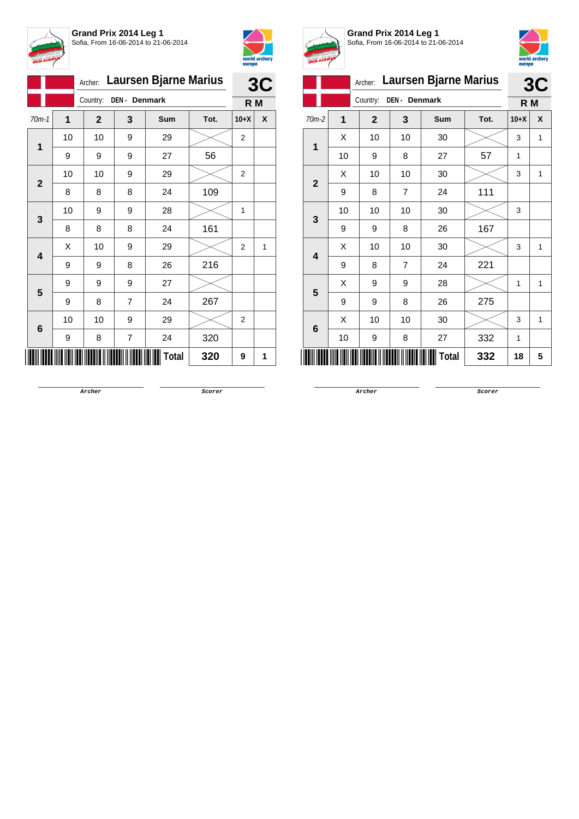



|                         | Archer:        | Laursen Bjarne Marius |                         | 3C    |      |                |   |
|-------------------------|----------------|-----------------------|-------------------------|-------|------|----------------|---|
|                         |                | Country:              | DEN - Denmark           |       |      | R M            |   |
| $70m-1$                 | $\overline{1}$ | $\mathbf{2}$          | 3                       | Sum   | Tot. | $10+X$         | χ |
| 1                       | 10             | 10                    | 9                       | 29    |      | $\overline{2}$ |   |
|                         | 9              | 9                     | 9                       | 27    | 56   |                |   |
| $\mathbf{2}$            | 10             | 10                    | 9                       | 29    |      | 2              |   |
|                         | 8              | 8                     | 8                       | 24    | 109  |                |   |
| 3                       | 10             | 9                     | 9                       | 28    |      | 1              |   |
|                         | 8              | 8                     | 8                       | 24    | 161  |                |   |
| $\overline{\mathbf{4}}$ | X              | 10                    | 9                       | 29    |      | $\overline{2}$ | 1 |
|                         | 9              | 9                     | 8                       | 26    | 216  |                |   |
| 5                       | 9              | 9                     | 9                       | 27    |      |                |   |
|                         | 9              | 8                     | $\overline{7}$          | 24    | 267  |                |   |
|                         | 10             | 10                    | 9                       | 29    |      | 2              |   |
| 6                       | 9              | 8                     | $\overline{\mathbf{7}}$ | 24    | 320  |                |   |
|                         |                |                       |                         | Total | 320  | 9              | 1 |



**Grand Prix 2014 Leg 1** Sofia, From 16-06-2014 to 21-06-2014



|                |    | Archer:                  |                | <b>Laursen Bjarne Marius</b> |      |        | 3C               |
|----------------|----|--------------------------|----------------|------------------------------|------|--------|------------------|
|                |    | DEN- Denmark<br>Country: | R M            |                              |      |        |                  |
| $70m-2$        | 1  | $\overline{2}$           | 3              | <b>Sum</b>                   | Tot. | $10+X$ | $\boldsymbol{x}$ |
|                | X  | 10                       | 10             | 30                           |      | 3      | 1                |
| 1              | 10 | 9                        | 8              | 27                           | 57   | 1      |                  |
| $\overline{2}$ | X  | 10                       | 10             | 30                           |      | 3      | 1                |
|                | 9  | 8                        | $\overline{7}$ | 24                           | 111  |        |                  |
| 3              | 10 | 10                       | 10             | 30                           |      | 3      |                  |
|                | 9  | 9                        | 8              | 26                           | 167  |        |                  |
| 4              | X  | 10                       | 10             | 30                           |      | 3      | 1                |
|                | 9  | 8                        | $\overline{7}$ | 24                           | 221  |        |                  |
| 5              | X  | 9                        | 9              | 28                           |      | 1      | 1                |
|                | 9  | 9                        | 8              | 26                           | 275  |        |                  |
| 6              | X  | 10                       | 10             | 30                           |      | 3      | 1                |
|                | 10 | 9                        | 8              | 27                           | 332  | 1      |                  |
|                |    |                          |                | <b>Total</b>                 | 332  | 18     | 5                |

**Archer Scorer**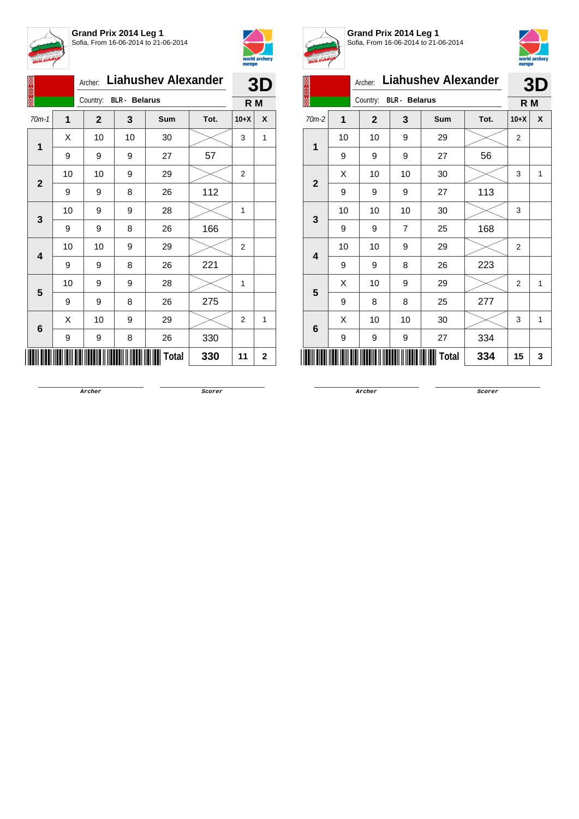



|                                                  |                                                                                             |                | Archer:  |                      | <b>Liahushev Alexander</b> |        |                | 3D          |
|--------------------------------------------------|---------------------------------------------------------------------------------------------|----------------|----------|----------------------|----------------------------|--------|----------------|-------------|
|                                                  |                                                                                             |                | Country: | <b>BLR</b> - Belarus |                            |        | R M            |             |
| $70m-1$<br>1<br>$\mathbf{2}$<br>3<br>4<br>5<br>6 | 1                                                                                           | $\overline{2}$ | 3        | <b>Sum</b>           | Tot.                       | $10+X$ | X              |             |
|                                                  |                                                                                             | Χ              | 10       | 10                   | 30                         |        | 3              | 1           |
|                                                  | 9                                                                                           | 9              | 9        | 27                   | 57                         |        |                |             |
|                                                  |                                                                                             | 10             | 10       | 9                    | 29                         |        | 2              |             |
|                                                  | 9<br>9<br>10<br>9<br>9<br>9<br>10<br>10<br>9<br>9<br>10<br>9<br>9<br>9<br>X<br>10<br>9<br>9 |                | 8        | 26                   | 112                        |        |                |             |
|                                                  |                                                                                             |                |          | 9                    | 28                         |        | 1              |             |
|                                                  |                                                                                             |                | 8        | 26                   | 166                        |        |                |             |
|                                                  |                                                                                             |                |          | 9                    | 29                         |        | 2              |             |
|                                                  |                                                                                             |                |          | 8                    | 26                         | 221    |                |             |
|                                                  |                                                                                             |                |          | 9                    | 28                         |        | 1              |             |
|                                                  |                                                                                             |                |          | 8                    | 26                         | 275    |                |             |
|                                                  |                                                                                             |                |          | 9                    | 29                         |        | $\overline{2}$ | 1           |
|                                                  |                                                                                             |                |          | 8                    | 26                         | 330    |                |             |
|                                                  |                                                                                             |                |          |                      | <b>Total</b>               | 330    | 11             | $\mathbf 2$ |



**Grand Prix 2014 Leg 1** Sofia, From 16-06-2014 to 21-06-2014



|                         | $\mathcal{N}$ and $\mathcal{N}$ | Archer:                          |                | <b>Liahushev Alexander</b> |      |                | 3D  |
|-------------------------|---------------------------------|----------------------------------|----------------|----------------------------|------|----------------|-----|
|                         |                                 | Country:<br><b>BLR</b> - Belarus |                |                            |      |                | R M |
| $70m-2$                 | 1                               | $\overline{2}$                   | 3              | Sum                        | Tot. | $10+X$         | X   |
|                         | 10                              | 10                               | 9              | 29                         |      | 2              |     |
| 1                       | 9                               | 9                                | 9              | 27                         | 56   |                |     |
| $\overline{2}$          | X                               | 10                               | 10             | 30                         |      | 3              | 1   |
|                         | 9                               | 9                                | 9              | 27                         | 113  |                |     |
| 3                       | 10                              | 10                               | 10             | 30                         |      | 3              |     |
|                         | 9                               | 9                                | $\overline{7}$ | 25                         | 168  |                |     |
| $\overline{\mathbf{4}}$ | 10                              | 10                               | 9              | 29                         |      | $\overline{2}$ |     |
|                         | 9                               | 9                                | 8              | 26                         | 223  |                |     |
| 5                       | X                               | 10                               | 9              | 29                         |      | $\overline{2}$ | 1   |
|                         | 9                               | 8                                | 8              | 25                         | 277  |                |     |
| 6                       | X                               | 10                               | 10             | 30                         |      | 3              | 1   |
|                         | 9                               | 9                                | 9              | 27                         | 334  |                |     |
|                         |                                 |                                  |                | Total                      | 334  | 15             | 3   |

**Archer Scorer**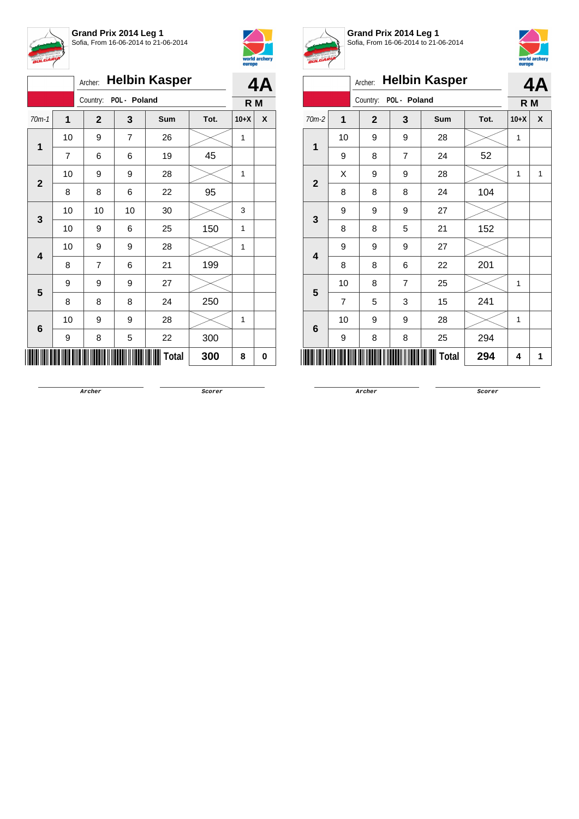



|                         |                | 4Α             |                |              |      |        |   |
|-------------------------|----------------|----------------|----------------|--------------|------|--------|---|
|                         | R M            |                |                |              |      |        |   |
| $70m-1$                 | $\overline{1}$ | $\mathbf{2}$   | 3              | <b>Sum</b>   | Tot. | $10+X$ | X |
|                         | 10             | 9              | $\overline{7}$ | 26           |      | 1      |   |
| 1                       | $\overline{7}$ | 6              | 6              | 19           | 45   |        |   |
|                         | 10             | 9              | 9              | 28           |      | 1      |   |
| $\mathbf{2}$            | 8              | 8              | 6              | 22           | 95   |        |   |
|                         | 10             | 10             | 10             | 30           |      | 3      |   |
| 3                       | 10             | 9              | 6              | 25           | 150  | 1      |   |
|                         | 10             | 9              | 9              | 28           |      | 1      |   |
| $\overline{\mathbf{4}}$ | 8              | $\overline{7}$ | 6              | 21           | 199  |        |   |
| 5                       | 9              | 9              | 9              | 27           |      |        |   |
|                         | 8              | 8              | 8              | 24           | 250  |        |   |
|                         | 10             | 9              | 9              | 28           |      | 1      |   |
| 6                       | 9              | 8              | 5              | 22           | 300  |        |   |
|                         |                |                |                | <b>Total</b> | 300  | 8      | 0 |



**Grand Prix 2014 Leg 1** Sofia, From 16-06-2014 to 21-06-2014



|                         |                | Archer:      |                | <b>Helbin Kasper</b> |      |              | 4A |  |
|-------------------------|----------------|--------------|----------------|----------------------|------|--------------|----|--|
|                         |                | Country:     | POL - Poland   |                      |      | R M          |    |  |
| $70m-2$                 | $\mathbf{1}$   | $\mathbf{2}$ | 3              | Sum                  | Tot. | $10+X$       | X  |  |
| $\mathbf{1}$            | 10             | 9            | 9              | 28                   |      | $\mathbf{1}$ |    |  |
|                         | 9              | 8            | $\overline{7}$ | 24                   | 52   |              |    |  |
|                         | X              | 9            | 9              | 28                   |      | 1            | 1  |  |
| $\overline{2}$<br>3     | 8              | 8            | 8              | 24                   | 104  |              |    |  |
|                         | 9              | 9            | 9              | 27                   |      |              |    |  |
|                         | 8              | 8            | 5              | 21                   | 152  |              |    |  |
| $\overline{\mathbf{4}}$ | 9              | 9            | 9              | 27                   |      |              |    |  |
|                         | 8              | 8            | 6              | 22                   | 201  |              |    |  |
| 5                       | 10             | 8            | 7              | 25                   |      | 1            |    |  |
|                         | $\overline{7}$ | 5            | 3              | 15                   | 241  |              |    |  |
| 6                       | 10             | 9            | 9              | 28                   |      | 1            |    |  |
|                         | 9              | 8            | 8              | 25                   | 294  |              |    |  |
|                         |                |              |                | Total                | 294  | 4            | 1  |  |

**Archer Scorer**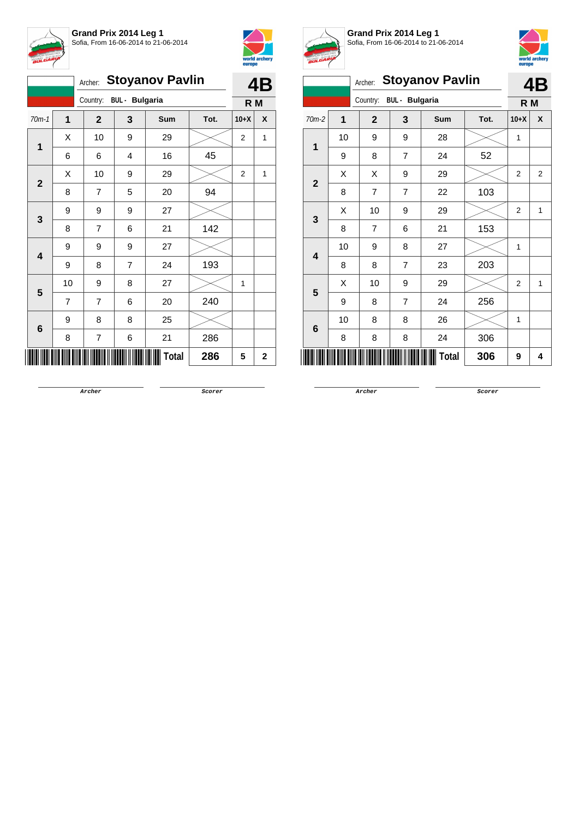



|                         |              |                |                         |                | Archer: Stoyanov Pavlin |      |        | 4B           |
|-------------------------|--------------|----------------|-------------------------|----------------|-------------------------|------|--------|--------------|
|                         |              |                | Country: BUL - Bulgaria |                |                         |      | R M    |              |
|                         | $70m-1$      | $\mathbf{1}$   | $\mathbf{2}$            | 3              | Sum                     | Tot. | $10+X$ | X            |
|                         | $\mathbf 1$  | X              | 10                      | 9              | 29                      |      | 2      | 1            |
|                         |              | 6              | 6                       | 4              | 16                      | 45   |        |              |
|                         | $\mathbf{2}$ | Χ              | 10                      | 9              | 29                      |      | 2      | 1            |
|                         |              | 8              | $\overline{7}$          | 5              | 20                      | 94   |        |              |
|                         | 3            | 9              | 9                       | 9              | 27                      |      |        |              |
| $\overline{\mathbf{4}}$ | 8            | $\overline{7}$ | 6                       | 21             | 142                     |      |        |              |
|                         |              | 9              | 9                       | 9              | 27                      |      |        |              |
|                         |              | 9              | 8                       | $\overline{7}$ | 24                      | 193  |        |              |
|                         | 5            | 10             | 9                       | 8              | 27                      |      | 1      |              |
|                         |              | $\overline{7}$ | $\overline{7}$          | 6              | 20                      | 240  |        |              |
|                         |              | 9              | 8                       | 8              | 25                      |      |        |              |
|                         | 6            | 8              | $\overline{7}$          | 6              | 21                      | 286  |        |              |
|                         |              |                |                         |                | <b>Total</b>            | 286  | 5      | $\mathbf{2}$ |



**Grand Prix 2014 Leg 1** Sofia, From 16-06-2014 to 21-06-2014



|                |    | Archer:        |                       | <b>Stoyanov Pavlin</b> |      |                | 4Β             |  |  |  |
|----------------|----|----------------|-----------------------|------------------------|------|----------------|----------------|--|--|--|
|                |    | Country:       | <b>BUL</b> - Bulgaria |                        |      |                |                |  |  |  |
| $70m-2$        | 1  | $\mathbf{2}$   | 3                     | Sum                    | Tot. | $10+X$         | X              |  |  |  |
| $\mathbf{1}$   | 10 | 9              | 9                     | 28                     |      | 1              |                |  |  |  |
|                | 9  | 8              | $\overline{7}$        | 24                     | 52   |                |                |  |  |  |
| $\overline{2}$ | X  | X              | 9                     | 29                     |      | $\overline{2}$ | $\overline{2}$ |  |  |  |
|                | 8  | 7              | 7                     | 22                     | 103  |                |                |  |  |  |
|                | X  | 10             | 9                     | 29                     |      | $\overline{2}$ | 1              |  |  |  |
| 3              | 8  | $\overline{7}$ | 6                     | 21                     | 153  |                |                |  |  |  |
| 4              | 10 | 9              | 8                     | 27                     |      | $\mathbf{1}$   |                |  |  |  |
|                | 8  | 8              | 7                     | 23                     | 203  |                |                |  |  |  |
| 5              | X  | 10             | 9                     | 29                     |      | 2              | 1              |  |  |  |
|                | 9  | 8              | $\overline{7}$        | 24                     | 256  |                |                |  |  |  |
| 6              | 10 | 8              | 8                     | 26                     |      | $\mathbf{1}$   |                |  |  |  |
|                | 8  | 8              | 8                     | 24                     | 306  |                |                |  |  |  |
|                |    |                |                       | <b>Total</b>           | 306  | 9              | 4              |  |  |  |

**Archer Scorer**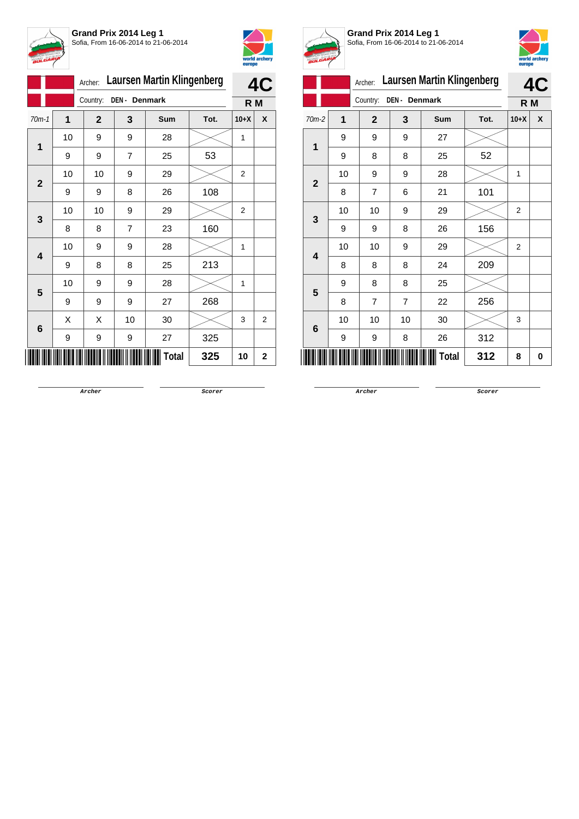



|                 |                           | Archer:      | <b>Laursen Martin Klingenberg</b> | 4C    |      |                |                |  |  |
|-----------------|---------------------------|--------------|-----------------------------------|-------|------|----------------|----------------|--|--|
|                 | DEN - Denmark<br>Country: |              |                                   |       |      |                |                |  |  |
| $70m-1$         | $\mathbf{1}$              | $\mathbf{2}$ | 3                                 | Sum   | Tot. | $10+X$         | X              |  |  |
| 1               | 10                        | 9            | 9                                 | 28    |      | 1              |                |  |  |
|                 | 9                         | 9            | $\overline{7}$                    | 25    | 53   |                |                |  |  |
| $\mathbf{2}$    | 10                        | 10           | 9                                 | 29    |      | $\overline{2}$ |                |  |  |
|                 | 9                         | 9            | 8                                 | 26    | 108  |                |                |  |  |
| 3               | 10                        | 10           | 9                                 | 29    |      | $\overline{2}$ |                |  |  |
|                 | 8                         | 8            | 7                                 | 23    | 160  |                |                |  |  |
| 4               | 10                        | 9            | 9                                 | 28    |      | 1              |                |  |  |
|                 | 9                         | 8            | 8                                 | 25    | 213  |                |                |  |  |
| 5               | 10                        | 9            | 9                                 | 28    |      | 1              |                |  |  |
|                 | 9                         | 9            | 9                                 | 27    | 268  |                |                |  |  |
| $6\phantom{1}6$ | X                         | Χ            | 10                                | 30    |      | 3              | $\overline{2}$ |  |  |
|                 | 9                         | 9            | 9                                 | 27    | 325  |                |                |  |  |
|                 |                           |              |                                   | Total | 325  | 10             | $\mathbf 2$    |  |  |



**Grand Prix 2014 Leg 1** Sofia, From 16-06-2014 to 21-06-2014



|              |                                                                                                 | Archer:        |    | <b>Laursen Martin Klingenberg</b> |     |                | 4C |  |
|--------------|-------------------------------------------------------------------------------------------------|----------------|----|-----------------------------------|-----|----------------|----|--|
|              | DEN - Denmark<br>Country:<br>$\overline{1}$<br>70m-2<br>$\mathbf{2}$<br>3<br>Tot.<br><b>Sum</b> |                |    |                                   |     |                |    |  |
|              |                                                                                                 |                |    |                                   |     | $10+X$         | X  |  |
| 1            | 9                                                                                               | 9              | 9  | 27                                |     |                |    |  |
|              | 9                                                                                               | 8              | 8  | 25                                | 52  |                |    |  |
| $\mathbf{2}$ | 10                                                                                              | 9              | 9  | 28                                |     | 1              |    |  |
|              | 8                                                                                               | 7              | 6  | 21                                | 101 |                |    |  |
| $\mathbf{3}$ | 10                                                                                              | 10             | 9  | 29                                |     | 2              |    |  |
|              | 9                                                                                               | 9              | 8  | 26                                | 156 |                |    |  |
|              | 10                                                                                              | 10             | 9  | 29                                |     | $\overline{2}$ |    |  |
| 4            | 8                                                                                               | 8              | 8  | 24                                | 209 |                |    |  |
| 5            | 9                                                                                               | 8              | 8  | 25                                |     |                |    |  |
|              | 8                                                                                               | $\overline{7}$ | 7  | 22                                | 256 |                |    |  |
|              | 10                                                                                              | 10             | 10 | 30                                |     | 3              |    |  |
| 6            | 9                                                                                               | 9              | 8  | 26                                | 312 |                |    |  |
|              |                                                                                                 |                |    | Total                             | 312 | 8              | 0  |  |

**Archer Scorer**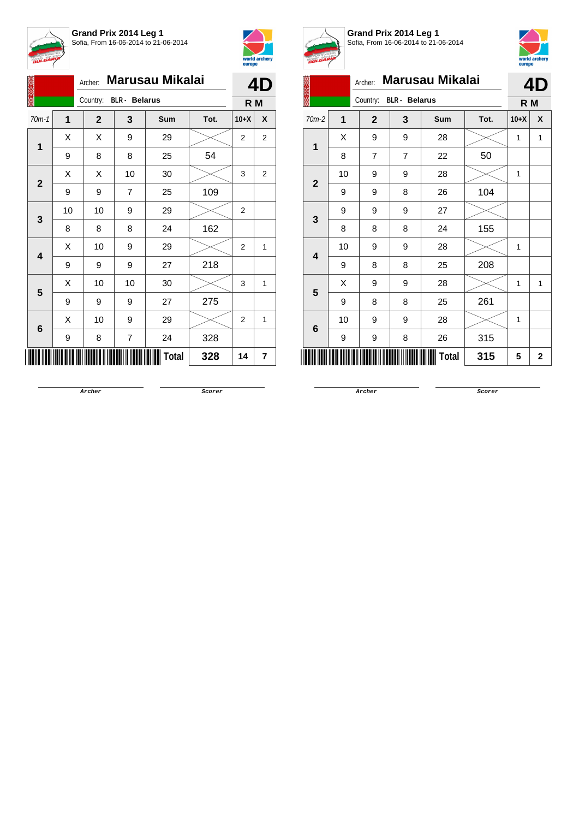



|                         |    | Archer:                |                | Marusau Mikalai |      |                | 4D             |
|-------------------------|----|------------------------|----------------|-----------------|------|----------------|----------------|
|                         |    | Country: BLR - Belarus |                |                 |      | R M            |                |
| $70m-1$                 | 1  | $\mathbf{2}$           | 3              | Sum             | Tot. | $10+X$         | X              |
|                         | X  | Χ                      | 9              | 29              |      | $\overline{2}$ | $\overline{2}$ |
| 1                       | 9  | 8                      | 8              | 25              | 54   |                |                |
|                         | X  | X                      | 10             | 30              |      | 3              | 2              |
| $\mathbf{2}$            | 9  | 9                      | $\overline{7}$ | 25              | 109  |                |                |
|                         | 10 | 10                     | 9              | 29              |      | 2              |                |
| 3                       | 8  | 8                      | 8              | 24              | 162  |                |                |
| $\overline{\mathbf{4}}$ | X  | 10                     | 9              | 29              |      | 2              | 1              |
|                         | 9  | 9                      | 9              | 27              | 218  |                |                |
| 5                       | Χ  | 10                     | 10             | 30              |      | 3              | 1              |
|                         | 9  | 9                      | 9              | 27              | 275  |                |                |
|                         | X  | 10                     | 9              | 29              |      | $\overline{2}$ | 1              |
| 6                       | 9  | 8                      | 7              | 24              | 328  |                |                |
|                         |    |                        |                | <b>Total</b>    | 328  | 14             | 7              |



**Grand Prix 2014 Leg 1** Sofia, From 16-06-2014 to 21-06-2014



|  | A.<br>1<br>70m-2<br>1<br>$\overline{2}$<br>3<br>4<br>5 |    | Archer:                          |                | <b>Marusau Mikalai</b> |      |        | 4D          |
|--|--------------------------------------------------------|----|----------------------------------|----------------|------------------------|------|--------|-------------|
|  | 6                                                      |    | Country:<br><b>BLR</b> - Belarus | R <sub>M</sub> |                        |      |        |             |
|  |                                                        |    | $\overline{2}$                   | 3              | <b>Sum</b>             | Tot. | $10+X$ | X           |
|  |                                                        | X  | 9                                | 9              | 28                     |      | 1      | 1           |
|  |                                                        | 8  | $\overline{7}$                   | 7              | 22                     | 50   |        |             |
|  |                                                        | 10 | 9                                | 9              | 28                     |      | 1      |             |
|  |                                                        | 9  | 9                                | 8              | 26                     | 104  |        |             |
|  |                                                        | 9  | 9                                | 9              | 27                     |      |        |             |
|  |                                                        | 8  | 8                                | 8              | 24                     | 155  |        |             |
|  |                                                        | 10 | 9                                | 9              | 28                     |      | 1      |             |
|  |                                                        | 9  | 8                                | 8              | 25                     | 208  |        |             |
|  |                                                        | X  | 9                                | 9              | 28                     |      | 1      | 1           |
|  |                                                        | 9  | 8                                | 8              | 25                     | 261  |        |             |
|  |                                                        | 10 | 9                                | 9              | 28                     |      | 1      |             |
|  |                                                        | 9  | 9                                | 8              | 26                     | 315  |        |             |
|  |                                                        |    |                                  |                | <b>Total</b>           | 315  | 5      | $\mathbf 2$ |

**Archer Scorer**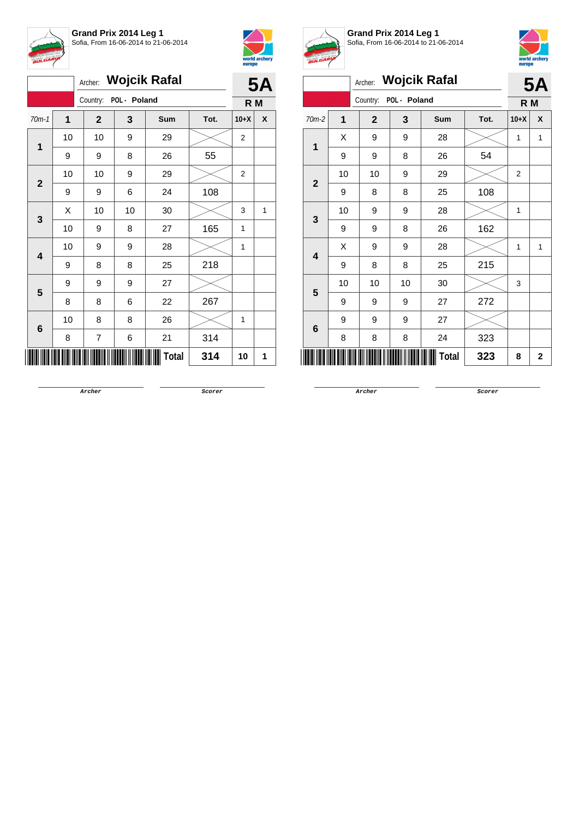



|              |             | <b>5A</b>    |    |       |      |                |   |
|--------------|-------------|--------------|----|-------|------|----------------|---|
|              |             | R M          |    |       |      |                |   |
| $70m-1$      | $\mathbf 1$ | $\mathbf{2}$ | 3  | Sum   | Tot. | $10+X$         | X |
| 1            | 10          | 10           | 9  | 29    |      | $\overline{2}$ |   |
|              | 9           | 9            | 8  | 26    | 55   |                |   |
| $\mathbf{2}$ | 10          | 10           | 9  | 29    |      | $\overline{2}$ |   |
|              | 9           | 9            | 6  | 24    | 108  |                |   |
| 3            | Χ           | 10           | 10 | 30    |      | 3              | 1 |
|              | 10          | 9            | 8  | 27    | 165  | 1              |   |
| 4            | 10          | 9            | 9  | 28    |      | 1              |   |
|              | 9           | 8            | 8  | 25    | 218  |                |   |
| 5            | 9           | 9            | 9  | 27    |      |                |   |
|              | 8           | 8            | 6  | 22    | 267  |                |   |
| $\bf 6$      | 10          | 8            | 8  | 26    |      | 1              |   |
|              | 8           | 7            | 6  | 21    | 314  |                |   |
|              |             |              |    | Total | 314  | 10             | 1 |



**Grand Prix 2014 Leg 1** Sofia, From 16-06-2014 to 21-06-2014



|                                                             | <b>Wojcik Rafal</b><br>Archer:<br>POL - Poland<br>Country:<br>1<br>$\mathbf{2}$<br>3<br>Sum<br>Tot.<br>X<br>9<br>9<br>28 |                                                                 |    |    |     |                |                            |  |
|-------------------------------------------------------------|--------------------------------------------------------------------------------------------------------------------------|-----------------------------------------------------------------|----|----|-----|----------------|----------------------------|--|
|                                                             |                                                                                                                          |                                                                 |    |    |     |                |                            |  |
|                                                             |                                                                                                                          |                                                                 |    |    |     |                |                            |  |
| $70m-2$                                                     |                                                                                                                          |                                                                 |    |    |     | $10+X$         | X                          |  |
| 1<br>$\mathbf{2}$<br>3<br>$\overline{\mathbf{4}}$<br>5<br>6 |                                                                                                                          |                                                                 |    |    |     | 1              | 1                          |  |
|                                                             | 9                                                                                                                        | 9                                                               | 8  | 26 | 54  |                |                            |  |
|                                                             | 10                                                                                                                       | 10                                                              | 9  | 29 |     | $\overline{2}$ |                            |  |
|                                                             | 9                                                                                                                        | 8                                                               | 8  | 25 | 108 |                |                            |  |
|                                                             | 10                                                                                                                       | 9                                                               | 9  | 28 |     | 1              | <b>5A</b><br>R M<br>1<br>2 |  |
|                                                             | 9                                                                                                                        | 9                                                               | 8  | 26 | 162 |                |                            |  |
|                                                             | X                                                                                                                        | 9                                                               | 9  | 28 |     | 1              |                            |  |
|                                                             | 9                                                                                                                        | 8                                                               | 8  | 25 | 215 |                |                            |  |
|                                                             | 10                                                                                                                       | 10                                                              | 10 | 30 |     | 3              |                            |  |
|                                                             | 9                                                                                                                        | 9                                                               | 9  | 27 | 272 |                |                            |  |
|                                                             | 9                                                                                                                        | 27<br>9<br>9<br>323<br>8<br>24<br>8<br><b>Total</b><br>323<br>8 |    |    |     |                |                            |  |
|                                                             | 8                                                                                                                        |                                                                 |    |    |     |                |                            |  |
|                                                             |                                                                                                                          |                                                                 |    |    |     |                |                            |  |

**Archer Scorer**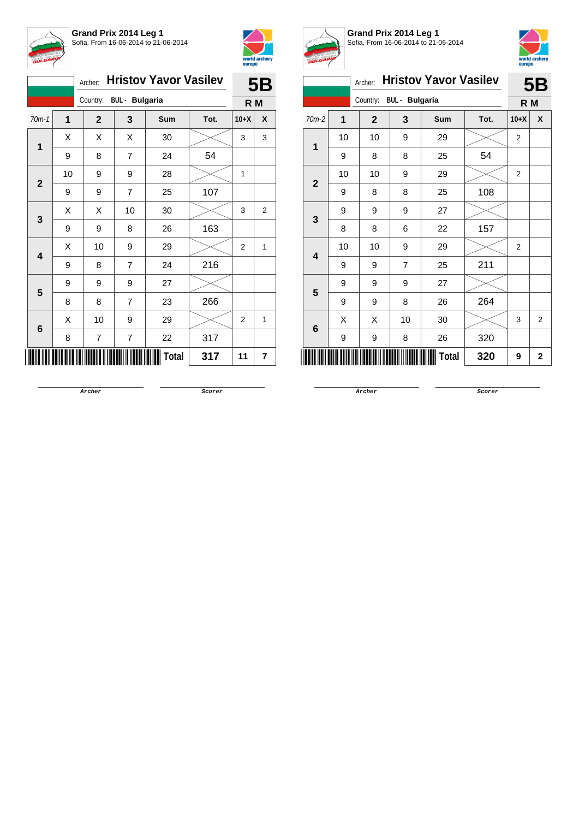



|                         |                | Archer:      |                         | <b>Hristov Yavor Vasilev</b> |      | <b>5B</b>      |                         |  |
|-------------------------|----------------|--------------|-------------------------|------------------------------|------|----------------|-------------------------|--|
|                         |                | R M          |                         |                              |      |                |                         |  |
| $70m-1$                 | $\overline{1}$ | $\mathbf{2}$ | 3                       | <b>Sum</b>                   | Tot. | $10+X$         | X                       |  |
| 1                       | Χ              | X            | X                       | 30                           |      | 3              | 3                       |  |
|                         | 9              | 8            | 7                       | 24                           | 54   |                |                         |  |
| $\mathbf{2}$            | 10             | 9            | 9                       | 28                           |      | 1              |                         |  |
|                         | 9              | 9            | 7                       | 25                           | 107  |                |                         |  |
| 3                       | X              | Χ            | 10                      | 30                           |      | 3              | $\overline{\mathbf{c}}$ |  |
|                         | 9              | 9            | 8                       | 26                           | 163  |                |                         |  |
| $\overline{\mathbf{4}}$ | X              | 10           | 9                       | 29                           |      | $\overline{2}$ | 1                       |  |
|                         | 9              | 8            | $\overline{7}$          | 24                           | 216  |                |                         |  |
| 5                       | 9              | 9            | 9                       | 27                           |      |                |                         |  |
|                         | 8              | 8            | $\overline{7}$          | 23                           | 266  |                |                         |  |
| 6                       | X              | 10           | 9                       | 29                           |      | $\overline{2}$ | 1                       |  |
|                         | 8              | 7            | $\overline{\mathbf{7}}$ | 22                           | 317  |                |                         |  |
|                         |                |              |                         | Total                        | 317  | 11             | 7                       |  |



**Grand Prix 2014 Leg 1** Sofia, From 16-06-2014 to 21-06-2014



|              |    |                |                       |                              |      | europe         |                |
|--------------|----|----------------|-----------------------|------------------------------|------|----------------|----------------|
|              |    | Archer:        |                       | <b>Hristov Yavor Vasilev</b> |      |                | <b>5B</b>      |
|              |    | Country:       | <b>BUL</b> - Bulgaria |                              |      | R M            |                |
| $70m-2$      | 1  | $\overline{2}$ | 3                     | Sum                          | Tot. | $10+X$         | X              |
| 1            | 10 | 10             | 9                     | 29                           |      | $\overline{2}$ |                |
|              | 9  | 8              | 8                     | 25                           | 54   |                |                |
| $\mathbf{2}$ | 10 | 10             | 9                     | 29                           |      | $\overline{2}$ |                |
|              | 9  | 8              | 8                     | 25                           | 108  |                |                |
| 9<br>3       |    | 9              | 9                     | 27                           |      |                |                |
|              | 8  | 8              | 6                     | 22                           | 157  |                |                |
| 4            | 10 | 10             | 9                     | 29                           |      | $\overline{2}$ |                |
|              | 9  | 9              | $\overline{7}$        | 25                           | 211  |                |                |
| 5            | 9  | 9              | 9                     | 27                           |      |                |                |
|              | 9  | 9              | 8                     | 26                           | 264  |                |                |
| 6            | X  | X              | 10                    | 30                           |      | 3              | $\overline{2}$ |
|              | 9  | 9              | 8                     | 26                           | 320  |                |                |
|              |    |                |                       | Total                        | 320  | 9              | 2              |

**Archer Scorer**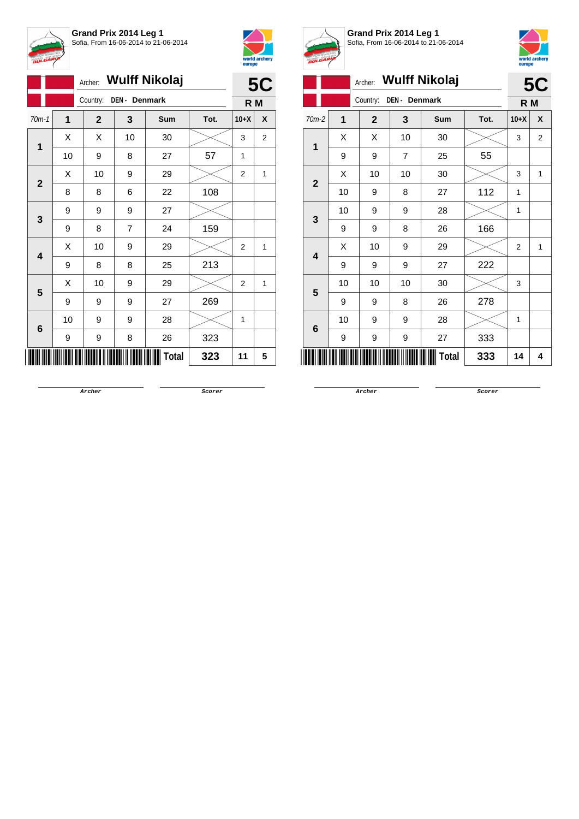

**Grand Prix 2014 Leg 1** Sofia, From 16-06-2014 to 21-06-2014



|                         | Archer: Wulff Nikolaj |              |                |       |      |                |                |
|-------------------------|-----------------------|--------------|----------------|-------|------|----------------|----------------|
|                         |                       | Country:     | DEN - Denmark  |       |      | R M            |                |
| $70m-1$                 | 1                     | $\mathbf{2}$ | 3              | Sum   | Tot. | $10+X$         | X              |
| $\mathbf 1$             | X                     | Χ            | 10             | 30    |      | 3              | $\overline{2}$ |
|                         | 10                    | 9            | 8              | 27    | 57   | 1              |                |
|                         | X                     | 10           | 9              | 29    |      | 2              | 1              |
| $\mathbf{2}$            | 8                     | 8            | 6              | 22    | 108  |                |                |
|                         | 9                     | 9            | 9              | 27    |      |                |                |
| 3                       | 9                     | 8            | $\overline{7}$ | 24    | 159  |                |                |
| $\overline{\mathbf{4}}$ | X                     | 10           | 9              | 29    |      | $\overline{2}$ | $\mathbf{1}$   |
|                         | 9                     | 8            | 8              | 25    | 213  |                |                |
| 5                       | X                     | 10           | 9              | 29    |      | $\overline{2}$ | $\mathbf{1}$   |
|                         | 9                     | 9            | 9              | 27    | 269  |                |                |
| 6                       | 10                    | 9            | 9              | 28    |      | 1              |                |
|                         | 9                     | 9            | 8              | 26    | 323  |                |                |
|                         |                       |              |                | Total | 323  | 11             | 5              |



**Grand Prix 2014 Leg 1** Sofia, From 16-06-2014 to 21-06-2014



| <b>BULGARIA</b>  |                |              |                |                       |      | europe | world archery  |
|------------------|----------------|--------------|----------------|-----------------------|------|--------|----------------|
|                  |                |              |                | Archer: Wulff Nikolaj |      |        | <b>5C</b>      |
|                  |                | Country:     | DEN - Denmark  |                       |      | R M    |                |
| $70m-2$          | $\overline{1}$ | $\mathbf{2}$ | 3              | Sum                   | Tot. | $10+X$ | X              |
| 1                | X              | X            | 10             | 30                    |      | 3      | $\overline{2}$ |
|                  | 9              | 9            | $\overline{7}$ | 25                    | 55   |        |                |
| $\overline{2}$   | X              | 10           | 10             | 30                    |      | 3      | 1              |
|                  | 10             | 9            | 8              | 27                    | 112  | 1      |                |
| 3                | 10             | 9            | 9              | 28                    |      | 1      |                |
|                  | 9              | 9            | 8              | 26                    | 166  |        |                |
| $\boldsymbol{4}$ | X              | 10           | 9              | 29                    |      | 2      | 1              |
|                  | 9              | 9            | 9              | 27                    | 222  |        |                |
| 5                | 10             | 10           | 10             | 30                    |      | 3      |                |
|                  | 9              | 9            | 8              | 26                    | 278  |        |                |
| 6                | 10             | 9            | 9              | 28                    |      | 1      |                |
|                  | 9              | 9            | 9              | 27                    | 333  |        |                |
|                  |                |              |                | <b>Total</b>          | 333  | 14     | 4              |
|                  |                |              |                |                       |      |        |                |

**Archer Scorer**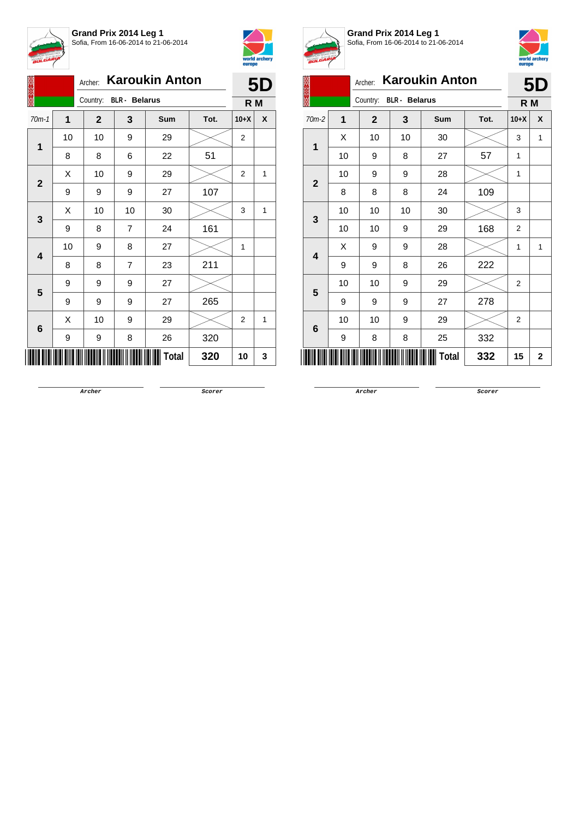



|                         |              | Archer: Karoukin Anton |    | <b>5D</b>    |      |                |              |
|-------------------------|--------------|------------------------|----|--------------|------|----------------|--------------|
|                         |              | Country: BLR - Belarus |    |              |      |                | R M          |
| $70m-1$                 | $\mathbf{1}$ | $\mathbf{2}$           | 3  | Sum          | Tot. | $10+X$         | X            |
|                         | 10           | 10                     | 9  | 29           |      | $\overline{c}$ |              |
| 1                       | 8            | 8                      | 6  | 22           | 51   |                |              |
| $\mathbf{2}$            | Χ            | 10                     | 9  | 29           |      | 2              | 1            |
|                         | 9            | 9                      | 9  | 27           | 107  |                |              |
| 3                       | X            | 10                     | 10 | 30           |      | 3              | 1            |
|                         | 9            | 8                      | 7  | 24           | 161  |                |              |
| $\overline{\mathbf{4}}$ | 10           | 9                      | 8  | 27           |      | 1              |              |
|                         | 8            | 8                      | 7  | 23           | 211  |                |              |
| 5                       | 9            | 9                      | 9  | 27           |      |                |              |
|                         | 9            | 9                      | 9  | 27           | 265  |                |              |
| $\bf 6$                 | Χ            | 10                     | 9  | 29           |      | 2              | $\mathbf{1}$ |
|                         | 9            | 9                      | 8  | 26           | 320  |                |              |
|                         |              |                        |    | <b>Total</b> | 320  | 10             | 3            |



**Grand Prix 2014 Leg 1** Sofia, From 16-06-2014 to 21-06-2014



| V              |                     |                |                      |                       |      |                |           |  |
|----------------|---------------------|----------------|----------------------|-----------------------|------|----------------|-----------|--|
|                |                     | Archer:        |                      | <b>Karoukin Anton</b> |      |                | <b>5D</b> |  |
|                |                     | Country:       | <b>BLR</b> - Belarus |                       |      | R M            |           |  |
| $70m-2$        | 1                   | $\overline{2}$ | 3                    | Sum                   | Tot. | $10+X$         | X         |  |
| 1              | X                   | 10             | 10                   | 30                    |      | 3              | 1         |  |
|                | 10                  | 9              | 8                    | 27                    | 57   | 1              |           |  |
| $\overline{2}$ | 10                  | 9              | 9                    | 28                    |      | 1              |           |  |
|                | 8                   | 8              | 8                    | 24                    | 109  |                |           |  |
|                | 10                  | 10             | 10                   | 30                    |      | 3              |           |  |
| 3              | 10                  | 10             | 9                    | 29                    | 168  | $\overline{2}$ |           |  |
| 4              | X                   | 9              | 9                    | 28                    |      | 1              | 1         |  |
|                | 9                   | 9              | 8                    | 26                    | 222  |                |           |  |
| 5              | 10                  | 10             | 9                    | 29                    |      | 2              |           |  |
|                | 9                   | 9              | 9                    | 27                    | 278  |                |           |  |
| 6              | 10                  | 10             | 9                    | 29                    |      | 2              |           |  |
|                | 9                   | 8              | 8                    | 25                    | 332  |                |           |  |
|                | <b>Total</b><br>332 |                |                      |                       |      |                |           |  |

**Archer Scorer**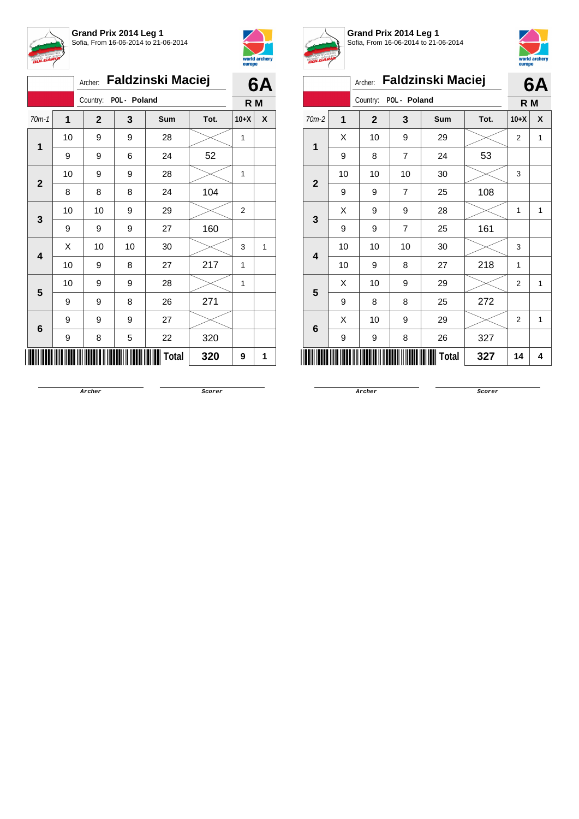



|                         |    | <b>Faldzinski Maciej</b><br>Archer: | 6A |       |      |        |                |
|-------------------------|----|-------------------------------------|----|-------|------|--------|----------------|
|                         |    | POL - Poland<br>Country:            |    |       |      |        | R <sub>M</sub> |
| $70m-1$                 | 1  | $\mathbf{2}$                        | 3  | Sum   | Tot. | $10+X$ | X              |
| 1                       | 10 | 9                                   | 9  | 28    |      | 1      |                |
|                         | 9  | 9                                   | 6  | 24    | 52   |        |                |
| $\mathbf{2}$            | 10 | 9                                   | 9  | 28    |      | 1      |                |
|                         | 8  | 8                                   | 8  | 24    | 104  |        |                |
| 3                       | 10 | 10                                  | 9  | 29    |      | 2      |                |
|                         | 9  | 9                                   | 9  | 27    | 160  |        |                |
| $\overline{\mathbf{4}}$ | X  | 10                                  | 10 | 30    |      | 3      | 1              |
|                         | 10 | 9                                   | 8  | 27    | 217  | 1      |                |
| 5                       | 10 | 9                                   | 9  | 28    |      | 1      |                |
|                         | 9  | 9                                   | 8  | 26    | 271  |        |                |
|                         | 9  | 9                                   | 9  | 27    |      |        |                |
| $\bf 6$                 | 9  | 8                                   | 5  | 22    | 320  |        |                |
|                         |    |                                     |    | Total | 320  | 9      | 1              |



**Grand Prix 2014 Leg 1** Sofia, From 16-06-2014 to 21-06-2014



| ,,,,,,                  |                |              |                |                          |      | europe         |   |
|-------------------------|----------------|--------------|----------------|--------------------------|------|----------------|---|
|                         |                | Archer:      |                | <b>Faldzinski Maciej</b> |      | 6A             |   |
|                         |                | Country:     | POL - Poland   |                          |      | R M            |   |
| $70m-2$                 | $\overline{1}$ | $\mathbf{2}$ | 3              | Sum                      | Tot. | $10+X$         | X |
| 1                       | X              | 10           | 9              | 29                       |      | $\overline{2}$ | 1 |
|                         | 9              | 8            | $\overline{7}$ | 24                       | 53   |                |   |
| $\overline{2}$          | 10             | 10           | 10             | 30                       |      | 3              |   |
|                         | 9              | 9            | $\overline{7}$ | 25                       | 108  |                |   |
| 3                       | X              | 9            | 9              | 28                       |      | 1              | 1 |
|                         | 9              | 9            | 7              | 25                       | 161  |                |   |
| $\overline{\mathbf{4}}$ | 10             | 10           | 10             | 30                       |      | 3              |   |
|                         | 10             | 9            | 8              | 27                       | 218  | 1              |   |
| 5                       | X              | 10           | 9              | 29                       |      | $\overline{2}$ | 1 |
|                         | 9              | 8            | 8              | 25                       | 272  |                |   |
| 6                       | X              | 10           | 9              | 29                       |      | 2              | 1 |
|                         | 9              | 9            | 8              | 26                       | 327  |                |   |
|                         |                |              |                | <b>Total</b>             | 327  | 14             | 4 |

**Archer Scorer**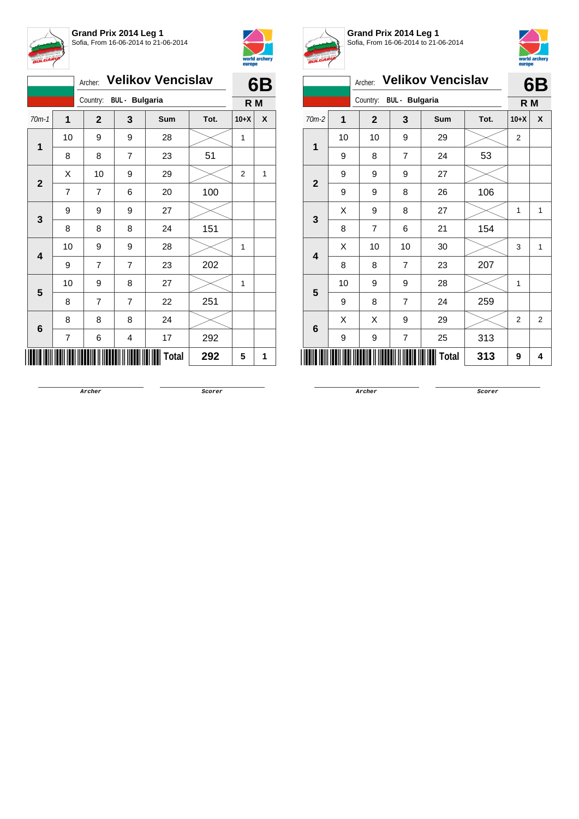



|                |                |                                   | 6B             |       |      |                |   |
|----------------|----------------|-----------------------------------|----------------|-------|------|----------------|---|
|                |                | Country:<br><b>BUL - Bulgaria</b> | R M            |       |      |                |   |
| $70m-1$        | 1              | $\mathbf{2}$                      | 3              | Sum   | Tot. | $10+X$         | X |
| 1              | 10             | 9                                 | 9              | 28    |      | $\mathbf{1}$   |   |
|                | 8              | 8                                 | $\overline{7}$ | 23    | 51   |                |   |
| $\overline{2}$ | Χ              | 10                                | 9              | 29    |      | $\overline{2}$ | 1 |
|                | $\overline{7}$ | $\overline{7}$                    | 6              | 20    | 100  |                |   |
| 3              | 9              | 9                                 | 9              | 27    |      |                |   |
|                | 8              | 8                                 | 8              | 24    | 151  |                |   |
| 4              | 10             | 9                                 | 9              | 28    |      | 1              |   |
|                | 9              | 7                                 | 7              | 23    | 202  |                |   |
| 5              | 10             | 9                                 | 8              | 27    |      | 1              |   |
|                | 8              | $\overline{7}$                    | 7              | 22    | 251  |                |   |
| $6\phantom{1}$ | 8              | 8                                 | 8              | 24    |      |                |   |
|                | 7              | 6                                 | 4              | 17    | 292  |                |   |
|                |                |                                   |                | Total | 292  | 5              | 1 |



**Grand Prix 2014 Leg 1** Sofia, From 16-06-2014 to 21-06-2014



|                |    |                |                       |                          |      | europe         |                |
|----------------|----|----------------|-----------------------|--------------------------|------|----------------|----------------|
|                |    | Archer:        |                       | <b>Velikov Vencislav</b> |      |                | 6B             |
|                |    | Country:       | <b>BUL</b> - Bulgaria |                          |      | R M            |                |
| $70m-2$        | 1  | $\mathbf{2}$   | 3                     | Sum                      | Tot. | $10+X$         | X              |
| 1              | 10 | 10             | 9                     | 29                       |      | $\overline{2}$ |                |
|                | 9  | 8              | $\overline{7}$        | 24                       | 53   |                |                |
| $\overline{2}$ | 9  | 9              | 9                     | 27                       |      |                |                |
|                | 9  | 9              | 8                     | 26                       | 106  |                |                |
| 3              | X  | 9              | 8                     | 27                       |      | 1              | 1              |
|                | 8  | $\overline{7}$ | 6                     | 21                       | 154  |                |                |
| 4              | X  | 10             | 10                    | 30                       |      | 3              | $\mathbf{1}$   |
|                | 8  | 8              | $\overline{7}$        | 23                       | 207  |                |                |
| 5              | 10 | 9              | 9                     | 28                       |      | 1              |                |
|                | 9  | 8              | $\overline{7}$        | 24                       | 259  |                |                |
| 6              | X  | X              | 9                     | 29                       |      | 2              | $\overline{2}$ |
|                | 9  | 9              | 7                     | 25                       | 313  |                |                |
|                |    |                |                       | <b>Total</b>             | 313  | 9              | 4              |

**Archer Scorer**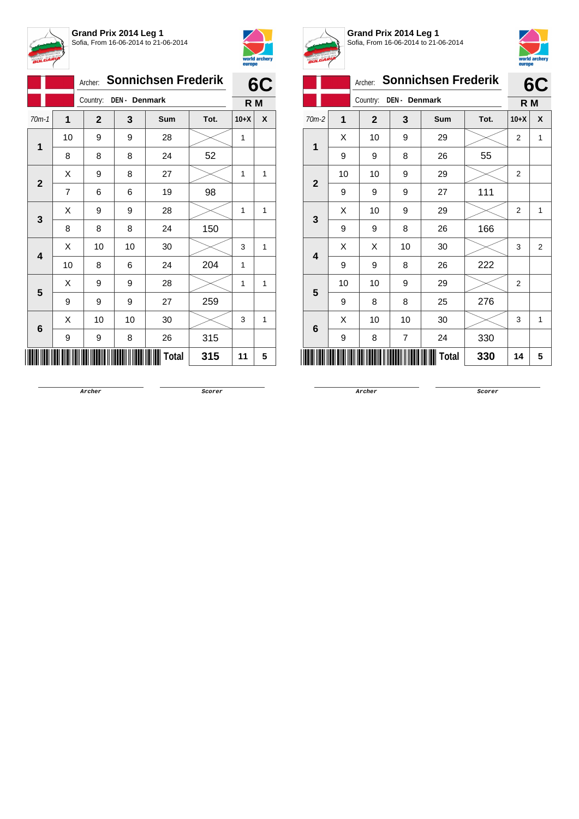



|              |    | Archer:      |               | <b>Sonnichsen Frederik</b> |      |        | 6C |
|--------------|----|--------------|---------------|----------------------------|------|--------|----|
|              |    | Country:     | DEN - Denmark |                            |      | R M    |    |
| $70m-1$      | 1  | $\mathbf{2}$ | 3             | Sum                        | Tot. | $10+X$ | X  |
| 1            | 10 | 9            | 9             | 28                         |      | 1      |    |
|              | 8  | 8            | 8             | 24                         | 52   |        |    |
| $\mathbf{2}$ | Χ  | 9            | 8             | 27                         |      | 1      | 1  |
|              | 7  | 6            | 6             | 19                         | 98   |        |    |
| 3            | X  | 9            | 9             | 28                         |      | 1      | 1  |
|              | 8  | 8            | 8             | 24                         | 150  |        |    |
| 4            | X  | 10           | 10            | 30                         |      | 3      | 1  |
|              | 10 | 8            | 6             | 24                         | 204  | 1      |    |
| 5            | X  | 9            | 9             | 28                         |      | 1      | 1  |
|              | 9  | 9            | 9             | 27                         | 259  |        |    |
| $\bf 6$      | X  | 10           | 10            | 30                         |      | 3      | 1  |
|              | 9  | 9            | 8             | 26                         | 315  |        |    |
|              |    |              |               | Total                      | 315  | 11     | 5  |



**Grand Prix 2014 Leg 1** Sofia, From 16-06-2014 to 21-06-2014



Archer: **Sonnichsen Frederik** Country: **DEN - Denmark 6C R M** 70m-2 **1 2 3 Sum Tot. 10+X X 1**  $\textsf{X}$  | 10 | 9 | 29 | $\textsf{X}$  | 2 | 1 9 | 9 | 8 | 26 | 55 **2** 10 | 10 | 9 | 29 |  $\times$  | 2 9 9 9 27 111 **3**  $\textsf{X}$  | 10 | 9 | 29 | $\textsf{X}$  | 2 | 1 9 | 9 | 8 | 26 | 166 **4**  $\begin{array}{|c|c|c|c|c|}\hline \text{X} & \text{X} & \text{10} & \text{30} & \text{20} & \text{32} \ \hline \end{array}$ 9 9 8 26 222 **5** 10 | 10 | 9 | 29 |  $\times$  | 2  $9 \mid 8 \mid 8 \mid 25 \mid 276$ **6**  $\textsf{X}$  | 10 | 10 | 30 |  $\textcolor{red}{\swarrow}$  | 3 | 1 9 8 7 24 330 \*11517-R-M-2\* **Total 330 <sup>14</sup> <sup>5</sup>**

**Archer Scorer**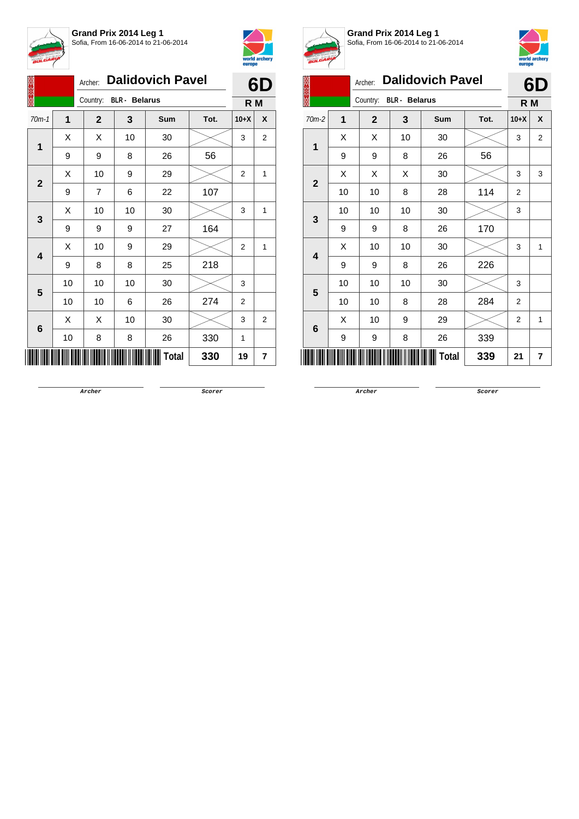



|              |    | <b>Dalidovich Pavel</b><br>Archer: | 6D                   |            |      |                |                |
|--------------|----|------------------------------------|----------------------|------------|------|----------------|----------------|
|              |    | Country:                           | <b>BLR</b> - Belarus |            |      | R M            |                |
| $70m-1$      | 1  | $\overline{2}$                     | 3                    | <b>Sum</b> | Tot. | $10+X$         | X              |
|              | X  | X                                  | 10                   | 30         |      | 3              | 2              |
| 1            | 9  | 9                                  | 8                    | 26         | 56   |                |                |
| $\mathbf{2}$ | Χ  | $10$                               | 9                    | 29         |      | 2              | 1              |
|              | 9  | $\overline{7}$                     | 6                    | 22         | 107  |                |                |
| 3            | X  | 10                                 | 10                   | 30         |      | 3              | 1              |
|              | 9  | 9                                  | 9                    | 27         | 164  |                |                |
|              | X  | 10                                 | 9                    | 29         |      | $\overline{2}$ | 1              |
| 4            | 9  | 8                                  | 8                    | 25         | 218  |                |                |
| 5            | 10 | 10                                 | 10                   | 30         |      | 3              |                |
|              | 10 | 10                                 | 6                    | 26         | 274  | $\overline{2}$ |                |
|              | X  | X                                  | 10                   | 30         |      | 3              | $\overline{2}$ |
| 6            | 10 | 8                                  | 8                    | 26         | 330  | 1              |                |
| Total<br>330 |    |                                    |                      |            |      | 19             | 7              |



**Grand Prix 2014 Leg 1** Sofia, From 16-06-2014 to 21-06-2014



|                           |    |                |                      |                         |      | europe         |                |  |
|---------------------------|----|----------------|----------------------|-------------------------|------|----------------|----------------|--|
|                           |    | Archer:        |                      | <b>Dalidovich Pavel</b> |      |                | 6D             |  |
|                           |    | Country:       | <b>BLR</b> - Belarus |                         |      | R M            |                |  |
| $70m-2$                   | 1  | $\overline{2}$ | 3                    | <b>Sum</b>              | Tot. | $10+X$         | X              |  |
| $\mathbf{1}$              | X  | X              | 10                   | 30                      |      | 3              | $\overline{2}$ |  |
|                           | 9  | 9              | 8                    | 26                      | 56   |                |                |  |
| $\overline{2}$            | X  | X              | X                    | 30                      |      | 3              | 3              |  |
|                           | 10 | 10             | 8                    | 28                      | 114  | $\overline{2}$ |                |  |
| 3                         | 10 | 10             | 10                   | 30                      |      | 3              |                |  |
|                           | 9  | 9              | 8                    | 26                      | 170  |                |                |  |
| 4                         | X  | 10             | 10                   | 30                      |      | 3              | 1              |  |
|                           | 9  | 9              | 8                    | 26                      | 226  |                |                |  |
| 5                         | 10 | 10             | 10                   | 30                      |      | 3              |                |  |
|                           | 10 | 10             | 8                    | 28                      | 284  | $\overline{2}$ |                |  |
| 6                         | X  | 10             | 9                    | 29                      |      | $\overline{2}$ | 1              |  |
|                           | 9  | 9              | 8                    | 26                      | 339  |                |                |  |
| <b>Total</b><br>339<br>21 |    |                |                      |                         |      |                |                |  |

**Archer Scorer**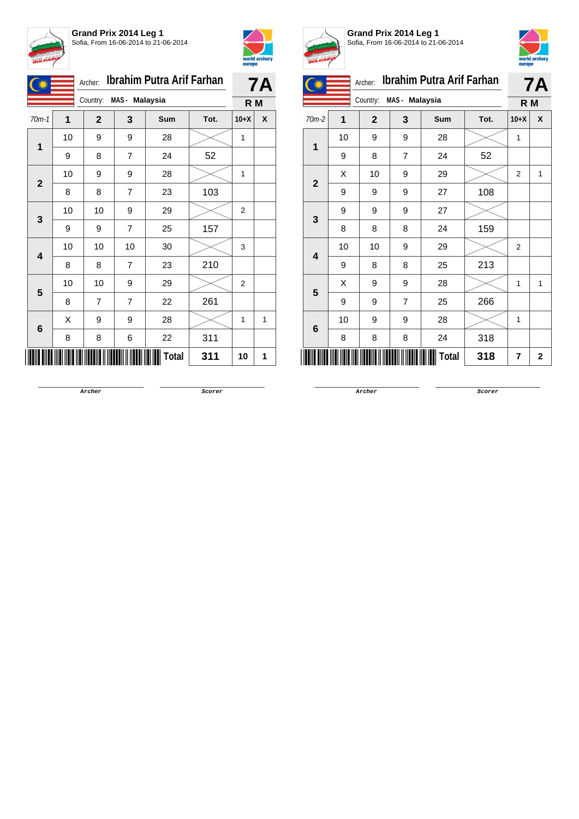



|              |    | Archer:      |                | <b>Ibrahim Putra Arif Farhan</b> |      | <b>7A</b> |   |
|--------------|----|--------------|----------------|----------------------------------|------|-----------|---|
|              |    | Country:     | MAS - Malaysia |                                  |      | R M       |   |
| $70m-1$      | 1  | $\mathbf{2}$ | 3              | Sum                              | Tot. | $10+X$    | X |
| 1            | 10 | 9            | 9              | 28                               |      | 1         |   |
|              | 9  | 8            | $\overline{7}$ | 24                               | 52   |           |   |
| $\mathbf{2}$ | 10 | 9            | 9              | 28                               |      | 1         |   |
|              | 8  | 8            | $\overline{7}$ | 23                               | 103  |           |   |
| 3            | 10 | 10           | 9              | 29                               |      | 2         |   |
|              | 9  | 9            | 7              | 25                               | 157  |           |   |
| 4            | 10 | 10           | 10             | 30                               |      | 3         |   |
|              | 8  | 8            | $\overline{7}$ | 23                               | 210  |           |   |
| 5            | 10 | 10           | 9              | 29                               |      | 2         |   |
|              | 8  | 7            | $\overline{7}$ | 22                               | 261  |           |   |
| 6            | X  | 9            | 9              | 28                               |      | 1         | 1 |
|              | 8  | 8            | 6              | 22                               | 311  |           |   |
|              |    |              |                | Total                            | 311  | 10        | 1 |



**Grand Prix 2014 Leg 1** Sofia, From 16-06-2014 to 21-06-2014



| <b>Ibrahim Putra Arif Farhan</b><br>Archer: |    |                |                |       |      |                | 7A |
|---------------------------------------------|----|----------------|----------------|-------|------|----------------|----|
|                                             |    | Country:       | MAS - Malaysia |       |      | R M            |    |
| $70m-2$                                     | 1  | $\overline{2}$ | 3              | Sum   | Tot. | $10+X$         | X  |
| 1                                           | 10 | 9              | 9              | 28    |      | 1              |    |
|                                             | 9  | 8              | $\overline{7}$ | 24    | 52   |                |    |
| $\overline{2}$                              | X  | 10             | 9              | 29    |      | $\overline{2}$ | 1  |
|                                             | 9  | 9              | 9              | 27    | 108  |                |    |
| 3                                           | 9  | 9              | 9              | 27    |      |                |    |
|                                             | 8  | 8              | 8              | 24    | 159  |                |    |
| 4                                           | 10 | 10             | 9              | 29    |      | $\overline{2}$ |    |
|                                             | 9  | 8              | 8              | 25    | 213  |                |    |
| 5                                           | X  | 9              | 9              | 28    |      | 1              | 1  |
|                                             | 9  | 9              | $\overline{7}$ | 25    | 266  |                |    |
| 6                                           | 10 | 9              | 9              | 28    |      | 1              |    |
|                                             | 8  | 8              | 8              | 24    | 318  |                |    |
|                                             |    |                |                | Total | 318  | 7              | 2  |

**Archer Scorer**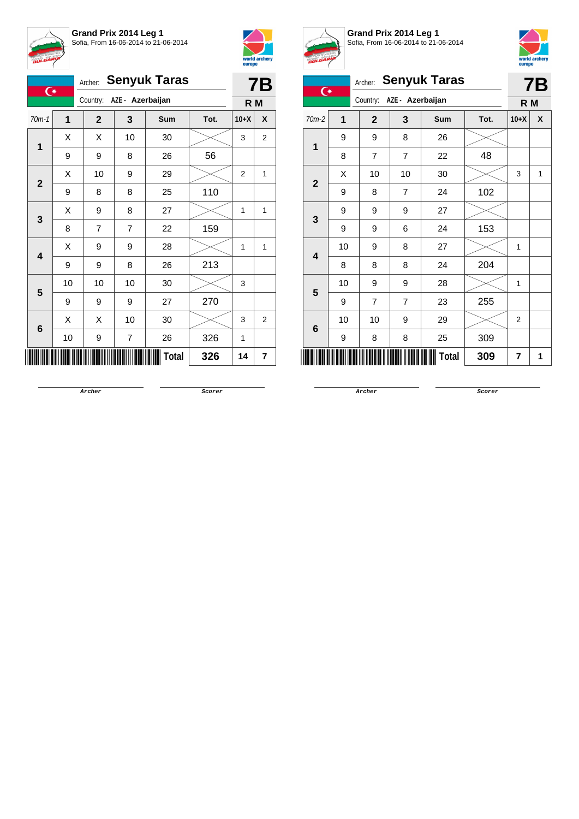



| <b>Senyuk Taras</b><br>Archer:<br>$\overline{C}$ |                         |    |              |                         |              |      |                | <b>7B</b>    |
|--------------------------------------------------|-------------------------|----|--------------|-------------------------|--------------|------|----------------|--------------|
|                                                  |                         |    | Country:     | AZE - Azerbaijan        |              |      | R <sub>M</sub> |              |
|                                                  | $70m-1$                 | 1  | $\mathbf{2}$ | 3                       | Sum          | Tot. | $10+X$         | X            |
|                                                  | $\overline{1}$          | X  | X            | 10                      | 30           |      | 3              | 2            |
|                                                  |                         | 9  | 9            | 8                       | 26           | 56   |                |              |
|                                                  | $\mathbf{2}$            | Χ  | 10           | 9                       | 29           |      | 2              | $\mathbf{1}$ |
|                                                  |                         | 9  | 8            | 8                       | 25           | 110  |                |              |
|                                                  |                         | Χ  | 9            | 8                       | 27           |      | 1              | $\mathbf{1}$ |
|                                                  | 3                       | 8  | 7            | $\overline{7}$          | 22           | 159  |                |              |
|                                                  | $\overline{\mathbf{4}}$ | X  | 9            | 9                       | 28           |      | 1              | $\mathbf{1}$ |
|                                                  |                         | 9  | 9            | 8                       | 26           | 213  |                |              |
|                                                  | 5                       | 10 | 10           | 10                      | 30           |      | 3              |              |
|                                                  |                         | 9  | 9            | 9                       | 27           | 270  |                |              |
|                                                  | 6                       | X  | X            | 10                      | 30           |      | 3              | 2            |
|                                                  |                         | 10 | 9            | $\overline{\mathbf{7}}$ | 26           | 326  | 1              |              |
|                                                  |                         |    |              |                         | <b>Total</b> | 326  | 14             | 7            |



**Grand Prix 2014 Leg 1** Sofia, From 16-06-2014 to 21-06-2014



|                |              |                |                  |                     |      |                | ouropo    |
|----------------|--------------|----------------|------------------|---------------------|------|----------------|-----------|
| $\overline{C}$ |              | Archer:        |                  | <b>Senyuk Taras</b> |      |                | <b>7B</b> |
|                |              | Country:       | AZE - Azerbaijan |                     |      | R M            |           |
| 70m-2          | $\mathbf{1}$ | $\overline{2}$ | 3                | Sum                 | Tot. | $10+X$         | X         |
| 1              | 9            | 9              | 8                | 26                  |      |                |           |
|                | 8            | $\overline{7}$ | $\overline{7}$   | 22                  | 48   |                |           |
|                | X            | 10             | 10               | 30                  |      | 3              | 1         |
| $\overline{2}$ | 9            | 8              | $\overline{7}$   | 24                  | 102  |                |           |
| 3              | 9            | 9              | 9                | 27                  |      |                |           |
|                | 9            | 9              | 6                | 24                  | 153  |                |           |
| 4              | 10           | 9              | 8                | 27                  |      | 1              |           |
|                | 8            | 8              | 8                | 24                  | 204  |                |           |
| 5              | 10           | 9              | 9                | 28                  |      | 1              |           |
|                | 9            | $\overline{7}$ | $\overline{7}$   | 23                  | 255  |                |           |
| 6              | 10           | 10             | 9                | 29                  |      | $\overline{2}$ |           |
|                | 9            | 8              | 8                | 25                  | 309  |                |           |
|                | 7            | 1              |                  |                     |      |                |           |
|                |              |                |                  |                     |      |                |           |

**Archer Scorer**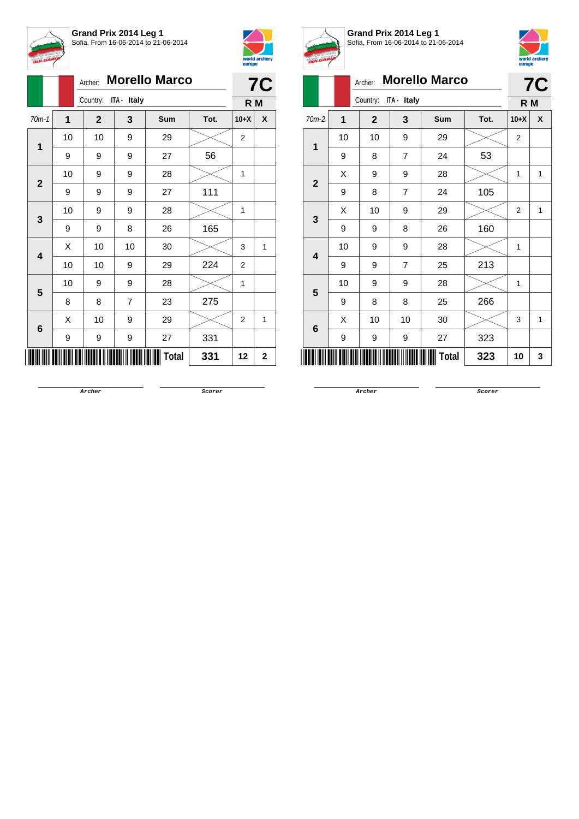



|                         |    | Archer: |              |                      | <b>Morello Marco</b> |      |        | <b>7C</b> |
|-------------------------|----|---------|--------------|----------------------|----------------------|------|--------|-----------|
|                         |    |         |              | Country: ITA - Italy |                      |      | R M    |           |
| $70m-1$                 | 1  |         | $\mathbf{2}$ | 3                    | Sum                  | Tot. | $10+X$ | X         |
| 1                       | 10 |         | 10           | 9                    | 29                   |      | 2      |           |
|                         | 9  |         | 9            | 9                    | 27                   | 56   |        |           |
| $\mathbf{2}$            | 10 |         | 9            | 9                    | 28                   |      | 1      |           |
|                         | 9  |         | 9            | 9                    | 27                   | 111  |        |           |
| 3                       | 10 |         | 9            | 9                    | 28                   |      | 1      |           |
|                         | 9  |         | 9            | 8                    | 26                   | 165  |        |           |
| $\overline{\mathbf{4}}$ | Χ  |         | 10           | 10                   | $30\,$               |      | 3      | 1         |
|                         | 10 |         | 10           | 9                    | 29                   | 224  | 2      |           |
| 5                       | 10 |         | 9            | 9                    | 28                   |      | 1      |           |
|                         | 8  |         | 8            | 7                    | 23                   | 275  |        |           |
| 6                       | X  |         | 10           | 9                    | 29                   |      | 2      | 1         |
|                         | 9  |         | 9            | 9                    | 27                   | 331  |        |           |
|                         |    |         |              |                      | <b>Total</b>         | 331  | 12     | 2         |



**Grand Prix 2014 Leg 1** Sofia, From 16-06-2014 to 21-06-2014



| BULGARIA       |    |              |                |                      |      | europe         | world archery |
|----------------|----|--------------|----------------|----------------------|------|----------------|---------------|
|                |    | Archer:      |                | <b>Morello Marco</b> |      |                | <b>7C</b>     |
|                |    | Country:     | ITA - Italy    |                      |      | R M            |               |
| $70m-2$        | 1  | $\mathbf{2}$ | 3              | Sum                  | Tot. | $10+X$         | X             |
| 1              | 10 | 10           | 9              | 29                   |      | $\overline{2}$ |               |
|                | 9  | 8            | $\overline{7}$ | 24                   | 53   |                |               |
| $\overline{2}$ | X  | 9            | 9              | 28                   |      | $\mathbf{1}$   | 1             |
|                | 9  | 8            | $\overline{7}$ | 24                   | 105  |                |               |
| 3              | X  | 10           | 9              | 29                   |      | $\overline{2}$ | 1             |
|                | 9  | 9            | 8              | 26                   | 160  |                |               |
| 4              | 10 | 9            | 9              | 28                   |      | 1              |               |
|                | 9  | 9            | 7              | 25                   | 213  |                |               |
| 5              | 10 | 9            | 9              | 28                   |      | $\mathbf{1}$   |               |
|                | 9  | 8            | 8              | 25                   | 266  |                |               |
| 6              | X  | 10           | 10             | 30                   |      | 3              | 1             |
|                | 9  | 9            | 9              | 27                   | 323  |                |               |
|                |    |              |                | <b>Total</b>         | 323  | 10             | 3             |

**Archer Scorer**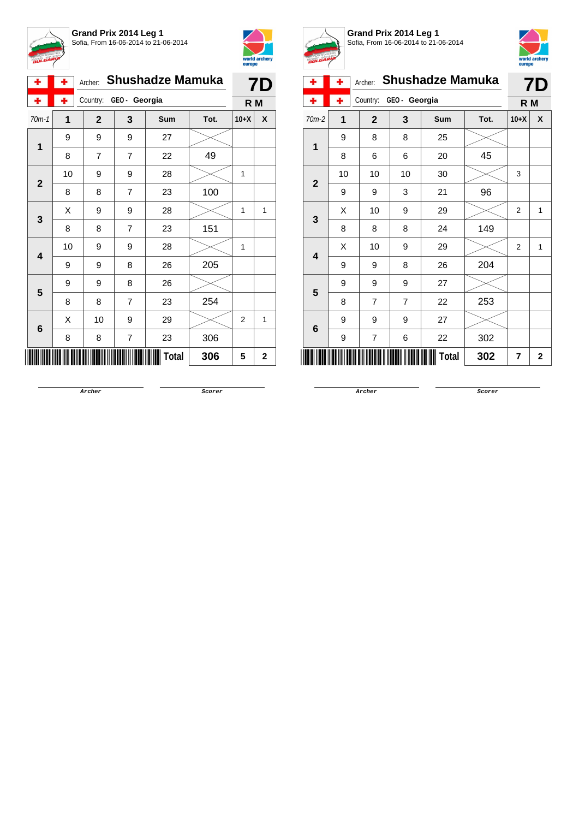



|  | ۰              | ۰  | Archer:        | <b>Shushadze Mamuka</b> |       |      |                |   |  |  |
|--|----------------|----|----------------|-------------------------|-------|------|----------------|---|--|--|
|  | ۰              | ٠  | Country:       | GEO- Georgia            |       |      | R M            |   |  |  |
|  | $70m-1$        | 1  | $\mathbf{2}$   | 3                       | Sum   | Tot. | $10+X$         | X |  |  |
|  | 1              | 9  | 9              | 9                       | 27    |      |                |   |  |  |
|  | 8              | 7  | $\overline{7}$ | 22                      | 49    |      |                |   |  |  |
|  | $\overline{2}$ | 10 | 9              | 9                       | 28    |      | 1              |   |  |  |
|  |                | 8  | 8              | $\overline{7}$          | 23    | 100  |                |   |  |  |
|  | 3              | X  | 9              | 9                       | 28    |      | 1              | 1 |  |  |
|  | 8              | 8  | 7              | 23                      | 151   |      |                |   |  |  |
|  | 4              | 10 | 9              | 9                       | 28    |      | 1              |   |  |  |
|  |                | 9  | 9              | 8                       | 26    | 205  |                |   |  |  |
|  | 5              | 9  | 9              | 8                       | 26    |      |                |   |  |  |
|  |                | 8  | 8              | $\overline{7}$          | 23    | 254  |                |   |  |  |
|  | 6              | X  | 10             | 9                       | 29    |      | $\overline{2}$ | 1 |  |  |
|  |                | 8  | 8              | 7                       | 23    | 306  |                |   |  |  |
|  |                |    |                |                         | Total | 306  | 5              | 2 |  |  |



**Grand Prix 2014 Leg 1** Sofia, From 16-06-2014 to 21-06-2014



| ÷              | ۰              | Archer:        |                | <b>Shushadze Mamuka</b> |      | <b>7D</b> |             |
|----------------|----------------|----------------|----------------|-------------------------|------|-----------|-------------|
|                | ۰              | Country:       | GEO - Georgia  |                         | R M  |           |             |
| $70m-2$        | $\overline{1}$ | $\mathbf{2}$   | 3              | Sum                     | Tot. | $10+X$    | X           |
| 1              | 9              | 8              | 8              | 25                      |      |           |             |
|                | 8              | 6              | 6              | 20                      | 45   |           |             |
|                | 10             | 10             | 10             | 30                      |      | 3         |             |
| $\overline{2}$ | 9              | 9              | 3              | 21                      | 96   |           |             |
|                | X              | 10             | 9              | 29                      |      | 2         | 1           |
| $\mathbf{3}$   | 8              | 8              | 8              | 24                      | 149  |           |             |
| 4              | X              | 10             | 9              | 29                      |      | 2         | 1           |
|                | 9              | 9              | 8              | 26                      | 204  |           |             |
|                | 9              | 9              | 9              | 27                      |      |           |             |
| 5              | 8              | $\overline{7}$ | $\overline{7}$ | 22                      | 253  |           |             |
|                | 9              | 9              | 9              | 27                      |      |           |             |
| 6              | 9              | 7              | 6              | 22                      | 302  |           |             |
|                |                |                |                | Total                   | 302  | 7         | $\mathbf 2$ |

**Archer Scorer**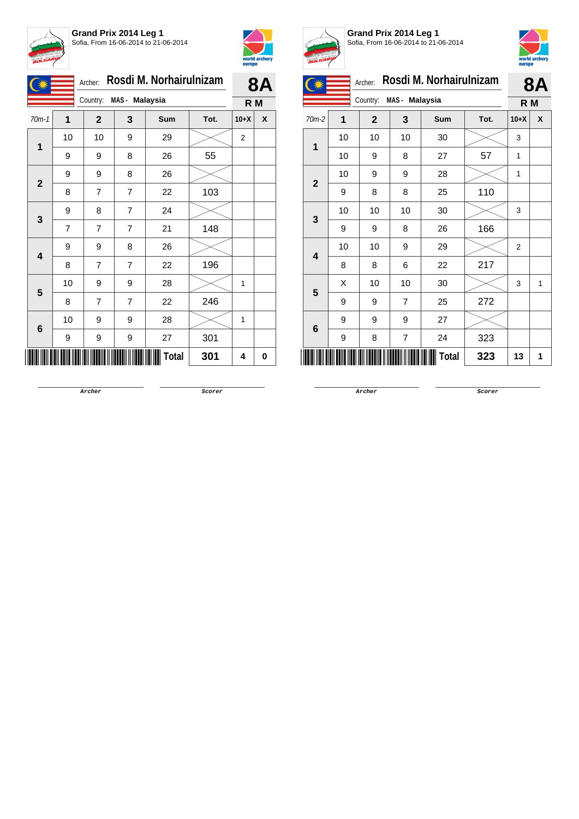



|              |    | Archer:        | Rosdi M. Norhairulnizam |       | 8<br>A |        |   |
|--------------|----|----------------|-------------------------|-------|--------|--------|---|
|              |    | Country:       | MAS - Malaysia          |       |        | R M    |   |
| $70m-1$      | 1  | $\mathbf{2}$   | 3                       | Sum   | Tot.   | $10+X$ | X |
| 1            | 10 | 10             | 9                       | 29    |        | 2      |   |
|              | 9  | 9              | 8                       | 26    | 55     |        |   |
| $\mathbf{2}$ | 9  | 9              | 8                       | 26    |        |        |   |
|              | 8  | $\overline{7}$ | 7                       | 22    | 103    |        |   |
| 3            | 9  | 8              | $\overline{7}$          | 24    |        |        |   |
|              | 7  | 7              | 7                       | 21    | 148    |        |   |
| 4            | 9  | 9              | 8                       | 26    |        |        |   |
|              | 8  | $\overline{7}$ | 7                       | 22    | 196    |        |   |
| 5            | 10 | 9              | 9                       | 28    |        | 1      |   |
|              | 8  | $\overline{7}$ | 7                       | 22    | 246    |        |   |
| 6            | 10 | 9              | 9                       | 28    |        | 1      |   |
|              | 9  | 9              | 9                       | 27    | 301    |        |   |
|              |    |                |                         | Total | 301    | 4      | 0 |



**Grand Prix 2014 Leg 1** Sofia, From 16-06-2014 to 21-06-2014



|                |    | Archer:        |                | Rosdi M. Norhairulnizam |      |                | <b>8A</b> |
|----------------|----|----------------|----------------|-------------------------|------|----------------|-----------|
|                |    | Country:       | MAS - Malaysia |                         |      | R M            |           |
| $70m-2$        | 1  | $\overline{2}$ | 3              | <b>Sum</b>              | Tot. | $10+X$         | X         |
| $\mathbf 1$    | 10 | 10             | 10             | 30                      |      | 3              |           |
|                | 10 | 9              | 8              | 27                      | 57   | $\mathbf{1}$   |           |
|                | 10 | 9              | 9              | 28                      |      | $\mathbf{1}$   |           |
| $\overline{2}$ | 9  | 8              | 8              | 25                      | 110  |                |           |
| 3              | 10 | 10             | 10             | 30                      |      | 3              |           |
|                | 9  | 9              | 8              | 26                      | 166  |                |           |
| 4              | 10 | 10             | 9              | 29                      |      | $\overline{2}$ |           |
|                | 8  | 8              | 6              | 22                      | 217  |                |           |
| 5              | Χ  | 10             | 10             | 30                      |      | 3              | 1         |
|                | 9  | 9              | $\overline{7}$ | 25                      | 272  |                |           |
| 6              | 9  | 9              | 9              | 27                      |      |                |           |
|                | 9  | 8              | 7              | 24                      | 323  |                |           |
| Total<br>323   |    |                |                |                         |      |                | 1         |

**Archer Scorer**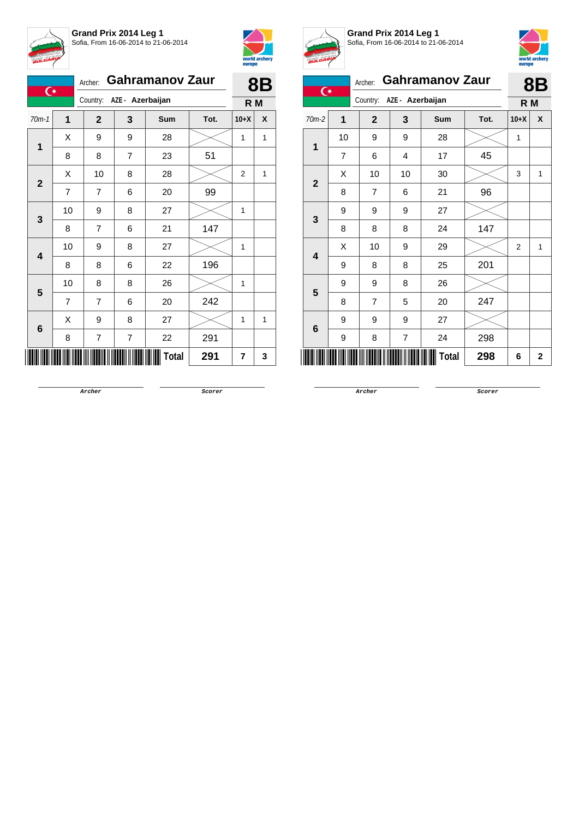



| $\overline{C}$ |                | Archer:        | <b>Gahramanov Zaur</b>    |              | 8B   |        |   |
|----------------|----------------|----------------|---------------------------|--------------|------|--------|---|
|                |                |                | Country: AZE - Azerbaijan |              |      | R M    |   |
| $70m-1$        | 1              | $\mathbf{2}$   | 3                         | Sum          | Tot. | $10+X$ | X |
| $\mathbf{1}$   | Χ              | 9              | 9                         | 28           |      | 1      | 1 |
|                | 8              | 8              | $\overline{7}$            | 23           | 51   |        |   |
| $\overline{2}$ | Χ              | 10             | 8                         | 28           |      | 2      | 1 |
|                | $\overline{7}$ | $\overline{7}$ | 6                         | 20           | 99   |        |   |
| 3              | 10             | 9              | 8                         | 27           |      | 1      |   |
|                | 8              | $\overline{7}$ | 6                         | 21           | 147  |        |   |
| 4              | 10             | 9              | 8                         | 27           |      | 1      |   |
|                | 8              | 8              | 6                         | 22           | 196  |        |   |
| 5              | 10             | 8              | 8                         | 26           |      | 1      |   |
|                | $\overline{7}$ | $\overline{7}$ | 6                         | 20           | 242  |        |   |
| 6              | X              | 9              | 8                         | 27           |      | 1      | 1 |
|                | 8              | 7              | 7                         | 22           | 291  |        |   |
|                |                |                |                           | <b>Total</b> | 291  | 7      | 3 |



**Grand Prix 2014 Leg 1** Sofia, From 16-06-2014 to 21-06-2014



| $\overline{C}$ |    | Archer:        |                  | <b>Gahramanov Zaur</b> |      |                | 8Β          |
|----------------|----|----------------|------------------|------------------------|------|----------------|-------------|
|                |    | Country:       | AZE - Azerbaijan |                        |      | R M            |             |
| $70m-2$        | 1  | $\overline{2}$ | 3                | <b>Sum</b>             | Tot. | $10+X$         | X           |
|                | 10 | 9              | 9                | 28                     |      | 1              |             |
| 1              | 7  | 6              | 4                | 17                     | 45   |                |             |
| $\overline{2}$ | X  | 10             | 10               | 30                     |      | 3              | 1           |
|                | 8  | 7              | 6                | 21                     | 96   |                |             |
| 3              | 9  | 9              | 9                | 27                     |      |                |             |
|                | 8  | 8              | 8                | 24                     | 147  |                |             |
| 4              | X  | 10             | 9                | 29                     |      | $\overline{2}$ | 1           |
|                | 9  | 8              | 8                | 25                     | 201  |                |             |
| 5              | 9  | 9              | 8                | 26                     |      |                |             |
|                | 8  | $\overline{7}$ | 5                | 20                     | 247  |                |             |
|                | 9  | 9              | 9                | 27                     |      |                |             |
| 6              | 9  | 8              | 7                | 24                     | 298  |                |             |
|                |    |                |                  | Total                  | 298  | 6              | $\mathbf 2$ |

**Archer Scorer**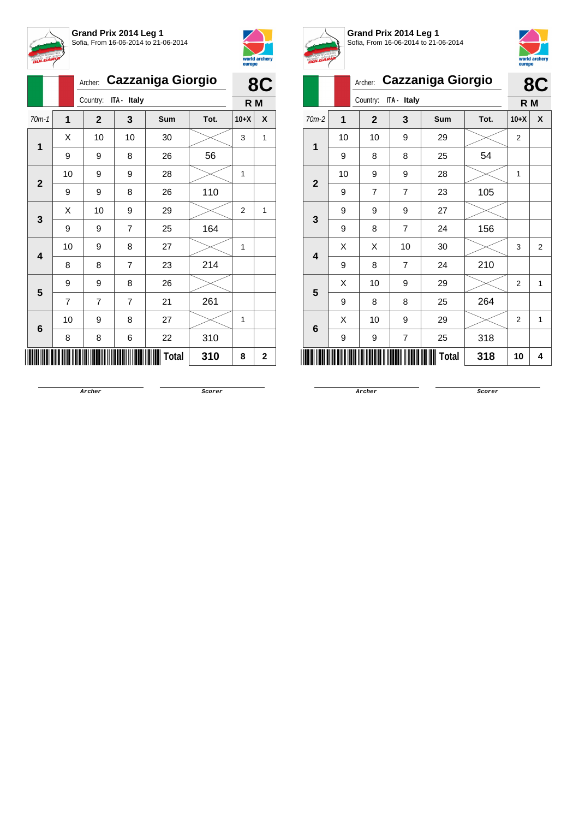



|              |                | Archer:        | <b>Cazzaniga Giorgio</b> |              |      |        |              |  |  |
|--------------|----------------|----------------|--------------------------|--------------|------|--------|--------------|--|--|
|              |                | Country:       | ITA - Italy              |              |      | R M    |              |  |  |
| $70m-1$      | 1              | $\mathbf{2}$   | 3                        | <b>Sum</b>   | Tot. | $10+X$ | X            |  |  |
| 1            | Χ              | 10             | 10                       | 30           |      | 3      | $\mathbf{1}$ |  |  |
|              | 9              | 9              | 8                        | 26           | 56   |        |              |  |  |
| $\mathbf{2}$ | 10             | 9              | 9                        | 28           |      | 1      |              |  |  |
|              | 9              | 9              | 8                        | 26           | 110  |        |              |  |  |
| 3            | X              | 10             | 9                        | 29           |      | 2      | $\mathbf{1}$ |  |  |
|              | 9              | 9              | 7                        | 25           | 164  |        |              |  |  |
| 4            | 10             | 9              | 8                        | 27           |      | 1      |              |  |  |
|              | 8              | 8              | $\overline{7}$           | 23           | 214  |        |              |  |  |
| 5            | 9              | 9              | 8                        | 26           |      |        |              |  |  |
|              | $\overline{7}$ | $\overline{7}$ | $\overline{7}$           | 21           | 261  |        |              |  |  |
| 6            | 10             | 9              | 8                        | 27           |      | 1      |              |  |  |
|              | 8              | 8              | 6                        | 22           | 310  |        |              |  |  |
|              |                |                |                          | <b>Total</b> | 310  | 8      | 2            |  |  |



**Grand Prix 2014 Leg 1** Sofia, From 16-06-2014 to 21-06-2014



| <b>BULGARY</b> |    |                |                |                          |      | europe         | world arcnery  |
|----------------|----|----------------|----------------|--------------------------|------|----------------|----------------|
|                |    | Archer:        |                | <b>Cazzaniga Giorgio</b> |      |                | 8C             |
|                |    | Country:       | ITA - Italy    |                          |      | R <sub>M</sub> |                |
| $70m-2$        | 1  | $\overline{2}$ | 3              | Sum                      | Tot. | $10+X$         | X              |
| 1              | 10 | 10             | 9              | 29                       |      | $\overline{2}$ |                |
|                | 9  | 8              | 8              | 25                       | 54   |                |                |
| $\mathbf{2}$   | 10 | 9              | 9              | 28                       |      | 1              |                |
|                | 9  | $\overline{7}$ | $\overline{7}$ | 23                       | 105  |                |                |
| 3              | 9  | 9              | 9              | 27                       |      |                |                |
|                | 9  | 8              | $\overline{7}$ | 24                       | 156  |                |                |
| 4              | X  | X              | $10$           | 30                       |      | 3              | $\overline{2}$ |
|                | 9  | 8              | $\overline{7}$ | 24                       | 210  |                |                |
| 5              | X  | 10             | 9              | 29                       |      | $\overline{2}$ | 1              |
|                | 9  | 8              | 8              | 25                       | 264  |                |                |
|                | X  | 10             | 9              | 29                       |      | $\overline{2}$ | 1              |
| 6              | 9  | 9              | 7              | 25                       | 318  |                |                |
|                |    |                |                | Total                    | 318  | 10             | 4              |

**Archer Scorer**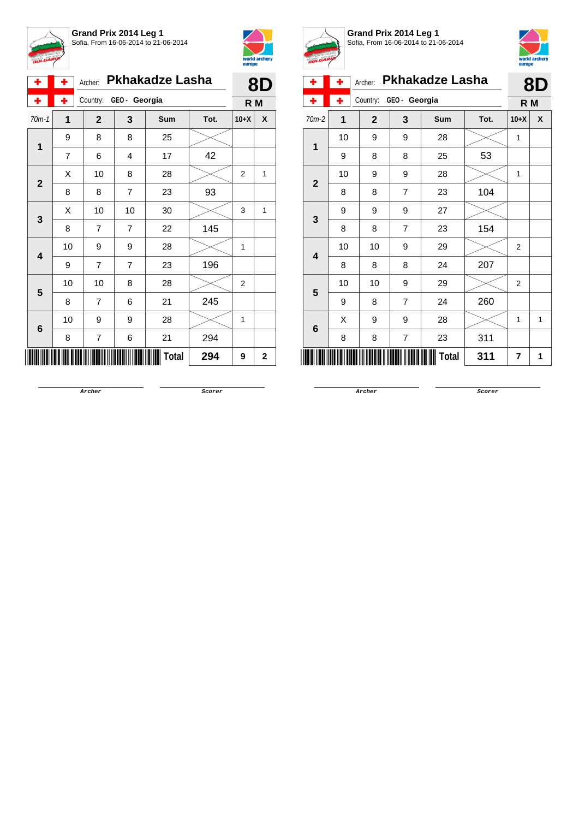



|                                    | ۰       | ٠                                               | Archer:        |              | <b>Pkhakadze Lasha</b>                                                |      |                                                                  |   |
|------------------------------------|---------|-------------------------------------------------|----------------|--------------|-----------------------------------------------------------------------|------|------------------------------------------------------------------|---|
|                                    | ۰       | ٠                                               | Country:       | GEO- Georgia |                                                                       |      |                                                                  |   |
|                                    | $70m-1$ | 1                                               | $\overline{2}$ | 3            | Sum                                                                   | Tot. | $10+X$                                                           | X |
|                                    | 1       | 9                                               | 8              | 8            | 25                                                                    |      |                                                                  |   |
|                                    |         | $\overline{7}$                                  | 6              | 4            | 17                                                                    | 42   | 8D<br>R M<br>2<br>1<br>3<br>1<br>1<br>2<br>1<br>$\mathbf 2$<br>9 |   |
|                                    |         | Χ                                               | 10             | 8            | 28                                                                    |      |                                                                  |   |
|                                    |         | 8                                               | 8              | 7            | 23                                                                    | 93   |                                                                  |   |
|                                    |         | 10<br>X<br>10<br>30<br>145<br>22<br>8<br>7<br>7 |                |              |                                                                       |      |                                                                  |   |
|                                    |         |                                                 |                |              | 28<br>196<br>23<br>28<br>245<br>21<br>28<br>294<br>21<br>Total<br>294 |      |                                                                  |   |
|                                    |         | 10                                              | 9              | 9            |                                                                       |      |                                                                  |   |
|                                    |         | 9                                               | 7              | 7            |                                                                       |      |                                                                  |   |
|                                    |         | 10                                              | 10             | 8            |                                                                       |      |                                                                  |   |
|                                    |         | 8                                               | 7              | 6            |                                                                       |      |                                                                  |   |
|                                    |         | 10                                              | 9              | 9            |                                                                       |      |                                                                  |   |
| $\overline{2}$<br>3<br>4<br>5<br>6 | 8       | 7                                               | 6              |              |                                                                       |      |                                                                  |   |
|                                    |         |                                                 |                |              |                                                                       |      |                                                                  |   |



**Grand Prix 2014 Leg 1** Sofia, From 16-06-2014 to 21-06-2014



| ۰            | ٠            | Archer:      |                | <b>Pkhakadze Lasha</b> |      |                | 8D |
|--------------|--------------|--------------|----------------|------------------------|------|----------------|----|
|              | ÷            | Country:     | GEO - Georgia  |                        |      | R M            |    |
| 70m-2        | $\mathbf{1}$ | $\mathbf{2}$ | 3              | Sum                    | Tot. | $10+X$         | X  |
| 1            | 10           | 9            | 9              | 28                     |      | 1              |    |
|              | 9            | 8            | 8              | 25                     | 53   |                |    |
| $\mathbf{2}$ | 10           | 9            | 9              | 28                     |      | 1              |    |
|              | 8            | 8            | 7              | 23                     | 104  |                |    |
| $\mathbf{3}$ | 9            | 9            | 9              | 27                     |      |                |    |
|              | 8            | 8            | $\overline{7}$ | 23                     | 154  |                |    |
| 4            | 10           | 10           | 9              | 29                     |      | $\overline{2}$ |    |
|              | 8            | 8            | 8              | 24                     | 207  |                |    |
| 5            | 10           | 10           | 9              | 29                     |      | $\overline{2}$ |    |
|              | 9            | 8            | $\overline{7}$ | 24                     | 260  |                |    |
| 6            | Χ            | 9            | 9              | 28                     |      | 1              | 1  |
|              | 8            | 8            | $\overline{7}$ | 23                     | 311  |                |    |
|              |              |              |                | Total                  | 311  | 7              | 1  |

**Archer Scorer**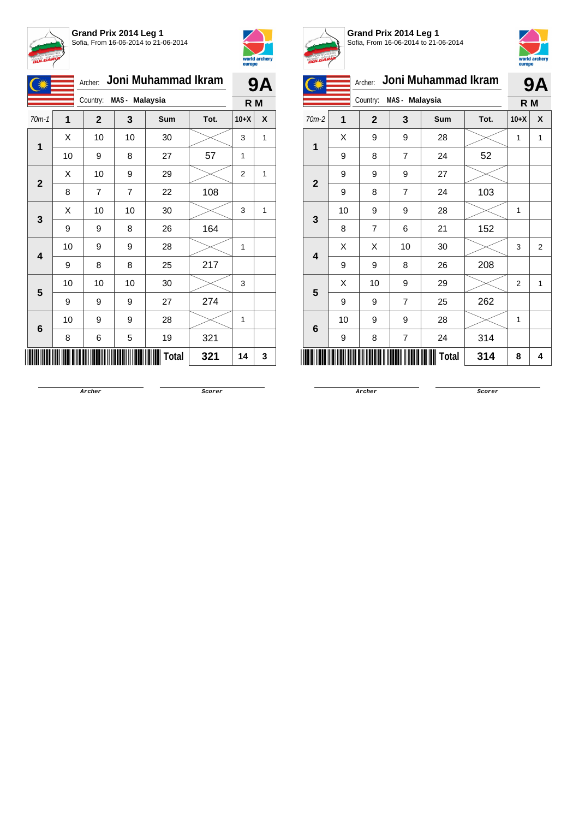



|  |                |    | Archer:                    |                | Joni Muhammad Ikram |      |                | <b>9A</b>    |
|--|----------------|----|----------------------------|----------------|---------------------|------|----------------|--------------|
|  |                |    | MAS - Malaysia<br>Country: |                | R M                 |      |                |              |
|  | $70m-1$        | 1  | $\mathbf{2}$               | 3              | Sum                 | Tot. | $10+X$         | X            |
|  | 1              | X  | 10                         | 10             | 30                  |      | 3              | 1            |
|  |                | 10 | 9                          | 8              | 27                  | 57   | 1              |              |
|  | $\overline{2}$ | X  | 10                         | 9              | 29                  |      | $\overline{2}$ | 1            |
|  |                | 8  | $\overline{7}$             | $\overline{7}$ | 22                  | 108  |                |              |
|  | 3              | X  | 10                         | 10             | 30                  |      | 3              | $\mathbf{1}$ |
|  |                | 9  | 9                          | 8              | 26                  | 164  |                |              |
|  | 4              | 10 | 9                          | 9              | 28                  |      | 1              |              |
|  |                | 9  | 8                          | 8              | 25                  | 217  |                |              |
|  | 5              | 10 | 10                         | 10             | 30                  |      | 3              |              |
|  |                | 9  | 9                          | 9              | 27                  | 274  |                |              |
|  | 6              | 10 | 9                          | 9              | 28                  |      | 1              |              |
|  |                | 8  | 6                          | 5              | 19                  | 321  |                |              |
|  |                |    |                            |                | Total               | 321  | 14             | 3            |



**Grand Prix 2014 Leg 1** Sofia, From 16-06-2014 to 21-06-2014



|                            |    | Archer:        |    | Joni Muhammad Ikram |      |        | <b>9A</b>      |
|----------------------------|----|----------------|----|---------------------|------|--------|----------------|
| MAS - Malaysia<br>Country: |    |                |    |                     |      | R M    |                |
| $70m-2$                    | 1  | $\overline{2}$ | 3  | Sum                 | Tot. | $10+X$ | X              |
| 1                          | X  | 9              | 9  | 28                  |      | 1      | 1              |
|                            | 9  | 8              | 7  | 24                  | 52   |        |                |
| $\overline{2}$             | 9  | 9              | 9  | 27                  |      |        |                |
|                            | 9  | 8              | 7  | 24                  | 103  |        |                |
| 3                          | 10 | 9              | 9  | 28                  |      | 1      |                |
|                            | 8  | 7              | 6  | 21                  | 152  |        |                |
| 4                          | X  | Χ              | 10 | 30                  |      | 3      | $\overline{2}$ |
|                            | 9  | 9              | 8  | 26                  | 208  |        |                |
| 5                          | Χ  | 10             | 9  | 29                  |      | 2      | 1              |
|                            | 9  | 9              | 7  | 25                  | 262  |        |                |
|                            | 10 | 9              | 9  | 28                  |      | 1      |                |
| 6                          | 9  | 8              | 7  | 24                  | 314  |        |                |
|                            |    |                |    | Total               | 314  | 8      | 4              |

**Archer Scorer**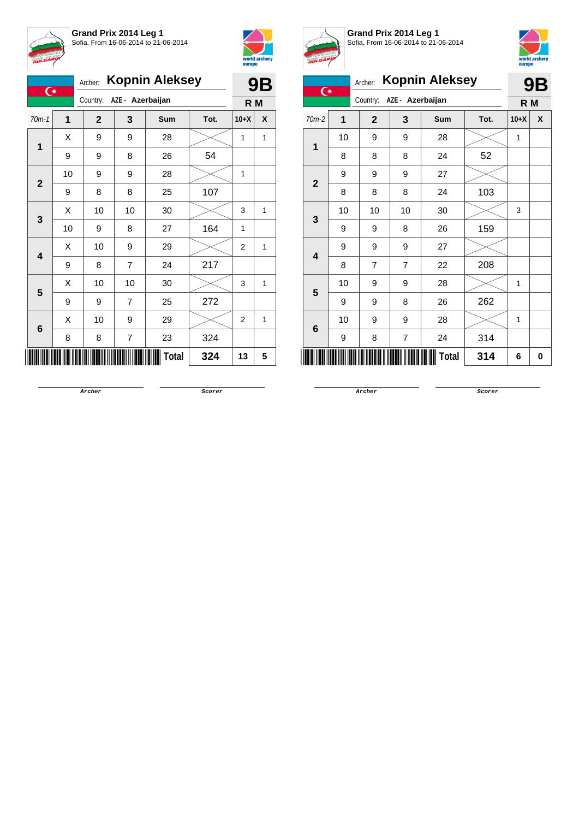



|   | $70m-1$                             | 1                                                                                                                 | $\mathbf{2}$                                                                                                                                                                                                                                                                                                                                                                                                     | 3 | Sum | Tot. | $10+X$ | X |
|---|-------------------------------------|-------------------------------------------------------------------------------------------------------------------|------------------------------------------------------------------------------------------------------------------------------------------------------------------------------------------------------------------------------------------------------------------------------------------------------------------------------------------------------------------------------------------------------------------|---|-----|------|--------|---|
|   |                                     | X                                                                                                                 | Country:<br>AZE - Azerbaijan<br>R M<br>9<br>9<br>28<br>1<br>1<br>54<br>9<br>26<br>8<br>9<br>9<br>28<br>1<br>107<br>8<br>8<br>25<br>10<br>10<br>30<br>3<br>1<br>164<br>27<br>9<br>8<br>1<br>10<br>9<br>29<br>$\overline{2}$<br>1<br>7<br>217<br>24<br>8<br>10<br>10<br>30<br>3<br>1<br>272<br>9<br>$\overline{7}$<br>25<br>10<br>9<br>29<br>$\overline{2}$<br>1<br>324<br>8<br>7<br>23<br>Total<br>324<br>5<br>13 |   |     |      |        |   |
|   |                                     | <b>Kopnin Aleksey</b><br>Archer:<br>9Β<br>$\overline{C}$<br>9<br>10<br>9<br>X<br>10<br>X<br>9<br>Χ<br>9<br>X<br>8 |                                                                                                                                                                                                                                                                                                                                                                                                                  |   |     |      |        |   |
|   |                                     |                                                                                                                   |                                                                                                                                                                                                                                                                                                                                                                                                                  |   |     |      |        |   |
|   |                                     |                                                                                                                   |                                                                                                                                                                                                                                                                                                                                                                                                                  |   |     |      |        |   |
| 3 |                                     |                                                                                                                   |                                                                                                                                                                                                                                                                                                                                                                                                                  |   |     |      |        |   |
|   | $\overline{\mathbf{4}}$             |                                                                                                                   |                                                                                                                                                                                                                                                                                                                                                                                                                  |   |     |      |        |   |
|   |                                     |                                                                                                                   |                                                                                                                                                                                                                                                                                                                                                                                                                  |   |     |      |        |   |
|   |                                     |                                                                                                                   |                                                                                                                                                                                                                                                                                                                                                                                                                  |   |     |      |        |   |
|   |                                     |                                                                                                                   |                                                                                                                                                                                                                                                                                                                                                                                                                  |   |     |      |        |   |
| 5 |                                     |                                                                                                                   |                                                                                                                                                                                                                                                                                                                                                                                                                  |   |     |      |        |   |
|   |                                     |                                                                                                                   |                                                                                                                                                                                                                                                                                                                                                                                                                  |   |     |      |        |   |
|   | $\overline{1}$<br>$\mathbf{2}$<br>6 |                                                                                                                   |                                                                                                                                                                                                                                                                                                                                                                                                                  |   |     |      |        |   |
|   |                                     |                                                                                                                   |                                                                                                                                                                                                                                                                                                                                                                                                                  |   |     |      |        |   |



**Grand Prix 2014 Leg 1** Sofia, From 16-06-2014 to 21-06-2014



| $\overline{C}$          |                | Archer:        |                  | <b>Kopnin Aleksey</b> |      |        | 9Β |
|-------------------------|----------------|----------------|------------------|-----------------------|------|--------|----|
|                         |                | Country:       | AZE - Azerbaijan |                       |      | R M    |    |
| 70m-2                   | $\overline{1}$ | $\overline{2}$ | 3                | <b>Sum</b>            | Tot. | $10+X$ | X  |
| 1                       | 10             | 9              | 9                | 28                    |      | 1      |    |
|                         | 8              | 8              | 8                | 24                    | 52   |        |    |
|                         | 9              | 9              | 9                | 27                    |      |        |    |
| $\overline{2}$          | 8              | 8              | 8                | 24                    | 103  |        |    |
|                         | 10             | 10             | 10               | 30                    |      | 3      |    |
| 3                       | 9              | 9              | 8                | 26                    | 159  |        |    |
| $\overline{\mathbf{4}}$ | 9              | 9              | 9                | 27                    |      |        |    |
|                         | 8              | $\overline{7}$ | $\overline{7}$   | 22                    | 208  |        |    |
| 5                       | 10             | 9              | 9                | 28                    |      | 1      |    |
|                         | 9              | 9              | 8                | 26                    | 262  |        |    |
|                         | 10             | 9              | 9                | 28                    |      | 1      |    |
| 6                       | 9              | 8              | 7                | 24                    | 314  |        |    |
|                         |                |                |                  | Total                 | 314  | 6      | 0  |

**Archer Scorer**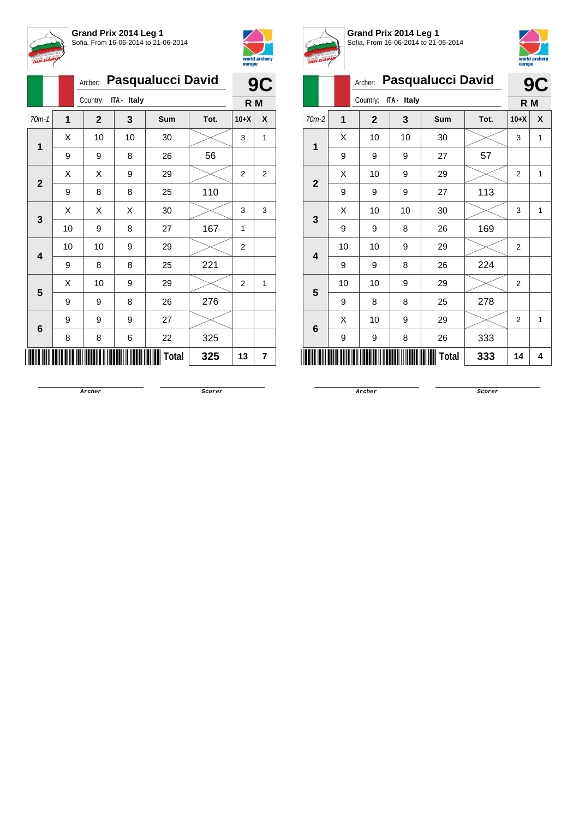



|                        |         | <b>Pasqualucci David</b> |              | 9C          |       |      |                |              |
|------------------------|---------|--------------------------|--------------|-------------|-------|------|----------------|--------------|
|                        |         |                          | Country:     | ITA - Italy |       |      | R M            |              |
|                        | $70m-1$ | $\mathbf{1}$             | $\mathbf{2}$ | 3           | Sum   | Tot. | $10+X$         | X            |
|                        |         | X                        | 10           | 10          | 30    |      | 3              | $\mathbf{1}$ |
| 1<br>$\mathbf{2}$<br>3 | 9       | 9                        | 8            | 26          | 56    |      |                |              |
|                        |         | х                        | Χ            | 9           | 29    |      | 2              | 2            |
|                        | 9       | 8                        | 8            | 25          | 110   |      |                |              |
|                        |         | X                        | Χ            | Χ           | 30    |      | 3              | 3            |
|                        |         | 10                       | 9            | 8           | 27    | 167  | 1              |              |
|                        | 4       | 10                       | 10           | 9           | 29    |      | 2              |              |
|                        |         | 9                        | 8            | 8           | 25    | 221  |                |              |
|                        | 5       | Χ                        | 10           | 9           | 29    |      | $\overline{2}$ | 1            |
|                        |         | 9                        | 9            | 8           | 26    | 276  |                |              |
|                        |         | 9                        | 9            | 9           | 27    |      |                |              |
| 6                      | 8       | 8                        | 6            | 22          | 325   |      |                |              |
|                        |         |                          |              |             | Total | 325  | 13             | 7            |



**Grand Prix 2014 Leg 1** Sofia, From 16-06-2014 to 21-06-2014



|              | <b>BULLING</b> |              |             |                          |      |                |   |  |  |  |  |
|--------------|----------------|--------------|-------------|--------------------------|------|----------------|---|--|--|--|--|
|              |                | Archer:      |             | <b>Pasqualucci David</b> |      | <b>9C</b>      |   |  |  |  |  |
|              |                | Country:     | ITA - Italy |                          |      | R M            |   |  |  |  |  |
| $70m-2$      | 1              | $\mathbf{2}$ | 3           | <b>Sum</b>               | Tot. | $10+X$         | X |  |  |  |  |
| 1            | X              | 10           | 10          | 30                       |      | 3              | 1 |  |  |  |  |
|              | 9              | 9            | 9           | 27                       | 57   |                |   |  |  |  |  |
| $\mathbf{2}$ | X              | 10           | 9           | 29                       |      | 2              | 1 |  |  |  |  |
|              | 9              | 9            | 9           | 27                       | 113  |                |   |  |  |  |  |
|              | X              | 10           | 10          | 30                       |      | 3              | 1 |  |  |  |  |
| 3            | 9              | 9            | 8           | 26                       | 169  |                |   |  |  |  |  |
| 4            | 10             | 10           | 9           | 29                       |      | $\overline{2}$ |   |  |  |  |  |
|              | 9              | 9            | 8           | 26                       | 224  |                |   |  |  |  |  |
|              | 10             | 10           | 9           | 29                       |      | $\overline{2}$ |   |  |  |  |  |
| 5            | 9              | 8            | 8           | 25                       | 278  |                |   |  |  |  |  |
|              | X              | 10           | 9           | 29                       |      | 2              | 1 |  |  |  |  |
| 6            | 9              | 9            | 8           | 26                       | 333  |                |   |  |  |  |  |
| Ш            |                |              |             | <b>Total</b>             | 333  | 14             | 4 |  |  |  |  |

**Archer Scorer**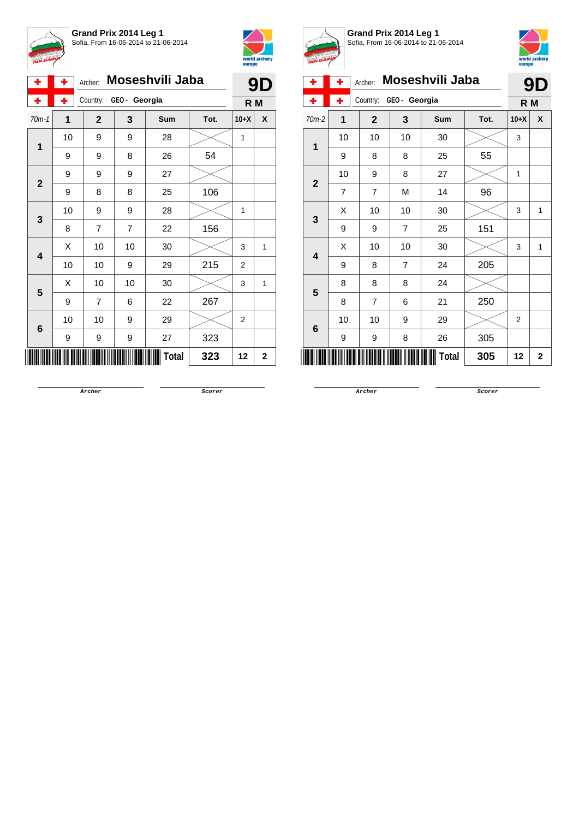



|                | ۰                       | ٠                                                                                                                                                                                                                                                                                                                                                                                                                                                                                        | Archer:      |   |     |      |        | D |
|----------------|-------------------------|------------------------------------------------------------------------------------------------------------------------------------------------------------------------------------------------------------------------------------------------------------------------------------------------------------------------------------------------------------------------------------------------------------------------------------------------------------------------------------------|--------------|---|-----|------|--------|---|
|                | ۰                       | ٠                                                                                                                                                                                                                                                                                                                                                                                                                                                                                        |              |   |     |      |        |   |
|                | $70m-1$                 | 1                                                                                                                                                                                                                                                                                                                                                                                                                                                                                        | $\mathbf{2}$ | 3 | Sum | Tot. | $10+X$ | X |
|                | 1                       | Moseshvili Jaba<br>9<br>GEO- Georgia<br>Country:<br>R <sub>M</sub><br>10<br>9<br>9<br>28<br>1<br>54<br>26<br>9<br>9<br>8<br>27<br>9<br>9<br>9<br>9<br>106<br>8<br>8<br>25<br>9<br>28<br>10<br>9<br>1<br>156<br>7<br>22<br>8<br>7<br>10<br>10<br>30<br>X<br>3<br>1<br>215<br>10<br>10<br>29<br>9<br>$\overline{2}$<br>X<br>10<br>10<br>30<br>3<br>1<br>9<br>7<br>22<br>267<br>6<br>29<br>10<br>10<br>9<br>$\overline{2}$<br>323<br>27<br>9<br>9<br>9<br>Total<br>323<br>$\mathbf 2$<br>12 |              |   |     |      |        |   |
|                |                         |                                                                                                                                                                                                                                                                                                                                                                                                                                                                                          |              |   |     |      |        |   |
| $\mathbf{2}$   |                         |                                                                                                                                                                                                                                                                                                                                                                                                                                                                                          |              |   |     |      |        |   |
|                |                         |                                                                                                                                                                                                                                                                                                                                                                                                                                                                                          |              |   |     |      |        |   |
|                | 3                       |                                                                                                                                                                                                                                                                                                                                                                                                                                                                                          |              |   |     |      |        |   |
|                |                         |                                                                                                                                                                                                                                                                                                                                                                                                                                                                                          |              |   |     |      |        |   |
|                | $\overline{\mathbf{4}}$ |                                                                                                                                                                                                                                                                                                                                                                                                                                                                                          |              |   |     |      |        |   |
|                |                         |                                                                                                                                                                                                                                                                                                                                                                                                                                                                                          |              |   |     |      |        |   |
|                | 5                       |                                                                                                                                                                                                                                                                                                                                                                                                                                                                                          |              |   |     |      |        |   |
|                |                         |                                                                                                                                                                                                                                                                                                                                                                                                                                                                                          |              |   |     |      |        |   |
|                |                         |                                                                                                                                                                                                                                                                                                                                                                                                                                                                                          |              |   |     |      |        |   |
| $6\phantom{1}$ |                         |                                                                                                                                                                                                                                                                                                                                                                                                                                                                                          |              |   |     |      |        |   |
|                |                         |                                                                                                                                                                                                                                                                                                                                                                                                                                                                                          |              |   |     |      |        |   |



**Grand Prix 2014 Leg 1** Sofia, From 16-06-2014 to 21-06-2014



| ÷              | ÷              | Archer:        |                | Moseshvili Jaba |      |                | 9D          |
|----------------|----------------|----------------|----------------|-----------------|------|----------------|-------------|
| ÷              | ٠              | Country:       | GEO - Georgia  |                 |      | R M            |             |
| $70m-2$        | $\overline{1}$ | $\mathbf{2}$   | 3              | <b>Sum</b>      | Tot. | $10+X$         | X           |
| 1              | 10             | 10             | 10             | 30              |      | 3              |             |
|                | 9              | 8              | 8              | 25              | 55   |                |             |
| $\overline{2}$ | 10             | 9              | 8              | 27              |      | 1              |             |
|                | 7              | $\overline{7}$ | M              | 14              | 96   |                |             |
| 3              | X              | 10             | 10             | 30              |      | 3              | 1           |
|                | 9              | 9              | 7              | 25              | 151  |                |             |
|                | Χ              | 10             | 10             | 30              |      | 3              | 1           |
| 4              | 9              | 8              | $\overline{7}$ | 24              | 205  |                |             |
| 5              | 8              | 8              | 8              | 24              |      |                |             |
|                | 8              | $\overline{7}$ | 6              | 21              | 250  |                |             |
|                | 10             | 10             | 9              | 29              |      | $\overline{2}$ |             |
| 6              | 9              | 9              | 8              | 26              | 305  |                |             |
|                |                |                |                | <b>Total</b>    | 305  | 12             | $\mathbf 2$ |

**Archer Scorer**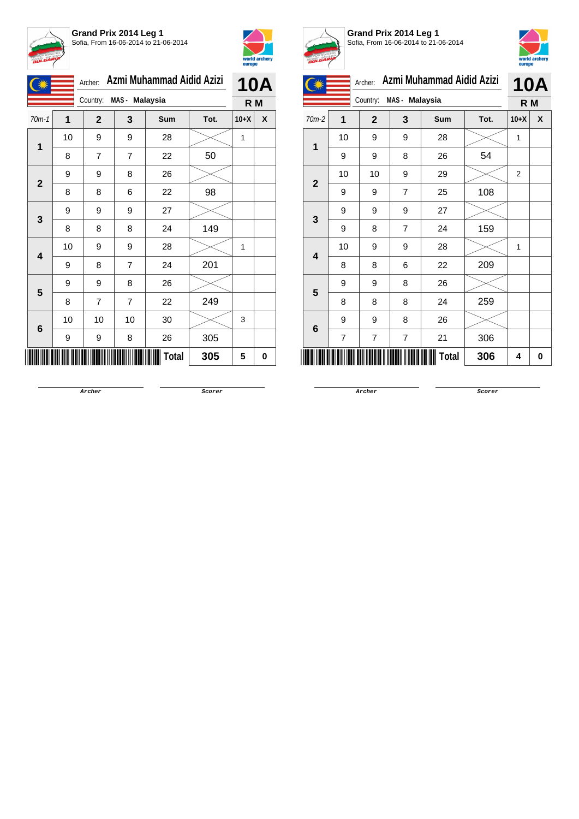



|                |    | Archer:      |                | Azmi Muhammad Aidid Azizi |      |        | <b>10A</b> |
|----------------|----|--------------|----------------|---------------------------|------|--------|------------|
|                |    | Country:     | MAS - Malaysia |                           |      | R M    |            |
| $70m-1$        | 1  | $\mathbf{2}$ | 3              | Sum                       | Tot. | $10+X$ | X          |
| 1              | 10 | 9            | 9              | 28                        |      | 1      |            |
|                | 8  | 7            | $\overline{7}$ | 22                        | 50   |        |            |
| $\overline{2}$ | 9  | 9            | 8              | 26                        |      |        |            |
|                | 8  | 8            | 6              | 22                        | 98   |        |            |
| 3              | 9  | 9            | 9              | 27                        |      |        |            |
|                | 8  | 8            | 8              | 24                        | 149  |        |            |
| 4              | 10 | 9            | 9              | 28                        |      | 1      |            |
|                | 9  | 8            | $\overline{7}$ | 24                        | 201  |        |            |
| 5              | 9  | 9            | 8              | 26                        |      |        |            |
|                | 8  | 7            | $\overline{7}$ | 22                        | 249  |        |            |
| $6\phantom{1}$ | 10 | 10           | 10             | 30                        |      | 3      |            |
|                | 9  | 9            | 8              | 26                        | 305  |        |            |
|                |    |              |                | Total                     | 305  | 5      | 0          |



**Grand Prix 2014 Leg 1** Sofia, From 16-06-2014 to 21-06-2014



|                 |    | Archer:      |                | Azmi Muhammad Aidid Azizi |      |                | <b>10A</b> |
|-----------------|----|--------------|----------------|---------------------------|------|----------------|------------|
|                 |    | Country:     | MAS - Malaysia |                           |      | R M            |            |
| $70m-2$         | 1  | $\mathbf{2}$ | 3              | Sum                       | Tot. | $10+X$         | X          |
| 1               | 10 | 9            | 9              | 28                        |      | 1              |            |
|                 | 9  | 9            | 8              | 26                        | 54   |                |            |
| $\overline{2}$  | 10 | 10           | 9              | 29                        |      | $\overline{2}$ |            |
|                 | 9  | 9            | $\overline{7}$ | 25                        | 108  |                |            |
| 3               | 9  | 9            | 9              | 27                        |      |                |            |
|                 | 9  | 8            | $\overline{7}$ | 24                        | 159  |                |            |
| 4               | 10 | 9            | 9              | 28                        |      | 1              |            |
|                 | 8  | 8            | 6              | 22                        | 209  |                |            |
| 5               | 9  | 9            | 8              | 26                        |      |                |            |
|                 | 8  | 8            | 8              | 24                        | 259  |                |            |
| $6\phantom{1}6$ | 9  | 9            | 8              | 26                        |      |                |            |
|                 | 7  | 7            | 7              | 21                        | 306  |                |            |
|                 |    |              |                | Total                     | 306  | 4              | 0          |

**Archer Scorer**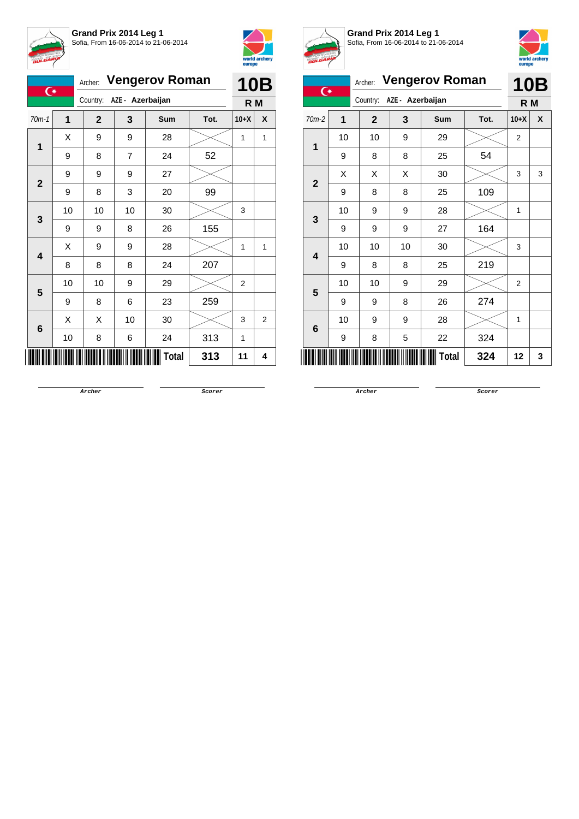



| $\overline{C}$          |    |                           |                | Archer: Vengerov Roman |      | <b>10B</b> |                |  |
|-------------------------|----|---------------------------|----------------|------------------------|------|------------|----------------|--|
|                         |    | Country: AZE - Azerbaijan |                |                        |      | R M        |                |  |
| $70m-1$                 | 1  | $\mathbf{2}$              | 3              | Sum                    | Tot. | $10+X$     | X              |  |
| 1                       | Χ  | 9                         | 9              | 28                     |      | 1          | 1              |  |
|                         | 9  | 8                         | $\overline{7}$ | 24                     | 52   |            |                |  |
| $\mathbf{2}$            | 9  | 9                         | 9              | 27                     |      |            |                |  |
|                         | 9  | 8                         | 3              | 20                     | 99   |            |                |  |
| 3                       | 10 | 10                        | 10             | 30                     |      | 3          |                |  |
|                         | 9  | 9                         | 8              | 26                     | 155  |            |                |  |
| $\overline{\mathbf{4}}$ | Χ  | 9                         | 9              | 28                     |      | 1          | 1              |  |
|                         | 8  | 8                         | 8              | 24                     | 207  |            |                |  |
| 5                       | 10 | 10                        | 9              | 29                     |      | 2          |                |  |
|                         | 9  | 8                         | 6              | 23                     | 259  |            |                |  |
| 6                       | X  | X                         | 10             | 30                     |      | 3          | $\overline{2}$ |  |
|                         | 10 | 8                         | 6              | 24                     | 313  | 1          |                |  |
|                         |    |                           |                | Total                  | 313  | 11         | 4              |  |



**Grand Prix 2014 Leg 1** Sofia, From 16-06-2014 to 21-06-2014



| $\overline{C}$ |    | Archer: Vengerov Roman |                  |              | <b>10B</b> |                |   |
|----------------|----|------------------------|------------------|--------------|------------|----------------|---|
|                |    | Country:               | AZE - Azerbaijan |              |            | R <sub>M</sub> |   |
| $70m-2$        | 1  | $\mathbf{2}$           | 3                | <b>Sum</b>   | Tot.       | $10+X$         | X |
|                | 10 | 10                     | 9                | 29           |            | $\overline{2}$ |   |
| 1              | 9  | 8                      | 8                | 25           | 54         |                |   |
| $\overline{2}$ | X  | X                      | X                | 30           |            | 3              | 3 |
|                | 9  | 8                      | 8                | 25           | 109        |                |   |
| 3              | 10 | 9                      | 9                | 28           |            | 1              |   |
|                | 9  | 9                      | 9                | 27           | 164        |                |   |
| 4              | 10 | 10                     | 10               | 30           |            | 3              |   |
|                | 9  | 8                      | 8                | 25           | 219        |                |   |
| 5              | 10 | 10                     | 9                | 29           |            | $\overline{2}$ |   |
|                | 9  | 9                      | 8                | 26           | 274        |                |   |
| 6              | 10 | 9                      | 9                | 28           |            | 1              |   |
|                | 9  | 8                      | 5                | 22           | 324        |                |   |
|                |    |                        |                  | <b>Total</b> | 324        | 12             | 3 |

**Archer Scorer**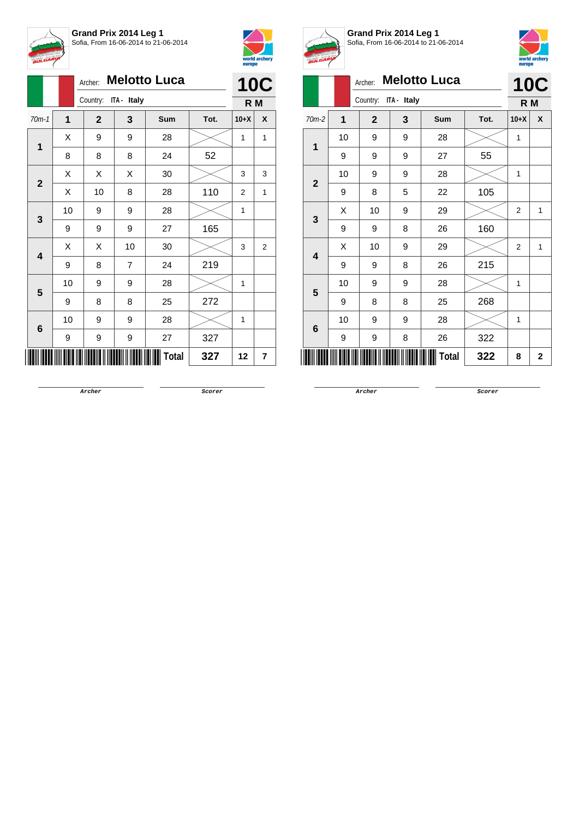



|                         |    | <b>Melotto Luca</b><br>Archer: |    |       | <b>10C</b> |        |   |
|-------------------------|----|--------------------------------|----|-------|------------|--------|---|
|                         |    | Country: ITA - Italy           |    | R M   |            |        |   |
| $70m-1$                 | 1  | $\mathbf{2}$                   | 3  | Sum   | Tot.       | $10+X$ | X |
| 1                       | Χ  | 9                              | 9  | 28    |            | 1      | 1 |
|                         | 8  | 8                              | 8  | 24    | 52         |        |   |
| $\mathbf{2}$            | Χ  | Χ                              | X  | 30    |            | 3      | 3 |
|                         | X  | 10                             | 8  | 28    | 110        | 2      | 1 |
| 3                       | 10 | 9                              | 9  | 28    |            | 1      |   |
|                         | 9  | 9                              | 9  | 27    | 165        |        |   |
| $\overline{\mathbf{4}}$ | X  | Χ                              | 10 | 30    |            | 3      | 2 |
|                         | 9  | 8                              | 7  | 24    | 219        |        |   |
| 5                       | 10 | 9                              | 9  | 28    |            | 1      |   |
|                         | 9  | 8                              | 8  | 25    | 272        |        |   |
|                         | 10 | 9                              | 9  | 28    |            | 1      |   |
| 6                       | 9  | 9                              | 9  | 27    | 327        |        |   |
|                         |    |                                |    | Total | 327        | 12     | 7 |



**Grand Prix 2014 Leg 1** Sofia, From 16-06-2014 to 21-06-2014



| <b>BULGARIA</b>         |    |              |             |                     |      | europe         | world archery |
|-------------------------|----|--------------|-------------|---------------------|------|----------------|---------------|
|                         |    | Archer:      |             | <b>Melotto Luca</b> |      | <b>10C</b>     |               |
|                         |    | Country:     | ITA - Italy |                     |      | R <sub>M</sub> |               |
| $70m-2$                 | 1  | $\mathbf{2}$ | 3           | Sum                 | Tot. | $10+X$         | X             |
| 1                       | 10 | 9            | 9           | 28                  |      | $\mathbf{1}$   |               |
|                         | 9  | 9            | 9           | 27                  | 55   |                |               |
| $\overline{2}$          | 10 | 9            | 9           | 28                  |      | $\mathbf{1}$   |               |
|                         | 9  | 8            | 5           | 22                  | 105  |                |               |
| 3                       | X  | 10           | 9           | 29                  |      | $\overline{2}$ | 1             |
|                         | 9  | 9            | 8           | 26                  | 160  |                |               |
| $\overline{\mathbf{A}}$ | X  | 10           | 9           | 29                  |      | $\overline{2}$ | 1             |
|                         | 9  | 9            | 8           | 26                  | 215  |                |               |
| 5                       | 10 | 9            | 9           | 28                  |      | 1              |               |
|                         | 9  | 8            | 8           | 25                  | 268  |                |               |
| 6                       | 10 | 9            | 9           | 28                  |      | 1              |               |
|                         | 9  | 9            | 8           | 26                  | 322  |                |               |
|                         |    |              |             | <b>Total</b>        | 322  | 8              | $\mathbf{2}$  |

**Archer Scorer**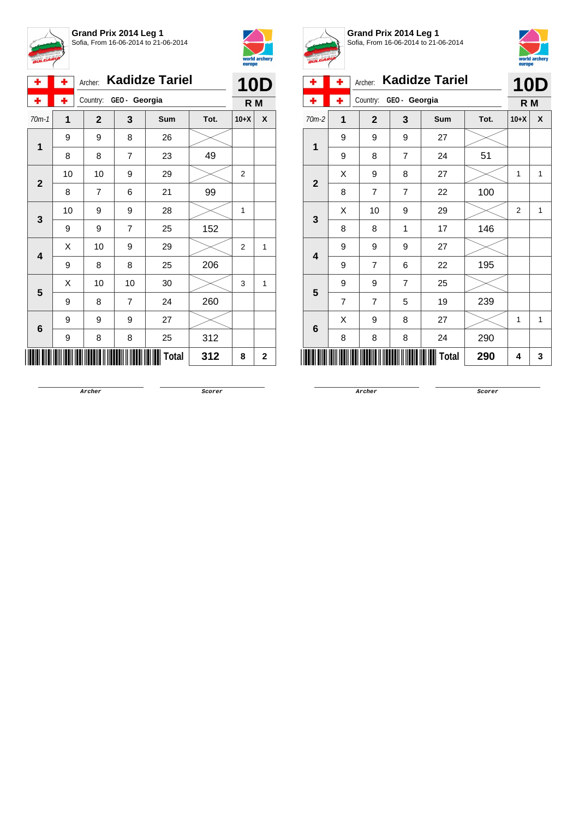

**Grand Prix 2014 Leg 1** Sofia, From 16-06-2014 to 21-06-2014



| ۰            | ٠  | Archer:        | <b>Kadidze Tariel</b> |       |      |                |             |  |  |
|--------------|----|----------------|-----------------------|-------|------|----------------|-------------|--|--|
| ۰            | ۰  |                | Country: GEO- Georgia |       |      |                |             |  |  |
| $70m-1$      | 1  | $\mathbf{2}$   | 3                     | Sum   | Tot. | $10+X$         | X           |  |  |
| 1            | 9  | 9              | 8                     | 26    |      |                |             |  |  |
|              | 8  | 8              | 7                     | 23    | 49   |                |             |  |  |
|              | 10 | 10             | 9                     | 29    |      | 2              |             |  |  |
| $\mathbf{2}$ | 8  | $\overline{7}$ | 6                     | 21    | 99   |                |             |  |  |
|              | 10 | 9              | 9                     | 28    |      | 1              |             |  |  |
| 3            | 9  | 9              | $\overline{7}$        | 25    | 152  |                |             |  |  |
|              | X  | 10             | 9                     | 29    |      | $\overline{2}$ | 1           |  |  |
| 4            | 9  | 8              | 8                     | 25    | 206  |                |             |  |  |
| 5            | X  | 10             | 10                    | 30    |      | 3              | 1           |  |  |
|              | 9  | 8              | $\overline{7}$        | 24    | 260  |                |             |  |  |
|              | 9  | 9              | 9                     | 27    |      |                |             |  |  |
| 6            | 9  | 8              | 8                     | 25    | 312  |                |             |  |  |
|              |    |                |                       | Total | 312  | 8              | $\mathbf 2$ |  |  |



**Grand Prix 2014 Leg 1** Sofia, From 16-06-2014 to 21-06-2014



| ÷                        | ۰              | Archer:        | <b>Kadidze Tariel</b> |     |            |                |              |  |  |
|--------------------------|----------------|----------------|-----------------------|-----|------------|----------------|--------------|--|--|
|                          | ÷              | Country:       | GEO - Georgia         | R M | <b>10D</b> |                |              |  |  |
| 70m-2                    | 1              | $\mathbf{2}$   | 3                     | Sum | Tot.       | $10+X$         | X            |  |  |
| 1                        | 9              | 9              | 9                     | 27  |            |                |              |  |  |
|                          | 9              | 8              | $\overline{7}$        | 24  | 51         |                |              |  |  |
|                          | Χ              | 9              | 8                     | 27  |            | 1              | 1            |  |  |
| $\overline{2}$           | 8              | 7              | $\overline{7}$        | 22  | 100        |                |              |  |  |
|                          | X              | 10             | 9                     | 29  |            | $\overline{2}$ | $\mathbf{1}$ |  |  |
| 3                        | 8              | 8              | 1                     | 17  | 146        |                |              |  |  |
| 4                        | 9              | 9              | 9                     | 27  |            |                |              |  |  |
|                          | 9              | $\overline{7}$ | 6                     | 22  | 195        |                |              |  |  |
| 5                        | 9              | 9              | $\overline{7}$        | 25  |            |                |              |  |  |
|                          | $\overline{7}$ | $\overline{7}$ | 5                     | 19  | 239        |                |              |  |  |
|                          | Χ              | 9              | 8                     | 27  |            | 1              | 1            |  |  |
| 6                        | 8              | 8              | 8                     | 24  | 290        |                |              |  |  |
| Ш<br><b>Total</b><br>290 |                |                |                       |     |            |                |              |  |  |

**Archer Scorer**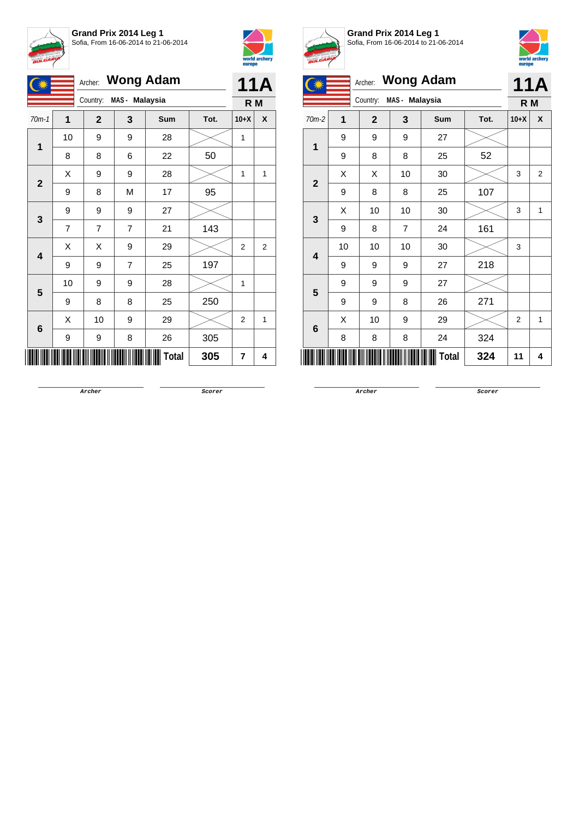



|                         |                | <b>Wong Adam</b><br>Archer: |                | <b>11A</b>   |      |              |                |
|-------------------------|----------------|-----------------------------|----------------|--------------|------|--------------|----------------|
|                         |                | Country:                    | MAS - Malaysia |              |      | R M          |                |
| $70m-1$                 | 1              | $\mathbf{2}$                | 3              | Sum          | Tot. | $10+X$       | X              |
| 1                       | 10             | 9                           | 9              | 28           |      | $\mathbf{1}$ |                |
|                         | 8              | 8                           | 6              | 22           | 50   |              |                |
| $\overline{2}$          | Χ              | 9                           | 9              | 28           |      | 1            | 1              |
|                         | 9              | 8                           | M              | 17           | 95   |              |                |
| 3                       | 9              | 9                           | 9              | 27           |      |              |                |
|                         | $\overline{7}$ | $\overline{7}$              | 7              | 21           | 143  |              |                |
| $\overline{\mathbf{4}}$ | X              | Χ                           | 9              | 29           |      | 2            | $\overline{2}$ |
|                         | 9              | 9                           | $\overline{7}$ | 25           | 197  |              |                |
| 5                       | 10             | 9                           | 9              | 28           |      | 1            |                |
|                         | 9              | 8                           | 8              | 25           | 250  |              |                |
|                         | Χ              | 10                          | 9              | 29           |      | 2            | 1              |
| 6                       | 9              | 9                           | 8              | 26           | 305  |              |                |
|                         |                |                             |                | <b>Total</b> | 305  | 7            | 4              |



**Grand Prix 2014 Leg 1** Sofia, From 16-06-2014 to 21-06-2014



|  | ----            |    |              |                |                  |      |                |                |
|--|-----------------|----|--------------|----------------|------------------|------|----------------|----------------|
|  |                 |    | Archer:      |                | <b>Wong Adam</b> |      |                | <b>11A</b>     |
|  |                 |    | Country:     | MAS - Malaysia |                  |      | R M            |                |
|  | $70m-2$         | 1  | $\mathbf{2}$ | 3              | Sum              | Tot. | $10+X$         | X              |
|  |                 | 9  | 9            | 9              | 27               |      |                |                |
|  | 1               | 9  | 8            | 8              | 25               | 52   |                |                |
|  | $\overline{2}$  | X  | X            | 10             | 30               |      | 3              | $\overline{2}$ |
|  |                 | 9  | 8            | 8              | 25               | 107  |                |                |
|  | 3               | Χ  | 10           | 10             | 30               |      | 3              | 1              |
|  |                 | 9  | 8            | $\overline{7}$ | 24               | 161  |                |                |
|  |                 | 10 | 10           | 10             | 30               |      | 3              |                |
|  | 4               | 9  | 9            | 9              | 27               | 218  |                |                |
|  |                 | 9  | 9            | 9              | 27               |      |                |                |
|  | 5               | 9  | 9            | 8              | 26               | 271  |                |                |
|  |                 | X  | 10           | 9              | 29               |      | $\overline{2}$ | 1              |
|  | $6\phantom{1}6$ | 8  | 8            | 8              | 24               | 324  |                |                |
|  |                 |    |              |                | Total            | 324  | 11             | 4              |

**Archer Scorer**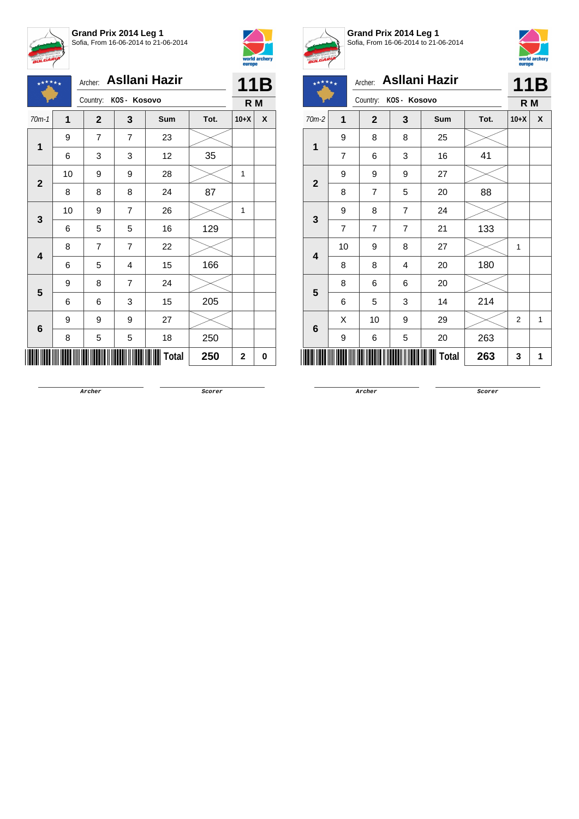







**Grand Prix 2014 Leg 1** Sofia, From 16-06-2014 to 21-06-2014



## Archer: **Asllani Hazir**

|                         |                |                |                | Archer: Asllani Hazir |      |              | 11B |
|-------------------------|----------------|----------------|----------------|-----------------------|------|--------------|-----|
|                         |                | Country:       | KOS- Kosovo    |                       |      | R M          |     |
| $70m-2$                 | $\mathbf 1$    | $\mathbf{2}$   | 3              | Sum                   | Tot. | $10+X$       | X   |
| 1                       | 9              | 8              | 8              | 25                    |      |              |     |
|                         | $\overline{7}$ | 6              | 3              | 16                    | 41   |              |     |
| $\mathbf{2}$            | 9              | 9              | 9              | 27                    |      |              |     |
|                         | 8              | $\overline{7}$ | 5              | 20                    | 88   |              |     |
| $\mathbf 3$             | 9              | 8              | $\overline{7}$ | 24                    |      |              |     |
|                         | $\overline{7}$ | 7              | 7              | 21                    | 133  |              |     |
| $\overline{\mathbf{4}}$ | 10             | 9              | 8              | 27                    |      | $\mathbf{1}$ |     |
|                         | 8              | 8              | 4              | 20                    | 180  |              |     |
| 5                       | 8              | 6              | 6              | 20                    |      |              |     |
|                         | 6              | 5              | 3              | 14                    | 214  |              |     |
| 6                       | Χ              | 10             | 9              | 29                    |      | 2            | 1   |
|                         | 9              | 6              | 5              | 20                    | 263  |              |     |
|                         |                |                |                | Total                 | 263  | 3            | 1   |

**Archer Scorer**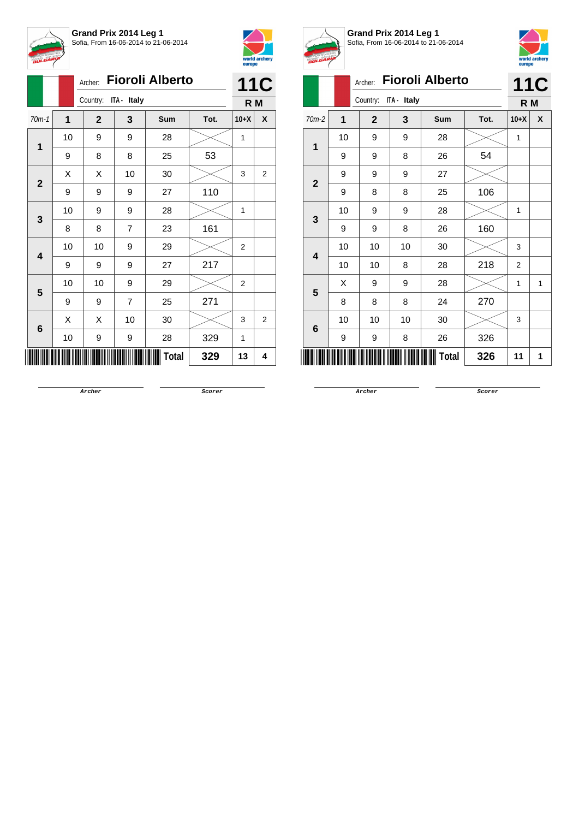



|                         |              | Archer:              | <b>Fioroli Alberto</b> |       |      |                |                |  |  |
|-------------------------|--------------|----------------------|------------------------|-------|------|----------------|----------------|--|--|
|                         |              | Country: ITA - Italy |                        |       |      | R M            | <b>11C</b>     |  |  |
| $70m-1$                 | $\mathbf{1}$ | $\mathbf{2}$         | 3                      | Sum   | Tot. | $10+X$         | X              |  |  |
| 1                       | 10           | 9                    | 9                      | 28    |      | 1              |                |  |  |
|                         | 9            | 8                    | 8                      | 25    | 53   |                |                |  |  |
| $\mathbf{2}$            | X            | X                    | 10                     | 30    |      | 3              | $\overline{2}$ |  |  |
|                         | 9            | 9                    | 9                      | 27    | 110  |                |                |  |  |
| 3                       | 10           | 9                    | 9                      | 28    |      | 1              |                |  |  |
|                         | 8            | 8                    | $\overline{7}$         | 23    | 161  |                |                |  |  |
| $\overline{\mathbf{4}}$ | 10           | 10                   | 9                      | 29    |      | 2              |                |  |  |
|                         | 9            | 9                    | 9                      | 27    | 217  |                |                |  |  |
| 5                       | 10           | 10                   | 9                      | 29    |      | $\overline{2}$ |                |  |  |
|                         | 9            | 9                    | $\overline{7}$         | 25    | 271  |                |                |  |  |
|                         | X            | X                    | 10                     | 30    |      | 3              | $\overline{2}$ |  |  |
| 6                       | 10           | 9                    | 9                      | 28    | 329  | 1              |                |  |  |
|                         |              |                      |                        | Total | 329  | 13             | 4              |  |  |



**Grand Prix 2014 Leg 1** Sofia, From 16-06-2014 to 21-06-2014



| <b>BULGARY</b> |    |                |             |                        |      | europe         | world archery |
|----------------|----|----------------|-------------|------------------------|------|----------------|---------------|
|                |    | Archer:        |             | <b>Fioroli Alberto</b> |      |                | <b>11C</b>    |
|                |    | Country:       | ITA - Italy |                        |      | R M            |               |
| $70m-2$        | 1  | $\overline{2}$ | 3           | <b>Sum</b>             | Tot. | $10+X$         | X             |
| 1              | 10 | 9              | 9           | 28                     |      | 1              |               |
|                | 9  | 9              | 8           | 26                     | 54   |                |               |
| $\overline{2}$ | 9  | 9              | 9           | 27                     |      |                |               |
|                | 9  | 8              | 8           | 25                     | 106  |                |               |
| 3              | 10 | 9              | 9           | 28                     |      | 1              |               |
|                | 9  | 9              | 8           | 26                     | 160  |                |               |
| 4              | 10 | 10             | 10          | 30                     |      | 3              |               |
|                | 10 | 10             | 8           | 28                     | 218  | $\overline{2}$ |               |
| 5              | X  | 9              | 9           | 28                     |      | 1              | 1             |
|                | 8  | 8              | 8           | 24                     | 270  |                |               |
| 6              | 10 | 10             | 10          | 30                     |      | 3              |               |
|                | 9  | 9              | 8           | 26                     | 326  |                |               |
|                |    |                |             | Total                  | 326  | 11             | 1             |

**Archer Scorer**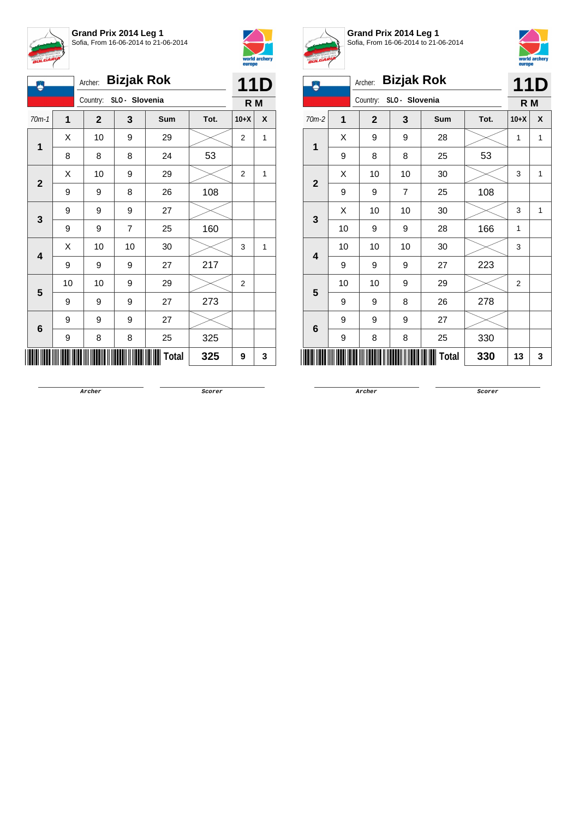



| Ä                       |             | Archer:      | <b>Bizjak Rok</b> |              |      |                | 11D |
|-------------------------|-------------|--------------|-------------------|--------------|------|----------------|-----|
|                         |             | Country:     | SLO - Slovenia    |              |      | R M            |     |
| $70m-1$                 | $\mathbf 1$ | $\mathbf{2}$ | 3                 | Sum          | Tot. | $10+X$         | X   |
|                         | Χ           | 10           | 9                 | 29           |      | $\overline{2}$ | 1   |
| 1                       | 8           | 8            | 8                 | 24           | 53   |                |     |
| $\mathbf{2}$            | X           | 10           | 9                 | 29           |      | 2              | 1   |
|                         | 9           | 9            | 8                 | 26           | 108  |                |     |
| 3                       | 9           | 9            | 9                 | 27           |      |                |     |
|                         | 9           | 9            | $\overline{7}$    | 25           | 160  |                |     |
| $\overline{\mathbf{4}}$ | Χ           | 10           | 10                | 30           |      | 3              | 1   |
|                         | 9           | 9            | 9                 | 27           | 217  |                |     |
| 5                       | 10          | 10           | 9                 | 29           |      | $\overline{2}$ |     |
|                         | 9           | 9            | 9                 | 27           | 273  |                |     |
|                         | 9           | 9            | 9                 | 27           |      |                |     |
| 6                       | 9           | 8            | 8                 | 25           | 325  |                |     |
|                         |             |              |                   | <b>Total</b> | 325  | 9              | 3   |



**Grand Prix 2014 Leg 1** Sofia, From 16-06-2014 to 21-06-2014



| Ä                       | x              | Archer:        | <b>Bizjak Rok</b> |       |      |                | <b>11D</b> |
|-------------------------|----------------|----------------|-------------------|-------|------|----------------|------------|
|                         |                | Country:       | SLO - Slovenia    |       |      | R M            |            |
| 70m-2                   | $\overline{1}$ | $\overline{2}$ | 3                 | Sum   | Tot. | $10+X$         | X          |
|                         | X              | 9              | 9                 | 28    |      | 1              | 1          |
| 1                       | 9              | 8              | 8                 | 25    | 53   |                |            |
| $\overline{2}$          | X              | 10             | 10                | 30    |      | 3              | 1          |
|                         | 9              | 9              | 7                 | 25    | 108  |                |            |
| 3                       | Χ              | 10             | 10                | 30    |      | 3              | 1          |
|                         | 10             | 9              | 9                 | 28    | 166  | $\mathbf{1}$   |            |
| $\overline{\mathbf{4}}$ | 10             | 10             | 10                | 30    |      | 3              |            |
|                         | 9              | 9              | 9                 | 27    | 223  |                |            |
| 5                       | 10             | 10             | 9                 | 29    |      | $\overline{2}$ |            |
|                         | 9              | 9              | 8                 | 26    | 278  |                |            |
|                         | 9              | 9              | 9                 | 27    |      |                |            |
| 6                       | 9              | 8              | 8                 | 25    | 330  |                |            |
|                         |                |                |                   | Total | 330  | 13             | 3          |

**Archer Scorer**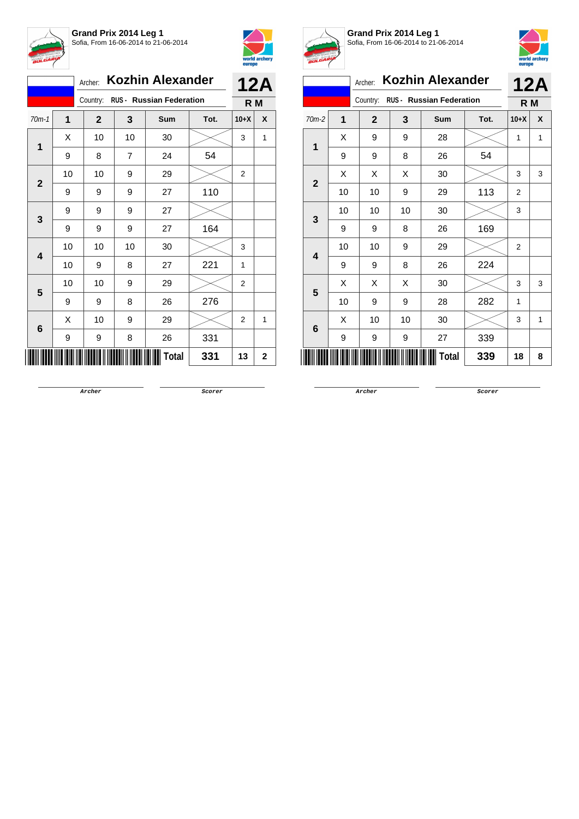



|              |                                   | Archer:      |    | <b>Kozhin Alexander</b> |      |                | <b>12A</b>   |
|--------------|-----------------------------------|--------------|----|-------------------------|------|----------------|--------------|
|              | Country: RUS - Russian Federation |              |    |                         |      | R <sub>M</sub> |              |
| $70m-1$      | 1                                 | $\mathbf{2}$ | 3  | Sum                     | Tot. | $10+X$         | X            |
|              | X                                 | 10           | 10 | 30                      |      | 3              | 1            |
| 1            | 9                                 | 8            | 7  | 24                      | 54   |                |              |
|              | 10                                | 10           | 9  | 29                      |      | $\overline{2}$ |              |
| $\mathbf{2}$ | 9                                 | 9            | 9  | 27                      | 110  |                |              |
|              | 9                                 | 9            | 9  | 27                      |      |                |              |
| 3            | 9                                 | 9            | 9  | 27                      | 164  |                |              |
|              | 10                                | 10           | 10 | 30                      |      | 3              |              |
| 4            | 10                                | 9            | 8  | 27                      | 221  | 1              |              |
| 5            | 10                                | 10           | 9  | 29                      |      | $\overline{2}$ |              |
|              | 9                                 | 9            | 8  | 26                      | 276  |                |              |
|              | X                                 | 10           | 9  | 29                      |      | $\overline{2}$ | 1            |
| 6            | 9                                 | 9            | 8  | 26                      | 331  |                |              |
|              |                                   |              |    | Total                   | 331  | 13             | $\mathbf{2}$ |



**Grand Prix 2014 Leg 1** Sofia, From 16-06-2014 to 21-06-2014



| <b>BULGARI</b>            |    |                |    |                                 |      | europe         | world archery |  |  |
|---------------------------|----|----------------|----|---------------------------------|------|----------------|---------------|--|--|
|                           |    | Archer:        |    | <b>Kozhin Alexander</b>         |      |                | <b>12A</b>    |  |  |
|                           |    | Country:       |    | <b>RUS - Russian Federation</b> |      | R M            |               |  |  |
| $70m-2$                   | 1  | $\overline{2}$ | 3  | <b>Sum</b>                      | Tot. | $10+X$         | X             |  |  |
| $\mathbf 1$               | X  | 9              | 9  | 28                              |      | 1              | 1             |  |  |
|                           | 9  | 9              | 8  | 26                              | 54   |                |               |  |  |
| $\mathbf{2}$              | X  | X              | X  | 30                              |      | 3              | 3             |  |  |
|                           | 10 | 10             | 9  | 29                              | 113  | 2              |               |  |  |
| 3                         | 10 | 10             | 10 | 30                              |      | 3              |               |  |  |
|                           | 9  | 9              | 8  | 26                              | 169  |                |               |  |  |
| 4                         | 10 | 10             | 9  | 29                              |      | $\overline{2}$ |               |  |  |
|                           | 9  | 9              | 8  | 26                              | 224  |                |               |  |  |
| 5                         | X  | X              | X  | 30                              |      | 3              | 3             |  |  |
|                           | 10 | 9              | 9  | 28                              | 282  | 1              |               |  |  |
| 6                         | X  | 10             | 10 | 30                              |      | 3              | 1             |  |  |
|                           | 9  | 9              | 9  | 27                              | 339  |                |               |  |  |
| <b>Total</b><br>339<br>18 |    |                |    |                                 |      |                |               |  |  |

**Archer Scorer**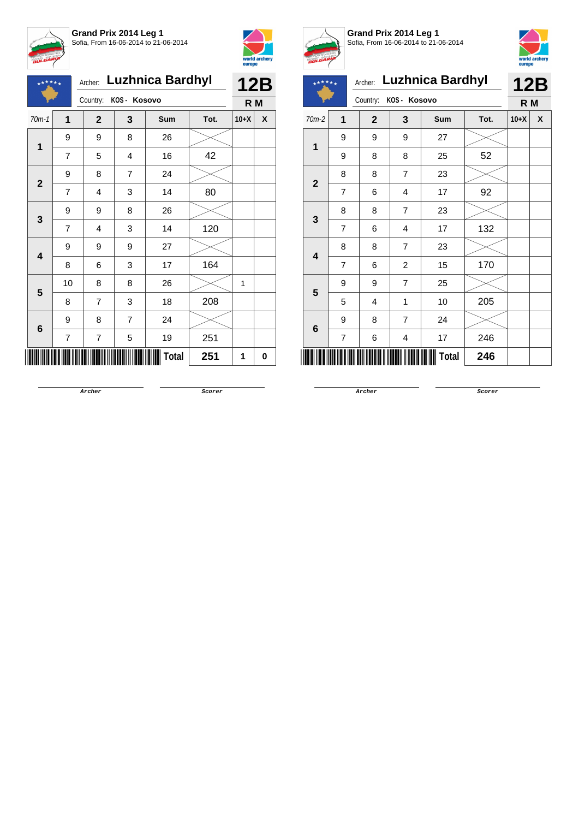



| $*$ ****     |                | Archer:        |                | <b>Luzhnica Bardhyl</b> |      | <b>12B</b>     |   |
|--------------|----------------|----------------|----------------|-------------------------|------|----------------|---|
|              |                | Country:       | KOS- Kosovo    |                         |      | R <sub>M</sub> |   |
| $70m-1$      | $\mathbf 1$    | $\mathbf{2}$   | 3              | Sum                     | Tot. | $10+X$         | X |
| $\mathbf{1}$ | 9              | 9              | 8              | 26                      |      |                |   |
|              | $\overline{7}$ | 5              | 4              | 16                      | 42   |                |   |
| $\mathbf{2}$ | 9              | 8              | 7              | 24                      |      |                |   |
|              | $\overline{7}$ | 4              | 3              | 14                      | 80   |                |   |
| 3            | 9              | 9              | 8              | 26                      |      |                |   |
|              | $\overline{7}$ | 4              | 3              | 14                      | 120  |                |   |
| 4            | 9              | 9              | 9              | 27                      |      |                |   |
|              | 8              | 6              | 3              | 17                      | 164  |                |   |
| 5            | 10             | 8              | 8              | 26                      |      | 1              |   |
|              | 8              | $\overline{7}$ | 3              | 18                      | 208  |                |   |
|              | 9              | 8              | $\overline{7}$ | 24                      |      |                |   |
| 6            | 7              | 7              | 5              | 19                      | 251  |                |   |
|              |                |                |                | Total                   | 251  | 1              | 0 |



**Grand Prix 2014 Leg 1** Sofia, From 16-06-2014 to 21-06-2014



Archer: **Luzhnica Bardhyl 12B**  $+ +$  $\star \star$ Country: **KOS - Kosovo R M** 70m-2 **1 2 3 Sum Tot. 10+X X** 9 9 9 27 **1** 9 | 8 | 8 | 25 | 52 8 | 7 | 23 **2** 7 | 6 | 4 | 17 | 92 8 | 8 | 7 | 23 **3** 7 | 6 | 4 | 17 | 132 8 8 7 23 **4** 7 | 6 | 2 | 15 | 170 9 | 9 | 7 | 25 **5**  $5$  | 4 | 1 | 10 | 205 9 | 8 | 7 | 24 **6** 7 | 6 | 4 | 17 | 246  $\sqrt{\frac{1}{100}}$  Total  $\sqrt{\frac{246}{500}}$ 

**Archer Scorer**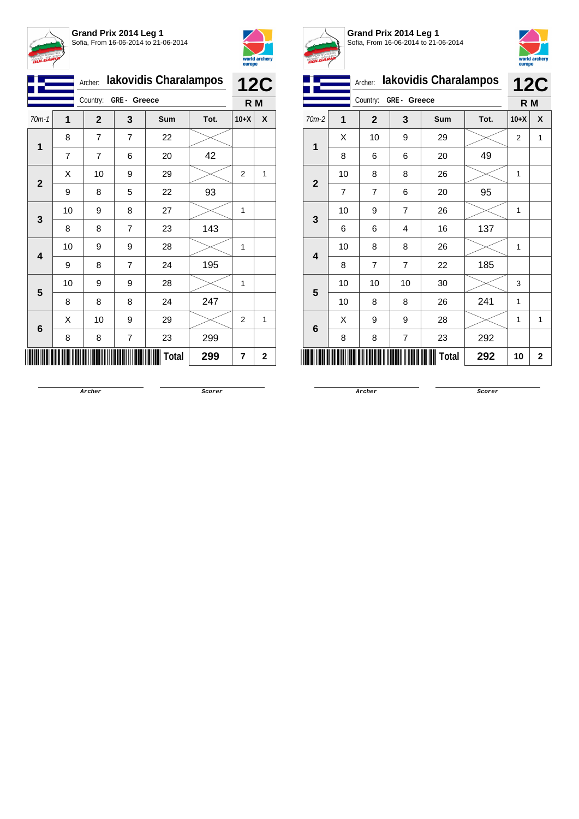



|              |    | Archer:                 |                | <b>Iakovidis Charalampos</b> |      |                | <b>12C</b> |
|--------------|----|-------------------------|----------------|------------------------------|------|----------------|------------|
|              |    | GRE- Greece<br>Country: |                |                              |      |                | R M        |
| $70m-1$      | 1  | $\mathbf{2}$            | 3              | Sum                          | Tot. | $10+X$         | X          |
|              | 8  | $\overline{7}$          | 7              | 22                           |      |                |            |
| 1            | 7  | $\overline{7}$          | 6              | 20                           | 42   |                |            |
|              | X  | 10                      | 9              | 29                           |      | $\overline{2}$ | 1          |
| $\mathbf{2}$ | 9  | 8                       | 5              | 22                           | 93   |                |            |
|              | 10 | 9                       | 8              | 27                           |      | 1              |            |
| 3            | 8  | 8                       | $\overline{7}$ | 23                           | 143  |                |            |
|              | 10 | 9                       | 9              | 28                           |      | 1              |            |
| 4            | 9  | 8                       | $\overline{7}$ | 24                           | 195  |                |            |
| 5            | 10 | 9                       | 9              | 28                           |      | 1              |            |
|              | 8  | 8                       | 8              | 24                           | 247  |                |            |
|              | X  | 10                      | 9              | 29                           |      | $\overline{2}$ | 1          |
| 6            | 8  | 8                       | 7              | 23                           | 299  |                |            |
|              |    |                         |                | Total                        | 299  | 7              | 2          |



**Grand Prix 2014 Leg 1** Sofia, From 16-06-2014 to 21-06-2014



|                         |                |                |                |                              |      | <b>DATOPO</b>  |              |
|-------------------------|----------------|----------------|----------------|------------------------------|------|----------------|--------------|
|                         |                | Archer:        |                | <b>lakovidis Charalampos</b> |      |                | <b>12C</b>   |
|                         |                | Country:       | GRE- Greece    |                              |      | R M            |              |
| 70m-2                   | 1              | $\mathbf{2}$   | 3              | <b>Sum</b>                   | Tot. | $10+X$         | X            |
| 1                       | X              | 10             | 9              | 29                           |      | $\overline{2}$ | 1            |
|                         | 8              | 6              | 6              | 20                           | 49   |                |              |
| $\mathbf{2}$            | 10             | 8              | 8              | 26                           |      | $\mathbf{1}$   |              |
|                         | $\overline{7}$ | $\overline{7}$ | 6              | 20                           | 95   |                |              |
| 3                       | 10             | 9              | $\overline{7}$ | 26                           |      | 1              |              |
|                         | 6              | 6              | 4              | 16                           | 137  |                |              |
| $\overline{\mathbf{4}}$ | 10             | 8              | 8              | 26                           |      | 1              |              |
|                         | 8              | $\overline{7}$ | $\overline{7}$ | 22                           | 185  |                |              |
| 5                       | 10             | 10             | 10             | 30                           |      | 3              |              |
|                         | 10             | 8              | 8              | 26                           | 241  | 1              |              |
| 6                       | X              | 9              | 9              | 28                           |      | 1              | 1            |
|                         | 8              | 8              | 7              | 23                           | 292  |                |              |
|                         |                |                |                | Total                        | 292  | 10             | $\mathbf{2}$ |

**Archer Scorer**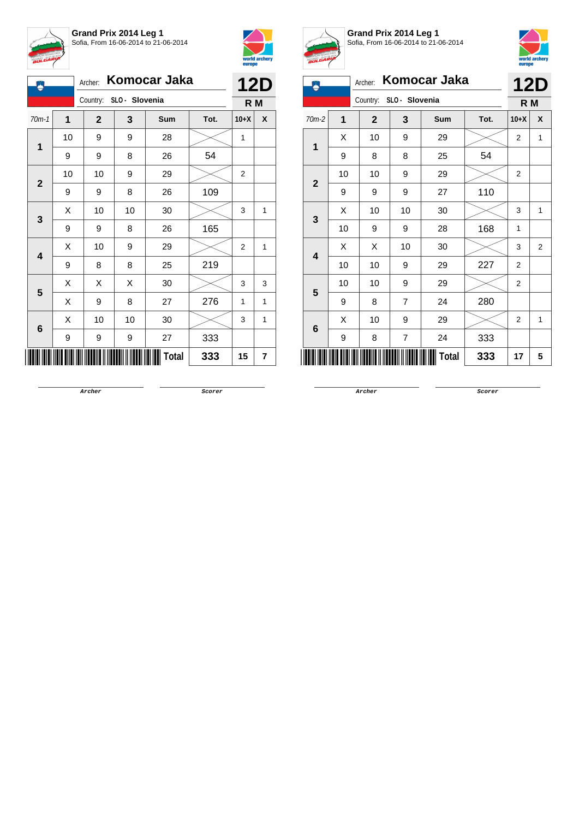



| A                       |             |              |                         | Archer: Komocar Jaka |      |                | <b>12D</b> |
|-------------------------|-------------|--------------|-------------------------|----------------------|------|----------------|------------|
|                         |             |              | Country: SLO - Slovenia |                      |      | R M            |            |
| $70m-1$                 | $\mathbf 1$ | $\mathbf{2}$ | 3                       | Sum                  | Tot. | $10+X$         | X          |
| 1                       | 10          | 9            | 9                       | 28                   |      | 1              |            |
|                         | 9           | 9            | 8                       | 26                   | 54   |                |            |
|                         | 10          | 10           | 9                       | 29                   |      | 2              |            |
| $\mathbf{2}$            | 9           | 9            | 8                       | 26                   | 109  |                |            |
|                         | X           | 10           | 10                      | 30                   |      | 3              | 1          |
| 3                       | 9           | 9            | 8                       | 26                   | 165  |                |            |
| $\overline{\mathbf{4}}$ | X           | 10           | 9                       | 29                   |      | $\overline{2}$ | 1          |
|                         | 9           | 8            | 8                       | 25                   | 219  |                |            |
| 5                       | Χ           | Χ            | Χ                       | 30                   |      | 3              | 3          |
|                         | X           | 9            | 8                       | 27                   | 276  | 1              | 1          |
| 6                       | X           | 10           | 10                      | 30                   |      | 3              | 1          |
|                         | 9           | 9            | 9                       | 27                   | 333  |                |            |
|                         |             |              |                         | <b>Total</b>         | 333  | 15             | 7          |



**Grand Prix 2014 Leg 1** Sofia, From 16-06-2014 to 21-06-2014



| Ã.                      | Archer:                 | Komocar Jaka   |                | 12D          |      |                |                |
|-------------------------|-------------------------|----------------|----------------|--------------|------|----------------|----------------|
|                         |                         | Country:       | SLO - Slovenia |              |      | R M            |                |
| $70m-2$                 | $\overline{\mathbf{1}}$ | $\overline{2}$ | 3              | Sum          | Tot. | $10+X$         | X              |
|                         | X                       | 10             | 9              | 29           |      | $\overline{2}$ | 1              |
| 1                       | 9                       | 8              | 8              | 25           | 54   |                |                |
|                         | 10                      | 10             | 9              | 29           |      | $\overline{2}$ |                |
| $\mathbf{2}$            | 9                       | 9              | 9              | 27           | 110  |                |                |
|                         | Χ                       | 10             | 10             | 30           |      | 3              | 1              |
| 3                       | 10                      | 9              | 9              | 28           | 168  | 1              |                |
| $\overline{\mathbf{4}}$ | Χ                       | Χ              | 10             | 30           |      | 3              | $\overline{2}$ |
|                         | 10                      | 10             | 9              | 29           | 227  | $\overline{2}$ |                |
|                         | 10                      | 10             | 9              | 29           |      | $\overline{2}$ |                |
| 5                       | 9                       | 8              | 7              | 24           | 280  |                |                |
|                         | Χ                       | 10             | 9              | 29           |      | 2              | 1              |
| 6                       | 9                       | 8              | $\overline{7}$ | 24           | 333  |                |                |
|                         |                         |                |                | <b>Total</b> | 333  | 17             | 5              |

**Archer Scorer**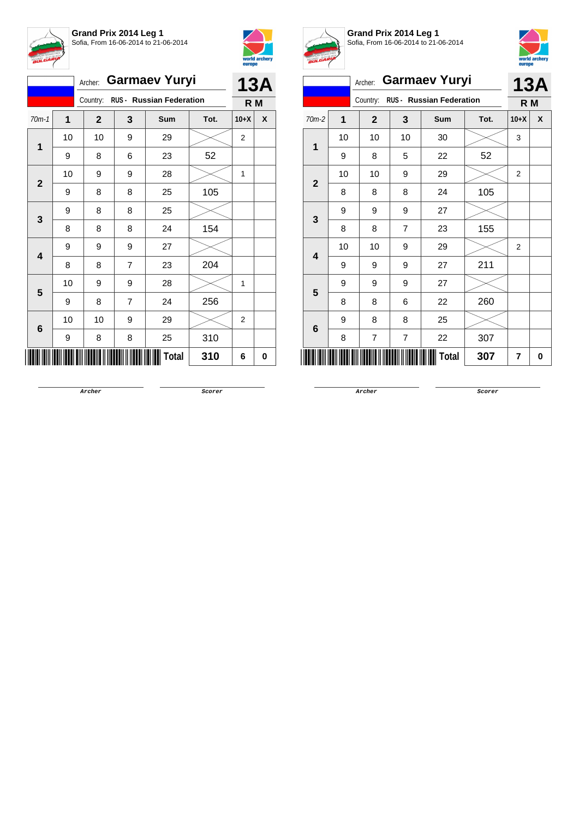



|                |    | Archer:        |                | <b>Garmaev Yuryi</b>            |      | <b>13A</b> |   |
|----------------|----|----------------|----------------|---------------------------------|------|------------|---|
|                |    | Country:       |                | <b>RUS - Russian Federation</b> |      | R M        |   |
| $70m-1$        | 1  | $\overline{2}$ | 3              | Sum                             | Tot. | $10+X$     | X |
| 1              | 10 | 10             | 9              | 29                              |      | 2          |   |
|                | 9  | 8              | 6              | 23                              | 52   |            |   |
| $\overline{2}$ | 10 | 9              | 9              | 28                              |      | 1          |   |
|                | 9  | 8              | 8              | 25                              | 105  |            |   |
| 3              | 9  | 8              | 8              | 25                              |      |            |   |
|                | 8  | 8              | 8              | 24                              | 154  |            |   |
| 4              | 9  | 9              | 9              | 27                              |      |            |   |
|                | 8  | 8              | $\overline{7}$ | 23                              | 204  |            |   |
| 5              | 10 | 9              | 9              | 28                              |      | 1          |   |
|                | 9  | 8              | $\overline{7}$ | 24                              | 256  |            |   |
| 6              | 10 | 10             | 9              | 29                              |      | 2          |   |
|                | 9  | 8              | 8              | 25                              | 310  |            |   |
|                |    |                |                | Total                           | 310  | 6          | 0 |



**Grand Prix 2014 Leg 1** Sofia, From 16-06-2014 to 21-06-2014



|                |    |                         |                |                          |      | <b>DATOPO</b>  |            |
|----------------|----|-------------------------|----------------|--------------------------|------|----------------|------------|
|                |    | Archer:                 |                | <b>Garmaev Yuryi</b>     |      |                | <b>13A</b> |
|                |    | Country:                |                | RUS - Russian Federation |      | R M            |            |
| $70m-2$        | 1  | $\overline{\mathbf{2}}$ | 3              | Sum                      | Tot. | $10+X$         | X          |
| 1              | 10 | 10                      | 10             | 30                       |      | 3              |            |
|                | 9  | 8                       | 5              | 22                       | 52   |                |            |
| $\mathbf{2}$   | 10 | 10                      | 9              | 29                       |      | $\overline{2}$ |            |
|                | 8  | 8                       | 8              | 24                       | 105  |                |            |
| 3              | 9  | 9                       | 9              | 27                       |      |                |            |
|                | 8  | 8                       | $\overline{7}$ | 23                       | 155  |                |            |
| 4              | 10 | 10                      | 9              | 29                       |      | $\overline{2}$ |            |
|                | 9  | 9                       | 9              | 27                       | 211  |                |            |
| $5\phantom{1}$ | 9  | 9                       | 9              | 27                       |      |                |            |
|                | 8  | 8                       | 6              | 22                       | 260  |                |            |
| 6              | 9  | 8                       | 8              | 25                       |      |                |            |
|                | 8  | $\overline{7}$          | $\overline{7}$ | 22                       | 307  |                |            |
|                |    |                         |                | Total                    | 307  | 7              | 0          |

**Archer Scorer**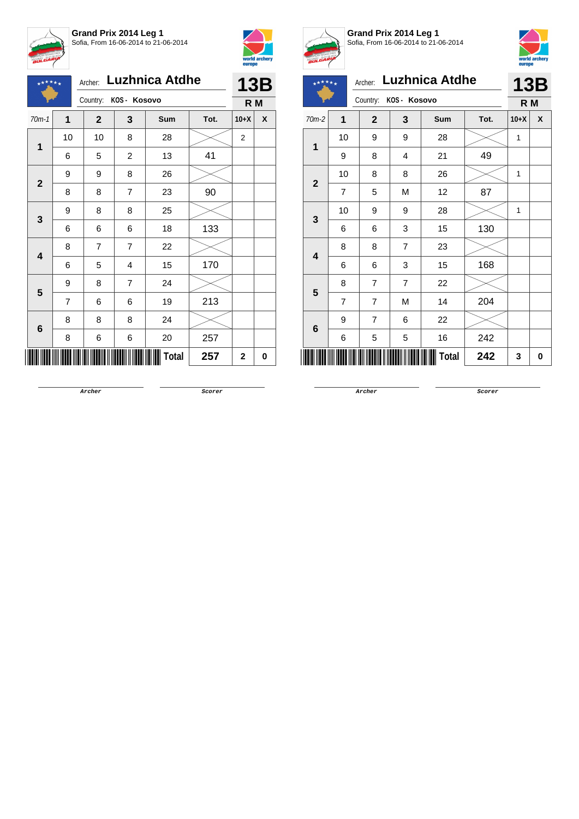





## Archer: **Luzhnica Atdhe**

|                 |                | Country:                                                                                                                                                                                                                                        | KOS - Kosovo |     |      | R M         |   |
|-----------------|----------------|-------------------------------------------------------------------------------------------------------------------------------------------------------------------------------------------------------------------------------------------------|--------------|-----|------|-------------|---|
| $70m-1$         | $\mathbf 1$    | $\mathbf{2}$                                                                                                                                                                                                                                    | $\mathbf 3$  | Sum | Tot. | $10+X$      | X |
| 1               | 10             | 10                                                                                                                                                                                                                                              | 8            | 28  |      | 2           |   |
|                 | 6              | 41<br>5<br>$\overline{c}$<br>13<br>9<br>8<br>26<br>90<br>$\overline{7}$<br>8<br>23<br>8<br>25<br>8<br>18<br>6<br>6<br>7<br>7<br>22<br>15<br>5<br>4<br>$\overline{7}$<br>8<br>24<br>19<br>6<br>6<br>8<br>8<br>24<br>20<br>6<br>6<br><b>Total</b> |              |     |      |             |   |
| $\mathbf 2$     | 9              |                                                                                                                                                                                                                                                 |              |     |      |             |   |
|                 | 8              |                                                                                                                                                                                                                                                 |              |     |      |             |   |
| $\mathbf{3}$    | 9              |                                                                                                                                                                                                                                                 |              |     |      |             |   |
|                 | 6              |                                                                                                                                                                                                                                                 |              |     | 133  |             |   |
| 4               | 8              |                                                                                                                                                                                                                                                 |              |     |      |             |   |
|                 | 6              |                                                                                                                                                                                                                                                 |              |     | 170  |             |   |
| 5               | 9              |                                                                                                                                                                                                                                                 |              |     |      |             |   |
|                 | $\overline{7}$ |                                                                                                                                                                                                                                                 |              |     | 213  |             |   |
| $6\phantom{1}6$ | 8              |                                                                                                                                                                                                                                                 |              |     |      |             |   |
|                 | 8              |                                                                                                                                                                                                                                                 |              |     | 257  |             |   |
|                 |                |                                                                                                                                                                                                                                                 |              |     | 257  | $\mathbf 2$ | 0 |



## **Grand Prix 2014 Leg 1** Sofia, From 16-06-2014 to 21-06-2014



| <b>BULGARY</b>                   |                |                          |                |                       |      |        | world archery<br>europe |
|----------------------------------|----------------|--------------------------|----------------|-----------------------|------|--------|-------------------------|
| $\star\star\star\star\star\star$ |                | Archer:                  |                | <b>Luzhnica Atdhe</b> |      |        | 13B                     |
|                                  |                | Country:<br>KOS - Kosovo | R M            |                       |      |        |                         |
| $70m-2$                          | 1              | $\mathbf{2}$             | 3              | <b>Sum</b>            | Tot. | $10+X$ | X                       |
| 1                                | 10             | 9                        | 9              | 28                    |      | 1      |                         |
|                                  | 9              | 8                        | 4              | 21                    | 49   |        |                         |
| $\overline{2}$                   | 10             | 8                        | 8              | 26                    |      | 1      |                         |
|                                  | $\overline{7}$ | 5                        | M              | 12                    | 87   |        |                         |
| 3                                | 10             | 9                        | 9              | 28                    |      | 1      |                         |
|                                  | 6              | 6                        | 3              | 15                    | 130  |        |                         |
| 4                                | 8              | 8                        | $\overline{7}$ | 23                    |      |        |                         |
|                                  | 6              | 6                        | 3              | 15                    | 168  |        |                         |
| 5                                | 8              | 7                        | 7              | 22                    |      |        |                         |
|                                  | $\overline{7}$ | $\overline{7}$           | M              | 14                    | 204  |        |                         |
| 6                                | 9              | $\overline{7}$           | 6              | 22                    |      |        |                         |
|                                  | 6              | 5                        | 5              | 16                    | 242  |        |                         |
|                                  |                |                          |                | Total                 | 242  | 3      | 0                       |

**Archer Scorer**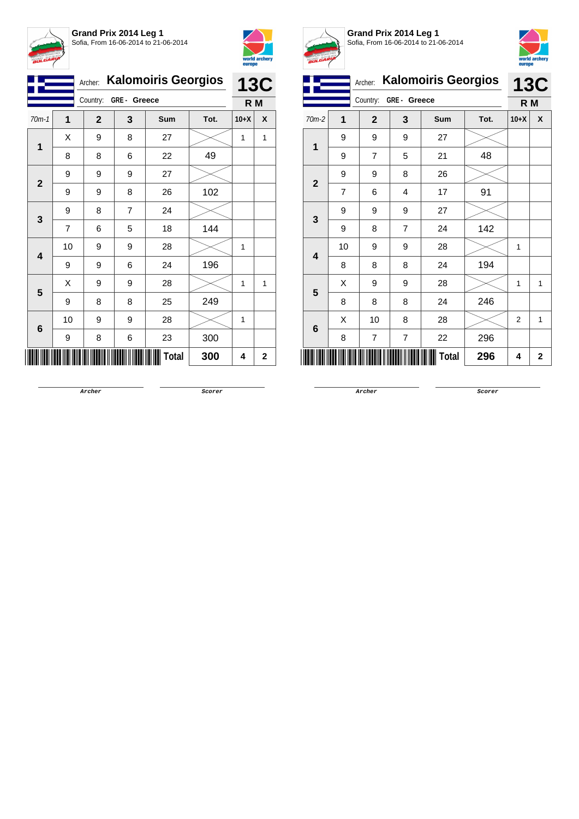



|                         |    | <b>Kalomoiris Georgios</b><br>Archer: |   |       |      | <b>13C</b> |              |  |
|-------------------------|----|---------------------------------------|---|-------|------|------------|--------------|--|
|                         |    | Country:<br>GRE- Greece               |   |       |      | R M        |              |  |
| $70m-1$                 | 1  | $\mathbf{2}$                          | 3 | Sum   | Tot. | $10+X$     | X            |  |
| 1                       | Χ  | 9                                     | 8 | 27    |      | 1          | 1            |  |
|                         | 8  | 8                                     | 6 | 22    | 49   |            |              |  |
| $\mathbf{2}$            | 9  | 9                                     | 9 | 27    |      |            |              |  |
|                         | 9  | 9                                     | 8 | 26    | 102  |            |              |  |
| 3                       | 9  | 8                                     | 7 | 24    |      |            |              |  |
|                         | 7  | 6                                     | 5 | 18    | 144  |            |              |  |
| $\overline{\mathbf{4}}$ | 10 | 9                                     | 9 | 28    |      | 1          |              |  |
|                         | 9  | 9                                     | 6 | 24    | 196  |            |              |  |
| 5                       | Χ  | 9                                     | 9 | 28    |      | 1          | $\mathbf{1}$ |  |
|                         | 9  | 8                                     | 8 | 25    | 249  |            |              |  |
| 6                       | 10 | 9                                     | 9 | 28    |      | 1          |              |  |
|                         | 9  | 8                                     | 6 | 23    | 300  |            |              |  |
|                         |    |                                       |   | Total | 300  | 4          | 2            |  |



**Grand Prix 2014 Leg 1** Sofia, From 16-06-2014 to 21-06-2014



|                         |                | Archer:      |             | <b>Kalomoiris Georgios</b> |      | <b>13C</b>     |             |  |
|-------------------------|----------------|--------------|-------------|----------------------------|------|----------------|-------------|--|
|                         |                | Country:     | GRE- Greece |                            |      | R M            |             |  |
| 70m-2                   | 1              | $\mathbf{2}$ | 3           | <b>Sum</b>                 | Tot. | $10+X$         | X           |  |
| 1                       | 9              | 9            | 9           | 27                         |      |                |             |  |
|                         | 9              | 7            | 5           | 21                         | 48   |                |             |  |
| $\overline{\mathbf{2}}$ | 9              | 9            | 8           | 26                         |      |                |             |  |
|                         | $\overline{7}$ | 6            | 4           | 17                         | 91   |                |             |  |
| 3                       | 9              | 9            | 9           | 27                         |      |                |             |  |
|                         | 9              | 8            | 7           | 24                         | 142  |                |             |  |
| $\overline{\mathbf{4}}$ | 10             | 9            | 9           | 28                         |      | $\mathbf{1}$   |             |  |
|                         | 8              | 8            | 8           | 24                         | 194  |                |             |  |
| 5                       | Χ              | 9            | 9           | 28                         |      | 1              | 1           |  |
|                         | 8              | 8            | 8           | 24                         | 246  |                |             |  |
| 6                       | X              | 10           | 8           | 28                         |      | $\overline{2}$ | 1           |  |
|                         | 8              | 7            | 7           | 22                         | 296  |                |             |  |
|                         |                |              |             | Total                      | 296  | 4              | $\mathbf 2$ |  |

**Archer Scorer**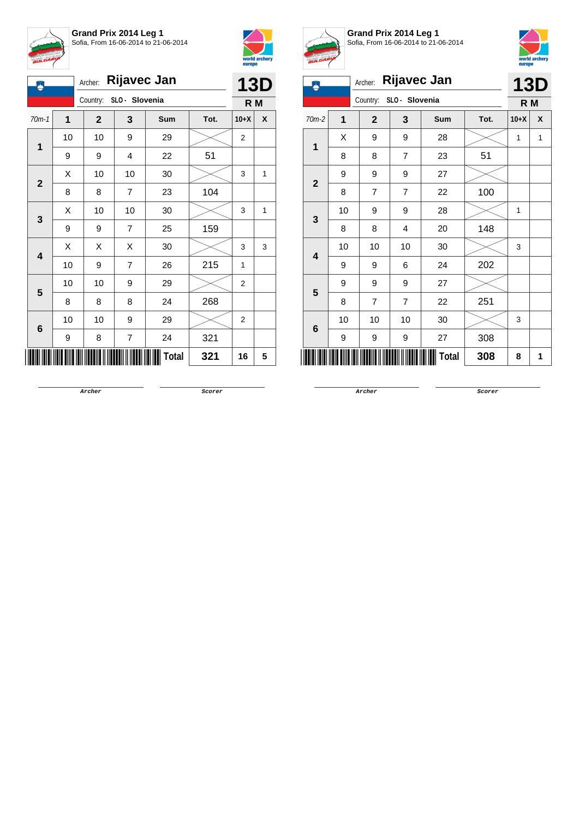



| <b>Rijavec Jan</b><br>Archer:<br>Ä |    |                            |                |              |      |                | <b>13D</b> |  |
|------------------------------------|----|----------------------------|----------------|--------------|------|----------------|------------|--|
|                                    |    | SLO - Slovenia<br>Country: |                |              |      |                | R M        |  |
| $70m-1$                            | 1  | $\mathbf{2}$               | 3              | Sum          | Tot. | $10+X$         | X          |  |
| 1                                  | 10 | 10                         | 9              | 29           |      | 2              |            |  |
|                                    | 9  | 9                          | 4              | 22           | 51   |                |            |  |
|                                    | X  | 10                         | 10             | 30           |      | 3              | 1          |  |
| $\mathbf{2}$                       | 8  | 8                          | $\overline{7}$ | 23           | 104  |                |            |  |
|                                    | Χ  | 10                         | 10             | 30           |      | 3              | 1          |  |
| 3                                  | 9  | 9                          | $\overline{7}$ | 25           | 159  |                |            |  |
|                                    | X  | Χ                          | X              | 30           |      | 3              | 3          |  |
| $\overline{\mathbf{4}}$            | 10 | 9                          | $\overline{7}$ | 26           | 215  | 1              |            |  |
| 5                                  | 10 | 10                         | 9              | 29           |      | $\overline{2}$ |            |  |
|                                    | 8  | 8                          | 8              | 24           | 268  |                |            |  |
|                                    | 10 | 10                         | 9              | 29           |      | $\overline{2}$ |            |  |
| 6                                  | 9  | 8                          | 7              | 24           | 321  |                |            |  |
|                                    |    |                            |                | <b>Total</b> | 321  | 16             | 5          |  |



**Grand Prix 2014 Leg 1** Sofia, From 16-06-2014 to 21-06-2014



| $\ddot{\bullet}$ | <b>Rijavec Jan</b><br>Archer: |                            |                |              |      |        | 13D |
|------------------|-------------------------------|----------------------------|----------------|--------------|------|--------|-----|
|                  |                               | SLO - Slovenia<br>Country: |                |              |      | R M    |     |
| $70m-2$          | $\overline{\mathbf{1}}$       | $\mathbf{2}$               | 3              | Sum          | Tot. | $10+X$ | X   |
| 1                | Χ                             | 9                          | 9              | 28           |      | 1      | 1   |
|                  | 8                             | 8                          | $\overline{7}$ | 23           | 51   |        |     |
|                  | 9                             | 9                          | 9              | 27           |      |        |     |
| $\mathbf{2}$     | 8                             | $\overline{7}$             | $\overline{7}$ | 22           | 100  |        |     |
| 3                | 10                            | 9                          | 9              | 28           |      | 1      |     |
|                  | 8                             | 8                          | 4              | 20           | 148  |        |     |
| 4                | 10                            | 10                         | 10             | 30           |      | 3      |     |
|                  | 9                             | 9                          | 6              | 24           | 202  |        |     |
| 5                | 9                             | 9                          | 9              | 27           |      |        |     |
|                  | 8                             | $\overline{7}$             | 7              | 22           | 251  |        |     |
|                  | 10                            | 10                         | 10             | 30           |      | 3      |     |
| $6\phantom{a}$   | 9                             | 9                          | 9              | 27           | 308  |        |     |
|                  |                               |                            |                | <b>Total</b> | 308  | 8      | 1   |

**Archer Scorer**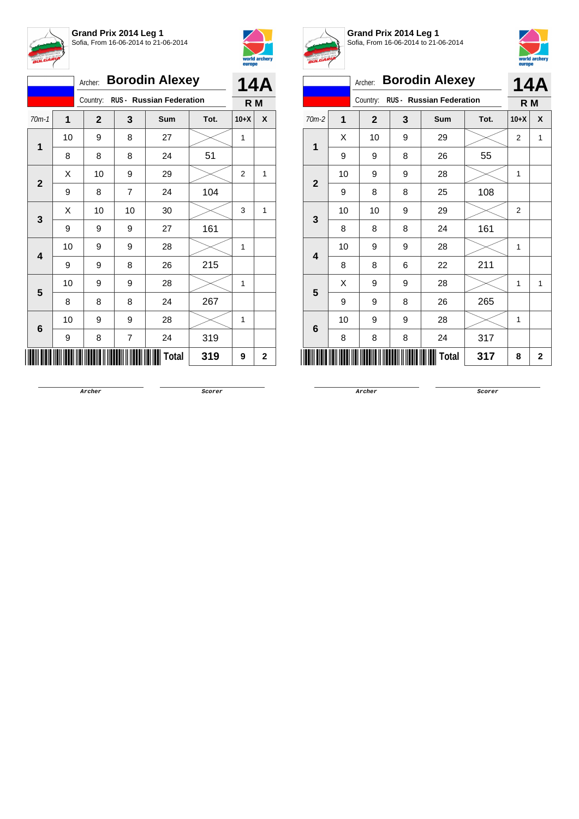



|              |    | Archer:        |    | <b>Borodin Alexey</b>             |      | 14A            |              |
|--------------|----|----------------|----|-----------------------------------|------|----------------|--------------|
|              |    |                |    | Country: RUS - Russian Federation |      | R <sub>M</sub> |              |
| $70m-1$      | 1  | $\overline{2}$ | 3  | Sum                               | Tot. | $10+X$         | X            |
| 1            | 10 | 9              | 8  | 27                                |      | 1              |              |
|              | 8  | 8              | 8  | 24                                | 51   |                |              |
| $\mathbf{2}$ | X  | 10             | 9  | 29                                |      | $\overline{2}$ | 1            |
|              | 9  | 8              | 7  | 24                                | 104  |                |              |
| 3            | X  | 10             | 10 | 30                                |      | 3              | 1            |
|              | 9  | 9              | 9  | 27                                | 161  |                |              |
| 4            | 10 | 9              | 9  | 28                                |      | 1              |              |
|              | 9  | 9              | 8  | 26                                | 215  |                |              |
| 5            | 10 | 9              | 9  | 28                                |      | 1              |              |
|              | 8  | 8              | 8  | 24                                | 267  |                |              |
| 6            | 10 | 9              | 9  | 28                                |      | 1              |              |
|              | 9  | 8              | 7  | 24                                | 319  |                |              |
|              |    |                |    | Total                             | 319  | 9              | $\mathbf{2}$ |



**Grand Prix 2014 Leg 1** Sofia, From 16-06-2014 to 21-06-2014



|                |              |              |   |                          |      | <b>carefe</b>  |   |  |
|----------------|--------------|--------------|---|--------------------------|------|----------------|---|--|
|                |              | Archer:      |   | <b>Borodin Alexey</b>    |      | 14A            |   |  |
|                |              | Country:     |   | RUS - Russian Federation |      | R M            |   |  |
| $70m-2$        | 1            | $\mathbf{2}$ | 3 | <b>Sum</b>               | Tot. | $10+X$         | X |  |
| 1              | Χ            | 10           | 9 | 29                       |      | $\overline{2}$ | 1 |  |
|                | 9            | 9            | 8 | 26                       | 55   |                |   |  |
| $\overline{2}$ | 10           | 9            | 9 | 28                       |      | 1              |   |  |
|                | 9            | 8            | 8 | 25                       | 108  |                |   |  |
| 3              | 10           | 10           | 9 | 29                       |      | $\overline{2}$ |   |  |
|                | 8            | 8            | 8 | 24                       | 161  |                |   |  |
| 4              | 10           | 9            | 9 | 28                       |      | 1              |   |  |
|                | 8            | 8            | 6 | 22                       | 211  |                |   |  |
| 5              | Χ            | 9            | 9 | 28                       |      | 1              | 1 |  |
|                | 9            | 9            | 8 | 26                       | 265  |                |   |  |
| 6              | 10           | 9            | 9 | 28                       |      | 1              |   |  |
|                | 8            | 8            | 8 | 24                       | 317  |                |   |  |
|                | Total<br>317 |              |   |                          |      |                |   |  |

**Archer Scorer**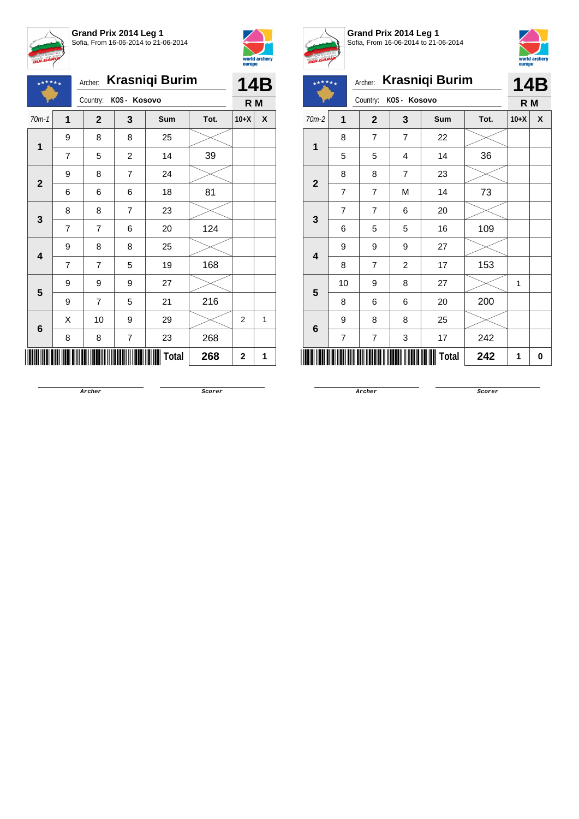





Archer: **Krasniqi Burim**

|                |                         | Country:       | KOS - Kosovo            |              |      | R M            |   |
|----------------|-------------------------|----------------|-------------------------|--------------|------|----------------|---|
| $70m-1$        | $\overline{\mathbf{1}}$ | $\mathbf{2}$   | 3                       | Sum          | Tot. | $10+X$         | X |
| $\mathbf 1$    | 9                       | 8              | 8                       | 25           |      |                |   |
|                | $\overline{7}$          | 5              | $\overline{c}$          | 14           | 39   |                |   |
| $\mathbf{2}$   | $\boldsymbol{9}$        | 8              | $\overline{\mathbf{7}}$ | 24           |      |                |   |
|                | 6                       | 6              | 6                       | 18           | 81   |                |   |
| 3              | 8                       | 8              | $\overline{7}$          | 23           |      |                |   |
|                | $\overline{7}$          | 7              | 6                       | 20           | 124  |                |   |
| 4              | 9                       | 8              | 8                       | 25           |      |                |   |
|                | $\overline{7}$          | $\overline{7}$ | 5                       | 19           | 168  |                |   |
| 5              | 9                       | 9              | 9                       | 27           |      |                |   |
|                | 9                       | $\overline{7}$ | 5                       | 21           | 216  |                |   |
| $6\phantom{1}$ | X                       | 10             | 9                       | 29           |      | $\overline{c}$ | 1 |
|                | 8                       | 8              | $\overline{7}$          | 23           | 268  |                |   |
|                |                         |                |                         | <b>Total</b> | 268  | $\mathbf 2$    | 1 |



**Grand Prix 2014 Leg 1** Sofia, From 16-06-2014 to 21-06-2014



| $\star^{\star\star\star\star}$ |                | Archer:        |                | <b>Krasniqi Burim</b> |      |              | 14B |  |
|--------------------------------|----------------|----------------|----------------|-----------------------|------|--------------|-----|--|
|                                |                | Country:       | KOS- Kosovo    |                       |      |              | R M |  |
| 70m-2                          | 1              | $\overline{2}$ | 3              | <b>Sum</b>            | Tot. | $10+X$       | X   |  |
| 1<br>$\mathbf{2}$              | 8              | 7              | $\overline{7}$ | 22                    |      |              |     |  |
|                                | 5              | 5              | 4              | 14                    | 36   |              |     |  |
|                                | 8              | 8              | $\overline{7}$ | 23                    |      |              |     |  |
|                                | 7              | 7              | M              | 14                    | 73   |              |     |  |
| 3                              | $\overline{7}$ | 7              | 6              | 20                    |      |              |     |  |
|                                | 6              | 5              | 5              | 16                    | 109  |              |     |  |
| 4                              | 9              | 9              | 9              | 27                    |      |              |     |  |
|                                | 8              | $\overline{7}$ | $\overline{2}$ | 17                    | 153  |              |     |  |
| 5                              | 10             | 9              | 8              | 27                    |      | $\mathbf{1}$ |     |  |
|                                | 8              | 6              | 6              | 20                    | 200  |              |     |  |
| 6                              | 9              | 8              | 8              | 25                    |      |              |     |  |
|                                | 7              | 7              | 3              | 17                    | 242  |              |     |  |
| <b>Total</b><br>242            |                |                |                |                       |      |              |     |  |

**Archer Scorer**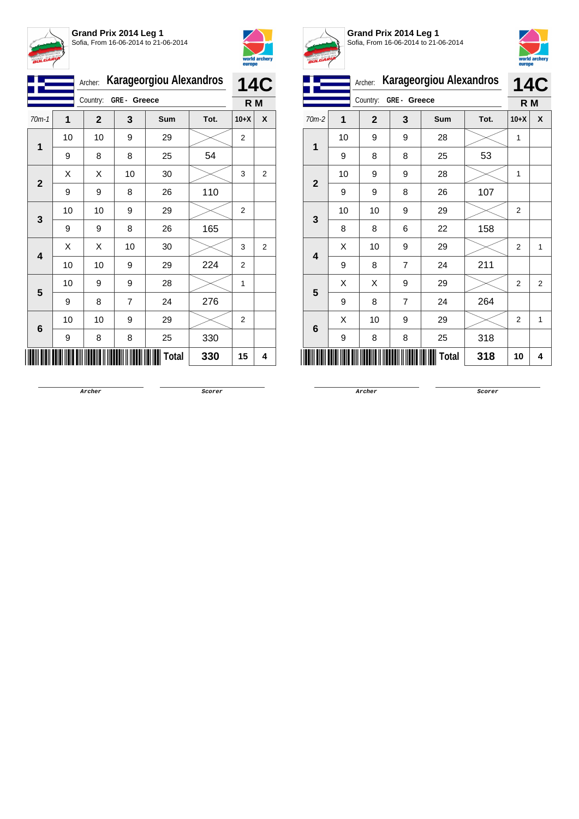



|              | <b>Karageorgiou Alexandros</b><br>Archer: |              |    |       |      | <b>14C</b>     |                |
|--------------|-------------------------------------------|--------------|----|-------|------|----------------|----------------|
|              | GRE- Greece<br>Country:                   |              |    |       |      | R M            |                |
| $70m-1$      | 1                                         | $\mathbf{2}$ | 3  | Sum   | Tot. | $10+X$         | X              |
| 1            | 10                                        | 10           | 9  | 29    |      | 2              |                |
|              | 9                                         | 8            | 8  | 25    | 54   |                |                |
| $\mathbf{2}$ | X                                         | X            | 10 | 30    |      | 3              | $\overline{2}$ |
|              | 9                                         | 9            | 8  | 26    | 110  |                |                |
|              | 10                                        | 10           | 9  | 29    |      | 2              |                |
| 3            | 9                                         | 9            | 8  | 26    | 165  |                |                |
| 4            | Χ                                         | Χ            | 10 | 30    |      | 3              | $\overline{2}$ |
|              | 10                                        | 10           | 9  | 29    | 224  | $\overline{2}$ |                |
| 5            | 10                                        | 9            | 9  | 28    |      | 1              |                |
|              | 9                                         | 8            | 7  | 24    | 276  |                |                |
|              | 10                                        | 10           | 9  | 29    |      | $\overline{2}$ |                |
| 6            | 9                                         | 8            | 8  | 25    | 330  |                |                |
|              |                                           |              |    | Total | 330  | 15             | 4              |



**Grand Prix 2014 Leg 1** Sofia, From 16-06-2014 to 21-06-2014



|              |    | Archer:      | <b>Karageorgiou Alexandros</b> |            | <b>14C</b> |                |                |
|--------------|----|--------------|--------------------------------|------------|------------|----------------|----------------|
|              |    | Country:     | GRE - Greece                   |            |            | R M            |                |
| 70m-2        | 1  | $\mathbf{2}$ | 3                              | <b>Sum</b> | Tot.       | $10+X$         | X              |
| 1            | 10 | 9            | 9                              | 28         |            | 1              |                |
|              | 9  | 8            | 8                              | 25         | 53         |                |                |
|              | 10 | 9            | 9                              | 28         |            | 1              |                |
| $\mathbf{2}$ | 9  | 9            | 8                              | 26         | 107        |                |                |
|              | 10 | 10           | 9                              | 29         |            | $\overline{2}$ |                |
| 3            | 8  | 8            | 6                              | 22         | 158        |                |                |
| 4            | Χ  | 10           | 9                              | 29         |            | 2              | 1              |
|              | 9  | 8            | $\overline{7}$                 | 24         | 211        |                |                |
|              | Χ  | X            | 9                              | 29         |            | $\overline{2}$ | $\overline{2}$ |
| 5            | 9  | 8            | $\overline{7}$                 | 24         | 264        |                |                |
|              | X  | 10           | 9                              | 29         |            | 2              | 1              |
| 6            | 9  | 8            | 8                              | 25         | 318        |                |                |
|              |    |              |                                | Total      | 318        | 10             | 4              |

**Archer Scorer**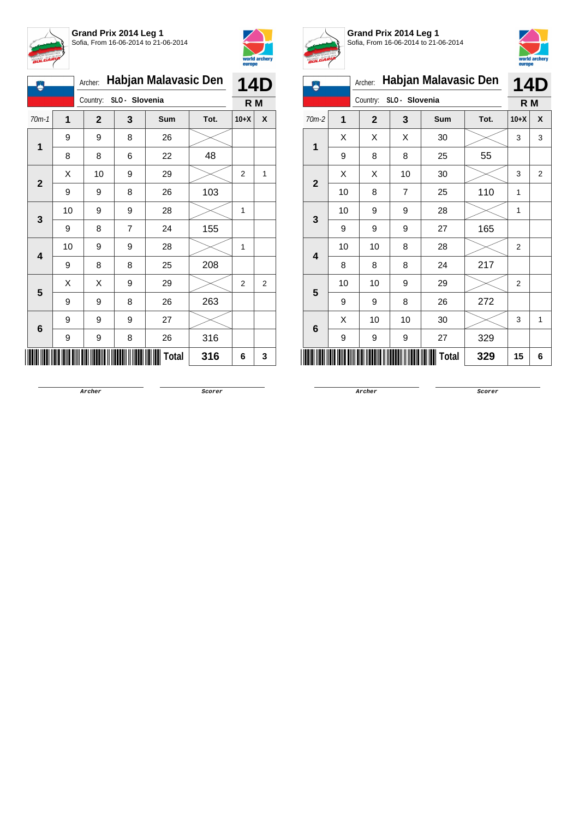



| ۵                       |    | Habjan Malavasic Den<br>Archer: | <b>14D</b> |       |      |                |   |
|-------------------------|----|---------------------------------|------------|-------|------|----------------|---|
|                         |    | Country: SLO - Slovenia         |            |       |      | R M            |   |
| $70m-1$                 | 1  | $\mathbf{2}$                    | 3          | Sum   | Tot. | $10+X$         | X |
| 1                       | 9  | 9                               | 8          | 26    |      |                |   |
|                         | 8  | 8                               | 6          | 22    | 48   |                |   |
| $\mathbf{2}$            | Χ  | 10                              | 9          | 29    |      | $\overline{2}$ | 1 |
|                         | 9  | 9                               | 8          | 26    | 103  |                |   |
| 3                       | 10 | 9                               | 9          | 28    |      | 1              |   |
|                         | 9  | 8                               | 7          | 24    | 155  |                |   |
| $\overline{\mathbf{4}}$ | 10 | 9                               | 9          | 28    |      | 1              |   |
|                         | 9  | 8                               | 8          | 25    | 208  |                |   |
| 5                       | Χ  | Χ                               | 9          | 29    |      | 2              | 2 |
|                         | 9  | 9                               | 8          | 26    | 263  |                |   |
| 6                       | 9  | 9                               | 9          | 27    |      |                |   |
|                         | 9  | 9                               | 8          | 26    | 316  |                |   |
|                         |    |                                 |            | Total | 316  | 6              | 3 |



**Grand Prix 2014 Leg 1** Sofia, From 16-06-2014 to 21-06-2014



| m                       | Habjan Malavasic Den<br>Archer: |              |                |       |      |                |                |
|-------------------------|---------------------------------|--------------|----------------|-------|------|----------------|----------------|
|                         |                                 | Country:     | SLO - Slovenia |       |      | R M            |                |
| $70m-2$                 | 1                               | $\mathbf{2}$ | 3              | Sum   | Tot. | $10+X$         | X              |
| 1                       | Χ                               | Χ            | Χ              | 30    |      | 3              | 3              |
|                         | 9                               | 8            | 8              | 25    | 55   |                |                |
| $\mathbf{2}$            | Χ                               | Χ            | 10             | 30    |      | 3              | $\overline{2}$ |
|                         | 10                              | 8            | $\overline{7}$ | 25    | 110  | $\mathbf{1}$   |                |
| 3                       | 10                              | 9            | 9              | 28    |      | 1              |                |
|                         | 9                               | 9            | 9              | 27    | 165  |                |                |
| $\overline{\mathbf{4}}$ | 10                              | 10           | 8              | 28    |      | $\overline{2}$ |                |
|                         | 8                               | 8            | 8              | 24    | 217  |                |                |
| 5                       | 10                              | 10           | 9              | 29    |      | 2              |                |
|                         | 9                               | 9            | 8              | 26    | 272  |                |                |
| 6                       | X                               | 10           | 10             | 30    |      | 3              | 1              |
|                         | 9                               | 9            | 9              | 27    | 329  |                |                |
|                         |                                 |              |                | Total | 329  | 15             | 6              |

**Archer Scorer**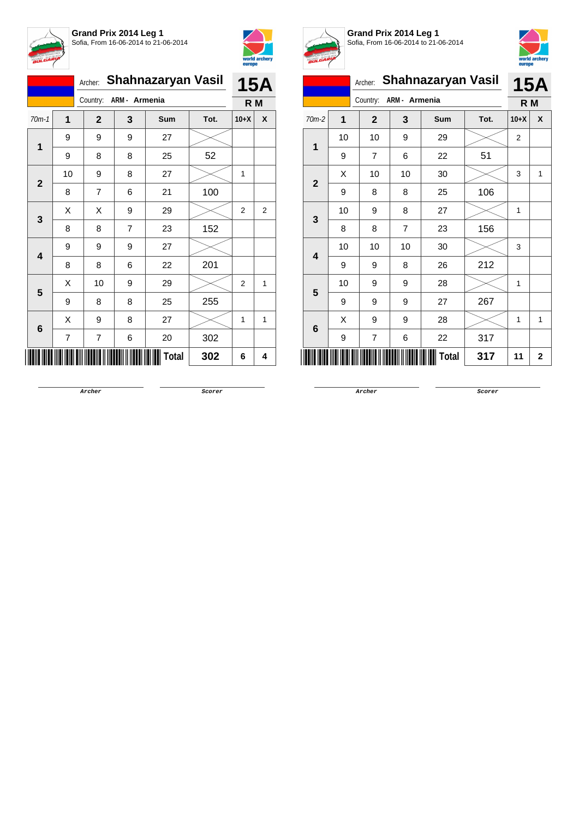



|              |                | Archer:        | Shahnazaryan Vasil |       |      |                |   |  |  |
|--------------|----------------|----------------|--------------------|-------|------|----------------|---|--|--|
|              |                | Country:       | ARM - Armenia      |       |      | R M            |   |  |  |
| $70m-1$      | 1              | $\mathbf{2}$   | 3                  | Sum   | Tot. | $10+X$         | X |  |  |
| 1            | 9              | 9              | 9                  | 27    |      |                |   |  |  |
|              | 9              | 8              | 8                  | 25    | 52   |                |   |  |  |
| $\mathbf{2}$ | 10             | 9              | 8                  | 27    |      | 1              |   |  |  |
|              | 8              | $\overline{7}$ | 6                  | 21    | 100  |                |   |  |  |
| 3            | Χ              | Χ              | 9                  | 29    |      | $\overline{2}$ | 2 |  |  |
|              | 8              | 8              | 7                  | 23    | 152  |                |   |  |  |
|              | 9              | 9              | 9                  | 27    |      |                |   |  |  |
| 4            | 8              | 8              | 6                  | 22    | 201  |                |   |  |  |
| 5            | Χ              | 10             | 9                  | 29    |      | 2              | 1 |  |  |
|              | 9              | 8              | 8                  | 25    | 255  |                |   |  |  |
| 6            | Χ              | 9              | 8                  | 27    |      | 1              | 1 |  |  |
|              | $\overline{7}$ | 7              | 6                  | 20    | 302  |                |   |  |  |
|              |                |                |                    | Total | 302  | 6              | 4 |  |  |



**Grand Prix 2014 Leg 1**



Sofia, From 16-06-2014 to 21-06-2014 Archer: **Shahnazaryan Vasil** Country: **ARM - Armenia 15A R M** 70m-2 **1 2 3 Sum Tot. 10+X X 1** 10 | 10 | 9 | 29 |  $\times$  | 2 9 | 7 | 6 | 22 | 51 **2**  $\textsf{X}$  | 10 | 10 | 30 |  $\textsf{X}$  | 3 | 1 9 | 8 | 8 | 25 | 106 **3** 10 | 9 | 8 | 27 |  $\times$  | 1 8 | 8 | 7 | 23 | 156 **4** 10 | 10 | 10 | 30 |  $\times$  | 3 9 9 8 26 212 **5** 10 | 9 | 9 | 28 |  $\times$  | 1 9 9 9 27 267 **6**  $\begin{array}{|c|c|c|c|c|c|}\hline \hspace{1.5cm}X & \hspace{1.6cm}9 & \hspace{1.6cm}9 & \hspace{1.6cm}28 & \hspace{1.6cm}28 & \hspace{1.6cm}\hline \end{array} \hspace{1.2cm} \begin{array}{|c|c|c|c|c|c|}\hline \hspace{1.5cm}X & \hspace{1.6cm}1 & \hspace{1.6cm}1 & \hspace{1.6cm}1\hline \end{array}$ 9 | 7 | 6 | 22 | 317 \*9385-R-M-2\* **Total 317 <sup>11</sup> <sup>2</sup>**

**Archer Scorer**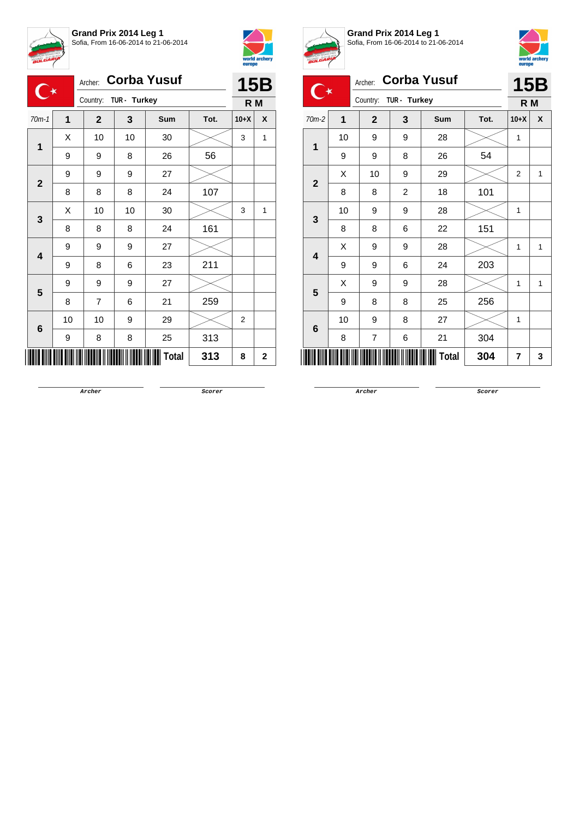



|                      |    | Archer: Corba Yusuf |              |              | <b>15B</b> |                |              |
|----------------------|----|---------------------|--------------|--------------|------------|----------------|--------------|
| $\mathbf{C}^{\star}$ |    | Country:            | TUR - Turkey |              |            | R M            |              |
| $70m-1$              | 1  | $\mathbf{2}$        | 3            | Sum          | Tot.       | $10+X$         | X            |
|                      | Χ  | 10                  | 10           | 30           |            | 3              | 1            |
| 1                    | 9  | 9                   | 8            | 26           | 56         |                |              |
|                      | 9  | 9                   | 9            | 27           |            |                |              |
| $\mathbf{2}$         | 8  | 8                   | 8            | 24           | 107        |                |              |
|                      | Χ  | 10                  | 10           | 30           |            | 3              | 1            |
| 3                    | 8  | 8                   | 8            | 24           | 161        |                |              |
|                      | 9  | 9                   | 9            | 27           |            |                |              |
| 4                    | 9  | 8                   | 6            | 23           | 211        |                |              |
| 5                    | 9  | 9                   | 9            | 27           |            |                |              |
|                      | 8  | 7                   | 6            | 21           | 259        |                |              |
|                      | 10 | 10                  | 9            | 29           |            | $\overline{2}$ |              |
| 6                    | 9  | 8                   | 8            | 25           | 313        |                |              |
|                      |    |                     |              | <b>Total</b> | 313        | 8              | $\mathbf{2}$ |



**Grand Prix 2014 Leg 1**



|                | <b>15B</b> |               |                |              |     |                |   |
|----------------|------------|---------------|----------------|--------------|-----|----------------|---|
| 70m-2          | Tot.       | R M<br>$10+X$ | X              |              |     |                |   |
|                | 10         | 9             | 9              | 28           |     | $\mathbf{1}$   |   |
| 1              | 9          | 9             | 8              | 26           | 54  |                |   |
|                | X          | 10            | 9              | 29           |     | $\overline{2}$ | 1 |
| $\overline{2}$ | 8          | 8             | $\overline{2}$ | 18           | 101 |                |   |
|                | 10         | 9             | 9              | 28           |     | 1              |   |
| 3              | 8          | 8             | 6              | 22           | 151 |                |   |
|                | X          | 9             | 9              | 28           |     | 1              | 1 |
| 4              | 9          | 9             | 6              | 24           | 203 |                |   |
|                | X          | 9             | 9              | 28           |     | 1              | 1 |
| 5              | 9          | 8             | 8              | 25           | 256 |                |   |
|                | 10         | 9             | 8              | 27           |     | 1              |   |
| 6              | 8          | 7             | 6              | 21           | 304 |                |   |
|                |            |               |                | <b>Total</b> | 304 | $\overline{7}$ | 3 |

**Archer Scorer**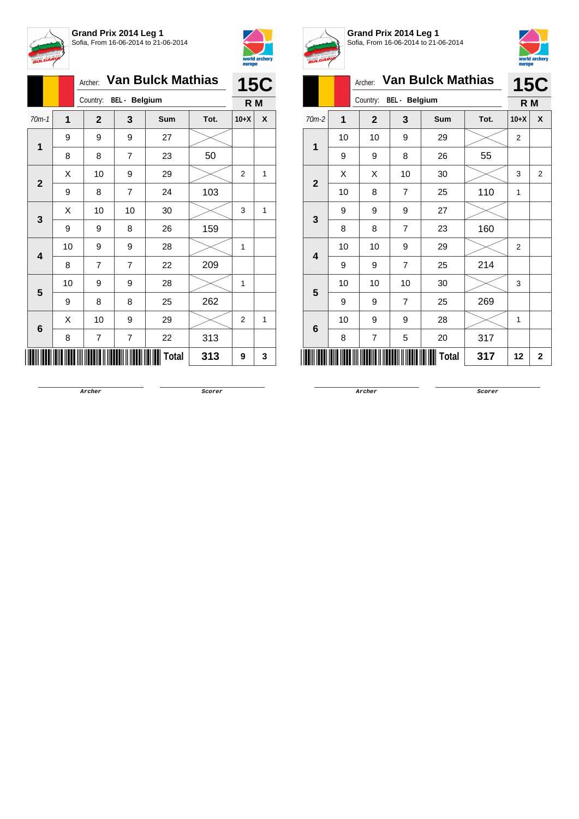



|              |    | Archer:        | <b>Van Bulck Mathias</b><br>BEL - Belgium |              |      |                |   |  |
|--------------|----|----------------|-------------------------------------------|--------------|------|----------------|---|--|
|              |    | Country:       |                                           |              |      |                |   |  |
| $70m-1$      | 1  | $\mathbf{2}$   | 3                                         | Sum          | Tot. | $10+X$         | X |  |
|              | 9  | 9              | 9                                         | 27           |      |                |   |  |
| 1            | 8  | 8              | 7                                         | 23           | 50   |                |   |  |
|              | Χ  | 10             | 9                                         | 29           |      | $\overline{2}$ | 1 |  |
| $\mathbf{2}$ | 9  | 8              | $\overline{7}$                            | 24           | 103  |                |   |  |
| 3            | X  | 10             | 10                                        | 30           |      | 3              | 1 |  |
|              | 9  | 9              | 8                                         | 26           | 159  |                |   |  |
|              | 10 | 9              | 9                                         | 28           |      | 1              |   |  |
| 4            | 8  | 7              | 7                                         | 22           | 209  |                |   |  |
| 5            | 10 | 9              | 9                                         | 28           |      | 1              |   |  |
|              | 9  | 8              | 8                                         | 25           | 262  |                |   |  |
| 6            | X  | 10             | 9                                         | 29           |      | 2              | 1 |  |
|              | 8  | $\overline{7}$ | $\overline{\mathbf{7}}$                   | 22           | 313  |                |   |  |
|              |    |                |                                           | <b>Total</b> | 313  | 9              | 3 |  |



**Grand Prix 2014 Leg 1** Sofia, From 16-06-2014 to 21-06-2014



|                |    |                |                      | emohe                    |      |                |                |
|----------------|----|----------------|----------------------|--------------------------|------|----------------|----------------|
|                |    | Archer:        |                      | <b>Van Bulck Mathias</b> |      |                | <b>15C</b>     |
|                |    | Country:       | <b>BEL</b> - Belgium |                          |      | R M            |                |
| $70m-2$        | 1  | $\overline{2}$ | 3                    | Sum                      | Tot. | $10+X$         | X              |
| 1              | 10 | 10             | 9                    | 29                       |      | $\overline{2}$ |                |
|                | 9  | 9              | 8                    | 26                       | 55   |                |                |
| $\overline{2}$ | X  | X              | 10                   | 30                       |      | 3              | $\overline{2}$ |
|                | 10 | 8              | $\overline{7}$       | 25                       | 110  | $\mathbf{1}$   |                |
| 3              | 9  | 9              | 9                    | 27                       |      |                |                |
|                | 8  | 8              | $\overline{7}$       | 23                       | 160  |                |                |
| 4              | 10 | 10             | 9                    | 29                       |      | $\overline{2}$ |                |
|                | 9  | 9              | $\overline{7}$       | 25                       | 214  |                |                |
| 5              | 10 | 10             | 10                   | 30                       |      | 3              |                |
|                | 9  | 9              | $\overline{7}$       | 25                       | 269  |                |                |
| 6              | 10 | 9              | 9                    | 28                       |      | 1              |                |
|                | 8  | 7              | 5                    | 20                       | 317  |                |                |
|                |    |                |                      | <b>Total</b>             | 317  | 12             | $\mathbf{2}$   |

**Archer Scorer**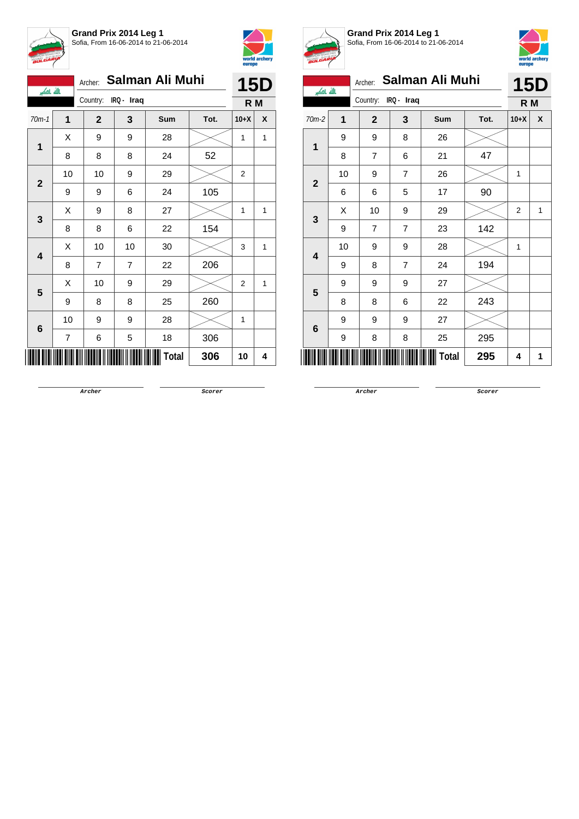



| بالله باكبر  |                          | Archer: Salman Ali Muhi | <b>15D</b>     |              |      |        |   |
|--------------|--------------------------|-------------------------|----------------|--------------|------|--------|---|
|              |                          | Country: IRQ - Iraq     |                |              |      | R M    |   |
| $70m-1$      | 1                        | $\mathbf{2}$            | 3              | Sum          | Tot. | $10+X$ | X |
| 1            | Χ                        | 9                       | 9              | 28           |      | 1      | 1 |
|              | 8                        | 8                       | 8              | 24           | 52   |        |   |
| $\mathbf{2}$ | 10                       | 10                      | 9              | 29           |      | 2      |   |
|              | 9                        | 9                       | 6              | 24           | 105  |        |   |
| 3            | X                        | 9                       | 8              | 27           |      | 1      | 1 |
|              | 8                        | 8                       | 6              | 22           | 154  |        |   |
| 4            | Χ                        | 10                      | 10             | 30           |      | 3      | 1 |
|              | 8                        | $\overline{7}$          | $\overline{7}$ | 22           | 206  |        |   |
| 5            | Χ                        | 10                      | 9              | 29           |      | 2      | 1 |
|              | 9                        | 8                       | 8              | 25           | 260  |        |   |
| 6            | 10                       | 9                       | 9              | 28           |      | 1      |   |
|              | $\overline{\mathcal{I}}$ | 6                       | 5              | 18           | 306  |        |   |
|              |                          |                         |                | <b>Total</b> | 306  | 10     | 4 |



**Grand Prix 2014 Leg 1** Sofia, From 16-06-2014 to 21-06-2014



|                |             | Archer:      |                | Salman Ali Muhi |      |                | <b>15D</b>       |
|----------------|-------------|--------------|----------------|-----------------|------|----------------|------------------|
| الله اکبر      |             | Country:     | IRQ - Iraq     |                 |      | R M            |                  |
| 70m-2          | $\mathbf 1$ | $\mathbf{2}$ | 3              | <b>Sum</b>      | Tot. | $10+X$         | $\boldsymbol{x}$ |
| 1              | 9           | 9            | 8              | 26              |      |                |                  |
|                | 8           | 7            | 6              | 21              | 47   |                |                  |
| $\overline{2}$ | 10          | 9            | $\overline{7}$ | 26              |      | 1              |                  |
|                | 6           | 6            | 5              | 17              | 90   |                |                  |
| $\mathbf{3}$   | X           | 10           | 9              | 29              |      | $\overline{2}$ | 1                |
|                | 9           | 7            | 7              | 23              | 142  |                |                  |
| 4              | 10          | 9            | 9              | 28              |      | 1              |                  |
|                | 9           | 8            | $\overline{7}$ | 24              | 194  |                |                  |
| 5              | 9           | 9            | 9              | 27              |      |                |                  |
|                | 8           | 8            | 6              | 22              | 243  |                |                  |
| 6              | 9           | 9            | 9              | 27              |      |                |                  |
|                | 9           | 8            | 8              | 25              | 295  |                |                  |
| Ш              |             |              |                | <b>Total</b>    | 295  | 4              | 1                |

**Archer Scorer**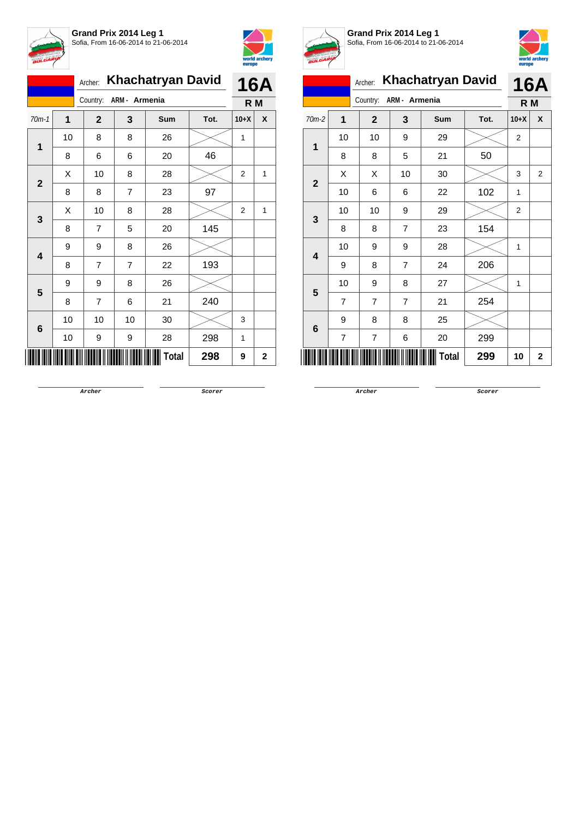



|              |    | <b>Khachatryan David</b><br>Archer: |                |       |      |        |              |  |  |
|--------------|----|-------------------------------------|----------------|-------|------|--------|--------------|--|--|
|              |    | Country:                            | ARM - Armenia  |       |      | R M    |              |  |  |
| $70m-1$      | 1  | $\mathbf{2}$                        | 3              | Sum   | Tot. | $10+X$ | X            |  |  |
| 1            | 10 | 8                                   | 8              | 26    |      | 1      |              |  |  |
|              | 8  | 6                                   | 6              | 20    | 46   |        |              |  |  |
| $\mathbf{2}$ | Χ  | 10                                  | 8              | 28    |      | 2      | 1            |  |  |
|              | 8  | 8                                   | $\overline{7}$ | 23    | 97   |        |              |  |  |
| 3            | X  | 10                                  | 8              | 28    |      | 2      | $\mathbf{1}$ |  |  |
|              | 8  | 7                                   | 5              | 20    | 145  |        |              |  |  |
| 4            | 9  | 9                                   | 8              | 26    |      |        |              |  |  |
|              | 8  | 7                                   | $\overline{7}$ | 22    | 193  |        |              |  |  |
| 5            | 9  | 9                                   | 8              | 26    |      |        |              |  |  |
|              | 8  | $\overline{7}$                      | 6              | 21    | 240  |        |              |  |  |
| 6            | 10 | 10                                  | 10             | 30    |      | 3      |              |  |  |
|              | 10 | 9                                   | 9              | 28    | 298  | 1      |              |  |  |
|              |    |                                     |                | Total | 298  | 9      | 2            |  |  |



**Grand Prix 2014 Leg 1**



Sofia, From 16-06-2014 to 21-06-2014 Archer: **Khachatryan David** Country: **ARM - Armenia 16A R M** 70m-2 **1 2 3 Sum Tot. 10+X X 1** 10 | 10 | 9 | 29 |  $\times$  | 2 8 | 8 | 5 | 21 | 50 **2**  $\begin{array}{|c|c|c|c|c|}\hline \text{X} & \text{X} & \text{10} & \text{30} & \text{20} & \text{32} \ \hline \end{array}$ 10 6 6 22 102 1 **3** 10 | 10 | 9 | 29 |  $\times$  | 2 8 | 8 | 7 | 23 | 154 **4** 10 | 9 | 9 | 28 |  $\times$  | 1 9 8 7 24 206 **5** 10 | 9 | 8 | 27 |  $\times$  | 1 7 7 7 21 254 **6** 9 | 8 | 8 | 25 7 | 7 | 6 | 20 | 299 \*9265-R-M-2\* **Total 299 <sup>10</sup> <sup>2</sup>**

**Archer Scorer**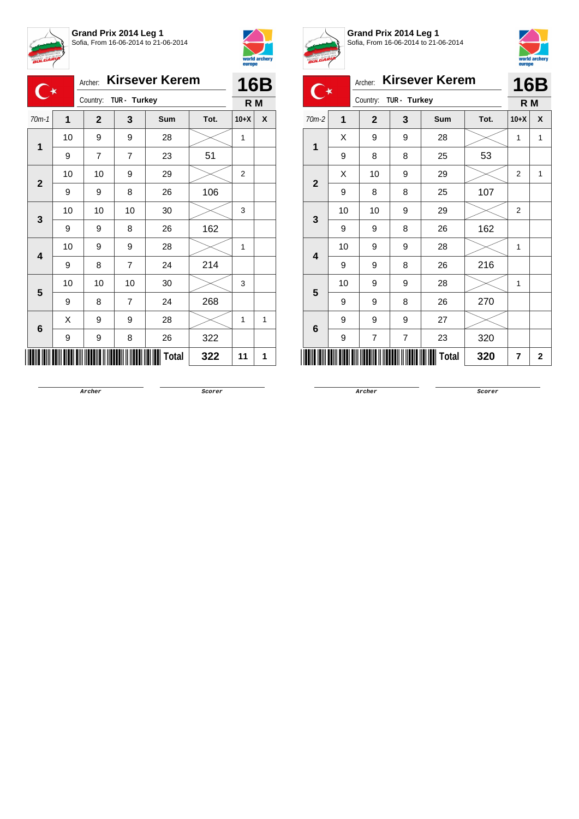



|                         | <b>BULGARI</b> |                                  |                | $0.001$ , $1.01111000000017$ |              |                | world archery<br>europe |  |
|-------------------------|----------------|----------------------------------|----------------|------------------------------|--------------|----------------|-------------------------|--|
|                         |                | <b>Kirsever Kerem</b><br>Archer: |                |                              |              |                | <b>16B</b>              |  |
|                         |                | Country:                         |                | TUR - Turkey                 |              |                | R M                     |  |
| $70m-1$                 | 1              | $\mathbf{2}$                     | 3              | Sum                          | Tot.         | $10+X$         | X                       |  |
| 1                       | 10             | 9                                | 9              | 28                           |              | 1              |                         |  |
|                         | 9              | $\overline{7}$                   | $\overline{7}$ | 23                           | 51           |                |                         |  |
| $\mathbf{2}$            | 10             | 10                               | 9              | 29                           |              | $\overline{2}$ |                         |  |
|                         | 9              | 9                                | 8              | 26                           | 106          |                |                         |  |
| 3                       | 10             | 10                               | 10             | 30                           |              | 3              |                         |  |
|                         | 9              | 9                                | 8              | 26                           | 162          |                |                         |  |
| $\overline{\mathbf{4}}$ | 10             | 9                                | 9              | 28                           |              | 1              |                         |  |
|                         | 9              | 8                                | $\overline{7}$ | 24                           | 214          |                |                         |  |
| 5                       | 10             | 10                               | 10             | 30                           |              | 3              |                         |  |
|                         | 9              | 8                                | $\overline{7}$ | 24                           | 268          |                |                         |  |
| 6                       | X              | 9                                | 9              | 28                           |              | 1              | 1                       |  |
|                         | 9              | 9                                | 8              | 26                           | 322          |                |                         |  |
|                         |                |                                  |                |                              | Total<br>322 | 11             | 1                       |  |



**Grand Prix 2014 Leg 1** Sofia, From 16-06-2014 to 21-06-2014



|              |                | Archer:      |              | <b>Kirsever Kerem</b> |      |                | 16B |
|--------------|----------------|--------------|--------------|-----------------------|------|----------------|-----|
|              |                | Country:     | TUR - Turkey |                       |      | R M            |     |
| 70m-2        | $\overline{1}$ | $\mathbf{2}$ | 3            | <b>Sum</b>            | Tot. | $10+X$         | X   |
| 1            | X              | 9            | 9            | 28                    |      | 1              | 1   |
|              | 9              | 8            | 8            | 25                    | 53   |                |     |
| $\mathbf{2}$ | X              | 10           | 9            | 29                    |      | $\overline{2}$ | 1   |
|              | 9              | 8            | 8            | 25                    | 107  |                |     |
| 3            | 10             | 10           | 9            | 29                    |      | $\overline{2}$ |     |
|              | 9              | 9            | 8            | 26                    | 162  |                |     |
| 4            | 10             | 9            | 9            | 28                    |      | 1              |     |
|              | 9              | 9            | 8            | 26                    | 216  |                |     |
| 5            | 10             | 9            | 9            | 28                    |      | 1              |     |
|              | 9              | 9            | 8            | 26                    | 270  |                |     |
| 6            | 9              | 9            | 9            | 27                    |      |                |     |
|              | 9              | 7            | 7            | 23                    | 320  |                |     |
|              |                |              |              | <b>Total</b>          | 320  | 7              | 2   |

**Archer Scorer**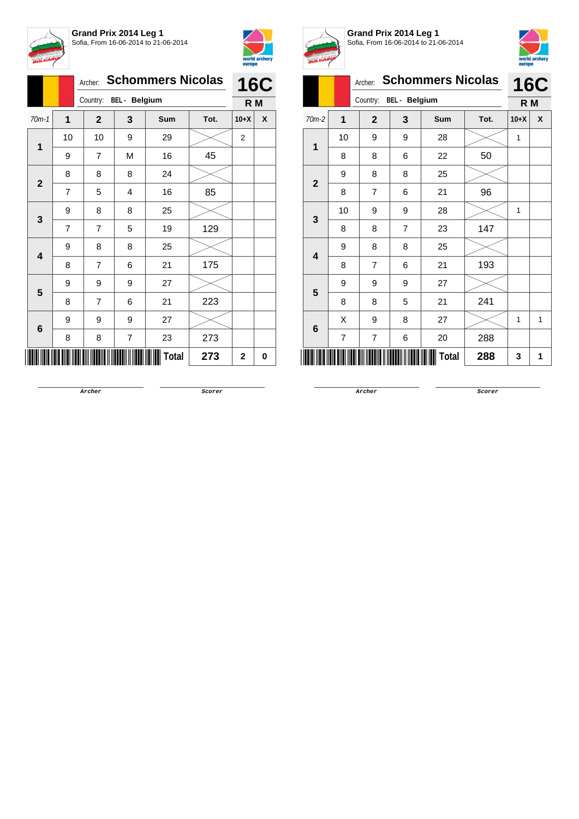



|                         |                |                | Archer: Schommers Nicolas<br>Country: BEL - Belgium |              |      |                |   |  |  |
|-------------------------|----------------|----------------|-----------------------------------------------------|--------------|------|----------------|---|--|--|
|                         |                |                |                                                     |              |      |                |   |  |  |
| $70m-1$                 | 1              | $\mathbf{2}$   | 3                                                   | Sum          | Tot. | $10+X$         | X |  |  |
| $\mathbf 1$             | 10             | 10             | 9                                                   | 29           |      | $\overline{c}$ |   |  |  |
|                         | 9              | 7              | M                                                   | 16           | 45   |                |   |  |  |
| $\mathbf{2}$            | 8              | 8              | 8                                                   | 24           |      |                |   |  |  |
|                         | $\overline{7}$ | 5              | 4                                                   | 16           | 85   |                |   |  |  |
| 3                       | 9              | 8              | 8                                                   | 25           |      |                |   |  |  |
|                         | 7              | 7              | 5                                                   | 19           | 129  |                |   |  |  |
| $\overline{\mathbf{4}}$ | 9              | 8              | 8                                                   | 25           |      |                |   |  |  |
|                         | 8              | $\overline{7}$ | 6                                                   | 21           | 175  |                |   |  |  |
| 5                       | 9              | 9              | 9                                                   | 27           |      |                |   |  |  |
|                         | 8              | 7              | 6                                                   | 21           | 223  |                |   |  |  |
| 6                       | 9              | 9              | 9                                                   | 27           |      |                |   |  |  |
|                         | 8              | 8              | $\overline{\mathbf{7}}$                             | 23           | 273  |                |   |  |  |
|                         |                |                |                                                     | <b>Total</b> | 273  | 2              | 0 |  |  |



**Grand Prix 2014 Leg 1** Sofia, From 16-06-2014 to 21-06-2014



| BULGARIA       |                |                |                      |                          |      | europe | world archery |
|----------------|----------------|----------------|----------------------|--------------------------|------|--------|---------------|
|                |                | Archer:        |                      | <b>Schommers Nicolas</b> |      |        | <b>16C</b>    |
|                |                | Country:       | <b>BEL</b> - Belgium |                          |      | R M    |               |
| $70m-2$        | 1              | $\mathbf{2}$   | 3                    | <b>Sum</b>               | Tot. | $10+X$ | X             |
| 1              | 10             | 9              | 9                    | 28                       |      | 1      |               |
|                | 8              | 8              | 6                    | 22                       | 50   |        |               |
| $\overline{2}$ | 9              | 8              | 8                    | 25                       |      |        |               |
|                | 8              | $\overline{7}$ | 6                    | 21                       | 96   |        |               |
| 3              | 10             | 9              | 9                    | 28                       |      | 1      |               |
|                | 8              | 8              | $\overline{7}$       | 23                       | 147  |        |               |
| 4              | 9              | 8              | 8                    | 25                       |      |        |               |
|                | 8              | $\overline{7}$ | 6                    | 21                       | 193  |        |               |
| 5              | 9              | 9              | 9                    | 27                       |      |        |               |
|                | 8              | 8              | 5                    | 21                       | 241  |        |               |
| 6              | X              | 9              | 8                    | 27                       |      | 1      | 1             |
|                | $\overline{7}$ | 7              | 6                    | 20                       | 288  |        |               |
|                |                |                |                      | Total                    | 288  | 3      | 1             |

**Archer Scorer**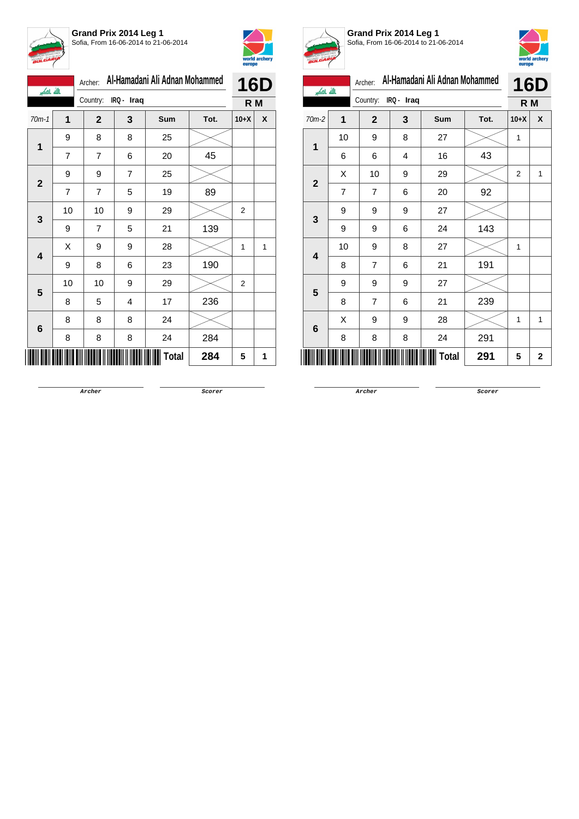



| الله الكبر              |                | Archer:        |            | Al-Hamadani Ali Adnan Mohammed |      | <b>16D</b>     |   |
|-------------------------|----------------|----------------|------------|--------------------------------|------|----------------|---|
|                         |                | Country:       | IRQ - Iraq |                                |      | R M            |   |
| $70m-1$                 | 1              | $\mathbf{2}$   | 3          | Sum                            | Tot. | $10+X$         | X |
|                         | 9              | 8              | 8          | 25                             |      |                |   |
| 1                       | $\overline{7}$ | $\overline{7}$ | 6          | 20                             | 45   |                |   |
| $\mathbf{2}$            | 9              | 9              | 7          | 25                             |      |                |   |
|                         | $\overline{7}$ | 7              | 5          | 19                             | 89   |                |   |
| 3                       | 10             | 10             | 9          | 29                             |      | $\overline{2}$ |   |
|                         | 9              | 7              | 5          | 21                             | 139  |                |   |
| $\overline{\mathbf{4}}$ | Χ              | 9              | 9          | 28                             |      | 1              | 1 |
|                         | 9              | 8              | 6          | 23                             | 190  |                |   |
| 5                       | 10             | 10             | 9          | 29                             |      | $\overline{2}$ |   |
|                         | 8              | 5              | 4          | 17                             | 236  |                |   |
| 6                       | 8              | 8              | 8          | 24                             |      |                |   |
|                         | 8              | 8              | 8          | 24                             | 284  |                |   |
|                         |                |                |            | <b>Total</b>                   | 284  | 5              | 1 |



**Grand Prix 2014 Leg 1** Sofia, From 16-06-2014 to 21-06-2014



| بالله باكبر             |                | Archer:        |            | Al-Hamadani Ali Adnan Mohammed |      |                | <b>16D</b> |  |
|-------------------------|----------------|----------------|------------|--------------------------------|------|----------------|------------|--|
|                         |                | Country:       | IRQ - Iraq |                                |      | R M            |            |  |
| $70m-2$                 | 1              | $\mathbf 2$    | 3          | Sum                            | Tot. | $10+X$         | X          |  |
| 1                       | 10             | 9              | 8          | 27                             |      | 1              |            |  |
|                         | 6              | 6              | 4          | 16                             | 43   |                |            |  |
| $\overline{\mathbf{2}}$ | Χ              | 10             | 9          | 29                             |      | $\overline{2}$ | 1          |  |
|                         | $\overline{7}$ | 7              | 6          | 20                             | 92   |                |            |  |
| 3                       | 9              | 9              | 9          | 27                             |      |                |            |  |
|                         | 9              | 9              | 6          | 24                             | 143  |                |            |  |
| 4                       | 10             | 9              | 8          | 27                             |      | 1              |            |  |
|                         | 8              | $\overline{7}$ | 6          | 21                             | 191  |                |            |  |
| 5                       | 9              | 9              | 9          | 27                             |      |                |            |  |
|                         | 8              | $\overline{7}$ | 6          | 21                             | 239  |                |            |  |
| 6                       | X              | 9              | 9          | 28                             |      | 1              | 1          |  |
|                         | 8              | 8              | 8          | 24                             | 291  |                |            |  |
|                         |                |                |            | Total                          | 291  | 5              | 2          |  |

**Archer Scorer**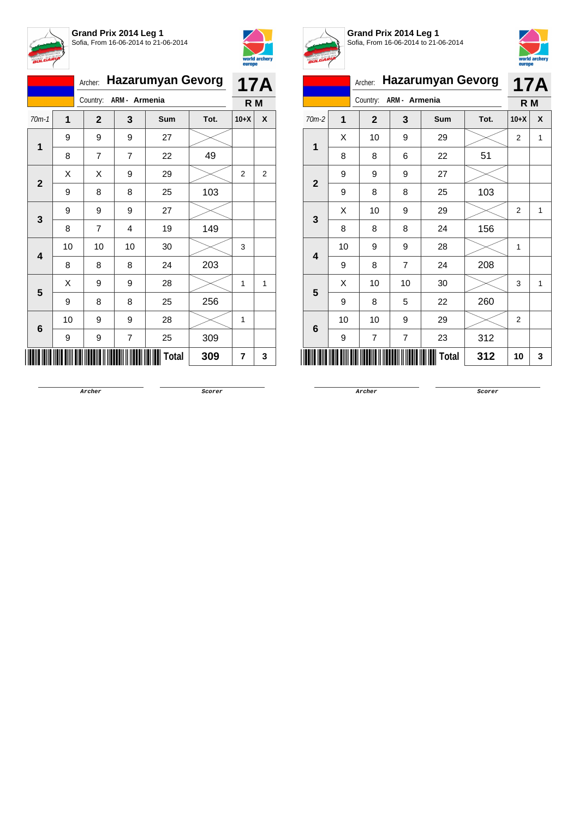



|              | <b>Hazarumyan Gevorg</b><br>Archer: |              |                |            |      |        | <b>17A</b> |
|--------------|-------------------------------------|--------------|----------------|------------|------|--------|------------|
|              |                                     | Country:     | ARM - Armenia  |            |      | R M    |            |
| $70m-1$      | $\mathbf 1$                         | $\mathbf{2}$ | 3              | <b>Sum</b> | Tot. | $10+X$ | X          |
| 1            | 9                                   | 9            | 9              | 27         |      |        |            |
|              | 8                                   | 7            | 7              | 22         | 49   |        |            |
| $\mathbf{2}$ | X                                   | Χ            | 9              | 29         |      | 2      | 2          |
|              | 9                                   | 8            | 8              | 25         | 103  |        |            |
| 3            | 9                                   | 9            | 9              | 27         |      |        |            |
|              | 8                                   | 7            | 4              | 19         | 149  |        |            |
| 4            | 10                                  | 10           | 10             | 30         |      | 3      |            |
|              | 8                                   | 8            | 8              | 24         | 203  |        |            |
| 5            | Χ                                   | 9            | 9              | 28         |      | 1      | 1          |
|              | 9                                   | 8            | 8              | 25         | 256  |        |            |
| 6            | 10                                  | 9            | 9              | 28         |      | 1      |            |
|              | 9                                   | 9            | $\overline{7}$ | 25         | 309  |        |            |
|              |                                     |              |                | Total      | 309  | 7      | 3          |



**Grand Prix 2014 Leg 1** Sofia, From 16-06-2014 to 21-06-2014



## Archer: **Hazarumyan Gevorg** Country: **ARM - Armenia 17A R M** 70m-2 **1 2 3 Sum Tot. 10+X X**

| $\mathbf{1}$            | Χ  | 10 | 9                | 29           |     | $\overline{2}$   | 1 |
|-------------------------|----|----|------------------|--------------|-----|------------------|---|
|                         | 8  | 8  | 6                | 22           | 51  |                  |   |
| $\mathbf{2}$            | 9  | 9  | $\boldsymbol{9}$ | 27           |     |                  |   |
|                         | 9  | 8  | 8                | 25           | 103 |                  |   |
|                         | Χ  | 10 | $\boldsymbol{9}$ | 29           |     | $\boldsymbol{2}$ | 1 |
| 3                       | 8  | 8  | 8                | 24           | 156 |                  |   |
| 4                       | 10 | 9  | $\boldsymbol{9}$ | 28           |     | 1                |   |
|                         | 9  | 8  | $\overline{7}$   | 24           | 208 |                  |   |
| $\overline{\mathbf{5}}$ | Χ  | 10 | 10               | 30           |     | 3                | 1 |
|                         | 9  | 8  | 5                | 22           | 260 |                  |   |
| 6                       | 10 | 10 | 9                | 29           |     | $\boldsymbol{2}$ |   |
|                         | 9  | 7  | $\overline{7}$   | 23           | 312 |                  |   |
| ║║                      |    |    |                  | <b>Total</b> | 312 | 10               | 3 |

**Archer Scorer**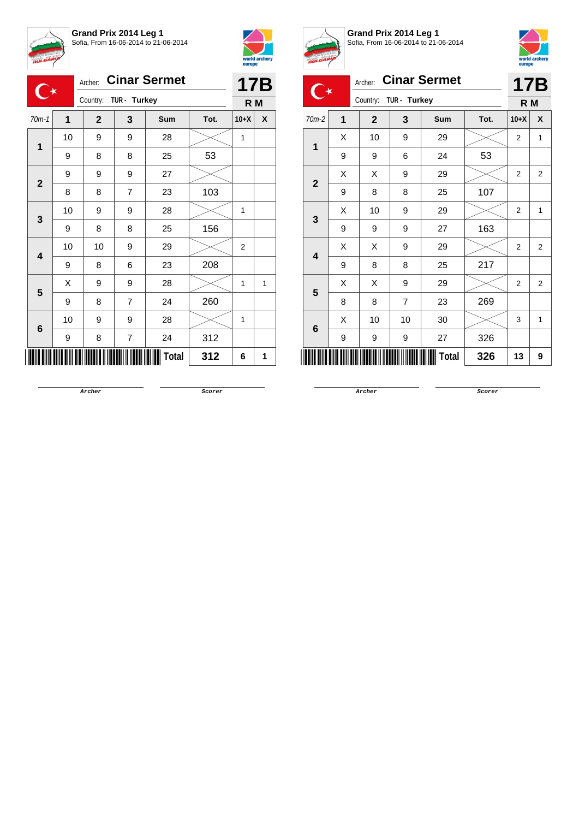



|                         |    | Archer:               |   | <b>Cinar Sermet</b> |      | <b>17B</b> |   |
|-------------------------|----|-----------------------|---|---------------------|------|------------|---|
|                         |    | Country: TUR - Turkey |   |                     |      | R M        |   |
| $70m-1$                 | 1  | $\mathbf{2}$          | 3 | <b>Sum</b>          | Tot. | $10+X$     | X |
| 1                       | 10 | 9                     | 9 | 28                  |      | 1          |   |
|                         | 9  | 8                     | 8 | 25                  | 53   |            |   |
| $\mathbf 2$             | 9  | 9                     | 9 | 27                  |      |            |   |
|                         | 8  | 8                     | 7 | 23                  | 103  |            |   |
| 3                       | 10 | 9                     | 9 | 28                  |      | 1          |   |
|                         | 9  | 8                     | 8 | 25                  | 156  |            |   |
| $\overline{\mathbf{4}}$ | 10 | 10                    | 9 | 29                  |      | 2          |   |
|                         | 9  | 8                     | 6 | 23                  | 208  |            |   |
| 5                       | X  | 9                     | 9 | 28                  |      | 1          | 1 |
|                         | 9  | 8                     | 7 | 24                  | 260  |            |   |
| 6                       | 10 | 9                     | 9 | 28                  |      | 1          |   |
|                         | 9  | 8                     | 7 | 24                  | 312  |            |   |
|                         |    |                       |   | <b>Total</b>        | 312  | 6          | 1 |



**Grand Prix 2014 Leg 1** Sofia, From 16-06-2014 to 21-06-2014



| <b>BULGARY</b> |   |                          |                |                     |      |                | world archery<br>europe |  |  |
|----------------|---|--------------------------|----------------|---------------------|------|----------------|-------------------------|--|--|
|                |   | Archer:                  |                | <b>Cinar Sermet</b> |      | 17B            |                         |  |  |
|                |   | Country:<br>TUR - Turkey |                |                     |      |                | R <sub>M</sub>          |  |  |
| $70m-2$        | 1 | $\overline{2}$           | 3              | <b>Sum</b>          | Tot. | $10+X$         | X                       |  |  |
| 1              | X | 10                       | 9              | 29                  |      | $\overline{2}$ | 1                       |  |  |
|                | 9 | 9                        | 6              | 24                  | 53   |                |                         |  |  |
| $\overline{2}$ | X | X                        | 9              | 29                  |      | $\overline{2}$ | 2                       |  |  |
|                | 9 | 8                        | 8              | 25                  | 107  |                |                         |  |  |
| 3              | X | 10                       | 9              | 29                  |      | $\overline{2}$ | 1                       |  |  |
|                | 9 | 9                        | 9              | 27                  | 163  |                |                         |  |  |
| 4              | X | X                        | 9              | 29                  |      | 2              | 2                       |  |  |
|                | 9 | 8                        | 8              | 25                  | 217  |                |                         |  |  |
| 5              | X | X                        | 9              | 29                  |      | $\overline{2}$ | $\overline{2}$          |  |  |
|                | 8 | 8                        | $\overline{7}$ | 23                  | 269  |                |                         |  |  |
| 6              | X | 10                       | 10             | 30                  |      | 3              | 1                       |  |  |
|                | 9 | 9                        | 9              | 27                  | 326  |                |                         |  |  |
|                |   |                          |                | Total               | 326  | 13             | 9                       |  |  |

**Archer Scorer**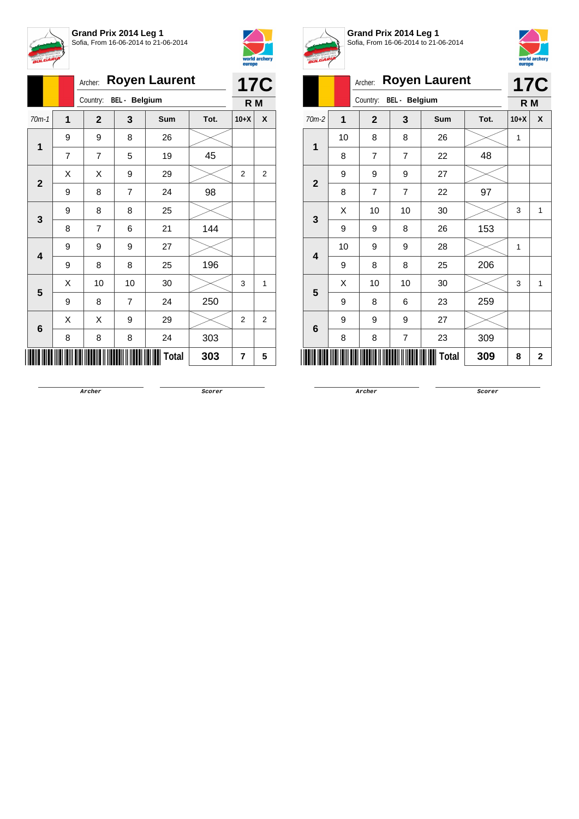



|              |   | Archer:        |                      | <b>Royen Laurent</b> |      |                | <b>17C</b>     |
|--------------|---|----------------|----------------------|----------------------|------|----------------|----------------|
|              |   | Country:       | <b>BEL</b> - Belgium |                      |      |                |                |
| $70m-1$      | 1 | $\mathbf{2}$   | 3                    | Sum                  | Tot. | $10+X$         | X              |
|              | 9 | 9              | 8                    | 26                   |      |                |                |
| 1            | 7 | $\overline{7}$ | 5                    | 19                   | 45   |                |                |
| $\mathbf{2}$ | X | X              | 9                    | 29                   |      | $\overline{2}$ | $\overline{2}$ |
|              | 9 | 8              | $\overline{7}$       | 24                   | 98   |                |                |
|              | 9 | 8              | 8                    | 25                   |      |                |                |
| 3            | 8 | $\overline{7}$ | 6                    | 21                   | 144  |                |                |
|              | 9 | 9              | 9                    | 27                   |      |                |                |
| 4            | 9 | 8              | 8                    | 25                   | 196  |                |                |
| 5            | X | 10             | 10                   | 30                   |      | 3              | 1              |
|              | 9 | 8              | $\overline{7}$       | 24                   | 250  |                |                |
|              | X | X              | 9                    | 29                   |      | $\overline{2}$ | $\overline{2}$ |
| 6            | 8 | 8              | 8                    | 24                   | 303  |                |                |
|              |   |                |                      | <b>Total</b>         | 303  | 7              | 5              |



**Grand Prix 2014 Leg 1** Sofia, From 16-06-2014 to 21-06-2014



|   |                | A. | Archer:        |                      | <b>Royen Laurent</b> |      |                | <b>17C</b>  |
|---|----------------|----|----------------|----------------------|----------------------|------|----------------|-------------|
|   |                |    | Country:       | <b>BEL</b> - Belgium |                      |      | R <sub>M</sub> |             |
|   | $70m-2$        | 1  | $\overline{2}$ | 3                    | Sum                  | Tot. | $10+X$         | X           |
| 1 |                | 10 | 8              | 8                    | 26                   |      | 1              |             |
|   |                | 8  | $\overline{7}$ | $\overline{7}$       | 22                   | 48   |                |             |
|   | $\overline{2}$ | 9  | 9              | 9                    | 27                   |      |                |             |
|   |                | 8  | $\overline{7}$ | $\overline{7}$       | 22                   | 97   |                |             |
|   | 3              | X  | 10             | 10                   | 30                   |      | 3              | 1           |
|   |                | 9  | 9              | 8                    | 26                   | 153  |                |             |
|   | 4              | 10 | 9              | 9                    | 28                   |      | 1              |             |
|   |                | 9  | 8              | 8                    | 25                   | 206  |                |             |
| 5 |                | X  | 10             | 10                   | 30                   |      | 3              | 1           |
|   |                | 9  | 8              | 6                    | 23                   | 259  |                |             |
|   | 6              | 9  | 9              | 9                    | 27                   |      |                |             |
|   |                | 8  | 8              | 7                    | 23                   | 309  |                |             |
|   |                |    |                |                      | Total                | 309  | 8              | $\mathbf 2$ |

**Archer Scorer**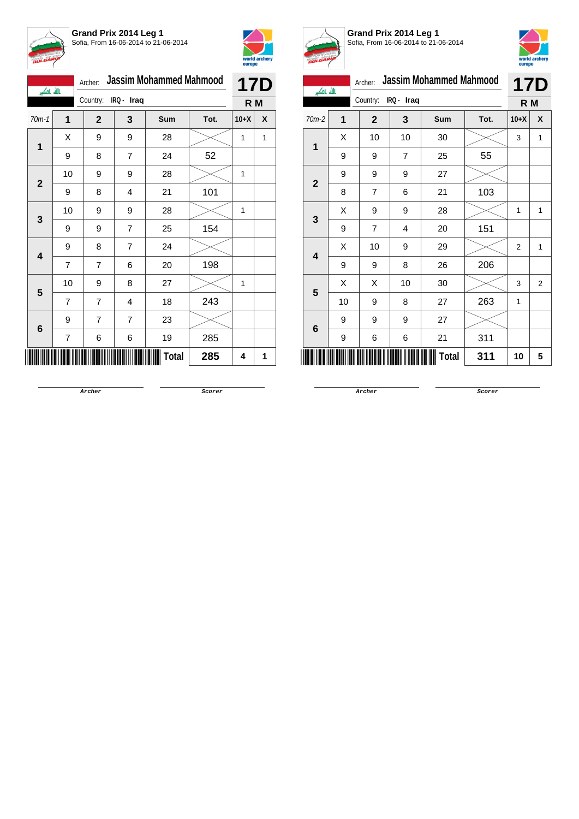



| الله الكبر              |                | Archer:        |                | <b>Jassim Mohammed Mahmood</b> |      | <b>17D</b> |   |  |
|-------------------------|----------------|----------------|----------------|--------------------------------|------|------------|---|--|
|                         |                | Country:       | IRQ - Iraq     |                                |      | R M        |   |  |
| $70m-1$                 | 1              | $\mathbf{2}$   | 3              | Sum                            | Tot. | $10+X$     | X |  |
| 1                       | Χ              | 9              | 9              | 28                             |      | 1          | 1 |  |
|                         | 9              | 8              | 7              | 24                             | 52   |            |   |  |
| $\mathbf{2}$            | 10             | 9              | 9              | 28                             |      | 1          |   |  |
|                         | 9              | 8              | 4              | 21                             | 101  |            |   |  |
| 3                       | 10             | 9              | 9              | 28                             |      | 1          |   |  |
|                         | 9              | 9              | 7              | 25                             | 154  |            |   |  |
| $\overline{\mathbf{4}}$ | 9              | 8              | $\overline{7}$ | 24                             |      |            |   |  |
|                         | $\overline{7}$ | $\overline{7}$ | 6              | 20                             | 198  |            |   |  |
| 5                       | 10             | 9              | 8              | 27                             |      | 1          |   |  |
|                         | 7              | $\overline{7}$ | 4              | 18                             | 243  |            |   |  |
|                         | 9              | 7              | $\overline{7}$ | 23                             |      |            |   |  |
| 6                       | 7              | 6              | 6              | 19                             | 285  |            |   |  |
|                         |                |                |                | Total                          | 285  | 4          | 1 |  |



**Grand Prix 2014 Leg 1** Sofia, From 16-06-2014 to 21-06-2014



| بالله باكبر    |    | <b>Jassim Mohammed Mahmood</b><br>Archer: |              |                |       |      |                |   |  |
|----------------|----|-------------------------------------------|--------------|----------------|-------|------|----------------|---|--|
|                |    |                                           | Country:     | IRQ - Iraq     |       |      | R M            |   |  |
| 70m-2          | 1  |                                           | $\mathbf{2}$ | 3              | Sum   | Tot. | $10+X$         | X |  |
| 1              | X  |                                           | 10           | 10             | 30    |      | 3              | 1 |  |
|                | 9  |                                           | 9            | $\overline{7}$ | 25    | 55   |                |   |  |
| $\overline{2}$ | 9  |                                           | 9            | 9              | 27    |      |                |   |  |
|                | 8  |                                           | 7            | 6              | 21    | 103  |                |   |  |
| 3              | X  |                                           | 9            | 9              | 28    |      | 1              | 1 |  |
|                | 9  |                                           | 7            | 4              | 20    | 151  |                |   |  |
| 4              | X  |                                           | 10           | 9              | 29    |      | $\overline{2}$ | 1 |  |
|                | 9  |                                           | 9            | 8              | 26    | 206  |                |   |  |
| 5              | Х  |                                           | Х            | 10             | 30    |      | 3              | 2 |  |
|                | 10 |                                           | 9            | 8              | 27    | 263  | 1              |   |  |
| 6              | 9  |                                           | 9            | 9              | 27    |      |                |   |  |
|                | 9  |                                           | 6            | 6              | 21    | 311  |                |   |  |
|                |    |                                           |              |                | Total | 311  | 10             | 5 |  |

**Archer Scorer**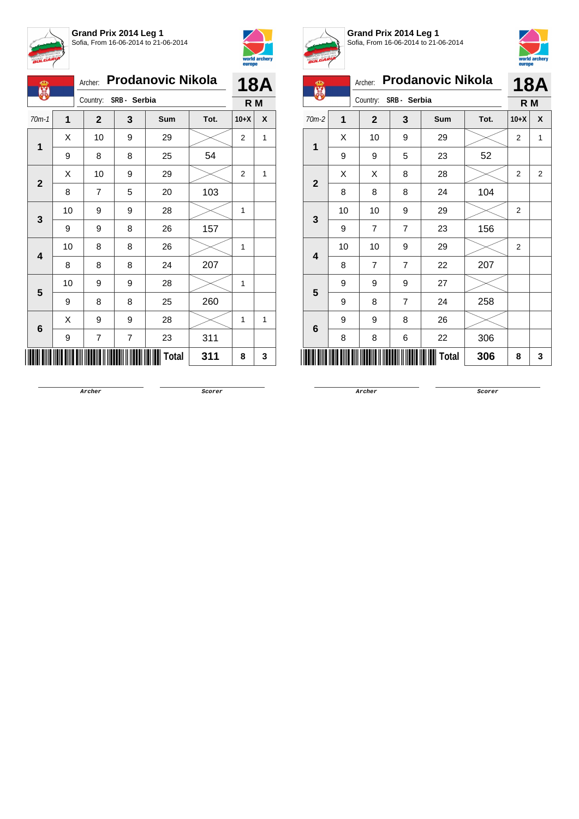



| Ф            |   |    | <b>Prodanovic Nikola</b><br>Archer: | <b>18A</b>              |            |      |                |   |
|--------------|---|----|-------------------------------------|-------------------------|------------|------|----------------|---|
|              |   |    | Country: SRB - Serbia               | R M                     |            |      |                |   |
| $70m-1$      |   | 1  | $\mathbf{2}$                        | 3                       | <b>Sum</b> | Tot. | $10+X$         | X |
| 1            |   | X  | 10                                  | 9                       | 29         |      | $\overline{2}$ | 1 |
|              |   | 9  | 8                                   | 8                       | 25         | 54   |                |   |
|              |   | X  | 10                                  | 9                       | 29         |      | 2              | 1 |
| $\mathbf{2}$ |   | 8  | 7                                   | 5                       | 20         | 103  |                |   |
|              |   | 10 | 9                                   | 9                       | 28         |      | 1              |   |
|              | 3 | 9  | 9                                   | 8                       | 26         | 157  |                |   |
|              |   | 10 | 8                                   | 8                       | 26         |      | 1              |   |
| 4            |   | 8  | 8                                   | 8                       | 24         | 207  |                |   |
| 5            |   | 10 | 9                                   | 9                       | 28         |      | 1              |   |
|              |   | 9  | 8                                   | 8                       | 25         | 260  |                |   |
|              |   | X  | 9                                   | 9                       | 28         |      | 1              | 1 |
| 6            |   | 9  | 7                                   | $\overline{\mathbf{7}}$ | 23         | 311  |                |   |
|              |   |    |                                     |                         | Total      | 311  | 8              | 3 |



**Grand Prix 2014 Leg 1** Sofia, From 16-06-2014 to 21-06-2014



| ക<br>麗       |                | <b>Prodanovic Nikola</b><br>Archer: |                |              |      |        | <b>18A</b>     |  |
|--------------|----------------|-------------------------------------|----------------|--------------|------|--------|----------------|--|
|              |                | Country:                            | SRB - Serbia   | R M          |      |        |                |  |
| $70m-2$      | $\overline{1}$ | $\mathbf{2}$                        | 3              | Sum          | Tot. | $10+X$ | X              |  |
| 1            | X              | 10                                  | 9              | 29           |      | 2      | 1              |  |
|              | 9              | 9                                   | 5              | 23           | 52   |        |                |  |
| $\mathbf{2}$ | X              | X                                   | 8              | 28           |      | 2      | $\overline{2}$ |  |
|              | 8              | 8                                   | 8              | 24           | 104  |        |                |  |
| 3            | 10             | 10                                  | 9              | 29           |      | 2      |                |  |
|              | 9              | $\overline{7}$                      | $\overline{7}$ | 23           | 156  |        |                |  |
| 4            | 10             | 10                                  | 9              | 29           |      | 2      |                |  |
|              | 8              | $\overline{7}$                      | $\overline{7}$ | 22           | 207  |        |                |  |
| 5            | 9              | 9                                   | 9              | 27           |      |        |                |  |
|              | 9              | 8                                   | 7              | 24           | 258  |        |                |  |
|              | 9              | 9                                   | 8              | 26           |      |        |                |  |
| 6            | 8              | 8                                   | 6              | 22           | 306  |        |                |  |
|              |                |                                     |                | <b>Total</b> | 306  | 8      | 3              |  |

**Archer Scorer**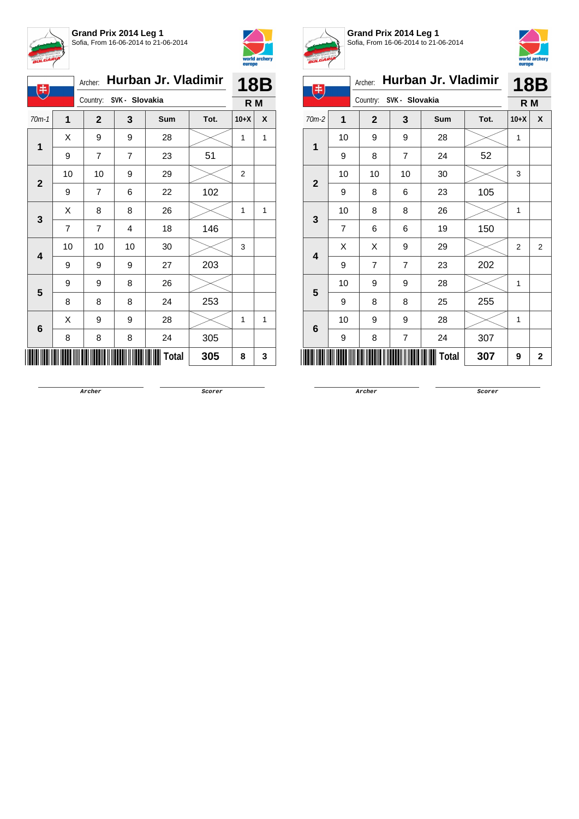



|  | Q                       |                | Hurban Jr. Vladimir<br>Archer: | <b>18B</b>     |       |      |                |   |
|--|-------------------------|----------------|--------------------------------|----------------|-------|------|----------------|---|
|  |                         |                | Country: SVK - Slovakia        |                | R M   |      |                |   |
|  | $70m-1$                 | 1              | $\overline{2}$                 | 3              | Sum   | Tot. | $10+X$         | X |
|  | $\mathbf{1}$            | Χ              | 9                              | 9              | 28    |      | 1              | 1 |
|  |                         | 9              | $\overline{7}$                 | $\overline{7}$ | 23    | 51   |                |   |
|  | $\overline{\mathbf{2}}$ | 10             | 10                             | 9              | 29    |      | $\overline{2}$ |   |
|  |                         | 9              | $\overline{7}$                 | 6              | 22    | 102  |                |   |
|  | 3                       | X              | 8                              | 8              | 26    |      | 1              | 1 |
|  |                         | $\overline{7}$ | $\overline{7}$                 | 4              | 18    | 146  |                |   |
|  | 4                       | 10             | 10                             | 10             | 30    |      | 3              |   |
|  |                         | 9              | 9                              | 9              | 27    | 203  |                |   |
|  | 5                       | 9              | 9                              | 8              | 26    |      |                |   |
|  |                         | 8              | 8                              | 8              | 24    | 253  |                |   |
|  | 6                       | X              | 9                              | 9              | 28    |      | 1              | 1 |
|  |                         | 8              | 8                              | 8              | 24    | 305  |                |   |
|  |                         |                |                                |                | Total | 305  | 8              | 3 |



**Grand Prix 2014 Leg 1** Sofia, From 16-06-2014 to 21-06-2014



| <b>18B</b><br>R M<br>X |
|------------------------|
|                        |
|                        |
|                        |
|                        |
|                        |
|                        |
|                        |
|                        |
|                        |
| $\overline{2}$         |
|                        |
|                        |
|                        |
|                        |
|                        |
| $\overline{2}$         |
|                        |

**Archer Scorer**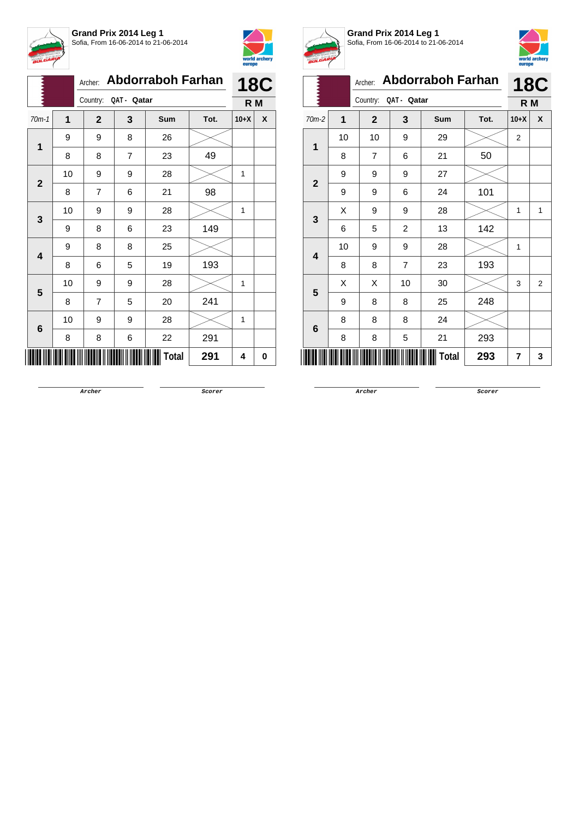



|              |    | <b>Abdorraboh Farhan</b><br>Archer: | <b>18C</b>     |       |      |        |   |
|--------------|----|-------------------------------------|----------------|-------|------|--------|---|
|              |    | Country:<br>QAT - Qatar             | R <sub>M</sub> |       |      |        |   |
| $70m-1$      | 1  | $\mathbf{2}$                        | 3              | Sum   | Tot. | $10+X$ | X |
| 1            | 9  | 9                                   | 8              | 26    |      |        |   |
|              | 8  | 8                                   | $\overline{7}$ | 23    | 49   |        |   |
| $\mathbf{2}$ | 10 | 9                                   | 9              | 28    |      | 1      |   |
|              | 8  | 7                                   | 6              | 21    | 98   |        |   |
| 3            | 10 | 9                                   | 9              | 28    |      | 1      |   |
|              | 9  | 8                                   | 6              | 23    | 149  |        |   |
|              | 9  | 8                                   | 8              | 25    |      |        |   |
| 4            | 8  | 6                                   | 5              | 19    | 193  |        |   |
| 5            | 10 | 9                                   | 9              | 28    |      | 1      |   |
|              | 8  | 7                                   | 5              | 20    | 241  |        |   |
|              | 10 | 9                                   | 9              | 28    |      | 1      |   |
| 6            | 8  | 8                                   | 6              | 22    | 291  |        |   |
|              |    |                                     |                | Total | 291  | 4      | 0 |



**Grand Prix 2014 Leg 1** Sofia, From 16-06-2014 to 21-06-2014



| <b>BULGARY</b> |    |                                     |                |            |      | europe         | world archery |  |
|----------------|----|-------------------------------------|----------------|------------|------|----------------|---------------|--|
|                |    | <b>Abdorraboh Farhan</b><br>Archer: |                |            |      |                | <b>18C</b>    |  |
|                |    | Country:<br>QAT - Qatar             |                |            |      |                | R M           |  |
| $70m-2$        | 1  | $\overline{2}$                      | 3              | <b>Sum</b> | Tot. | $10 + X$       | X             |  |
| 1              | 10 | 10                                  | 9              | 29         |      | $\overline{2}$ |               |  |
|                | 8  | $\overline{7}$                      | 6              | 21         | 50   |                |               |  |
| $\mathbf{2}$   | 9  | 9                                   | 9              | 27         |      |                |               |  |
|                | 9  | 9                                   | 6              | 24         | 101  |                |               |  |
| 3              | X  | 9                                   | 9              | 28         |      | 1              | 1             |  |
|                | 6  | 5                                   | $\overline{c}$ | 13         | 142  |                |               |  |
| 4              | 10 | 9                                   | 9              | 28         |      | $\mathbf{1}$   |               |  |
|                | 8  | 8                                   | $\overline{7}$ | 23         | 193  |                |               |  |
| 5              | X  | X                                   | 10             | 30         |      | 3              | 2             |  |
|                | 9  | 8                                   | 8              | 25         | 248  |                |               |  |
| 6              | 8  | 8                                   | 8              | 24         |      |                |               |  |
|                | 8  | 8                                   | 5              | 21         | 293  |                |               |  |
|                |    |                                     |                | Total      | 293  | 7              | 3             |  |

**Archer Scorer**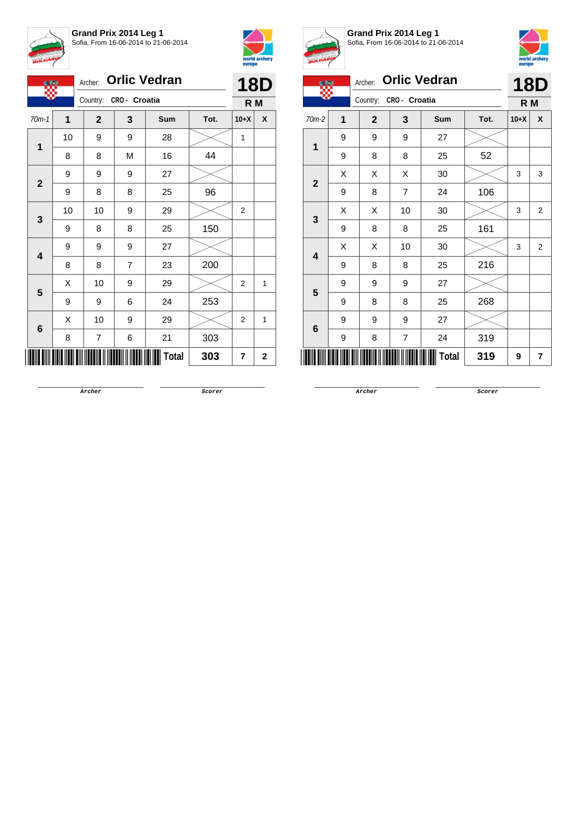



|                         |    | <b>Orlic Vedran</b><br>Archer: | <b>18D</b> |                |      |                |              |
|-------------------------|----|--------------------------------|------------|----------------|------|----------------|--------------|
|                         |    | Country: CRO- Croatia          |            | R <sub>M</sub> |      |                |              |
| $70m-1$                 | 1  | $\mathbf{2}$                   | 3          | Sum            | Tot. | $10+X$         | X            |
| $\mathbf 1$             | 10 | 9                              | 9          | 28             |      | 1              |              |
|                         | 8  | 8                              | M          | 16             | 44   |                |              |
| $\mathbf{2}$            | 9  | 9                              | 9          | 27             |      |                |              |
|                         | 9  | 8                              | 8          | 25             | 96   |                |              |
| 3                       | 10 | 10                             | 9          | 29             |      | $\overline{2}$ |              |
|                         | 9  | 8                              | 8          | 25             | 150  |                |              |
| $\overline{\mathbf{4}}$ | 9  | 9                              | 9          | 27             |      |                |              |
|                         | 8  | 8                              | 7          | 23             | 200  |                |              |
| 5                       | Χ  | 10                             | 9          | 29             |      | $\overline{2}$ | 1            |
|                         | 9  | 9                              | 6          | 24             | 253  |                |              |
|                         | X  | 10                             | 9          | 29             |      | $\overline{2}$ | 1            |
| 6                       | 8  | 7                              | 6          | 21             | 303  |                |              |
|                         |    |                                |            | <b>Total</b>   | 303  | 7              | $\mathbf{2}$ |



**Grand Prix 2014 Leg 1** Sofia, From 16-06-2014 to 21-06-2014



|                | 6 m                 | <b>Orlic Vedran</b><br>Archer: | <b>18D</b>     |            |      |        |                |  |
|----------------|---------------------|--------------------------------|----------------|------------|------|--------|----------------|--|
|                |                     | Country:                       | CRO- Croatia   |            |      |        |                |  |
| $70m-2$        | $\mathbf 1$         | $\overline{2}$                 | 3              | <b>Sum</b> | Tot. | $10+X$ | X              |  |
| 1              | 9                   | 9                              | 9              | 27         |      |        |                |  |
|                | 9                   | 8                              | 8              | 25         | 52   |        |                |  |
| $\overline{2}$ | X                   | X                              | X              | 30         |      | 3      | 3              |  |
|                | 9                   | 8                              | $\overline{7}$ | 24         | 106  |        |                |  |
| 3              | X                   | X                              | 10             | 30         |      | 3      | $\overline{2}$ |  |
|                | 9                   | 8                              | 8              | 25         | 161  |        |                |  |
| 4              | X                   | X                              | 10             | 30         |      | 3      | $\overline{2}$ |  |
|                | 9                   | 8                              | 8              | 25         | 216  |        |                |  |
| 5              | 9                   | 9                              | 9              | 27         |      |        |                |  |
|                | 9                   | 8                              | 8              | 25         | 268  |        |                |  |
| 6              | 9                   | 9                              | 9              | 27         |      |        |                |  |
|                | 9                   | 8                              | 7              | 24         | 319  |        |                |  |
|                | <b>Total</b><br>319 |                                |                |            |      |        | 7              |  |

**Archer Scorer**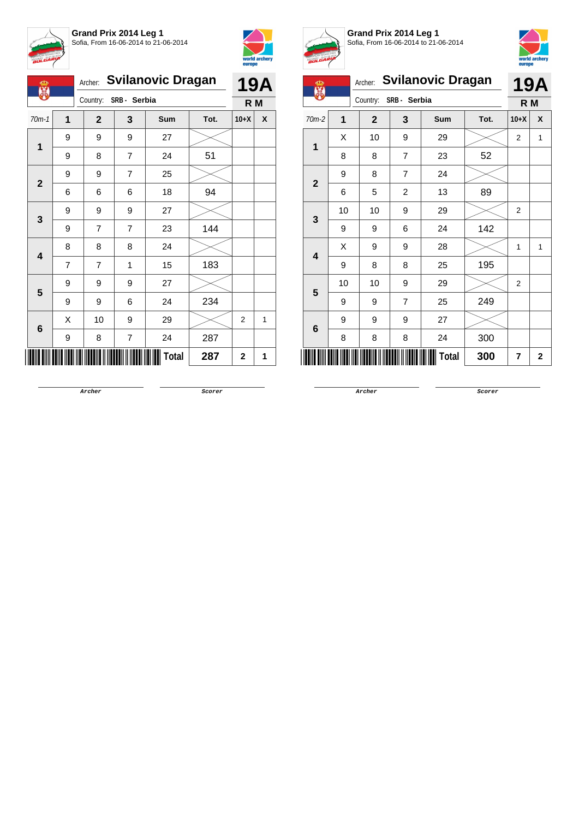



| Ф<br><b>AR</b>          |   | Archer:      |                         | <b>Svilanovic Dragan</b> |      |        | <b>19A</b>   |
|-------------------------|---|--------------|-------------------------|--------------------------|------|--------|--------------|
|                         |   |              | Country: SRB - Serbia   |                          |      | R M    |              |
| $70m-1$                 | 1 | $\mathbf{2}$ | 3                       | Sum                      | Tot. | $10+X$ | X            |
| $\mathbf 1$             | 9 | 9            | 9                       | 27                       |      |        |              |
|                         | 9 | 8            | 7                       | 24                       | 51   |        |              |
| $\mathbf{2}$            | 9 | 9            | 7                       | 25                       |      |        |              |
|                         | 6 | 6            | 6                       | 18                       | 94   |        |              |
| 3                       | 9 | 9            | 9                       | 27                       |      |        |              |
|                         | 9 | 7            | $\overline{7}$          | 23                       | 144  |        |              |
| $\overline{\mathbf{4}}$ | 8 | 8            | 8                       | 24                       |      |        |              |
|                         | 7 | 7            | 1                       | 15                       | 183  |        |              |
| 5                       | 9 | 9            | 9                       | 27                       |      |        |              |
|                         | 9 | 9            | 6                       | 24                       | 234  |        |              |
| 6                       | X | 10           | 9                       | 29                       |      | 2      | $\mathbf{1}$ |
|                         | 9 | 8            | $\overline{\mathbf{7}}$ | 24                       | 287  |        |              |
|                         |   |              |                         | <b>Total</b>             | 287  | 2      | 1            |



**Grand Prix 2014 Leg 1** Sofia, From 16-06-2014 to 21-06-2014



| ന്മ            |                   | Archer:                 |                | <b>Svilanovic Dragan</b> |        |                | <b>19A</b> |  |
|----------------|-------------------|-------------------------|----------------|--------------------------|--------|----------------|------------|--|
| 麗              |                   | Country:                | SRB- Serbia    |                          |        | R M            |            |  |
| $70m-2$        | 1                 | $\overline{\mathbf{2}}$ | 3              | Tot.                     | $10+X$ | X              |            |  |
| 1              | Χ                 | 10                      | 9              | 29                       |        | $\overline{2}$ | 1          |  |
|                | 8                 | 8                       | $\overline{7}$ | 23                       | 52     |                |            |  |
| $\overline{2}$ |                   |                         |                |                          |        |                |            |  |
|                | 6                 | 5                       | $\overline{c}$ | 13                       | 89     |                |            |  |
| 3              | 10                | 10                      | 9              | 29                       |        | $\overline{2}$ |            |  |
|                | 9                 | 9                       | 6              | 24                       | 142    |                |            |  |
| 4              | Χ<br>9<br>28<br>9 |                         |                |                          |        |                |            |  |
|                | 9                 | 8                       | 8              | 25                       | 195    |                |            |  |
| 5              | 10                | 10                      | 9              | 29                       |        | $\overline{2}$ |            |  |
|                | 9                 | 9                       | $\overline{7}$ | 25                       | 249    |                |            |  |
| 6              | 9                 | 9                       | 9              | 27                       |        |                |            |  |
|                | 300               |                         |                |                          |        |                |            |  |
| Total<br>300   |                   |                         |                |                          |        |                |            |  |

**Archer Scorer**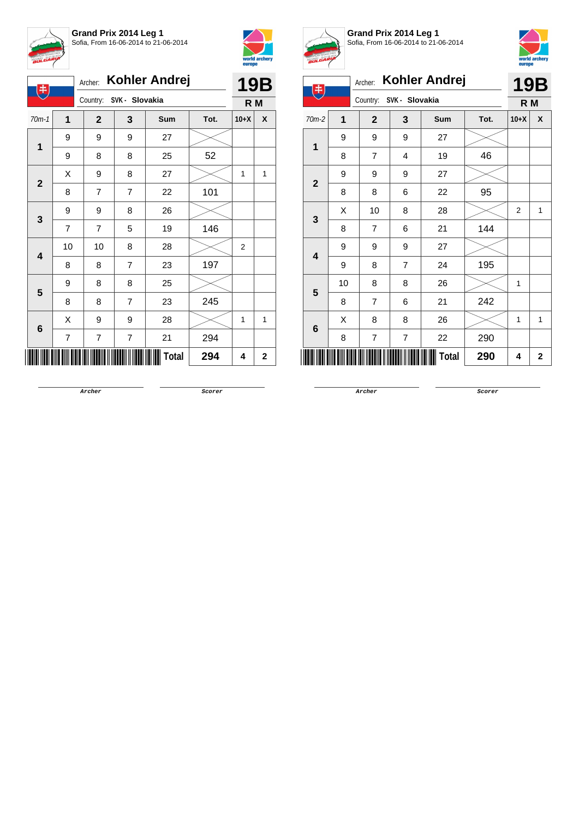



| $\ddagger$              | Archer:        | <b>Kohler Andrej</b>    |                  | <b>19B</b>   |      |        |             |
|-------------------------|----------------|-------------------------|------------------|--------------|------|--------|-------------|
|                         |                | Country: SVK - Slovakia |                  |              |      | R M    |             |
| $70m-1$                 | 1              | $\mathbf{2}$            | 3                | Sum          | Tot. | $10+X$ | X           |
| $\mathbf 1$             | 9              | 9                       | 9                | 27           |      |        |             |
|                         | 9              | 8                       | 8                | 25           | 52   |        |             |
|                         | Χ              | 9                       | 8                | 27           |      | 1      | 1           |
| $\mathbf{2}$            | 8              | $\overline{7}$          | $\overline{7}$   | 22           | 101  |        |             |
|                         | 9              | 9                       | 8                | 26           |      |        |             |
| 3                       | 7              | 7                       | 5                | 19           | 146  |        |             |
| $\overline{\mathbf{4}}$ | 10             | 10                      | 8                | 28           |      | 2      |             |
|                         | 8              | 8                       | $\overline{7}$   | 23           | 197  |        |             |
| 5                       | 9              | 8                       | 8                | 25           |      |        |             |
|                         | 8              | 8                       | $\overline{7}$   | 23           | 245  |        |             |
| 6                       | Χ              | 9                       | 9                | 28           |      | 1      | 1           |
|                         | $\overline{7}$ | 7                       | $\boldsymbol{7}$ | 21           | 294  |        |             |
|                         |                |                         |                  | <b>Total</b> | 294  | 4      | $\mathbf 2$ |



**Grand Prix 2014 Leg 1** Sofia, From 16-06-2014 to 21-06-2014



| 电                       |                |                |                | Archer: Kohler Andrej |      |                | <b>19B</b>  |
|-------------------------|----------------|----------------|----------------|-----------------------|------|----------------|-------------|
|                         |                | Country:       | SVK - Slovakia |                       |      | R M            |             |
| $70m-2$                 | $\overline{1}$ | $\mathbf{2}$   | 3              | Sum                   | Tot. | $10+X$         | X           |
| 1                       | 9              | 9              | 9              | 27                    |      |                |             |
|                         | 8              | $\overline{7}$ | 4              | 19                    | 46   |                |             |
| $\overline{2}$          | 9              | 9              | 9              | 27                    |      |                |             |
|                         | 8              | 8              | 6              | 22                    | 95   |                |             |
| 3                       | X              | 10             | 8              | 28                    |      | $\overline{2}$ | 1           |
|                         | 8              | $\overline{7}$ | 6              | 21                    | 144  |                |             |
| $\overline{\mathbf{4}}$ | 9              | 9              | 9              | 27                    |      |                |             |
|                         | 9              | 8              | $\overline{7}$ | 24                    | 195  |                |             |
| 5                       | 10             | 8              | 8              | 26                    |      | 1              |             |
|                         | 8              | $\overline{7}$ | 6              | 21                    | 242  |                |             |
| 6                       | X              | 8              | 8              | 26                    |      | 1              | 1           |
|                         | 8              | 7              | 7              | 22                    | 290  |                |             |
|                         |                |                |                | Total                 | 290  | 4              | $\mathbf 2$ |

**Archer Scorer**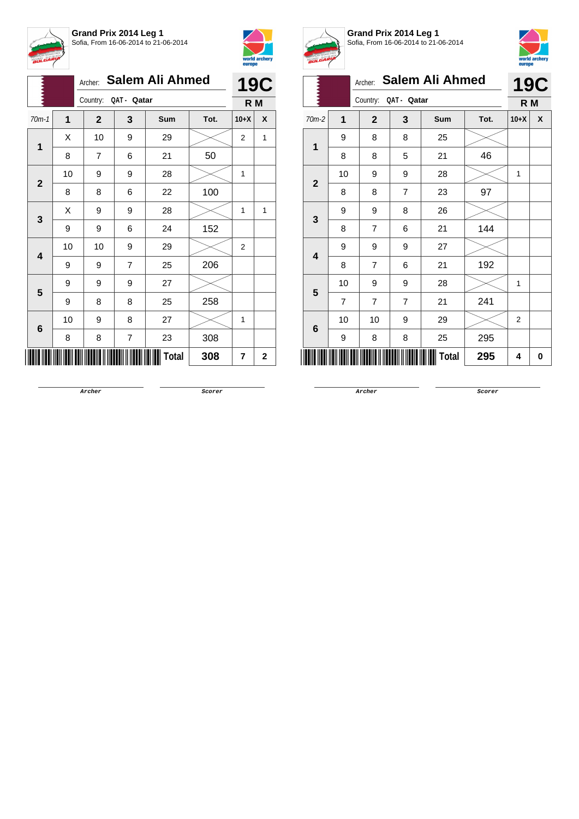



|              |                |                      |                         | Archer: Salem Ali Ahmed |      |                | <b>19C</b>   |
|--------------|----------------|----------------------|-------------------------|-------------------------|------|----------------|--------------|
|              |                | Country: QAT - Qatar |                         |                         |      | R M            |              |
| $70m-1$      | $\overline{1}$ | $\mathbf{2}$         | 3                       | Sum                     | Tot. | $10+X$         | X            |
| 1            | X              | 10                   | 9                       | 29                      |      | $\overline{2}$ | 1            |
|              | 8              | 7                    | 6                       | 21                      | 50   |                |              |
|              | 10             | 9                    | 9                       | 28                      |      | 1              |              |
| $\mathbf{2}$ | 8              | 8                    | 6                       | 22                      | 100  |                |              |
|              | Χ              | 9                    | 9                       | 28                      |      | 1              | 1            |
| 3            | 9              | 9                    | 6                       | 24                      | 152  |                |              |
|              | 10             | 10                   | 9                       | 29                      |      | $\overline{2}$ |              |
| 4            | 9              | 9                    | 7                       | 25                      | 206  |                |              |
| 5            | 9              | 9                    | 9                       | 27                      |      |                |              |
|              | 9              | 8                    | 8                       | 25                      | 258  |                |              |
|              | 10             | 9                    | 8                       | 27                      |      | 1              |              |
| 6            | 8              | 8                    | $\overline{\mathbf{7}}$ | 23                      | 308  |                |              |
|              |                |                      |                         | Total                   | 308  | 7              | $\mathbf{2}$ |



**Grand Prix 2014 Leg 1** Sofia, From 16-06-2014 to 21-06-2014



|                 | <b>Salem Ali Ahmed</b> |                |                |     |      |        |            |  |  |  |  |
|-----------------|------------------------|----------------|----------------|-----|------|--------|------------|--|--|--|--|
|                 |                        | Archer:        |                |     |      |        | <b>19C</b> |  |  |  |  |
|                 |                        | Country:       | QAT - Qatar    |     |      | R M    |            |  |  |  |  |
| 70m-2           | 1                      | $\mathbf{2}$   | 3              | Sum | Tot. | $10+X$ | X          |  |  |  |  |
| 1               | 9                      | 8              | 8              | 25  |      |        |            |  |  |  |  |
|                 | 8                      | 8              | 5              | 21  | 46   |        |            |  |  |  |  |
| $\overline{2}$  | 10                     | 9              | 9              | 28  |      | 1      |            |  |  |  |  |
|                 | 8                      | 8              | 7              | 23  | 97   |        |            |  |  |  |  |
| $\mathbf{3}$    | 9                      | 9              | 8              | 26  |      |        |            |  |  |  |  |
|                 | 8                      | $\overline{7}$ | 6              | 21  | 144  |        |            |  |  |  |  |
| 4               | 9                      | 9              | 9              | 27  |      |        |            |  |  |  |  |
|                 | 8                      | 7              | 6              | 21  | 192  |        |            |  |  |  |  |
| 5               | 10                     | 9              | 9              | 28  |      | 1      |            |  |  |  |  |
|                 | $\overline{7}$         | $\overline{7}$ | $\overline{7}$ | 21  | 241  |        |            |  |  |  |  |
| $6\phantom{1}6$ | 10                     | 10             | 9              | 29  |      | 2      |            |  |  |  |  |
|                 | 9                      | 8              | 8              | 25  | 295  |        |            |  |  |  |  |
| Total<br>295    |                        |                |                |     |      |        |            |  |  |  |  |

**Archer Scorer**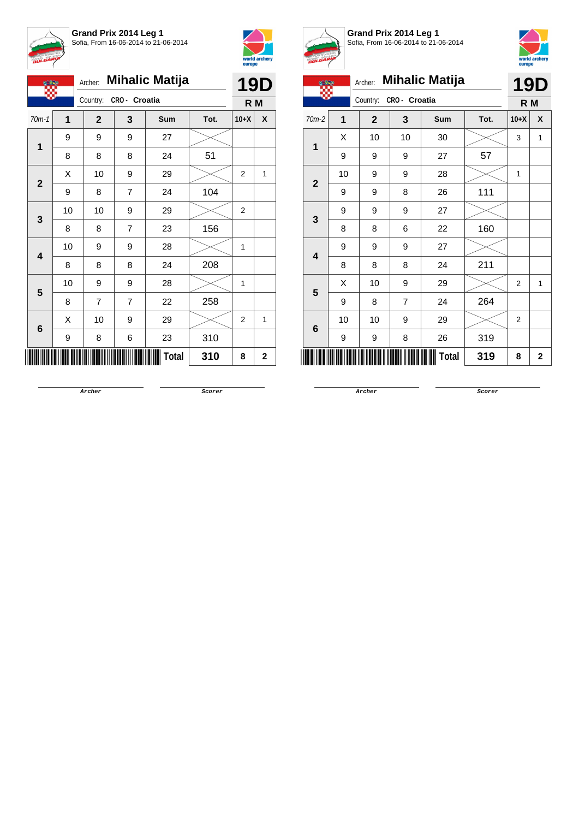

**Grand Prix 2014 Leg 1** Sofia, From 16-06-2014 to 21-06-2014



|              |    |              |                | Archer: Mihalic Matija |      |                | <b>19D</b> |
|--------------|----|--------------|----------------|------------------------|------|----------------|------------|
|              |    | Country:     | CRO- Croatia   |                        |      | R M            |            |
| $70m-1$      | 1  | $\mathbf{2}$ | 3              | Sum                    | Tot. | $10+X$         | X          |
|              | 9  | 9            | 9              | 27                     |      |                |            |
| 1            | 8  | 8            | 8              | 24                     | 51   |                |            |
|              | X  | 10           | 9              | 29                     |      | 2              | 1          |
| $\mathbf{2}$ | 9  | 8            | $\overline{7}$ | 24                     | 104  |                |            |
|              | 10 | 10           | 9              | 29                     |      | $\mathbf{2}$   |            |
| 3            | 8  | 8            | $\overline{7}$ | 23                     | 156  |                |            |
|              | 10 | 9            | 9              | 28                     |      | 1              |            |
| 4            | 8  | 8            | 8              | 24                     | 208  |                |            |
| 5            | 10 | 9            | 9              | 28                     |      | 1              |            |
|              | 8  | 7            | $\overline{7}$ | 22                     | 258  |                |            |
|              | X  | 10           | 9              | 29                     |      | $\overline{2}$ | 1          |
| 6            | 9  | 8            | 6              | 23                     | 310  |                |            |
|              |    |              |                | <b>Total</b>           | 310  | 8              | 2          |



**Grand Prix 2014 Leg 1** Sofia, From 16-06-2014 to 21-06-2014



| <b>BULGARY</b> |                |                |                |                       |      | europe         | world archery  |  |  |  |
|----------------|----------------|----------------|----------------|-----------------------|------|----------------|----------------|--|--|--|
|                |                | Archer:        |                | <b>Mihalic Matija</b> |      | <b>19D</b>     |                |  |  |  |
|                |                | Country:       | CRO - Croatia  |                       |      | R M            |                |  |  |  |
| $70m-2$        | $\overline{1}$ | $\overline{2}$ | 3              | Sum                   | Tot. | $10+X$         | X              |  |  |  |
| 1              | X              | 10             | 10             | 30                    |      | 3              | 1              |  |  |  |
|                | 9              | 9              | 9              | 27                    | 57   |                |                |  |  |  |
| $\mathbf 2$    | 10             | 9              | 9              | 28                    |      | 1              |                |  |  |  |
|                | 9              | 9              | 8              | 26                    | 111  |                |                |  |  |  |
| 3              | 9              | 9              | 9              | 27                    |      |                |                |  |  |  |
|                | 8              | 8              | 6              | 22                    | 160  |                |                |  |  |  |
| 4              | 9              | 9              | 9              | 27                    |      |                |                |  |  |  |
|                | 8              | 8              | 8              | 24                    | 211  |                |                |  |  |  |
| 5              | X              | 10             | 9              | 29                    |      | $\overline{2}$ | 1              |  |  |  |
|                | 9              | 8              | $\overline{7}$ | 24                    | 264  |                |                |  |  |  |
| 6              | 10             | 10             | 9              | 29                    |      | 2              |                |  |  |  |
|                | 9              | 9              | 8              | 26                    | 319  |                |                |  |  |  |
|                |                |                |                | <b>Total</b>          | 319  | 8              | $\overline{2}$ |  |  |  |
|                |                |                |                |                       |      |                |                |  |  |  |

**Archer Scorer**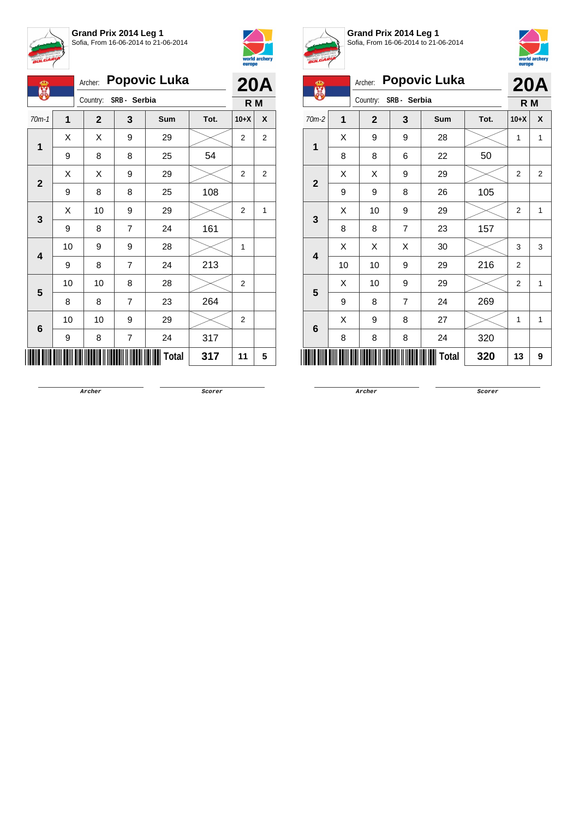



| Ф<br>麗                  | Archer: | <b>Popovic Luka</b> |                | <b>20A</b> |      |                |              |
|-------------------------|---------|---------------------|----------------|------------|------|----------------|--------------|
|                         |         | Country:            | SRB - Serbia   |            |      | R <sub>M</sub> |              |
| $70m-1$                 | 1       | $\mathbf{2}$        | 3              | Sum        | Tot. | $10+X$         | X            |
| $\mathbf 1$             | X       | Χ                   | 9              | 29         |      | 2              | 2            |
|                         | 9       | 8                   | 8              | 25         | 54   |                |              |
| $\mathbf{2}$            | Χ       | Χ                   | 9              | 29         |      | 2              | 2            |
|                         | 9       | 8                   | 8              | 25         | 108  |                |              |
| 3                       | X       | 10                  | 9              | 29         |      | $\overline{2}$ | $\mathbf{1}$ |
|                         | 9       | 8                   | 7              | 24         | 161  |                |              |
| $\overline{\mathbf{4}}$ | 10      | 9                   | 9              | 28         |      | 1              |              |
|                         | 9       | 8                   | $\overline{7}$ | 24         | 213  |                |              |
| 5                       | 10      | 10                  | 8              | 28         |      | 2              |              |
|                         | 8       | 8                   | $\overline{7}$ | 23         | 264  |                |              |
| $\bf 6$                 | 10      | 10                  | 9              | 29         |      | $\overline{2}$ |              |
|                         | 9       | 8                   | 7              | 24         | 317  |                |              |
|                         |         |                     |                | Total      | 317  | 11             | 5            |



**Grand Prix 2014 Leg 1** Sofia, From 16-06-2014 to 21-06-2014



| <b>Popovic Luka</b><br>Archer:<br><b>20A</b><br>ക<br>盟<br>Country:<br>SRB - Serbia<br>R M<br>$\overline{1}$<br>$\overline{2}$<br>3<br>70m-2<br>X<br>Sum<br>Tot.<br>$10+X$<br>28<br>Χ<br>9<br>9<br>$\mathbf{1}$<br>1<br>1<br>8<br>8<br>6<br>22<br>50<br>29<br>Χ<br>Χ<br>9<br>$\overline{2}$<br>$\overline{2}$<br>$\overline{\mathbf{2}}$<br>105<br>9<br>8<br>26<br>9<br>10<br>29<br>Χ<br>9<br>2<br>1<br>3<br>$\overline{7}$<br>157<br>8<br>8<br>23<br>30<br>Χ<br>Χ<br>X<br>3<br>3<br>$\overline{\mathbf{4}}$<br>216<br>10<br>10<br>9<br>29<br>$\overline{2}$<br>29<br>10<br>9<br>X<br>$\overline{2}$<br>1<br>5<br>24<br>269<br>9<br>$\overline{7}$<br>8<br>X<br>27<br>8<br>9<br>1<br>1<br>6<br>320<br>8<br>8<br>8<br>24<br><b>Total</b><br>320<br>13<br>9 |  |  |  |  |  |  |  |  |  |  |  |  |
|----------------------------------------------------------------------------------------------------------------------------------------------------------------------------------------------------------------------------------------------------------------------------------------------------------------------------------------------------------------------------------------------------------------------------------------------------------------------------------------------------------------------------------------------------------------------------------------------------------------------------------------------------------------------------------------------------------------------------------------------------------|--|--|--|--|--|--|--|--|--|--|--|--|
|                                                                                                                                                                                                                                                                                                                                                                                                                                                                                                                                                                                                                                                                                                                                                          |  |  |  |  |  |  |  |  |  |  |  |  |
|                                                                                                                                                                                                                                                                                                                                                                                                                                                                                                                                                                                                                                                                                                                                                          |  |  |  |  |  |  |  |  |  |  |  |  |
|                                                                                                                                                                                                                                                                                                                                                                                                                                                                                                                                                                                                                                                                                                                                                          |  |  |  |  |  |  |  |  |  |  |  |  |
|                                                                                                                                                                                                                                                                                                                                                                                                                                                                                                                                                                                                                                                                                                                                                          |  |  |  |  |  |  |  |  |  |  |  |  |
|                                                                                                                                                                                                                                                                                                                                                                                                                                                                                                                                                                                                                                                                                                                                                          |  |  |  |  |  |  |  |  |  |  |  |  |
|                                                                                                                                                                                                                                                                                                                                                                                                                                                                                                                                                                                                                                                                                                                                                          |  |  |  |  |  |  |  |  |  |  |  |  |
|                                                                                                                                                                                                                                                                                                                                                                                                                                                                                                                                                                                                                                                                                                                                                          |  |  |  |  |  |  |  |  |  |  |  |  |
|                                                                                                                                                                                                                                                                                                                                                                                                                                                                                                                                                                                                                                                                                                                                                          |  |  |  |  |  |  |  |  |  |  |  |  |
|                                                                                                                                                                                                                                                                                                                                                                                                                                                                                                                                                                                                                                                                                                                                                          |  |  |  |  |  |  |  |  |  |  |  |  |
|                                                                                                                                                                                                                                                                                                                                                                                                                                                                                                                                                                                                                                                                                                                                                          |  |  |  |  |  |  |  |  |  |  |  |  |
|                                                                                                                                                                                                                                                                                                                                                                                                                                                                                                                                                                                                                                                                                                                                                          |  |  |  |  |  |  |  |  |  |  |  |  |
|                                                                                                                                                                                                                                                                                                                                                                                                                                                                                                                                                                                                                                                                                                                                                          |  |  |  |  |  |  |  |  |  |  |  |  |
|                                                                                                                                                                                                                                                                                                                                                                                                                                                                                                                                                                                                                                                                                                                                                          |  |  |  |  |  |  |  |  |  |  |  |  |
|                                                                                                                                                                                                                                                                                                                                                                                                                                                                                                                                                                                                                                                                                                                                                          |  |  |  |  |  |  |  |  |  |  |  |  |
|                                                                                                                                                                                                                                                                                                                                                                                                                                                                                                                                                                                                                                                                                                                                                          |  |  |  |  |  |  |  |  |  |  |  |  |
|                                                                                                                                                                                                                                                                                                                                                                                                                                                                                                                                                                                                                                                                                                                                                          |  |  |  |  |  |  |  |  |  |  |  |  |

**Archer Scorer**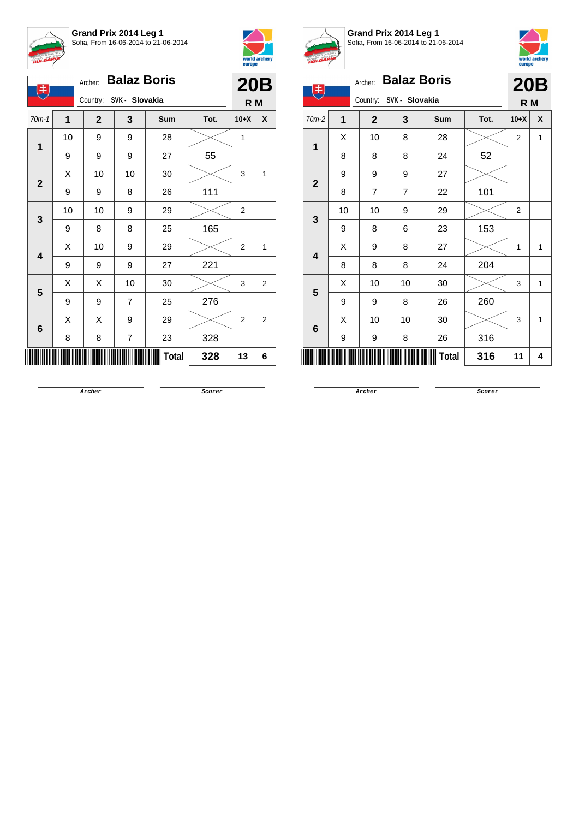



| 电                       |    | Archer:                 | <b>Balaz Boris</b>      |       |      |                  | <b>20B</b>     |
|-------------------------|----|-------------------------|-------------------------|-------|------|------------------|----------------|
|                         |    | Country: SVK - Slovakia |                         |       |      | R M              |                |
| $70m-1$                 | 1  | $\mathbf{2}$            | 3                       | Sum   | Tot. | $10+X$           | X              |
| 1                       | 10 | 9                       | 9                       | 28    |      | 1                |                |
|                         | 9  | 9                       | 9                       | 27    | 55   |                  |                |
| $\mathbf{2}$            | Χ  | 10                      | 10                      | 30    |      | 3                | 1              |
|                         | 9  | 9                       | 8                       | 26    | 111  |                  |                |
| 3                       | 10 | 10                      | 9                       | 29    |      | $\overline{2}$   |                |
|                         | 9  | 8                       | 8                       | 25    | 165  |                  |                |
| $\overline{\mathbf{4}}$ | X  | 10                      | 9                       | 29    |      | 2                | 1              |
|                         | 9  | 9                       | 9                       | 27    | 221  |                  |                |
| 5                       | Χ  | Χ                       | 10                      | 30    |      | 3                | $\overline{2}$ |
|                         | 9  | 9                       | $\overline{7}$          | 25    | 276  |                  |                |
|                         | X  | Χ                       | 9                       | 29    |      | $\boldsymbol{2}$ | $\overline{2}$ |
| 6                       | 8  | 8                       | $\overline{\mathbf{7}}$ | 23    | 328  |                  |                |
|                         |    |                         |                         | Total | 328  | 13               | 6              |



**Grand Prix 2014 Leg 1** Sofia, From 16-06-2014 to 21-06-2014



| A.                      |    |                         |    |                    |      |                |   |
|-------------------------|----|-------------------------|----|--------------------|------|----------------|---|
| 中                       |    | Archer:                 |    | <b>Balaz Boris</b> |      | <b>20B</b>     |   |
|                         |    | Country: SVK - Slovakia |    |                    |      | R <sub>M</sub> |   |
| $70m-2$                 | 1  | $\overline{2}$          | 3  | Sum                | Tot. | $10+X$         | X |
| 1                       | X  | 10                      | 8  | 28                 |      | $\overline{2}$ | 1 |
|                         | 8  | 8                       | 8  | 24                 | 52   |                |   |
| $\overline{2}$          | 9  | 9                       | 9  | 27                 |      |                |   |
|                         | 8  | $\overline{7}$          | 7  | 22                 | 101  |                |   |
| 3                       | 10 | 10                      | 9  | 29                 |      | 2              |   |
|                         | 9  | 8                       | 6  | 23                 | 153  |                |   |
| $\overline{\mathbf{4}}$ | X  | 9                       | 8  | 27                 |      | 1              | 1 |
|                         | 8  | 8                       | 8  | 24                 | 204  |                |   |
| 5                       | Χ  | 10                      | 10 | 30                 |      | 3              | 1 |
|                         | 9  | 9                       | 8  | 26                 | 260  |                |   |
| 6                       | X  | 10                      | 10 | 30                 |      | 3              | 1 |
|                         | 9  | 9                       | 8  | 26                 | 316  |                |   |
|                         |    |                         |    | Total              | 316  | 11             | 4 |
|                         |    |                         |    |                    |      |                |   |

**Archer Scorer**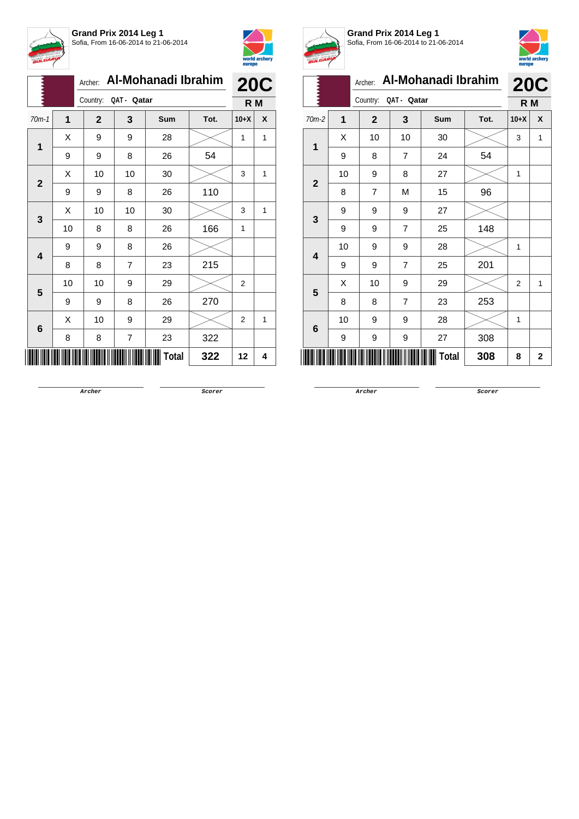



|                   |         |    | Archer:              | Al-Mohanadi Ibrahim | <b>20C</b> |      |                |   |
|-------------------|---------|----|----------------------|---------------------|------------|------|----------------|---|
|                   |         |    | Country: QAT - Qatar |                     |            |      | R M            |   |
|                   | $70m-1$ | 1  | $\overline{2}$       | 3                   | Sum        | Tot. | $10+X$         | X |
|                   |         | X  | 9                    | 9                   | 28         |      | 1              | 1 |
| 1<br>$\mathbf{2}$ | 9       | 9  | 8                    | 26                  | 54         |      |                |   |
|                   |         | Χ  | 10                   | 10                  | 30         |      | 3              | 1 |
|                   |         | 9  | 9                    | 8                   | 26         | 110  |                |   |
|                   |         | X  | 10                   | 10                  | 30         |      | 3              | 1 |
| 3                 | 10      | 8  | 8                    | 26                  | 166        | 1    |                |   |
|                   | 4       | 9  | 9                    | 8                   | 26         |      |                |   |
|                   |         | 8  | 8                    | $\overline{7}$      | 23         | 215  |                |   |
|                   | 5       | 10 | 10                   | 9                   | 29         |      | $\overline{2}$ |   |
|                   |         | 9  | 9                    | 8                   | 26         | 270  |                |   |
|                   |         | Χ  | 10                   | 9                   | 29         |      | $\overline{2}$ | 1 |
|                   | 6       | 8  | 8                    | 7                   | 23         | 322  |                |   |
|                   |         |    |                      |                     | Total      | 322  | 12             | 4 |



**Grand Prix 2014 Leg 1** Sofia, From 16-06-2014 to 21-06-2014



| <i>p</i> .   |                |                         |                |                     |      | europe         |            |  |
|--------------|----------------|-------------------------|----------------|---------------------|------|----------------|------------|--|
|              |                | Archer:                 |                | Al-Mohanadi Ibrahim |      |                | <b>20C</b> |  |
|              |                | Country:<br>QAT - Qatar |                |                     |      |                | R M        |  |
| $70m-2$      | $\overline{1}$ | $\mathbf{2}$            | 3              | <b>Sum</b>          | Tot. | $10+X$         | X          |  |
| 1            | X              | 10                      | 10             | 30                  |      | 3              | 1          |  |
|              | 9              | 8                       | $\overline{7}$ | 24                  | 54   |                |            |  |
| $\mathbf{2}$ | 10             | 9                       | 8              | 27                  |      | 1              |            |  |
|              | 8              | $\overline{7}$          | M              | 15                  | 96   |                |            |  |
|              | 9              | 9                       | 9              | 27                  |      |                |            |  |
| 3            | 9              | 9                       | $\overline{7}$ | 25                  | 148  |                |            |  |
| 4            | 10             | 9                       | 9              | 28                  |      | 1              |            |  |
|              | 9              | 9                       | $\overline{7}$ | 25                  | 201  |                |            |  |
| 5            | X              | 10                      | 9              | 29                  |      | $\overline{2}$ | 1          |  |
|              | 8              | 8                       | $\overline{7}$ | 23                  | 253  |                |            |  |
| 6            | 10             | 9                       | 9              | 28                  |      | 1              |            |  |
|              | 9              | 9                       | 9              | 27                  | 308  |                |            |  |
|              |                |                         |                | Total               | 308  | 8              | 2          |  |

**Archer Scorer**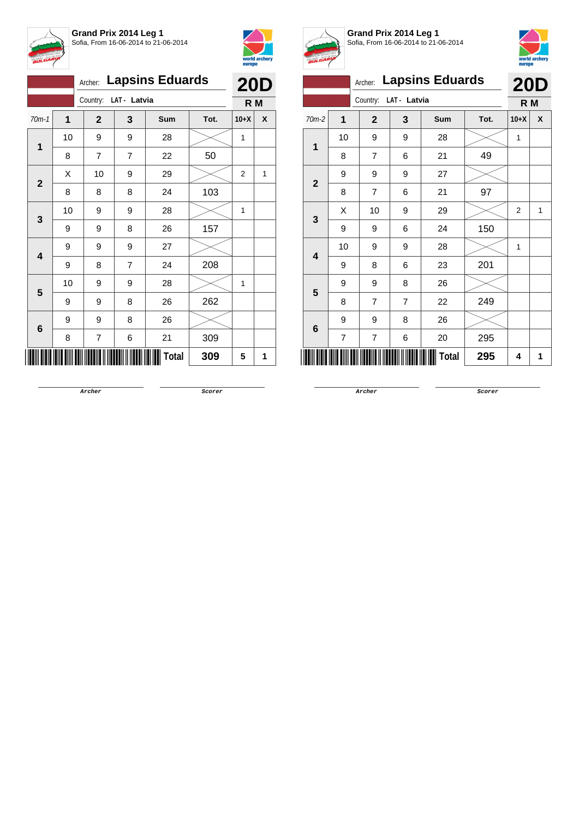



|                                       |         |                |                       |                | Archer: Lapsins Eduards |      | <b>20D</b> |     |  |
|---------------------------------------|---------|----------------|-----------------------|----------------|-------------------------|------|------------|-----|--|
|                                       |         |                | Country: LAT - Latvia |                |                         |      |            | R M |  |
|                                       | $70m-1$ | 1              | $\mathbf{2}$          | 3              | Sum                     | Tot. | $10+X$     | X   |  |
|                                       |         | 10             | 9                     | 9              | 28                      |      | 1          |     |  |
| 1<br>$\mathbf{2}$<br>3<br>4<br>5<br>6 | 8       | 7              | $\overline{7}$        | 22             | 50                      |      |            |     |  |
|                                       |         | Х              | 10                    | 9              | 29                      |      | 2          | 1   |  |
|                                       |         | 8              | 8                     | 8              | 24                      | 103  |            |     |  |
|                                       |         | 10             | 9                     | 9              | 28                      |      | 1          |     |  |
|                                       | 9       | 9              | 8                     | 26             | 157                     |      |            |     |  |
|                                       |         | 9<br>9<br>9    | 27                    |                |                         |      |            |     |  |
|                                       |         | 9              | 8                     | $\overline{7}$ | 24                      | 208  |            |     |  |
|                                       |         | 10             | 9                     | 9              | 28                      |      | 1          |     |  |
|                                       |         | 9              | 9                     | 8              | 26                      | 262  |            |     |  |
|                                       | 9       | 9              | 8                     | 26             |                         |      |            |     |  |
|                                       | 8       | $\overline{7}$ | 6                     | 21             | 309                     |      |            |     |  |
|                                       |         |                |                       |                | <b>Total</b>            | 309  | 5          | 1   |  |



**Grand Prix 2014 Leg 1** Sofia, From 16-06-2014 to 21-06-2014



|                          |                | Archer:                  | <b>Lapsins Eduards</b> |            |      | <b>20D</b>     |              |
|--------------------------|----------------|--------------------------|------------------------|------------|------|----------------|--------------|
|                          |                | Country:<br>LAT - Latvia | R M                    |            |      |                |              |
| $70m-2$                  | $\overline{1}$ | $\overline{2}$           | 3                      | <b>Sum</b> | Tot. | $10+X$         | $\mathbf{x}$ |
| $\overline{1}$           | 10             | 9                        | 9                      | 28         |      | 1              |              |
|                          | 8              | $\overline{7}$           | 6                      | 21         | 49   |                |              |
| $\overline{2}$           | 9              | 9                        | 9                      | 27         |      |                |              |
|                          | 8              | 7                        | 6                      | 21         | 97   |                |              |
| 3                        | X              | 10                       | 9                      | 29         |      | $\overline{2}$ | 1            |
|                          | 9              | 9                        | 6                      | 24         | 150  |                |              |
| 4                        | 10             | 9                        | 9                      | 28         |      | 1              |              |
|                          | 9              | 8                        | 6                      | 23         | 201  |                |              |
| 5                        | 9              | 9                        | 8                      | 26         |      |                |              |
|                          | 8              | 7                        | 7                      | 22         | 249  |                |              |
| 6                        | 9              | 9                        | 8                      | 26         |      |                |              |
|                          | $\overline{7}$ | 7                        | 6                      | 20         | 295  |                |              |
| <b>Total</b><br>295<br>4 |                |                          |                        |            |      |                | 1            |

**Archer Scorer**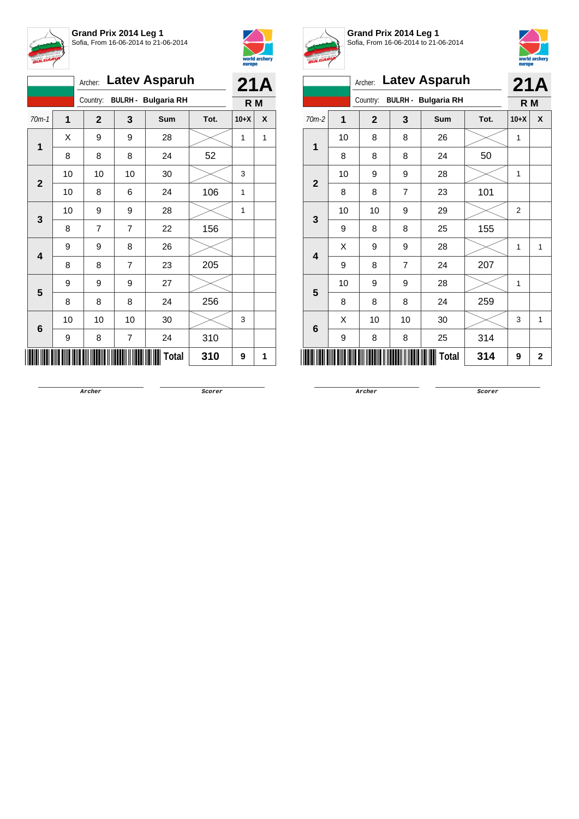



|                         |    |                |    | Archer: Latev Asparuh      |      | <b>21A</b> |   |
|-------------------------|----|----------------|----|----------------------------|------|------------|---|
|                         |    | Country:       |    | <b>BULRH - Bulgaria RH</b> |      | R M        |   |
| $70m-1$                 | 1  | $\mathbf{2}$   | 3  | Sum                        | Tot. | $10+X$     | X |
| $\overline{1}$          | X  | 9              | 9  | 28                         |      | 1          | 1 |
|                         | 8  | 8              | 8  | 24                         | 52   |            |   |
| $\mathbf{2}$            | 10 | 10             | 10 | 30                         |      | 3          |   |
|                         | 10 | 8              | 6  | 24                         | 106  | 1          |   |
| 3                       | 10 | 9              | 9  | 28                         |      | 1          |   |
|                         | 8  | $\overline{7}$ | 7  | 22                         | 156  |            |   |
| $\overline{\mathbf{4}}$ | 9  | 9              | 8  | 26                         |      |            |   |
|                         | 8  | 8              | 7  | 23                         | 205  |            |   |
| 5                       | 9  | 9              | 9  | 27                         |      |            |   |
|                         | 8  | 8              | 8  | 24                         | 256  |            |   |
|                         | 10 | 10             | 10 | 30                         |      | 3          |   |
| 6                       | 9  | 8              | 7  | 24                         | 310  |            |   |
|                         |    |                |    | Total                      | 310  | 9          | 1 |



**Grand Prix 2014 Leg 1** Sofia, From 16-06-2014 to 21-06-2014



| <b>Latev Asparuh</b><br>Archer: |                                        |                |                |       |      |                | 21A          |
|---------------------------------|----------------------------------------|----------------|----------------|-------|------|----------------|--------------|
|                                 | <b>BULRH - Bulgaria RH</b><br>Country: |                |                |       |      | R M            |              |
| $70m-2$                         | $\overline{\mathbf{1}}$                | $\overline{2}$ | 3              | Sum   | Tot. | $10+X$         | X            |
| 1                               | 10                                     | 8              | 8              | 26    |      | 1              |              |
|                                 | 8                                      | 8              | 8              | 24    | 50   |                |              |
| $\overline{2}$                  | 10                                     | 9              | 9              | 28    |      | 1              |              |
|                                 | 8                                      | 8              | $\overline{7}$ | 23    | 101  |                |              |
| 3                               | 10                                     | 10             | 9              | 29    |      | $\overline{2}$ |              |
|                                 | 9                                      | 8              | 8              | 25    | 155  |                |              |
| 4                               | X                                      | 9              | 9              | 28    |      | 1              | 1            |
|                                 | 9                                      | 8              | $\overline{7}$ | 24    | 207  |                |              |
| 5                               | 10                                     | 9              | 9              | 28    |      | 1              |              |
|                                 | 8                                      | 8              | 8              | 24    | 259  |                |              |
|                                 | Χ                                      | 10             | 10             | 30    |      | 3              | 1            |
| 6                               | 9                                      | 8              | 8              | 25    | 314  |                |              |
|                                 |                                        |                |                | Total | 314  | 9              | $\mathbf{2}$ |

**Archer Scorer**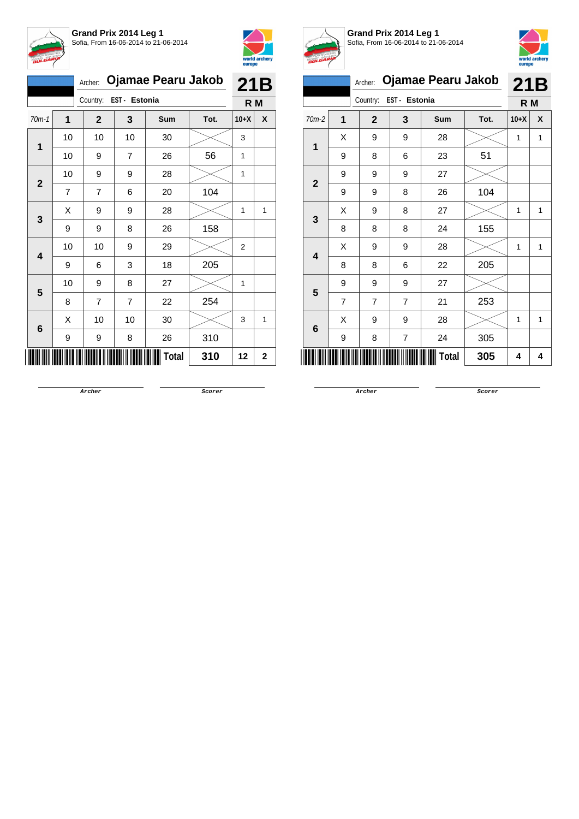



|                                                             | Ojamae Pearu Jakob<br>Archer: |                |                        |                |            |      |                | 21B          |
|-------------------------------------------------------------|-------------------------------|----------------|------------------------|----------------|------------|------|----------------|--------------|
|                                                             |                               |                | Country: EST - Estonia |                |            |      | R M            |              |
|                                                             | $70m-1$                       | 1              | $\mathbf{2}$           | 3              | <b>Sum</b> | Tot. | $10+X$         | X            |
|                                                             |                               | 10             | 10                     | 10             | 30         |      | 3              |              |
|                                                             | 10                            | 9              | $\overline{7}$         | 26             | 56         | 1    |                |              |
|                                                             |                               | 10             | 9                      | 9              | 28         |      | 1              |              |
|                                                             |                               | $\overline{7}$ | $\overline{7}$         | 6              | 20         | 104  |                |              |
|                                                             |                               | Χ              | 9                      | 9              | 28         |      | 1              | $\mathbf{1}$ |
| 1<br>$\mathbf{2}$<br>3<br>$\overline{\mathbf{4}}$<br>5<br>6 | 9                             | 9              | 8                      | 26             | 158        |      |                |              |
|                                                             |                               | 10             | 10                     | 9              | 29         |      | $\overline{2}$ |              |
|                                                             |                               | 9              | 6                      | 3              | 18         | 205  |                |              |
|                                                             |                               | 10             | 9                      | 8              | 27         |      | 1              |              |
|                                                             |                               | 8              | 7                      | $\overline{7}$ | 22         | 254  |                |              |
|                                                             |                               | X              | 10                     | 10             | 30         |      | 3              | 1            |
|                                                             | 9                             | 9              | 8                      | 26             | 310        |      |                |              |
|                                                             |                               |                |                        |                | Total      | 310  | 12             | 2            |



**Grand Prix 2014 Leg 1** Sofia, From 16-06-2014 to 21-06-2014



|                                      |                |                |              |      | europe             |     |
|--------------------------------------|----------------|----------------|--------------|------|--------------------|-----|
|                                      | Archer:        |                |              |      | 21B                |     |
| EST - Estonia<br>Country:<br>$70m-2$ |                |                |              |      |                    |     |
| 1                                    | $\mathbf 2$    | 3              | Sum          | Tot. | $10+X$             | X   |
| X                                    | 9              | 9              | 28           |      | 1                  | 1   |
| 9                                    | 8              | 6              | 23           | 51   |                    |     |
| 9                                    | 9              | 9              | 27           |      |                    |     |
| 9                                    | 9              | 8              | 26           | 104  |                    |     |
| X                                    | 9              | 8              | 27           |      | 1                  | 1   |
| 8                                    | 8              | 8              | 24           | 155  |                    |     |
| X                                    | 9              | 9              | 28           |      | 1                  | 1   |
| 8                                    | 8              | 6              | 22           | 205  |                    |     |
| 9                                    | 9              | 9              | 27           |      |                    |     |
| $\overline{7}$                       | $\overline{7}$ | $\overline{7}$ | 21           | 253  |                    |     |
| X                                    | 9              | 9              | 28           |      | 1                  | 1   |
| 9                                    | 8              | 7              | 24           | 305  |                    |     |
|                                      |                |                | <b>Total</b> | 305  | 4                  | 4   |
|                                      |                |                |              |      | Ojamae Pearu Jakob | R M |

**Archer Scorer**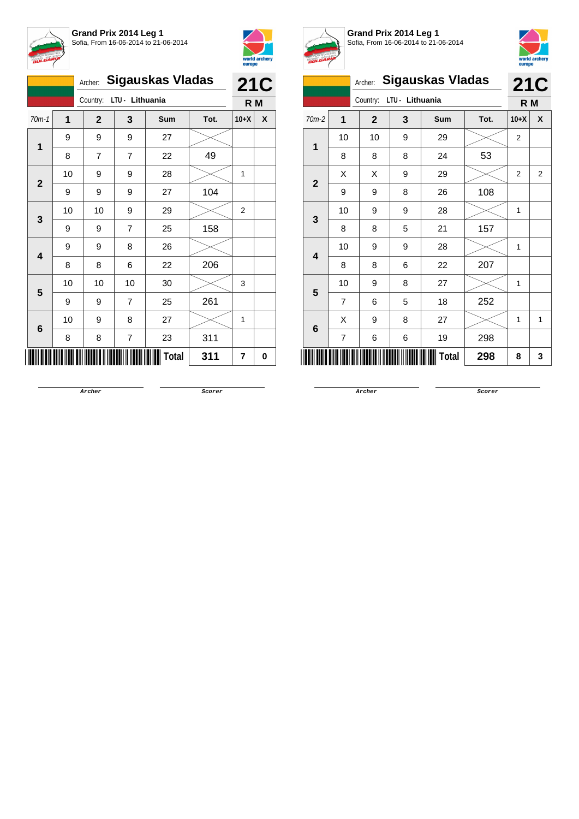



|                     |    | Archer:        |                 | <b>Sigauskas Vladas</b> |      | <b>21C</b> |   |
|---------------------|----|----------------|-----------------|-------------------------|------|------------|---|
|                     |    | Country:       | LTU - Lithuania |                         |      | R M        |   |
| $70m-1$             | 1  | $\mathbf{2}$   | 3               | <b>Sum</b>              | Tot. | $10+X$     | X |
|                     | 9  | 9              | 9               | 27                      |      |            |   |
| 1<br>$\overline{2}$ | 8  | $\overline{7}$ | $\overline{7}$  | 22                      | 49   |            |   |
|                     | 10 | 9              | 9               | 28                      |      | 1          |   |
|                     | 9  | 9              | 9               | 27                      | 104  |            |   |
| 3                   | 10 | 10             | 9               | 29                      |      | 2          |   |
|                     | 9  | 9              | 7               | 25                      | 158  |            |   |
| 4                   | 9  | 9              | 8               | 26                      |      |            |   |
|                     | 8  | 8              | 6               | 22                      | 206  |            |   |
| 5                   | 10 | 10             | 10              | 30                      |      | 3          |   |
|                     | 9  | 9              | $\overline{7}$  | 25                      | 261  |            |   |
| $6\phantom{1}$      | 10 | 9              | 8               | 27                      |      | 1          |   |
|                     | 8  | 8              | 7               | 23                      | 311  |            |   |
|                     |    |                |                 | <b>Total</b>            | 311  | 7          | 0 |



**Grand Prix 2014 Leg 1** Sofia, From 16-06-2014 to 21-06-2014



|              |                |              |                 |                         |      | europe         |                |
|--------------|----------------|--------------|-----------------|-------------------------|------|----------------|----------------|
|              |                | Archer:      |                 | <b>Sigauskas Vladas</b> |      | <b>21C</b>     |                |
|              |                | Country:     | LTU - Lithuania |                         |      | R M            |                |
| $70m-2$      | $\overline{1}$ | $\mathbf{2}$ | 3               | Sum                     | Tot. | $10+X$         | X              |
| 1            | 10             | 10           | 9               | 29                      |      | $\overline{2}$ |                |
|              | 8              | 8            | 8               | 24                      | 53   |                |                |
|              | X              | X            | 9               | 29                      |      | $\overline{2}$ | $\overline{2}$ |
| $\mathbf{2}$ | 9              | 9            | 8               | 26                      | 108  |                |                |
| 3            | 10             | 9            | 9               | 28                      |      | 1              |                |
|              | 8              | 8            | 5               | 21                      | 157  |                |                |
| 4            | 10             | 9            | 9               | 28                      |      | 1              |                |
|              | 8              | 8            | 6               | 22                      | 207  |                |                |
| 5            | 10             | 9            | 8               | 27                      |      | 1              |                |
|              | 7              | 6            | 5               | 18                      | 252  |                |                |
|              | Χ              | 9            | 8               | 27                      |      | 1              | 1              |
| 6            | $\overline{7}$ | 6            | 6               | 19                      | 298  |                |                |
| ║║           |                |              |                 | Total                   | 298  | 8              | 3              |

**Archer Scorer**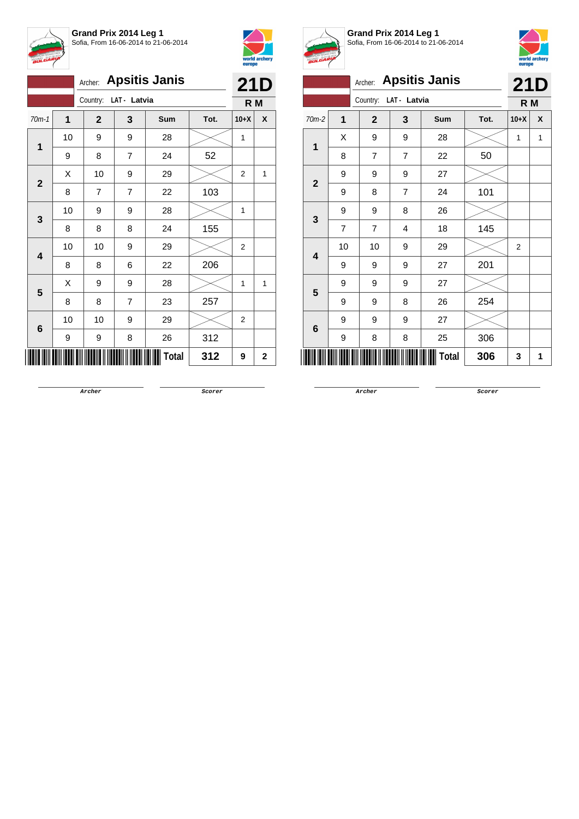



|                         | <b>Apsitis Janis</b><br>Archer: |                       |                |       |      |                | 21D          |
|-------------------------|---------------------------------|-----------------------|----------------|-------|------|----------------|--------------|
|                         |                                 | Country: LAT - Latvia |                |       |      | R <sub>M</sub> |              |
| $70m-1$                 | 1                               | $\mathbf{2}$          | 3              | Sum   | Tot. | $10+X$         | X            |
|                         | 10                              | 9                     | 9              | 28    |      | 1              |              |
| 1                       | 9                               | 8                     | $\overline{7}$ | 24    | 52   |                |              |
| $\mathbf{2}$            | Χ                               | 10                    | 9              | 29    |      | $\overline{2}$ | 1            |
|                         | 8                               | 7                     | $\overline{7}$ | 22    | 103  |                |              |
| 3                       | 10                              | 9                     | 9              | 28    |      | 1              |              |
|                         | 8                               | 8                     | 8              | 24    | 155  |                |              |
| $\overline{\mathbf{4}}$ | 10                              | 10                    | 9              | 29    |      | 2              |              |
|                         | 8                               | 8                     | 6              | 22    | 206  |                |              |
| 5                       | Χ                               | 9                     | 9              | 28    |      | 1              | $\mathbf{1}$ |
|                         | 8                               | 8                     | 7              | 23    | 257  |                |              |
|                         | 10                              | 10                    | 9              | 29    |      | $\overline{2}$ |              |
| $\bf 6$                 | 9                               | 9                     | 8              | 26    | 312  |                |              |
|                         |                                 |                       |                | Total | 312  | 9              | 2            |



**Grand Prix 2014 Leg 1** Sofia, From 16-06-2014 to 21-06-2014



|              |    | Archer:        |                | <b>Apsitis Janis</b> |      | <b>21D</b>     |   |  |
|--------------|----|----------------|----------------|----------------------|------|----------------|---|--|
|              |    | Country:       | LAT - Latvia   |                      |      |                |   |  |
| $70m-2$      | 1  | $\overline{2}$ | 3              | Sum                  | Tot. | $10+X$         | X |  |
| 1            | X  | 9              | 9              | 28                   |      | 1              | 1 |  |
|              | 8  | $\overline{7}$ | $\overline{7}$ | 22                   | 50   |                |   |  |
| $\mathbf{2}$ | 9  | 9              | 9              | 27                   |      |                |   |  |
|              | 9  | 8              | $\overline{7}$ | 24                   | 101  |                |   |  |
| 3            | 9  | 9              | 8              | 26                   |      |                |   |  |
|              | 7  | 7              | 4              | 18                   | 145  |                |   |  |
| 4            | 10 | 10             | 9              | 29                   |      | $\overline{2}$ |   |  |
|              | 9  | 9              | 9              | 27                   | 201  |                |   |  |
| 5            | 9  | 9              | 9              | 27                   |      |                |   |  |
|              | 9  | 9              | 8              | 26                   | 254  |                |   |  |
| 6            | 9  | 9              | 9              | 27                   |      |                |   |  |
|              | 9  | 8              | 8              | 25                   | 306  |                |   |  |
|              |    |                |                | Total                | 306  | 3              | 1 |  |

**Archer Scorer**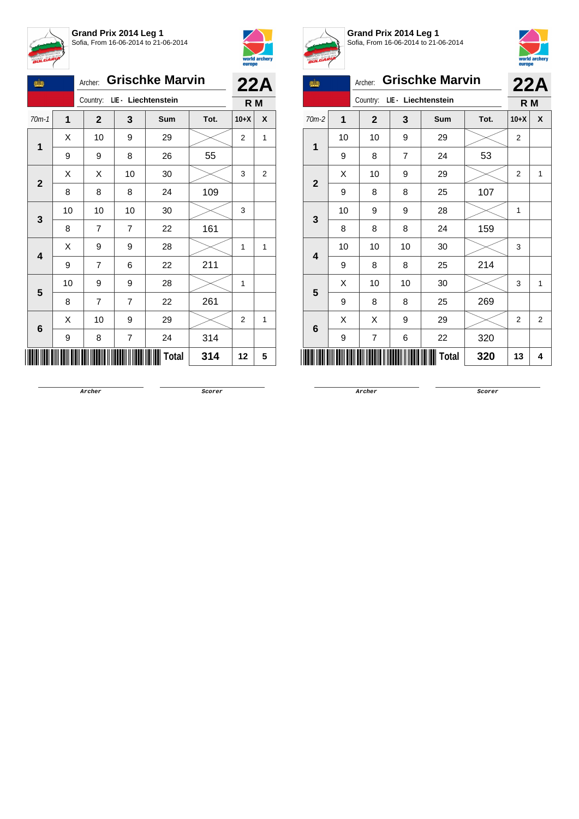



| tin         |             | Archer:        | <b>Grischke Marvin</b>  | 22A                          |      |                |   |
|-------------|-------------|----------------|-------------------------|------------------------------|------|----------------|---|
|             |             |                |                         | Country: LIE - Liechtenstein |      | R M            |   |
| $70m-1$     | $\mathbf 1$ | $\mathbf{2}$   | $\mathbf{3}$            | Sum                          | Tot. | $10+X$         | X |
|             | Χ           | 10             | 9                       | 29                           |      | $\overline{c}$ | 1 |
| 1           | 9           | 9              | 8                       | 26                           | 55   |                |   |
|             | Χ           | Χ              | 10                      | 30                           |      | 3              | 2 |
| $\mathbf 2$ | 8           | 8              | 8                       | 24                           | 109  |                |   |
| 3           | 10          | 10             | 10                      | 30                           |      | 3              |   |
|             | 8           | 7              | 7                       | 22                           | 161  |                |   |
| 4           | X           | 9              | 9                       | 28                           |      | 1              | 1 |
|             | 9           | 7              | 6                       | 22                           | 211  |                |   |
| 5           | 10          | 9              | 9                       | 28                           |      | 1              |   |
|             | 8           | $\overline{7}$ | $\overline{7}$          | 22                           | 261  |                |   |
|             | X           | 10             | 9                       | 29                           |      | 2              | 1 |
| 6           | 9           | 8              | $\overline{\mathbf{7}}$ | 24                           | 314  |                |   |
|             |             |                |                         | Total                        | 314  | 12             | 5 |



**Grand Prix 2014 Leg 1** Sofia, From 16-06-2014 to 21-06-2014



| <b>SB</b>                       | <b>Grischke Marvin</b> |              | 22A |              |      |                |                |
|---------------------------------|------------------------|--------------|-----|--------------|------|----------------|----------------|
| LIE - Liechtenstein<br>Country: |                        |              |     |              |      | R M            |                |
| 70m-2                           | $\mathbf 1$            | $\mathbf{2}$ | 3   | Sum          | Tot. | $10+X$         | X              |
|                                 | 10                     | 10           | 9   | 29           |      | $\overline{2}$ |                |
| 1                               | 9                      | 8            | 7   | 24           | 53   |                |                |
|                                 | X                      | 10           | 9   | 29           |      | $\overline{2}$ | 1              |
| $\overline{2}$                  | 9                      | 8            | 8   | 25           | 107  |                |                |
|                                 | 10                     | 9            | 9   | 28           |      | 1              |                |
| 3                               | 8                      | 8            | 8   | 24           | 159  |                |                |
|                                 | 10                     | 10           | 10  | 30           |      | 3              |                |
| 4                               | 9                      | 8            | 8   | 25           | 214  |                |                |
|                                 | X                      | 10           | 10  | 30           |      | 3              | 1              |
| 5                               | 9                      | 8            | 8   | 25           | 269  |                |                |
|                                 | X                      | Χ            | 9   | 29           |      | $\overline{2}$ | $\overline{2}$ |
| 6                               | 9                      | 7            | 6   | 22           | 320  |                |                |
|                                 |                        |              |     | <b>Total</b> | 320  | 13             | 4              |

**Archer Scorer**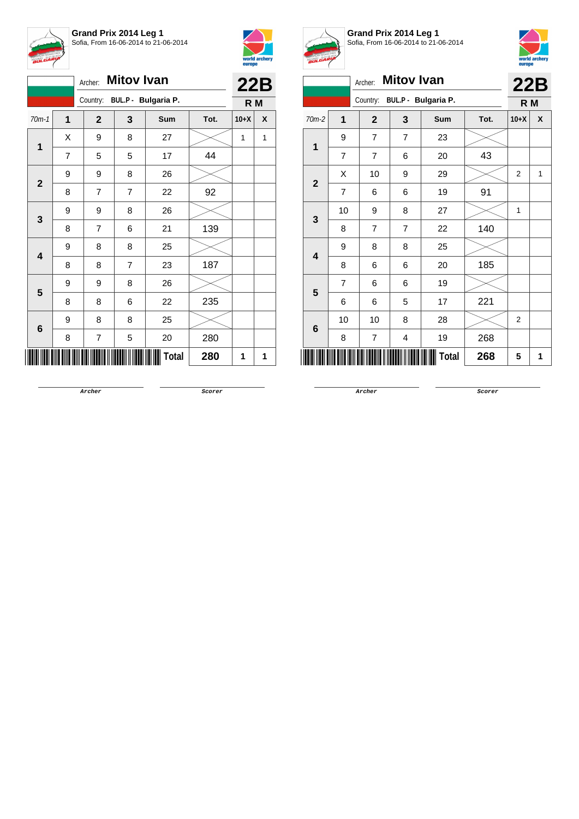

**Grand Prix 2014 Leg 1** Sofia, From 16-06-2014 to 21-06-2014



|                         |                         | Archer:        | <b>Mitov Ivan</b> |                     |      | 22B            |   |
|-------------------------|-------------------------|----------------|-------------------|---------------------|------|----------------|---|
|                         |                         | Country:       |                   | BUL.P - Bulgaria P. |      | R <sub>M</sub> |   |
| $70m-1$                 | $\overline{\mathbf{1}}$ | $\mathbf{2}$   | 3                 | Sum                 | Tot. | $10+X$         | X |
|                         | Χ                       | 9              | 8                 | 27                  |      | 1              | 1 |
| 1                       | 7                       | 5              | 5                 | 17                  | 44   |                |   |
|                         | 9                       | 9              | 8                 | 26                  |      |                |   |
| $\mathbf{2}$            | 8                       | $\overline{7}$ | $\overline{7}$    | 22                  | 92   |                |   |
|                         | 9                       | 9              | 8                 | 26                  |      |                |   |
| 3                       | 8                       | 7              | 6                 | 21                  | 139  |                |   |
|                         | 9                       | 8              | 8                 | 25                  |      |                |   |
| $\overline{\mathbf{4}}$ | 8                       | 8              | 7                 | 23                  | 187  |                |   |
|                         | 9                       | 9              | 8                 | 26                  |      |                |   |
| 5                       | 8                       | 8              | 6                 | 22                  | 235  |                |   |
|                         | 9                       | 8              | 8                 | 25                  |      |                |   |
| 6                       | 8                       | $\overline{7}$ | 5                 | 20                  | 280  |                |   |
|                         |                         |                |                   | Total               | 280  | 1              | 1 |



**Grand Prix 2014 Leg 1** Sofia, From 16-06-2014 to 21-06-2014



| <b>BULGARIA</b> |                |                                 |                   |              |      | europe         | world archery |
|-----------------|----------------|---------------------------------|-------------------|--------------|------|----------------|---------------|
|                 |                | Archer:                         | <b>Mitov Ivan</b> |              |      | 22B            |               |
|                 |                | BUL.P - Bulgaria P.<br>Country: |                   |              |      | R M            |               |
| $70m-2$         | $\overline{1}$ | $\mathbf{2}$                    | 3                 | <b>Sum</b>   | Tot. | $10+X$         | X             |
| $\mathbf 1$     | 9              | 7                               | $\overline{7}$    | 23           |      |                |               |
|                 | $\overline{7}$ | $\overline{7}$                  | 6                 | 20           | 43   |                |               |
| $\overline{2}$  | X              | 10                              | 9                 | 29           |      | $\overline{2}$ | 1             |
|                 | 7              | 6                               | 6                 | 19           | 91   |                |               |
| 3               | 10             | 9                               | 8                 | 27           |      | $\mathbf{1}$   |               |
|                 | 8              | $\overline{7}$                  | $\overline{7}$    | 22           | 140  |                |               |
| 4               | 9              | 8                               | 8                 | 25           |      |                |               |
|                 | 8              | 6                               | 6                 | 20           | 185  |                |               |
| 5               | $\overline{7}$ | 6                               | 6                 | 19           |      |                |               |
|                 | 6              | 6                               | 5                 | 17           | 221  |                |               |
| 6               | 10             | 10                              | 8                 | 28           |      | $\overline{2}$ |               |
|                 | 8              | $\overline{7}$                  | 4                 | 19           | 268  |                |               |
|                 |                |                                 |                   | <b>Total</b> | 268  | 5              | 1             |

**Archer Scorer**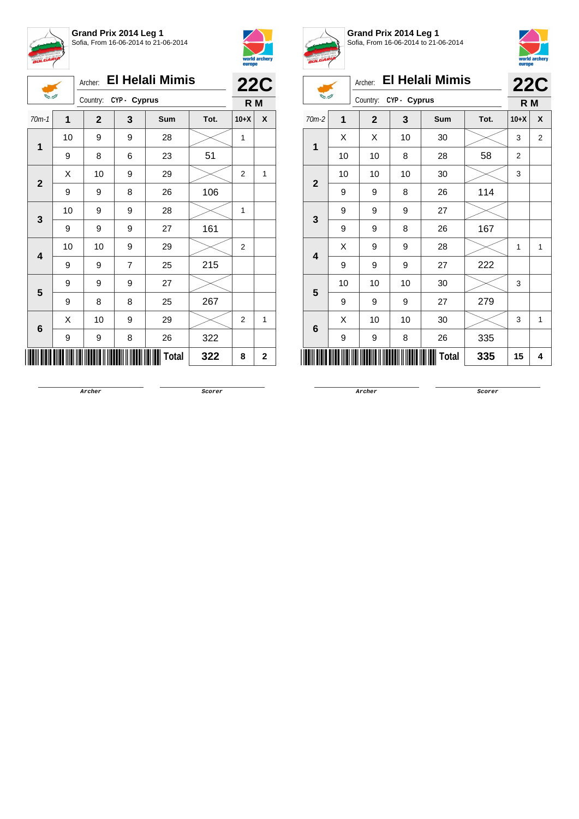





Archer: **El Helali Mimis**

| <b>Shang and</b>        |                     | Country:     | CYP- Cyprus    |     |      | R M            |             |
|-------------------------|---------------------|--------------|----------------|-----|------|----------------|-------------|
| $70m-1$                 | 1                   | $\mathbf{2}$ | 3              | Sum | Tot. | $10+X$         | χ           |
| 1                       | 10                  | 9            | 9              | 28  |      | 1              |             |
|                         | 9                   | 8            | 6              | 23  | 51   |                |             |
| $\mathbf{2}$            | X                   | 10           | 9              | 29  |      | 2              | 1           |
|                         | 9                   | 9            | 8              | 26  | 106  |                |             |
| 3                       | 10                  | 9            | 9              | 28  |      | $\mathbf{1}$   |             |
|                         | 9                   | 9            | 9              | 27  | 161  |                |             |
| $\overline{\mathbf{4}}$ | 10                  | 10           | 9              | 29  |      | $\mathbf 2$    |             |
|                         | 9                   | 9            | $\overline{7}$ | 25  | 215  |                |             |
| 5                       | 9                   | 9            | 9              | 27  |      |                |             |
|                         | 9                   | 8            | 8              | 25  | 267  |                |             |
| $\bf 6$                 | Χ                   | 10           | 9              | 29  |      | $\overline{2}$ | 1           |
|                         | 9                   | 9            | 8              | 26  | 322  |                |             |
|                         | <b>Total</b><br>322 |              |                |     |      | 8              | $\mathbf 2$ |



**Grand Prix 2014 Leg 1** Sofia, From 16-06-2014 to 21-06-2014



| <i>p</i> .,    | europe |                |              |                         |        |                |                |
|----------------|--------|----------------|--------------|-------------------------|--------|----------------|----------------|
|                |        |                |              | Archer: El Helali Mimis |        |                | <b>22C</b>     |
|                |        | Country:       | CYP - Cyprus |                         |        | R M            |                |
| $70m-2$        | 1      | $\overline{2}$ | 3            | Tot.                    | $10+X$ | X              |                |
| $\mathbf 1$    | X      | X              | 10           | 30                      |        | 3              | $\overline{2}$ |
|                | 10     | 10             | 8            | 28                      | 58     | $\overline{2}$ |                |
| $\overline{2}$ | 10     | 10             | 10           | 30                      |        | 3              |                |
|                | 9      | 9              | 8            | 26                      | 114    |                |                |
| 3              | 9      | 9              | 9            | 27                      |        |                |                |
|                | 9      | 9              | 8            | 26                      | 167    |                |                |
| 4              | X      | 9              | 9            | 28                      |        | 1              | $\mathbf{1}$   |
|                | 9      | 9              | 9            | 27                      | 222    |                |                |
| 5              | 10     | 10             | 10           | 30                      |        | 3              |                |
|                | 9      | 9              | 9            | 27                      | 279    |                |                |
| 6              | X      | 10             | 10           | 30                      |        | 3              | 1              |
|                | 9      | 9              | 8            | 26                      | 335    |                |                |
|                | 15     | 4              |              |                         |        |                |                |

**Archer Scorer**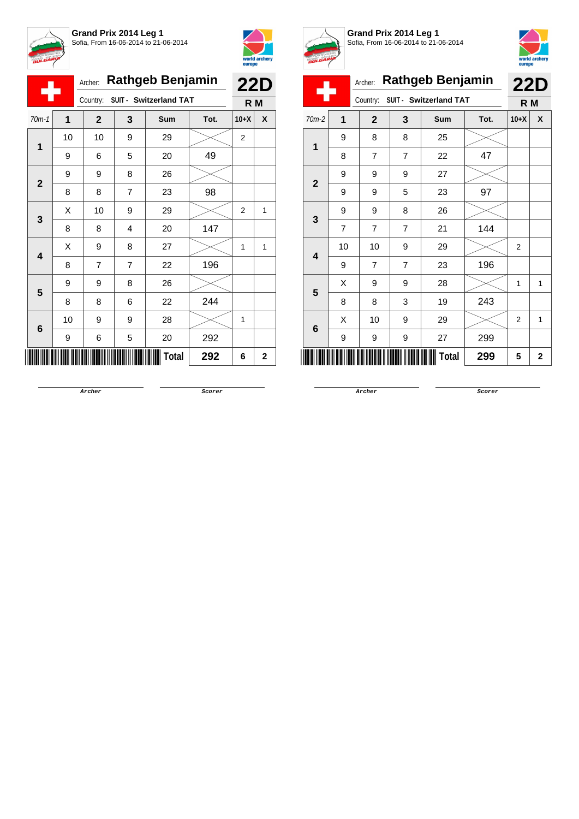



Ξ

Ī Ī

|              |    | Archer:        |                | <b>Rathgeb Benjamin</b>         |      |                   |              |  |
|--------------|----|----------------|----------------|---------------------------------|------|-------------------|--------------|--|
|              |    |                |                | Country: SUIT - Switzerland TAT |      | <b>22D</b><br>R M |              |  |
| $70m-1$      | 1  | $\mathbf{2}$   | 3              | Sum                             | Tot. | $10+X$            | X            |  |
|              | 10 | 10             | 9              | 29                              |      | $\overline{2}$    |              |  |
| 1            | 9  | 6              | 5              | 20                              | 49   |                   |              |  |
|              | 9  | 9              | 8              | 26                              |      |                   |              |  |
| $\mathbf{2}$ | 8  | 8              | $\overline{7}$ | 23                              | 98   |                   |              |  |
|              | Χ  | 10             | 9              | 29                              |      | 2                 | 1            |  |
| 3            | 8  | 8              | 4              | 20                              | 147  |                   |              |  |
|              | X  | 9              | 8              | 27                              |      | 1                 | 1            |  |
| 4            | 8  | $\overline{7}$ | $\overline{7}$ | 22                              | 196  |                   |              |  |
|              | 9  | 9              | 8              | 26                              |      |                   |              |  |
| 5            | 8  | 8              | 6              | 22                              | 244  |                   |              |  |
|              | 10 | 9              | 9              | 28                              |      | 1                 |              |  |
| 6            | 9  | 6              | 5              | 20                              | 292  |                   |              |  |
|              |    |                |                | <b>Total</b>                    | 292  | 6                 | $\mathbf{2}$ |  |



**Grand Prix 2014 Leg 1** Sofia, From 16-06-2014 to 21-06-2014



|                |                |                |                |                         |      |                | europe |
|----------------|----------------|----------------|----------------|-------------------------|------|----------------|--------|
|                |                | Archer:        |                | <b>Rathgeb Benjamin</b> |      | <b>22D</b>     |        |
|                |                | Country:       |                | SUIT - Switzerland TAT  |      | R <sub>M</sub> |        |
| $70m-2$        | 1              | $\mathbf{2}$   | 3              | Sum                     | Tot. | $10+X$         | X      |
| 1              | 9              | 8              | 8              | 25                      |      |                |        |
|                | 8              | $\overline{7}$ | $\overline{7}$ | 22                      | 47   |                |        |
| $\overline{2}$ | 9              | 9              | 9              | 27                      |      |                |        |
|                | 9              | 9              | 5              | 23                      | 97   |                |        |
| 3              | 9              | 9              | 8              | 26                      |      |                |        |
|                | $\overline{7}$ | $\overline{7}$ | $\overline{7}$ | 21                      | 144  |                |        |
| 4              | 10             | 10             | 9              | 29                      |      | 2              |        |
|                | 9              | $\overline{7}$ | $\overline{7}$ | 23                      | 196  |                |        |
| 5              | X              | 9              | 9              | 28                      |      | 1              | 1      |
|                | 8              | 8              | 3              | 19                      | 243  |                |        |
| 6              | X              | 10             | 9              | 29                      |      | $\overline{2}$ | 1      |
|                | 9              | 9              | 9              | 27                      | 299  |                |        |
|                |                |                |                | Total                   | 299  | 5              | 2      |

**Archer Scorer**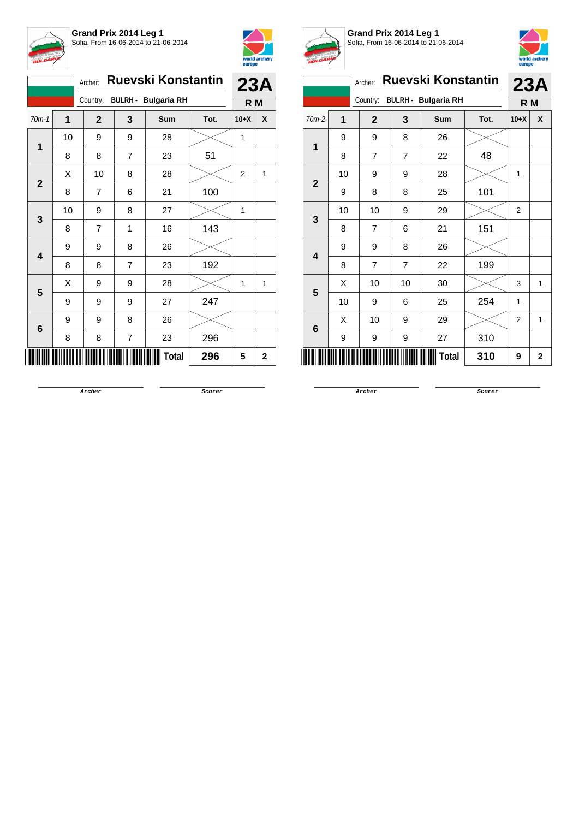



|                |    | Archer:      |                | <b>Ruevski Konstantin</b>  |      | 23A    |             |
|----------------|----|--------------|----------------|----------------------------|------|--------|-------------|
|                |    | Country:     |                | <b>BULRH - Bulgaria RH</b> |      | R M    |             |
| $70m-1$        | 1  | $\mathbf{2}$ | 3              | Sum                        | Tot. | $10+X$ | X           |
| 1              | 10 | 9            | 9              | 28                         |      | 1      |             |
|                | 8  | 8            | $\overline{7}$ | 23                         | 51   |        |             |
| $\overline{2}$ | Χ  | 10           | 8              | 28                         |      | 2      | 1           |
|                | 8  | 7            | 6              | 21                         | 100  |        |             |
| 3              | 10 | 9            | 8              | 27                         |      | 1      |             |
|                | 8  | 7            | 1              | 16                         | 143  |        |             |
| 4              | 9  | 9            | 8              | 26                         |      |        |             |
|                | 8  | 8            | $\overline{7}$ | 23                         | 192  |        |             |
| 5              | Χ  | 9            | 9              | 28                         |      | 1      | 1           |
|                | 9  | 9            | 9              | 27                         | 247  |        |             |
|                | 9  | 9            | 8              | 26                         |      |        |             |
| 6              | 8  | 8            | 7              | 23                         | 296  |        |             |
|                |    |              |                | <b>Total</b>               | 296  | 5      | $\mathbf 2$ |



**Grand Prix 2014 Leg 1** Sofia, From 16-06-2014 to 21-06-2014



| BULGARIA       |    |                |                |                            |      | europe         | world archery |  |
|----------------|----|----------------|----------------|----------------------------|------|----------------|---------------|--|
|                |    | Archer:        |                | <b>Ruevski Konstantin</b>  |      | 23A            |               |  |
|                |    | Country:       |                | <b>BULRH - Bulgaria RH</b> |      | R M            |               |  |
| $70m-2$        | 1  | $\overline{2}$ | 3              | Sum                        | Tot. | $10+X$         | X             |  |
| 1              | 9  | 9              | 8              | 26                         |      |                |               |  |
|                | 8  | $\overline{7}$ | $\overline{7}$ | 22                         | 48   |                |               |  |
| $\overline{2}$ | 10 | 9              | 9              | 28                         |      | 1              |               |  |
|                | 9  | 8              | 8              | 25                         | 101  |                |               |  |
| 3              | 10 | 10             | 9              | 29                         |      | 2              |               |  |
|                | 8  | 7              | 6              | 21                         | 151  |                |               |  |
| 4              | 9  | 9              | 8              | 26                         |      |                |               |  |
|                | 8  | $\overline{7}$ | $\overline{7}$ | 22                         | 199  |                |               |  |
| 5              | X  | 10             | 10             | 30                         |      | 3              | 1             |  |
|                | 10 | 9              | 6              | 25                         | 254  | 1              |               |  |
| 6              | X  | 10             | 9              | 29                         |      | $\overline{2}$ | 1             |  |
|                | 9  | 9              | 9              | 27                         | 310  |                |               |  |
|                |    |                |                | Total                      | 310  | 9              | $\mathbf{2}$  |  |

**Archer Scorer**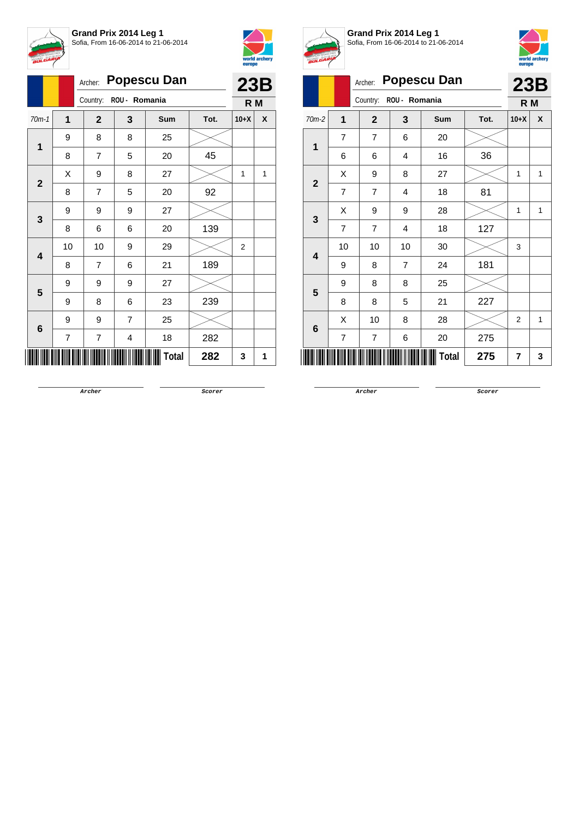



|                         |                | Archer:        | <b>Popescu Dan</b>     |              |      |        |   |  |  |
|-------------------------|----------------|----------------|------------------------|--------------|------|--------|---|--|--|
|                         |                |                | Country: ROU - Romania |              |      |        |   |  |  |
| $70m-1$                 | 1              | $\mathbf{2}$   | 3                      | Sum          | Tot. | $10+X$ | X |  |  |
| $\mathbf 1$             | 9              | 8              | 8                      | 25           |      |        |   |  |  |
|                         | 8              | $\overline{7}$ | 5                      | 20           | 45   |        |   |  |  |
| $\mathbf{2}$            | X              | 9              | 8                      | 27           |      | 1      | 1 |  |  |
|                         | 8              | 7              | 5                      | 20           | 92   |        |   |  |  |
| 3                       | 9              | 9              | 9                      | 27           |      |        |   |  |  |
|                         | 8              | 6              | 6                      | 20           | 139  |        |   |  |  |
| $\overline{\mathbf{4}}$ | 10             | 10             | 9                      | 29           |      | 2      |   |  |  |
|                         | 8              | 7              | 6                      | 21           | 189  |        |   |  |  |
| 5                       | 9              | 9              | 9                      | 27           |      |        |   |  |  |
|                         | 9              | 8              | 6                      | 23           | 239  |        |   |  |  |
| 6                       | 9              | 9              | $\overline{7}$         | 25           |      |        |   |  |  |
|                         | $\overline{7}$ | 7              | 4                      | 18           | 282  |        |   |  |  |
|                         |                |                |                        | <b>Total</b> | 282  | 3      | 1 |  |  |



**Grand Prix 2014 Leg 1** Sofia, From 16-06-2014 to 21-06-2014



|                         | x              | Archer:        |                | <b>Popescu Dan</b> |      |                | 23B |
|-------------------------|----------------|----------------|----------------|--------------------|------|----------------|-----|
|                         |                | Country:       | ROU - Romania  |                    |      | R M            |     |
| $70m-2$                 | 1              | $\overline{2}$ | 3              | Sum                | Tot. | $10+X$         | X   |
| 1                       | $\overline{7}$ | 7              | 6              | 20                 |      |                |     |
|                         | 6              | 6              | 4              | 16                 | 36   |                |     |
| $\overline{\mathbf{2}}$ | Χ              | 9              | 8              | 27                 |      | 1              | 1   |
|                         | $\overline{7}$ | $\overline{7}$ | 4              | 18                 | 81   |                |     |
| 3                       | Χ              | 9              | 9              | 28                 |      | 1              | 1   |
|                         | $\overline{7}$ | $\overline{7}$ | $\overline{4}$ | 18                 | 127  |                |     |
| 4                       | 10             | 10             | 10             | 30                 |      | 3              |     |
|                         | 9              | 8              | 7              | 24                 | 181  |                |     |
| 5                       | 9              | 8              | 8              | 25                 |      |                |     |
|                         | 8              | 8              | 5              | 21                 | 227  |                |     |
| 6                       | Χ              | 10             | 8              | 28                 |      | 2              | 1   |
|                         | 7              | 7              | 6              | 20                 | 275  |                |     |
|                         |                |                |                | Total              | 275  | $\overline{7}$ | 3   |

**Archer Scorer**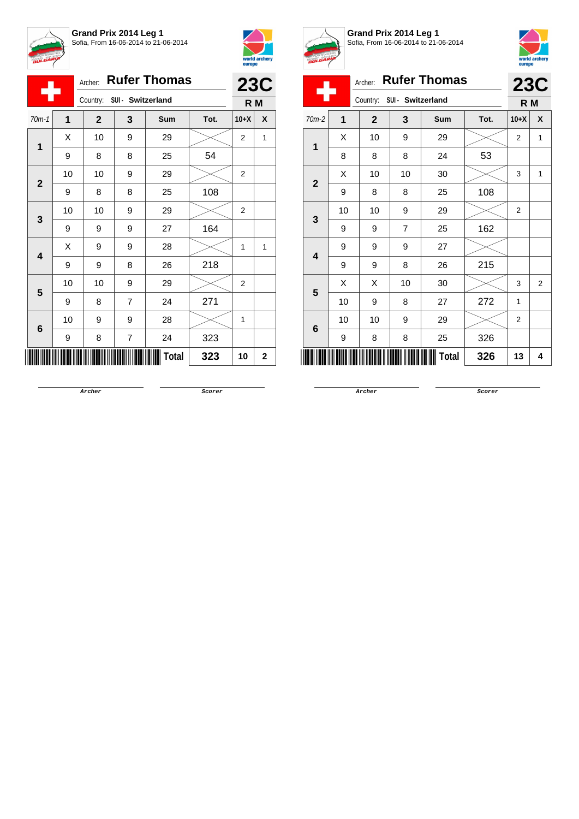



|                            | Archer: Rufer Thomas |              |                |              |      |                |                   |  |
|----------------------------|----------------------|--------------|----------------|--------------|------|----------------|-------------------|--|
| Country: SUI - Switzerland |                      |              |                |              |      |                | <b>23C</b><br>R M |  |
| $70m-1$                    | 1                    | $\mathbf{2}$ | 3              | Sum          | Tot. | $10+X$         | X                 |  |
| $\mathbf 1$                | X                    | 10           | 9              | 29           |      | 2              | 1                 |  |
|                            | 9                    | 8            | 8              | 25           | 54   |                |                   |  |
|                            | 10                   | 10           | 9              | 29           |      | $\overline{2}$ |                   |  |
| $\overline{2}$             | 9                    | 8            | 8              | 25           | 108  |                |                   |  |
|                            | 10                   | 10           | 9              | 29           |      | 2              |                   |  |
| 3                          | 9                    | 9            | 9              | 27           | 164  |                |                   |  |
|                            | Χ                    | 9            | 9              | 28           |      | 1              | 1                 |  |
| $\overline{\mathbf{4}}$    | 9                    | 9            | 8              | 26           | 218  |                |                   |  |
| 5                          | 10                   | 10           | 9              | 29           |      | 2              |                   |  |
|                            | 9                    | 8            | $\overline{7}$ | 24           | 271  |                |                   |  |
|                            | 10                   | 9            | 9              | 28           |      | 1              |                   |  |
| 6                          | 9                    | 8            | 7              | 24           | 323  |                |                   |  |
|                            |                      |              |                | <b>Total</b> | 323  | 10             | $\overline{2}$    |  |



**Grand Prix 2014 Leg 1** Sofia, From 16-06-2014 to 21-06-2014



|                  |    |              |                   |                     |      | europe         |                |  |  |
|------------------|----|--------------|-------------------|---------------------|------|----------------|----------------|--|--|
|                  |    | Archer:      |                   | <b>Rufer Thomas</b> |      |                | <b>23C</b>     |  |  |
|                  |    | Country:     | SUI - Switzerland |                     |      | R M            |                |  |  |
| $70m-2$          | 1  | $\mathbf{2}$ | 3                 | Sum                 | Tot. | $10+X$         | X              |  |  |
| 1                | X  | 10           | 9                 | 29                  |      | $\overline{2}$ | 1              |  |  |
|                  | 8  | 8            | 8                 | 24                  | 53   |                |                |  |  |
| $\overline{2}$   | Χ  | 10           | 10                | 30                  |      | 3              | 1              |  |  |
|                  | 9  | 8            | 8                 | 25                  | 108  |                |                |  |  |
| 3                | 10 | 10           | 9                 | 29                  |      | $\overline{2}$ |                |  |  |
|                  | 9  | 9            | $\overline{7}$    | 25                  | 162  |                |                |  |  |
| $\boldsymbol{4}$ | 9  | 9            | 9                 | 27                  |      |                |                |  |  |
|                  | 9  | 9            | 8                 | 26                  | 215  |                |                |  |  |
| 5                | X  | X            | 10                | 30                  |      | 3              | $\overline{2}$ |  |  |
|                  | 10 | 9            | 8                 | 27                  | 272  | 1              |                |  |  |
|                  | 10 | 10           | 9                 | 29                  |      | $\overline{2}$ |                |  |  |
| 6                | 9  | 8            | 8                 | 25                  | 326  |                |                |  |  |
|                  |    |              |                   | Total               | 326  | 13             | 4              |  |  |
|                  |    |              |                   |                     |      |                |                |  |  |

**Archer Scorer**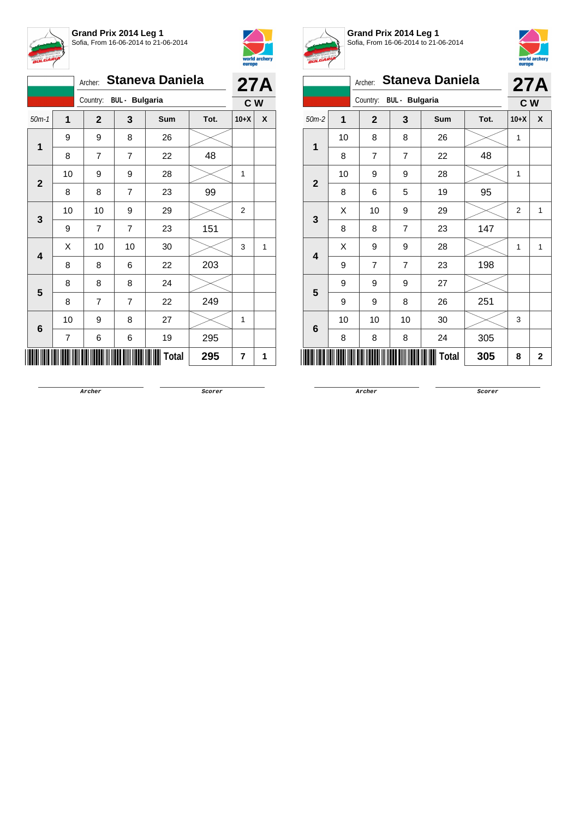



|              | Archer: Staneva Daniela<br>Country: BUL - Bulgaria |                |                |        |      |        |              |  |  |  |  |
|--------------|----------------------------------------------------|----------------|----------------|--------|------|--------|--------------|--|--|--|--|
|              |                                                    |                |                |        |      | C W    | <b>27A</b>   |  |  |  |  |
| $50m-1$      | $\mathbf 1$                                        | $\mathbf{2}$   | 3              | Sum    | Tot. | $10+X$ | X            |  |  |  |  |
| $\mathbf{1}$ | 9                                                  | 9              | 8              | 26     |      |        |              |  |  |  |  |
|              | 8                                                  | 7              | $\overline{7}$ | 22     | 48   |        |              |  |  |  |  |
| $\mathbf{2}$ | 10                                                 | 9              | 9              | 28     |      | 1      |              |  |  |  |  |
|              | 8                                                  | 8              | 7              | 23     | 99   |        |              |  |  |  |  |
| 3            | 10                                                 | 10             | 9              | 29     |      | 2      |              |  |  |  |  |
|              | 9                                                  | 7              | $\overline{7}$ | 23     | 151  |        |              |  |  |  |  |
| 4            | X                                                  | 10             | 10             | $30\,$ |      | 3      | $\mathbf{1}$ |  |  |  |  |
|              | 8                                                  | 8              | 6              | 22     | 203  |        |              |  |  |  |  |
| 5            | 8                                                  | 8              | 8              | 24     |      |        |              |  |  |  |  |
|              | 8                                                  | $\overline{7}$ | $\overline{7}$ | 22     | 249  |        |              |  |  |  |  |
| $\bf 6$      | 10                                                 | 9              | 8              | 27     |      | 1      |              |  |  |  |  |
|              | $\overline{7}$                                     | 6              | 6              | 19     | 295  |        |              |  |  |  |  |
|              |                                                    |                |                | Total  | 295  | 7      | 1            |  |  |  |  |



**Grand Prix 2014 Leg 1** Sofia, From 16-06-2014 to 21-06-2014



|                         | <b>Carego</b>                     |                |                       |              |      |                |              |  |  |
|-------------------------|-----------------------------------|----------------|-----------------------|--------------|------|----------------|--------------|--|--|
|                         | <b>Staneva Daniela</b><br>Archer: |                |                       |              |      |                |              |  |  |
|                         |                                   | Country:       | <b>BUL</b> - Bulgaria |              |      | C W            | 27A          |  |  |
| $50m-2$                 | $\overline{1}$                    | $\mathbf{2}$   | 3                     | Sum          | Tot. | $10+X$         | X            |  |  |
| 1                       | $10$                              | 8              | 8                     | 26           |      | 1              |              |  |  |
|                         | 8                                 | $\overline{7}$ | $\overline{7}$        | 22           | 48   |                |              |  |  |
| $\overline{\mathbf{2}}$ | 10                                | 9              | 9                     | 28           |      | 1              |              |  |  |
|                         | 8                                 | 6              | 5                     | 19           | 95   |                |              |  |  |
| 3                       | X                                 | 10             | 9                     | 29           |      | $\overline{2}$ | 1            |  |  |
|                         | 8                                 | 8              | $\overline{7}$        | 23           | 147  |                |              |  |  |
| 4                       | X                                 | 9              | 9                     | 28           |      | 1              | 1            |  |  |
|                         | 9                                 | 7              | $\overline{7}$        | 23           | 198  |                |              |  |  |
| 5                       | 9                                 | 9              | 9                     | 27           |      |                |              |  |  |
|                         | 9                                 | 9              | 8                     | 26           | 251  |                |              |  |  |
| 6                       | 10                                | 10             | 10                    | 30           |      | 3              |              |  |  |
|                         | 8                                 | 8              | 8                     | 24           | 305  |                |              |  |  |
|                         |                                   |                |                       | <b>Total</b> | 305  | 8              | $\mathbf{2}$ |  |  |
|                         |                                   |                |                       |              |      |                |              |  |  |

**Archer Scorer**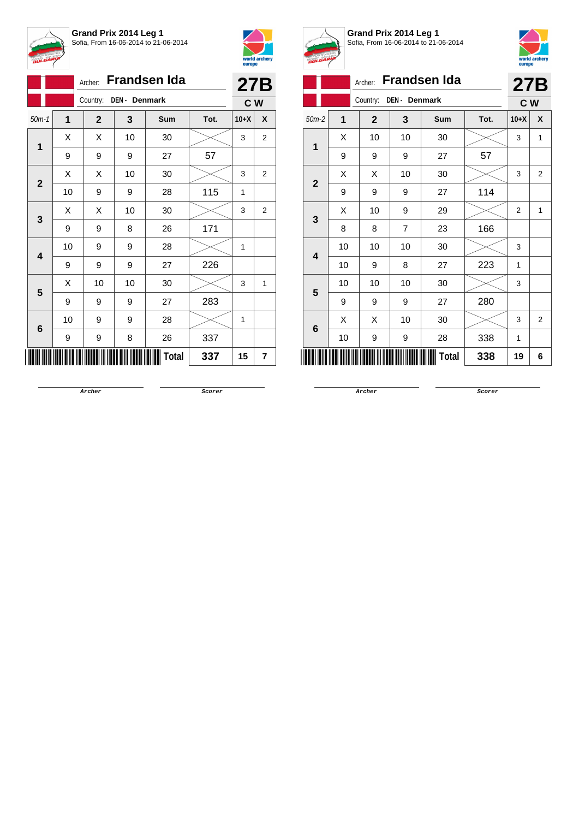



|                         | Frandsen Ida<br>Archer:   |              |    |              |      |        |                |  |  |
|-------------------------|---------------------------|--------------|----|--------------|------|--------|----------------|--|--|
|                         | Country:<br>DEN - Denmark |              |    |              |      |        |                |  |  |
| $50m-1$                 | 1                         | $\mathbf{2}$ | 3  | Sum          | Tot. | $10+X$ | X              |  |  |
|                         | Χ                         | Χ            | 10 | 30           |      | 3      | $\overline{2}$ |  |  |
| 1                       | 9                         | 9            | 9  | 27           | 57   |        |                |  |  |
|                         | X                         | Χ            | 10 | 30           |      | 3      | 2              |  |  |
| $\mathbf{2}$            | 10                        | 9            | 9  | 28           | 115  | 1      |                |  |  |
|                         | X                         | Χ            | 10 | 30           |      | 3      | 2              |  |  |
| 3                       | 9                         | 9            | 8  | 26           | 171  |        |                |  |  |
|                         | 10                        | 9            | 9  | 28           |      | 1      |                |  |  |
| $\overline{\mathbf{4}}$ | 9                         | 9            | 9  | 27           | 226  |        |                |  |  |
| 5                       | Χ                         | 10           | 10 | 30           |      | 3      | $\mathbf{1}$   |  |  |
|                         | 9                         | 9            | 9  | 27           | 283  |        |                |  |  |
|                         | 10                        | 9            | 9  | 28           |      | 1      |                |  |  |
| 6                       | 9                         | 9            | 8  | 26           | 337  |        |                |  |  |
|                         |                           |              |    | <b>Total</b> | 337  | 15     | 7              |  |  |



**Grand Prix 2014 Leg 1** Sofia, From 16-06-2014 to 21-06-2014



|                |    | Archer:        |                | <b>Frandsen Ida</b> |      |                | 27B            |
|----------------|----|----------------|----------------|---------------------|------|----------------|----------------|
|                |    | Country:       | DEN - Denmark  |                     |      | C W            |                |
| $50m-2$        | 1  | $\overline{2}$ | 3              | <b>Sum</b>          | Tot. | $10+X$         | X              |
| 1              | X  | 10             | 10             | 30                  |      | 3              | 1              |
|                | 9  | 9              | 9              | 27                  | 57   |                |                |
| $\overline{2}$ | X  | X              | 10             | 30                  |      | 3              | $\overline{2}$ |
|                | 9  | 9              | 9              | 27                  | 114  |                |                |
| 3              | X  | 10             | 9              | 29                  |      | $\overline{2}$ | 1              |
|                | 8  | 8              | $\overline{7}$ | 23                  | 166  |                |                |
| 4              | 10 | 10             | 10             | 30                  |      | 3              |                |
|                | 10 | 9              | 8              | 27                  | 223  | 1              |                |
| 5              | 10 | 10             | 10             | 30                  |      | 3              |                |
|                | 9  | 9              | 9              | 27                  | 280  |                |                |
| 6              | X  | Χ              | 10             | 30                  |      | 3              | $\overline{2}$ |
|                | 10 | 9              | 9              | 28                  | 338  | 1              |                |
|                |    |                |                | <b>Total</b>        | 338  | 19             | 6              |

**Archer Scorer**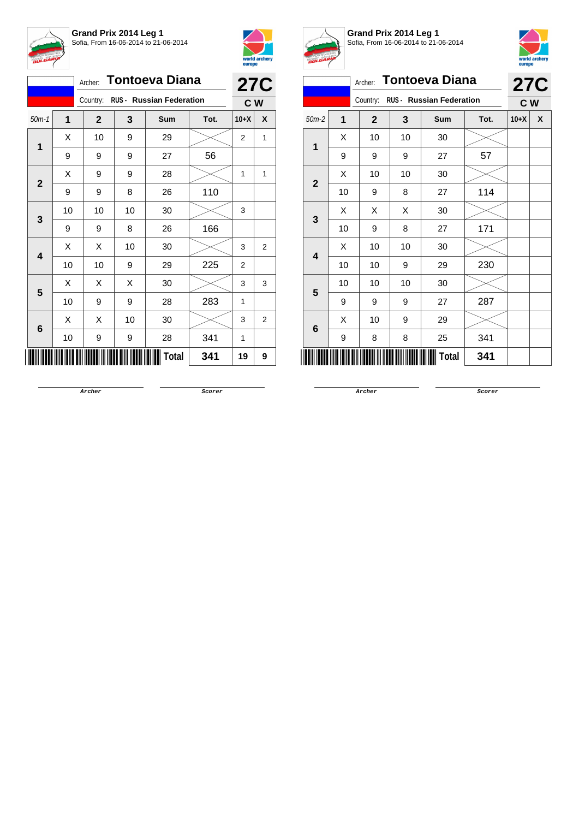



|                         | <b>Tontoeva Diana</b>             | <b>27C</b>   |    |              |      |                |                |
|-------------------------|-----------------------------------|--------------|----|--------------|------|----------------|----------------|
|                         | Country: RUS - Russian Federation |              |    |              |      |                |                |
| $50m-1$                 | 1                                 | $\mathbf{2}$ | 3  | Sum          | Tot. | $10+X$         | X              |
| 1                       | X                                 | 10           | 9  | 29           |      | 2              | 1              |
|                         | 9                                 | 9            | 9  | 27           | 56   |                |                |
| $\mathbf{2}$            | Χ                                 | 9            | 9  | 28           |      | 1              | 1              |
|                         | 9                                 | 9            | 8  | 26           | 110  |                |                |
| 3                       | 10                                | 10           | 10 | 30           |      | 3              |                |
|                         | 9                                 | 9            | 8  | 26           | 166  |                |                |
| $\overline{\mathbf{4}}$ | X                                 | Χ            | 10 | $30\,$       |      | 3              | 2              |
|                         | 10                                | 10           | 9  | 29           | 225  | $\overline{2}$ |                |
| 5                       | X                                 | Χ            | X  | 30           |      | 3              | 3              |
|                         | 10                                | 9            | 9  | 28           | 283  | 1              |                |
|                         | X                                 | Χ            | 10 | 30           |      | 3              | $\overline{2}$ |
| 6                       | 10                                | 9            | 9  | 28           | 341  | 1              |                |
|                         |                                   |              |    | <b>Total</b> | 341  | 19             | 9              |



**Grand Prix 2014 Leg 1** Sofia, From 16-06-2014 to 21-06-2014



|                         | А. | Archer:        |    | <b>Tontoeva Diana</b>           |      | <b>27C</b>     |   |
|-------------------------|----|----------------|----|---------------------------------|------|----------------|---|
|                         |    | Country:       |    | <b>RUS - Russian Federation</b> |      | C <sub>W</sub> |   |
| $50m-2$                 | 1  | $\overline{2}$ | 3  | Sum                             | Tot. | $10+X$         | X |
| 1                       | X  | 10             | 10 | 30                              |      |                |   |
|                         | 9  | 9              | 9  | 27                              | 57   |                |   |
|                         | X  | 10             | 10 | 30                              |      |                |   |
| $\overline{2}$          | 10 | 9              | 8  | 27                              | 114  |                |   |
|                         | X  | X              | X  | 30                              |      |                |   |
| 3                       | 10 | 9              | 8  | 27                              | 171  |                |   |
| $\overline{\mathbf{4}}$ | X  | 10             | 10 | 30                              |      |                |   |
|                         | 10 | 10             | 9  | 29                              | 230  |                |   |
| 5                       | 10 | 10             | 10 | 30                              |      |                |   |
|                         | 9  | 9              | 9  | 27                              | 287  |                |   |
|                         | X  | 10             | 9  | 29                              |      |                |   |
| 6                       | 9  | 8              | 8  | 25                              | 341  |                |   |
|                         |    |                |    | <b>Total</b>                    | 341  |                |   |

**Archer Scorer**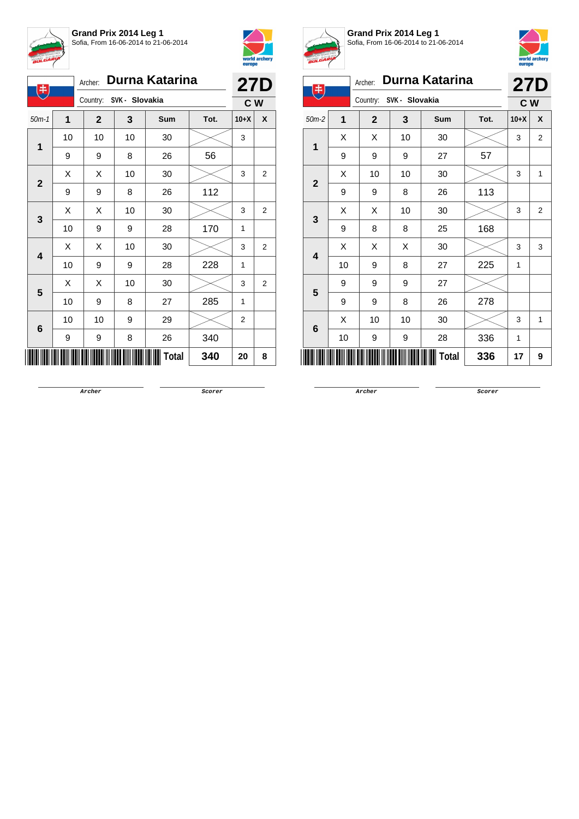



| 电            |    | Archer:                 |    | Durna Katarina |      | <b>27D</b> |                |  |
|--------------|----|-------------------------|----|----------------|------|------------|----------------|--|
|              |    | Country: SVK - Slovakia |    |                |      |            | C W            |  |
| $50m-1$      | 1  | $\mathbf{2}$            | 3  | Sum            | Tot. | $10+X$     | X              |  |
| 1            | 10 | 10                      | 10 | 30             |      | 3          |                |  |
|              | 9  | 9                       | 8  | 26             | 56   |            |                |  |
| $\mathbf{2}$ | X  | Χ                       | 10 | 30             |      | 3          | 2              |  |
|              | 9  | 9                       | 8  | 26             | 112  |            |                |  |
| 3            | X  | Χ                       | 10 | 30             |      | 3          | $\overline{2}$ |  |
|              | 10 | 9                       | 9  | 28             | 170  | 1          |                |  |
| 4            | X  | Χ                       | 10 | 30             |      | 3          | $\overline{2}$ |  |
|              | 10 | 9                       | 9  | 28             | 228  | 1          |                |  |
| 5            | X  | Χ                       | 10 | 30             |      | 3          | $\overline{2}$ |  |
|              | 10 | 9                       | 8  | 27             | 285  | 1          |                |  |
| 6            | 10 | 10                      | 9  | 29             |      | 2          |                |  |
|              | 9  | 9                       | 8  | 26             | 340  |            |                |  |
|              |    |                         |    | Total          | 340  | 20         | 8              |  |



**Grand Prix 2014 Leg 1** Sofia, From 16-06-2014 to 21-06-2014



| 电              |    | Archer:        |                | Durna Katarina |      | <b>27D</b> |                |  |  |
|----------------|----|----------------|----------------|----------------|------|------------|----------------|--|--|
|                |    | Country:       | SVK - Slovakia |                |      | C W        |                |  |  |
| $50m-2$        | 1  | $\overline{2}$ | 3              | Sum            | Tot. | $10+X$     | X              |  |  |
| 1              | X  | X              | 10             | 30             |      | 3          | $\overline{2}$ |  |  |
|                | 9  | 9              | 9              | 27             | 57   |            |                |  |  |
| $\overline{2}$ | X  | 10             | 10             | 30             |      | 3          | 1              |  |  |
|                | 9  | 9              | 8              | 26             | 113  |            |                |  |  |
| 3              | X  | X              | 10             | 30             |      | 3          | $\overline{2}$ |  |  |
|                | 9  | 8              | 8              | 25             | 168  |            |                |  |  |
| 4              | X  | Χ              | Χ              | 30             |      | 3          | 3              |  |  |
|                | 10 | 9              | 8              | 27             | 225  | 1          |                |  |  |
| $5\phantom{1}$ | 9  | 9              | 9              | 27             |      |            |                |  |  |
|                | 9  | 9              | 8              | 26             | 278  |            |                |  |  |
| 6              | X  | 10             | 10             | 30             |      | 3          | 1              |  |  |
|                | 10 | 9              | 9              | 28             | 336  | 1          |                |  |  |
|                | 17 | 9              |                |                |      |            |                |  |  |

**Archer Scorer**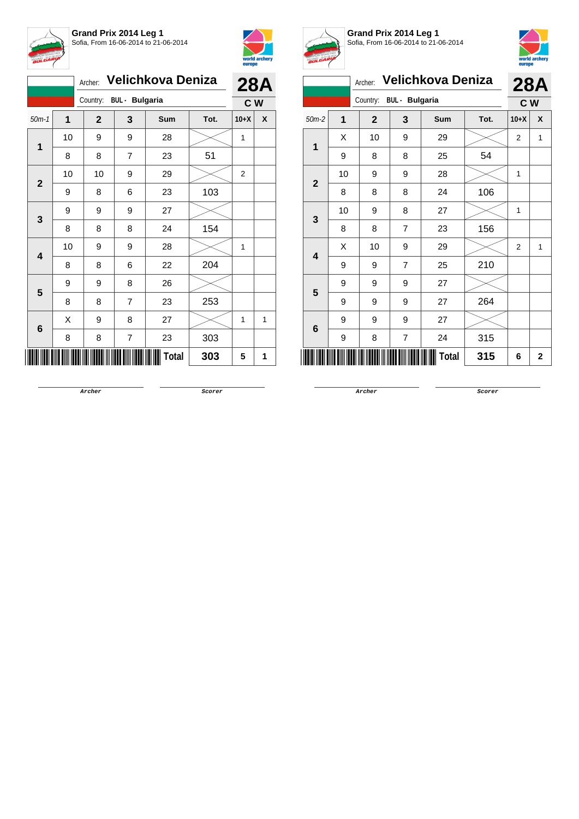



|                                   | Velichkova Deniza | <b>28A</b>   |                |  |       |      |              |     |
|-----------------------------------|-------------------|--------------|----------------|--|-------|------|--------------|-----|
| <b>BUL</b> - Bulgaria<br>Country: |                   |              |                |  |       |      |              | C W |
| $50m-1$                           | $\overline{1}$    | $\mathbf{2}$ | 3              |  | Sum   | Tot. | $10+X$       | X   |
| 1                                 | 10                | 9            | 9              |  | 28    |      | 1            |     |
|                                   | 8                 | 8            | $\overline{7}$ |  | 23    | 51   |              |     |
| $\overline{2}$                    | 10                | 10           | 9              |  | 29    |      | 2            |     |
|                                   | 9                 | 8            | 6              |  | 23    | 103  |              |     |
| 3                                 | 9                 | 9            | 9              |  | 27    |      |              |     |
|                                   | 8                 | 8            | 8              |  | 24    | 154  |              |     |
|                                   | 10                | 9            | 9              |  | 28    |      | $\mathbf{1}$ |     |
| 4                                 | 8                 | 8            | 6              |  | 22    | 204  |              |     |
| 5                                 | 9                 | 9            | 8              |  | 26    |      |              |     |
|                                   | 8                 | 8            | $\overline{7}$ |  | 23    | 253  |              |     |
|                                   | Χ                 | 9            | 8              |  | 27    |      | 1            | 1   |
| 6                                 | 8                 | 8            | 7              |  | 23    | 303  |              |     |
|                                   |                   |              |                |  | Total | 303  | 5            | 1   |



**Grand Prix 2014 Leg 1** Sofia, From 16-06-2014 to 21-06-2014



|                         | <b>DATOPO</b>  |              |                         |       |     |                |              |  |  |
|-------------------------|----------------|--------------|-------------------------|-------|-----|----------------|--------------|--|--|
|                         |                | <b>28A</b>   |                         |       |     |                |              |  |  |
|                         |                | Country:     | <b>BUL</b> - Bulgaria   |       |     | C W            |              |  |  |
| $50m-2$                 | $\overline{1}$ | $\mathbf{2}$ | 3<br>Tot.<br><b>Sum</b> |       |     | $10+X$         | X            |  |  |
| 1                       | X              | 10           | 9                       | 29    |     | $\overline{2}$ | 1            |  |  |
|                         | 9              | 8            | 8                       | 25    | 54  |                |              |  |  |
| $\overline{\mathbf{2}}$ | 10             | 9            | 9                       | 28    |     | 1              |              |  |  |
|                         | 8              | 8            | 8                       | 24    | 106 |                |              |  |  |
| 3                       | 10             | 9            | 8                       | 27    |     | 1              |              |  |  |
|                         | 8              | 8            | $\overline{7}$          | 23    | 156 |                |              |  |  |
| 4                       | X              | 10           | 9                       | 29    |     | $\overline{2}$ | 1            |  |  |
|                         | 9              | 9            | $\overline{7}$          | 25    | 210 |                |              |  |  |
| $5\phantom{1}$          | 9              | 9            | 9                       | 27    |     |                |              |  |  |
|                         | 9              | 9            | 9                       | 27    | 264 |                |              |  |  |
|                         | 9              | 9            | 9                       | 27    |     |                |              |  |  |
| 6                       | 9              | 8            | $\overline{7}$          | 24    | 315 |                |              |  |  |
|                         |                |              |                         | Total | 315 | 6              | $\mathbf{2}$ |  |  |
|                         |                |              |                         |       |     |                |              |  |  |

**Archer Scorer**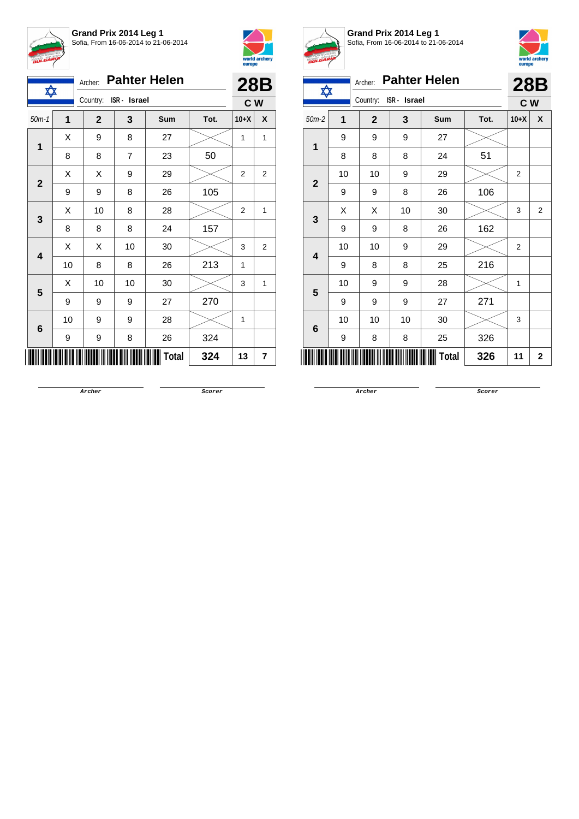



| ✿                       |             | <b>Pahter Helen</b><br>Archer: |                |              |      |                   |   |  |  |
|-------------------------|-------------|--------------------------------|----------------|--------------|------|-------------------|---|--|--|
|                         |             | Country:                       | ISR - Israel   |              |      | <b>28B</b><br>C W |   |  |  |
| $50m-1$                 | $\mathbf 1$ | $\mathbf{2}$                   | 3              | Sum          | Tot. | $10+X$            | X |  |  |
| 1                       | X           | 9                              | 8              | 27           |      | 1                 | 1 |  |  |
|                         | 8           | 8                              | $\overline{7}$ | 23           | 50   |                   |   |  |  |
| $\mathbf{2}$            | X           | Χ                              | 9              | 29           |      | 2                 | 2 |  |  |
|                         | 9           | 9                              | 8              | 26           | 105  |                   |   |  |  |
| 3                       | X           | 10                             | 8              | 28           |      | 2                 | 1 |  |  |
|                         | 8           | 8                              | 8              | 24           | 157  |                   |   |  |  |
| $\overline{\mathbf{4}}$ | X           | X                              | 10             | 30           |      | 3                 | 2 |  |  |
|                         | 10          | 8                              | 8              | 26           | 213  | 1                 |   |  |  |
| 5                       | X           | 10                             | 10             | 30           |      | 3                 | 1 |  |  |
|                         | 9           | 9                              | 9              | 27           | 270  |                   |   |  |  |
|                         | 10          | 9                              | 9              | 28           |      | 1                 |   |  |  |
| $\bf 6$                 | 9           | 9                              | 8              | 26           | 324  |                   |   |  |  |
|                         |             |                                |                | <b>Total</b> | 324  | 13                | 7 |  |  |



**Grand Prix 2014 Leg 1** Sofia, From 16-06-2014 to 21-06-2014



| $B^{ULFT}$                |    |             |              |                     |      |                |                |  |  |  |
|---------------------------|----|-------------|--------------|---------------------|------|----------------|----------------|--|--|--|
| ✿                         |    | Archer:     |              | <b>Pahter Helen</b> |      | <b>28B</b>     |                |  |  |  |
|                           |    | Country:    | ISR - Israel |                     |      | C W            |                |  |  |  |
| $50m-2$                   | 1  | $\mathbf 2$ | 3            | Sum                 | Tot. | $10+X$         | X              |  |  |  |
| 1                         | 9  | 9           | 9            | 27                  |      |                |                |  |  |  |
|                           | 8  | 8           | 8            | 24                  | 51   |                |                |  |  |  |
| $\overline{2}$            | 10 | 10          | 9            | 29                  |      | $\overline{2}$ |                |  |  |  |
|                           | 9  | 9           | 8            | 26                  | 106  |                |                |  |  |  |
| 3                         | X  | X           | 10           | 30                  |      | 3              | $\overline{2}$ |  |  |  |
|                           | 9  | 9           | 8            | 26                  | 162  |                |                |  |  |  |
| 4                         | 10 | 10          | 9            | 29                  |      | 2              |                |  |  |  |
|                           | 9  | 8           | 8            | 25                  | 216  |                |                |  |  |  |
| 5                         | 10 | 9           | 9            | 28                  |      | $\mathbf{1}$   |                |  |  |  |
|                           | 9  | 9           | 9            | 27                  | 271  |                |                |  |  |  |
| 6                         | 10 | 10          | 10           | 30                  |      | 3              |                |  |  |  |
|                           | 9  | 8           | 8            | 25                  | 326  |                |                |  |  |  |
| <b>Total</b><br>326<br>11 |    |             |              |                     |      |                |                |  |  |  |
|                           |    |             |              |                     |      |                |                |  |  |  |

**Archer Scorer**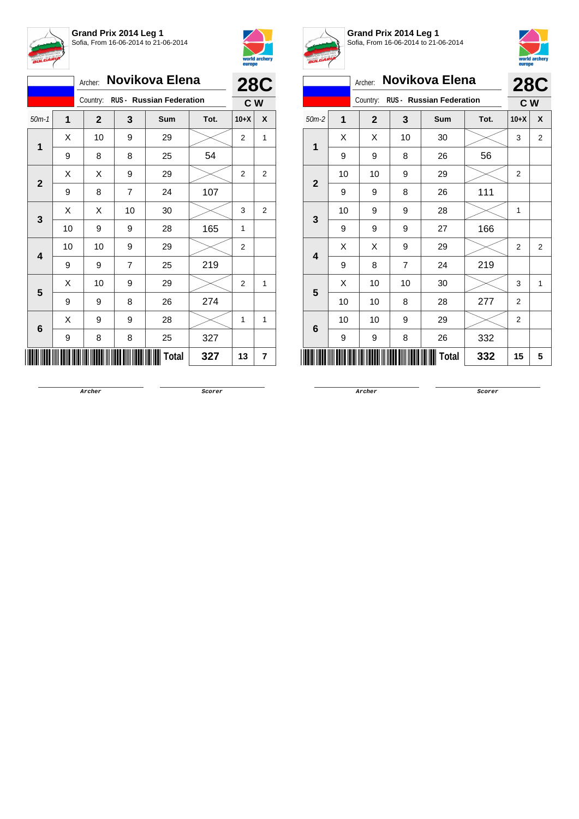



|             |    | Archer:      |                | Novikova Elena                    |      |        | <b>28C</b>     |
|-------------|----|--------------|----------------|-----------------------------------|------|--------|----------------|
|             |    |              |                | Country: RUS - Russian Federation |      | C W    |                |
| $50m-1$     | 1  | $\mathbf{2}$ | 3              | Sum                               | Tot. | $10+X$ | X              |
| 1           | X  | 10           | 9              | 29                                |      | 2      | 1              |
|             | 9  | 8            | 8              | 25                                | 54   |        |                |
|             | X  | Χ            | 9              | 29                                |      | 2      | 2              |
| $\mathbf 2$ | 9  | 8            | $\overline{7}$ | 24                                | 107  |        |                |
|             | X  | X            | 10             | 30                                |      | 3      | $\overline{2}$ |
| 3           | 10 | 9            | 9              | 28                                | 165  | 1      |                |
|             | 10 | 10           | 9              | 29                                |      | 2      |                |
| 4           | 9  | 9            | $\overline{7}$ | 25                                | 219  |        |                |
|             | X  | 10           | 9              | 29                                |      | 2      | 1              |
| 5           | 9  | 9            | 8              | 26                                | 274  |        |                |
|             | X  | 9            | 9              | 28                                |      | 1      | 1              |
| 6           | 9  | 8            | 8              | 25                                | 327  |        |                |
|             |    |              |                | Total                             | 327  | 13     | 7              |



**Grand Prix 2014 Leg 1** Sofia, From 16-06-2014 to 21-06-2014



| <b>BULGARI</b>                              |    |                           |              |                |  |            |      | europe         | world archery  |
|---------------------------------------------|----|---------------------------|--------------|----------------|--|------------|------|----------------|----------------|
|                                             |    | Novikova Elena<br>Archer: |              |                |  |            |      |                | <b>28C</b>     |
| <b>RUS - Russian Federation</b><br>Country: |    |                           |              |                |  |            |      | c <sub>w</sub> |                |
| $50m-2$                                     | 1  |                           | $\mathbf{2}$ | 3              |  | <b>Sum</b> | Tot. | $10+X$         | X              |
| $\mathbf{1}$                                | X  |                           | X            | 10             |  | 30         |      | 3              | $\overline{2}$ |
|                                             | 9  |                           | 9            | 8              |  | 26         | 56   |                |                |
| $\overline{2}$                              | 10 |                           | 10           | 9              |  | 29         |      | $\overline{2}$ |                |
|                                             | 9  |                           | 9            | 8              |  | 26         | 111  |                |                |
| 3                                           | 10 |                           | 9            | 9              |  | 28         |      | 1              |                |
|                                             | 9  |                           | 9            | 9              |  | 27         | 166  |                |                |
| $\overline{\mathbf{4}}$                     | X  |                           | X            | 9              |  | 29         |      | 2              | $\overline{2}$ |
|                                             | 9  |                           | 8            | $\overline{7}$ |  | 24         | 219  |                |                |
| 5                                           | X  |                           | 10           | 10             |  | 30         |      | 3              | 1              |
|                                             | 10 |                           | 10           | 8              |  | 28         | 277  | $\overline{2}$ |                |
|                                             | 10 |                           | 10           | 9              |  | 29         |      | $\overline{2}$ |                |
| 6                                           | 9  |                           | 9            | 8              |  | 26         | 332  |                |                |
| Total<br>332                                |    |                           |              |                |  |            |      |                | 5              |
|                                             |    |                           |              |                |  |            |      |                |                |

**Archer Scorer**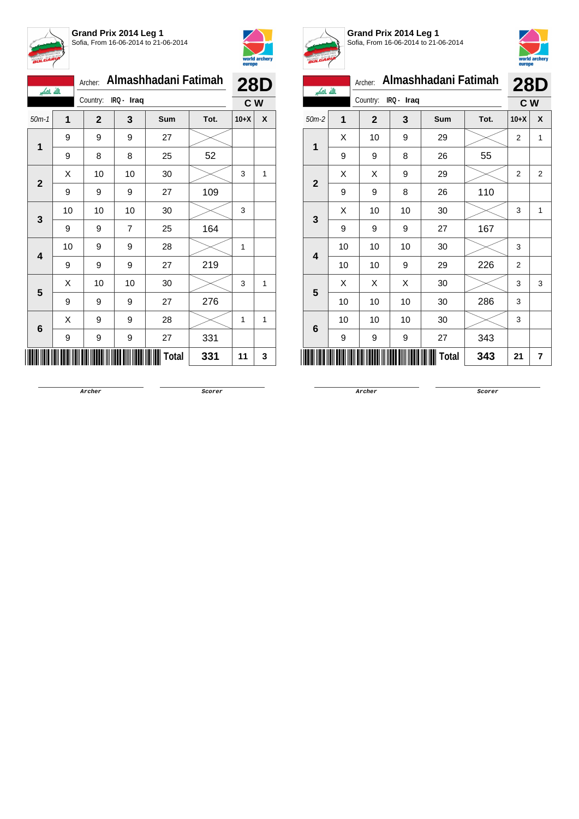



| بالله باكبر    |    | Archer:        |            | Almashhadani Fatimah |      |        | <b>28D</b> |
|----------------|----|----------------|------------|----------------------|------|--------|------------|
|                |    | Country:       | IRQ - Iraq |                      |      | C W    |            |
| $50m-1$        | 1  | $\overline{2}$ | 3          | <b>Sum</b>           | Tot. | $10+X$ | X          |
| $\mathbf{1}$   | 9  | 9              | 9          | 27                   |      |        |            |
|                | 9  | 8              | 8          | 25                   | 52   |        |            |
| $\overline{2}$ | Χ  | 10             | 10         | 30                   |      | 3      | 1          |
|                | 9  | 9              | 9          | 27                   | 109  |        |            |
| 3              | 10 | 10             | 10         | 30                   |      | 3      |            |
|                | 9  | 9              | 7          | 25                   | 164  |        |            |
| 4              | 10 | 9              | 9          | 28                   |      | 1      |            |
|                | 9  | 9              | 9          | 27                   | 219  |        |            |
| 5              | Х  | 10             | 10         | 30                   |      | 3      | 1          |
|                | 9  | 9              | 9          | 27                   | 276  |        |            |
| 6              | X  | 9              | 9          | 28                   |      | 1      | 1          |
|                | 9  | 9              | 9          | 27                   | 331  |        |            |
|                |    |                |            | Total                | 331  | 11     | 3          |



**Grand Prix 2014 Leg 1** Sofia, From 16-06-2014 to 21-06-2014



| <b>BULGARY</b>          |    |              |            |                      |      | europe         | world arcnery |
|-------------------------|----|--------------|------------|----------------------|------|----------------|---------------|
| الله اکبر               |    | Archer:      |            | Almashhadani Fatimah |      | <b>28D</b>     |               |
|                         |    | Country:     | IRQ - Iraq |                      |      | C W            |               |
| $50m-2$                 | 1  | $\mathbf{2}$ | 3          | <b>Sum</b>           | Tot. | $10+X$         | X             |
| 1                       | X  | 10           | 9          | 29                   |      | $\overline{2}$ | 1             |
|                         | 9  | 9            | 8          | 26                   | 55   |                |               |
| $\overline{2}$          | X  | X            | 9          | 29                   |      | 2              | 2             |
|                         | 9  | 9            | 8          | 26                   | 110  |                |               |
| 3                       | X  | 10           | 10         | 30                   |      | 3              | 1             |
|                         | 9  | 9            | 9          | 27                   | 167  |                |               |
| $\overline{\mathbf{4}}$ | 10 | 10           | 10         | 30                   |      | 3              |               |
|                         | 10 | 10           | 9          | 29                   | 226  | $\overline{2}$ |               |
| 5                       | X  | X            | X          | 30                   |      | 3              | 3             |
|                         | 10 | 10           | 10         | 30                   | 286  | 3              |               |
|                         | 10 | 10           | 10         | 30                   |      | 3              |               |
| 6                       | 9  | 9            | 9          | 27                   | 343  |                |               |
|                         |    |              |            | Total                | 343  | 21             | 7             |
|                         |    |              |            |                      |      |                |               |

**Archer Scorer**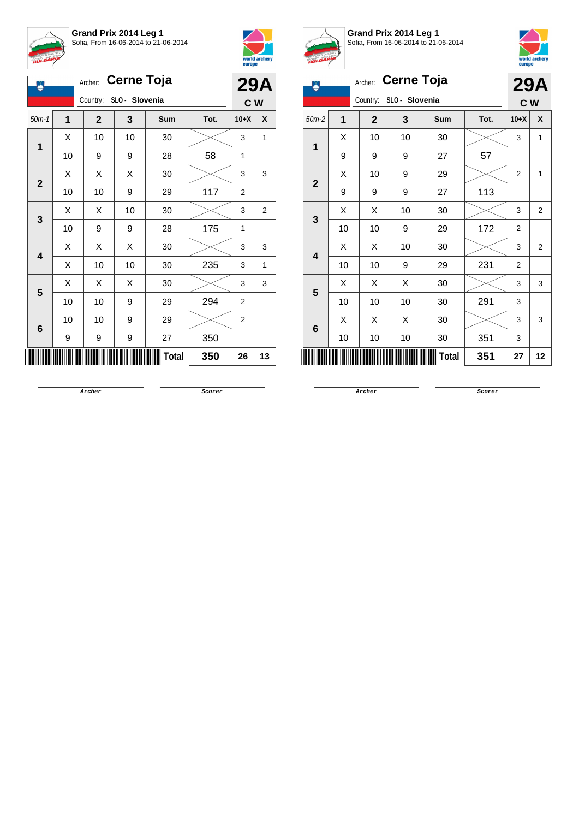

**Grand Prix 2014 Leg 1** Sofia, From 16-06-2014 to 21-06-2014



| Д            |    | <b>29A</b>   |                |       |      |        |                |
|--------------|----|--------------|----------------|-------|------|--------|----------------|
|              |    | Country:     | SLO - Slovenia |       |      | C W    |                |
| $50m-1$      | 1  | $\mathbf{2}$ | 3              | Sum   | Tot. | $10+X$ | X              |
| 1            | Χ  | 10           | 10             | 30    |      | 3      | 1              |
|              | 10 | 9            | 9              | 28    | 58   | 1      |                |
|              | Χ  | Χ            | Χ              | 30    |      | 3      | 3              |
| $\mathbf{2}$ | 10 | 10           | 9              | 29    | 117  | 2      |                |
| 3            | Χ  | Χ            | 10             | 30    |      | 3      | $\overline{2}$ |
|              | 10 | 9            | 9              | 28    | 175  | 1      |                |
| 4            | Χ  | Χ            | X              | 30    |      | 3      | 3              |
|              | Χ  | 10           | 10             | 30    | 235  | 3      | 1              |
| 5            | Χ  | Χ            | Χ              | 30    |      | 3      | 3              |
|              | 10 | 10           | 9              | 29    | 294  | 2      |                |
|              | 10 | 10           | 9              | 29    |      | 2      |                |
| 6            | 9  | 9            | 9              | 27    | 350  |        |                |
|              |    |              |                | Total | 350  | 26     | 13             |



**Grand Prix 2014 Leg 1** Sofia, From 16-06-2014 to 21-06-2014



| 凧           |    | Archer:     | <b>Cerne Toja</b> |              |      |                | <b>29A</b>     |
|-------------|----|-------------|-------------------|--------------|------|----------------|----------------|
|             |    | Country:    | SLO - Slovenia    |              |      | C <sub>W</sub> |                |
| $50m-2$     | 1  | $\mathbf 2$ | 3                 | Sum          | Tot. | $10+X$         | X              |
| 1           | Χ  | 10          | 10                | 30           |      | 3              | 1              |
|             | 9  | 9           | 9                 | 27           | 57   |                |                |
|             | X  | 10          | 9                 | 29           |      | $\overline{2}$ | 1              |
| $\mathbf 2$ | 9  | 9           | 9                 | 27           | 113  |                |                |
|             | Χ  | Χ           | 10                | 30           |      | 3              | $\overline{2}$ |
| 3           | 10 | 10          | 9                 | 29           | 172  | $\overline{2}$ |                |
|             | X  | X           | 10                | 30           |      | 3              | $\overline{2}$ |
| 4           | 10 | 10          | 9                 | 29           | 231  | $\overline{2}$ |                |
|             | Χ  | X           | X                 | 30           |      | 3              | 3              |
| 5           | 10 | 10          | 10                | 30           | 291  | 3              |                |
|             | X  | X           | X                 | 30           |      | 3              | 3              |
| 6           | 10 | 10          | 10                | 30           | 351  | 3              |                |
|             |    |             |                   | <b>Total</b> | 351  | 27             | 12             |

**Archer Scorer**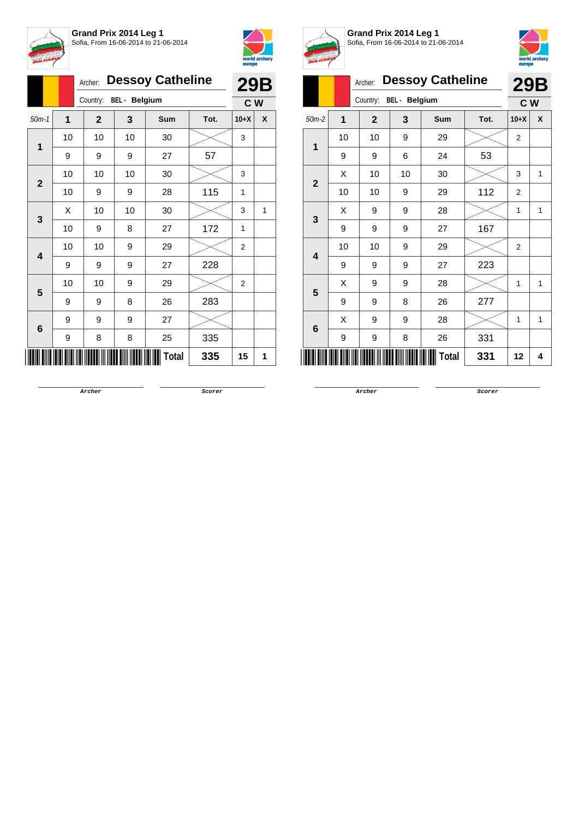



|              |                | Archer:      |                      | <b>Dessoy Catheline</b> |      |                | <b>29B</b>   |
|--------------|----------------|--------------|----------------------|-------------------------|------|----------------|--------------|
|              |                | Country:     | <b>BEL</b> - Belgium |                         |      | C W            |              |
| $50m-1$      | $\overline{1}$ | $\mathbf{2}$ | 3                    | <b>Sum</b>              | Tot. | $10+X$         | X            |
| 1            | 10             | 10           | 10                   | 30                      |      | 3              |              |
|              | 9              | 9            | 9                    | 27                      | 57   |                |              |
| $\mathbf{2}$ | 10             | 10           | 10                   | 30                      |      | 3              |              |
|              | 10             | 9            | 9                    | 28                      | 115  | 1              |              |
| 3            | X              | 10           | 10                   | 30                      |      | 3              | $\mathbf{1}$ |
|              | 10             | 9            | 8                    | 27                      | 172  | 1              |              |
| 4            | 10             | 10           | 9                    | 29                      |      | 2              |              |
|              | 9              | 9            | 9                    | 27                      | 228  |                |              |
| 5            | 10             | 10           | 9                    | 29                      |      | $\overline{2}$ |              |
|              | 9              | 9            | 8                    | 26                      | 283  |                |              |
| 6            | 9              | 9            | 9                    | 27                      |      |                |              |
|              | 9              | 8            | 8                    | 25                      | 335  |                |              |
|              |                |              |                      | Total                   | 335  | 15             | 1            |



**Grand Prix 2014 Leg 1** Sofia, From 16-06-2014 to 21-06-2014



|                |    | Archer:        |                      | <b>Dessoy Catheline</b> |      |                | <b>29B</b> |
|----------------|----|----------------|----------------------|-------------------------|------|----------------|------------|
|                |    | Country:       | <b>BEL</b> - Belgium |                         |      | C W            |            |
| $50m-2$        | 1  | $\overline{2}$ | 3                    | Sum                     | Tot. | $10+X$         | X          |
| 1              | 10 | 10             | 9                    | 29                      |      | 2              |            |
|                | 9  | 9              | 6                    | 24                      | 53   |                |            |
| $\overline{2}$ | X  | 10             | 10                   | 30                      |      | 3              | 1          |
|                | 10 | 10             | 9                    | 29                      | 112  | $\overline{2}$ |            |
| 3              | X  | 9              | 9                    | 28                      |      | 1              | 1          |
|                | 9  | 9              | 9                    | 27                      | 167  |                |            |
| 4              | 10 | 10             | 9                    | 29                      |      | $\overline{2}$ |            |
|                | 9  | 9              | 9                    | 27                      | 223  |                |            |
| 5              | X  | 9              | 9                    | 28                      |      | 1              | 1          |
|                | 9  | 9              | 8                    | 26                      | 277  |                |            |
|                | X  | 9              | 9                    | 28                      |      | 1              | 1          |
| 6              | 9  | 9              | 8                    | 26                      | 331  |                |            |
|                |    |                |                      | <b>Total</b>            | 331  | 12             | 4          |

**Archer Scorer**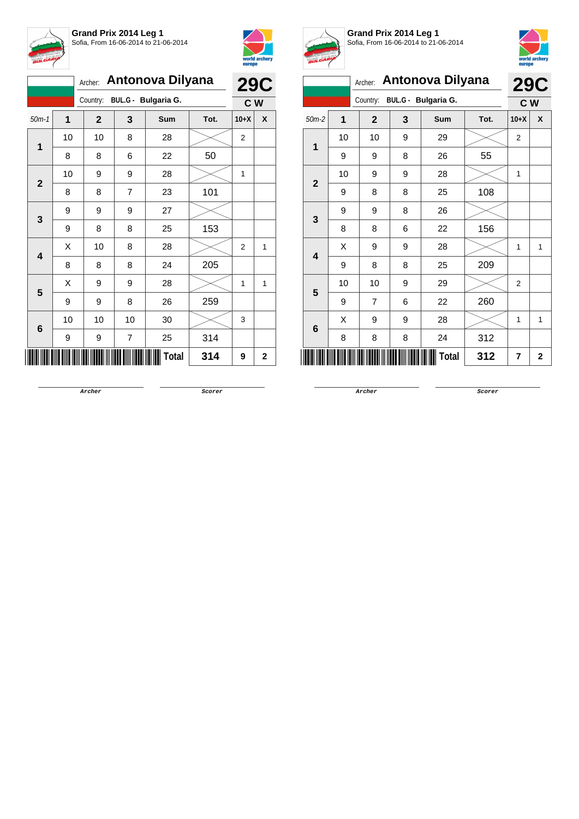



|                         |    |              | Archer: Antonova Dilyana |                     |      |                |              |  |
|-------------------------|----|--------------|--------------------------|---------------------|------|----------------|--------------|--|
|                         |    | Country:     |                          | BUL.G - Bulgaria G. |      | C W            | <b>29C</b>   |  |
| $50m-1$                 | 1  | $\mathbf{2}$ | 3                        | Sum                 | Tot. | $10+X$         | X            |  |
| 1                       | 10 | 10           | 8                        | 28                  |      | 2              |              |  |
|                         | 8  | 8            | 6                        | 22                  | 50   |                |              |  |
| $\overline{2}$          | 10 | 9            | 9                        | 28                  |      | 1              |              |  |
|                         | 8  | 8            | $\overline{7}$           | 23                  | 101  |                |              |  |
| 3                       | 9  | 9            | 9                        | 27                  |      |                |              |  |
|                         | 9  | 8            | 8                        | 25                  | 153  |                |              |  |
| $\overline{\mathbf{4}}$ | Χ  | 10           | 8                        | 28                  |      | $\overline{2}$ | $\mathbf{1}$ |  |
|                         | 8  | 8            | 8                        | 24                  | 205  |                |              |  |
| 5                       | X  | 9            | 9                        | 28                  |      | 1              | 1            |  |
|                         | 9  | 9            | 8                        | 26                  | 259  |                |              |  |
|                         | 10 | 10           | 10                       | 30                  |      | 3              |              |  |
| 6                       | 9  | 9            | 7                        | 25                  | 314  |                |              |  |
|                         |    |              |                          | Total               | 314  | 9              | $\mathbf 2$  |  |



**Grand Prix 2014 Leg 1** Sofia, From 16-06-2014 to 21-06-2014



|                | emohe |                |   |                     |      |                |            |
|----------------|-------|----------------|---|---------------------|------|----------------|------------|
|                |       | Archer:        |   | Antonova Dilyana    |      |                | <b>29C</b> |
|                |       | Country:       |   | BUL.G - Bulgaria G. |      | C W            |            |
| $50m-2$        | 1     | $\mathbf{2}$   | 3 | Sum                 | Tot. | $10+X$         | X          |
| 1              | 10    | 10             | 9 | 29                  |      | $\overline{2}$ |            |
|                | 9     | 9              | 8 | 26                  | 55   |                |            |
| $\overline{2}$ | 10    | 9              | 9 | 28                  |      | 1              |            |
|                | 9     | 8              | 8 | 25                  | 108  |                |            |
| 3              | 9     | 9              | 8 | 26                  |      |                |            |
|                | 8     | 8              | 6 | 22                  | 156  |                |            |
| 4              | X     | 9              | 9 | 28                  |      | 1              | 1          |
|                | 9     | 8              | 8 | 25                  | 209  |                |            |
| 5              | 10    | 10             | 9 | 29                  |      | $\overline{2}$ |            |
|                | 9     | $\overline{7}$ | 6 | 22                  | 260  |                |            |
| 6              | X     | 9              | 9 | 28                  |      | 1              | 1          |
|                | 8     | 8              | 8 | 24                  | 312  |                |            |
| 312<br>Total   |       |                |   |                     |      |                | 2          |

**Archer Scorer**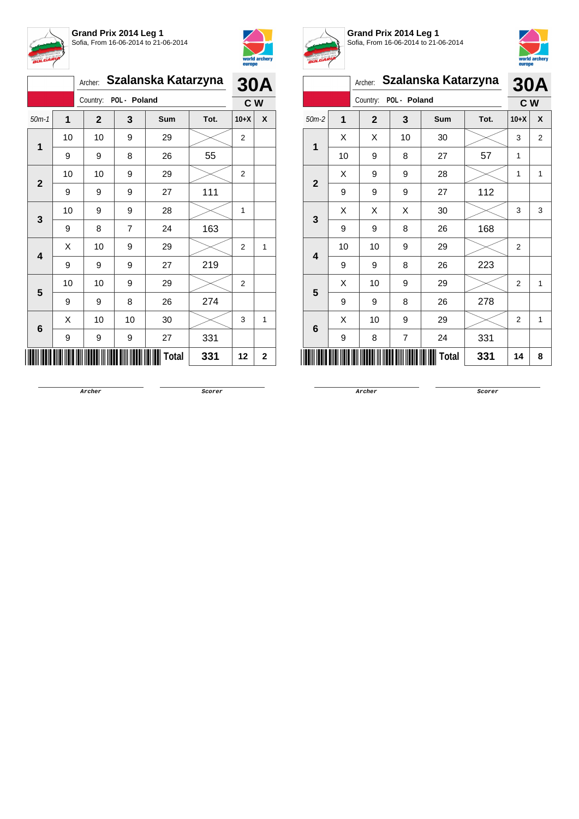



|                         |    | Szalanska Katarzyna<br>Archer: |    |       |      |                | <b>30A</b>   |  |
|-------------------------|----|--------------------------------|----|-------|------|----------------|--------------|--|
| Country: POL - Poland   |    |                                |    | C W   |      |                |              |  |
| $50m-1$                 | 1  | $\mathbf{2}$                   | 3  | Sum   | Tot. | $10+X$         | X            |  |
| 1                       | 10 | 10                             | 9  | 29    |      | 2              |              |  |
|                         | 9  | 9                              | 8  | 26    | 55   |                |              |  |
| $\mathbf{2}$            | 10 | 10                             | 9  | 29    |      | $\overline{2}$ |              |  |
|                         | 9  | 9                              | 9  | 27    | 111  |                |              |  |
| 3                       | 10 | 9                              | 9  | 28    |      | 1              |              |  |
|                         | 9  | 8                              | 7  | 24    | 163  |                |              |  |
| $\overline{\mathbf{4}}$ | Χ  | 10                             | 9  | 29    |      | $\overline{2}$ | $\mathbf{1}$ |  |
|                         | 9  | 9                              | 9  | 27    | 219  |                |              |  |
| 5                       | 10 | 10                             | 9  | 29    |      | $\overline{2}$ |              |  |
|                         | 9  | 9                              | 8  | 26    | 274  |                |              |  |
| $\bf 6$                 | X  | 10                             | 10 | 30    |      | 3              | 1            |  |
|                         | 9  | 9                              | 9  | 27    | 331  |                |              |  |
|                         |    |                                |    | Total | 331  | 12             | $\mathbf 2$  |  |



**Grand Prix 2014 Leg 1**



Sofia, From 16-06-2014 to 21-06-2014 Archer: **Szalanska Katarzyna** Country: **POL - Poland 30A C W** 50m-2 **1 2 3 Sum Tot. 10+X X 1**  $\begin{array}{|c|c|c|c|c|}\hline \hspace{0.8cm}X & X & 10 & 30 & & \hline \end{array} \hspace{0.2cm} \begin{array}{|c|c|c|c|c|c|}\hline \hspace{0.8cm}3 & 3 & 2 & \hline \end{array}$ 10 | 9 | 8 | 27 | 57 | 1 **2**  $X$  | 9 | 9 | 28 |  $>$  | 1 | 1 9 | 9 | 9 | 27 | 112 **3**  $\mathsf{X} \hspace{0.2cm} \mid \hspace{0.2cm} \mathsf{X} \hspace{0.2cm} \mid \hspace{0.2cm} \mathsf{X} \hspace{0.2cm} \mid \hspace{0.2cm} \text{30} \hspace{0.2cm} \mid \hspace{0.2cm} \text{$\gg$} \hspace{0.2cm} \mid \hspace{0.2cm} \text{3} \hspace{0.2cm} \mid \hspace{0.2cm} \text{3}$ 9 | 9 | 8 | 26 | 168 **4** 10 | 10 | 9 | 29 |  $\times$  | 2  $9 \mid 9 \mid 8 \mid 26 \mid 223$ **5**  $\begin{array}{|c|c|c|c|c|}\hline \hspace{.1cm}X & \hspace{.1cm} \text{10} & \hspace{.1cm} \text{9} & \hspace{.1cm} \text{29} & \hspace{.1cm} \text{20} & \hspace{.1cm} \text{\large $\times$} & \hspace{.1cm} \text{2} & \hspace{.1cm} \text{1} \end{array}$ 9 9 8 26 278 **6**  $\begin{array}{|c|c|c|c|c|}\hline \hspace{.1cm}X & \hspace{.1cm} \text{10} & \hspace{.1cm} \text{9} & \hspace{.1cm} \text{29} & \hspace{.1cm} \text{20} & \hspace{.1cm} \text{\large $\times$} & \hspace{.1cm} \text{2} & \hspace{.1cm} \text{1} \end{array}$ 9 | 8 | 7 | 24 | 331 \*7619-C-W-2\* **Total 331 <sup>14</sup> <sup>8</sup>**

**Archer Scorer**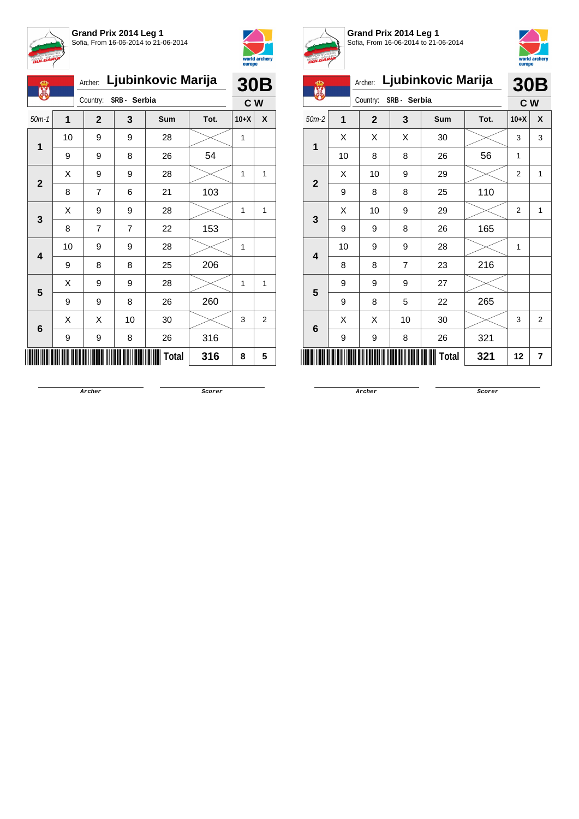



| Ф<br>X       |    | Ljubinkovic Marija<br>Archer: |    |       |      |        | <b>30B</b>     |  |
|--------------|----|-------------------------------|----|-------|------|--------|----------------|--|
|              |    | SRB - Serbia<br>Country:      |    |       |      |        | C W            |  |
| $50m-1$      | 1  | $\mathbf{2}$                  | 3  | Sum   | Tot. | $10+X$ | X              |  |
| 1            | 10 | 9                             | 9  | 28    |      | 1      |                |  |
|              | 9  | 9                             | 8  | 26    | 54   |        |                |  |
| $\mathbf{2}$ | X  | 9                             | 9  | 28    |      | 1      | 1              |  |
|              | 8  | 7                             | 6  | 21    | 103  |        |                |  |
| 3            | Χ  | 9                             | 9  | 28    |      | 1      | 1              |  |
|              | 8  | 7                             | 7  | 22    | 153  |        |                |  |
| 4            | 10 | 9                             | 9  | 28    |      | 1      |                |  |
|              | 9  | 8                             | 8  | 25    | 206  |        |                |  |
| 5            | X  | 9                             | 9  | 28    |      | 1      | 1              |  |
|              | 9  | 9                             | 8  | 26    | 260  |        |                |  |
| 6            | X  | X                             | 10 | 30    |      | 3      | $\overline{2}$ |  |
|              | 9  | 9                             | 8  | 26    | 316  |        |                |  |
|              |    |                               |    | Total | 316  | 8      | 5              |  |



**Grand Prix 2014 Leg 1** Sofia, From 16-06-2014 to 21-06-2014



| ക                       |                | Ljubinkovic Marija<br>Archer: |    |     |      |                | 30B            |  |
|-------------------------|----------------|-------------------------------|----|-----|------|----------------|----------------|--|
|                         |                | SRB- Serbia<br>Country:       |    |     |      |                | c <sub>w</sub> |  |
| $50m-2$                 | $\overline{1}$ | $\overline{2}$                | 3  | Sum | Tot. | $10+X$         | X              |  |
|                         | Χ              | X                             | X  | 30  |      | 3              | 3              |  |
| 1                       | 10             | 8                             | 8  | 26  | 56   | 1              |                |  |
| $\overline{\mathbf{2}}$ | х              | 10                            | 9  | 29  |      | $\overline{2}$ | 1              |  |
|                         | 9              | 8                             | 8  | 25  | 110  |                |                |  |
| 3                       | X              | 10                            | 9  | 29  |      | 2              | $\mathbf{1}$   |  |
|                         | 9              | 9                             | 8  | 26  | 165  |                |                |  |
| 4                       | 10             | 9                             | 9  | 28  |      | 1              |                |  |
|                         | 8              | 8                             | 7  | 23  | 216  |                |                |  |
| 5                       | 9              | 9                             | 9  | 27  |      |                |                |  |
|                         | 9              | 8                             | 5  | 22  | 265  |                |                |  |
|                         | Χ              | X                             | 10 | 30  |      | 3              | $\overline{2}$ |  |
| $6\phantom{1}6$         | 9              | 9                             | 8  | 26  | 321  |                |                |  |
| Total                   |                |                               |    |     | 321  | 12             | 7              |  |

**Archer Scorer**